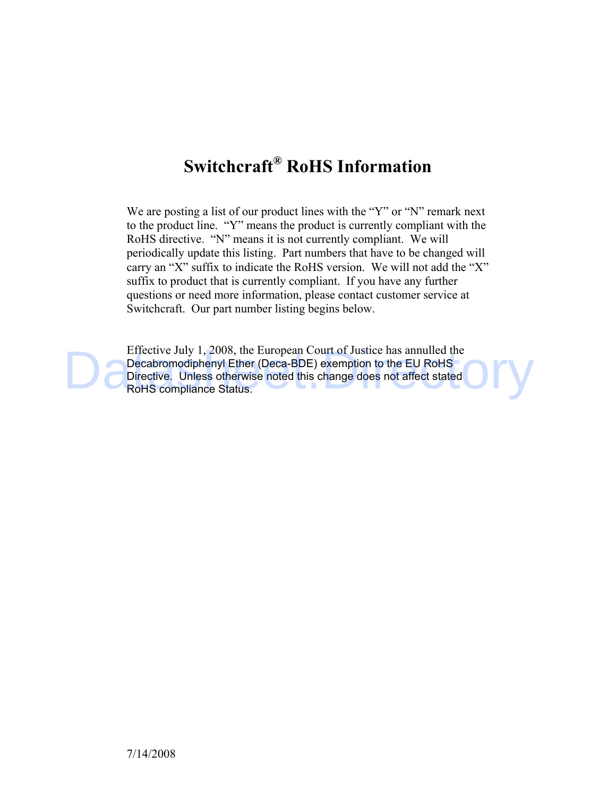# **Switchcraft® RoHS Information**

We are posting a list of our product lines with the "Y" or "N" remark next to the product line. "Y" means the product is currently compliant with the RoHS directive. "N" means it is not currently compliant. We will periodically update this listing. Part numbers that have to be changed will carry an "X" suffix to indicate the RoHS version. We will not add the "X" suffix to product that is currently compliant. If you have any further questions or need more information, please contact customer service at Switchcraft. Our part number listing begins below.

Effective July 1, 2008, the European Court of Justice has annulled the Decabromodiphenyl Ether (Deca-BDE) exemption to the EU RoHS Directive. Unless otherwise noted this change does not affect stated Effective July 1, 2008, the European Court of Justice has annulled the<br>Decabromodiphenyl Ether (Deca-BDE) exemption to the EU RoHS<br>Directive. Unless otherwise noted this change does not affect stated<br>RoHS compliance Status RoHS compliance Status.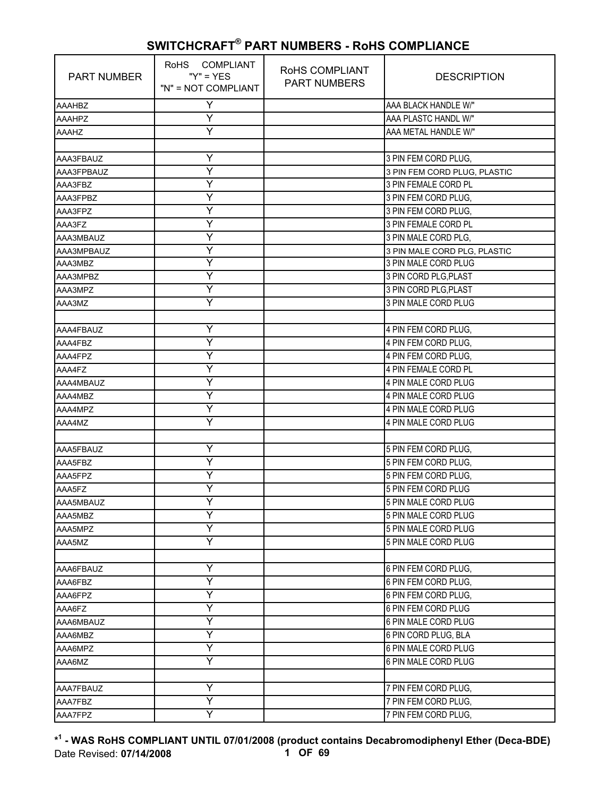| <b>PART NUMBER</b> | RoHS COMPLIANT<br>" $Y$ " = $YES$<br>"N" = NOT COMPLIANT | RoHS COMPLIANT<br><b>PART NUMBERS</b> | <b>DESCRIPTION</b>           |
|--------------------|----------------------------------------------------------|---------------------------------------|------------------------------|
| <b>AAAHBZ</b>      | Y                                                        |                                       | AAA BLACK HANDLE W/"         |
| <b>AAAHPZ</b>      | Υ                                                        |                                       | AAA PLASTC HANDL W/"         |
| <b>AAAHZ</b>       | Y                                                        |                                       | AAA METAL HANDLE W/"         |
|                    |                                                          |                                       |                              |
| AAA3FBAUZ          | Υ                                                        |                                       | 3 PIN FEM CORD PLUG.         |
| AAA3FPBAUZ         | Y                                                        |                                       | 3 PIN FEM CORD PLUG, PLASTIC |
| AAA3FBZ            | Ÿ                                                        |                                       | 3 PIN FEMALE CORD PL         |
| AAA3FPBZ           | Υ                                                        |                                       | 3 PIN FEM CORD PLUG,         |
| AAA3FPZ            | Y                                                        |                                       | 3 PIN FEM CORD PLUG,         |
| AAA3FZ             | Y                                                        |                                       | 3 PIN FEMALE CORD PL         |
| AAA3MBAUZ          | Υ                                                        |                                       | 3 PIN MALE CORD PLG,         |
| AAA3MPBAUZ         | Y                                                        |                                       | 3 PIN MALE CORD PLG, PLASTIC |
| AAA3MBZ            | Υ                                                        |                                       | 3 PIN MALE CORD PLUG         |
| AAA3MPBZ           | Y                                                        |                                       | 3 PIN CORD PLG, PLAST        |
| AAA3MPZ            | Ÿ                                                        |                                       | 3 PIN CORD PLG, PLAST        |
| AAA3MZ             | Y                                                        |                                       | 3 PIN MALE CORD PLUG         |
|                    |                                                          |                                       |                              |
| AAA4FBAUZ          | Y                                                        |                                       | 4 PIN FEM CORD PLUG,         |
| AAA4FBZ            | Y                                                        |                                       | 4 PIN FEM CORD PLUG.         |
| AAA4FPZ            | Ÿ                                                        |                                       | 4 PIN FEM CORD PLUG,         |
| AAA4FZ             | Υ                                                        |                                       | 4 PIN FEMALE CORD PL         |
| AAA4MBAUZ          | Υ                                                        |                                       | 4 PIN MALE CORD PLUG         |
| AAA4MBZ            | Υ                                                        |                                       | 4 PIN MALE CORD PLUG         |
| AAA4MPZ            | Y                                                        |                                       | 4 PIN MALE CORD PLUG         |
| AAA4MZ             | Ÿ                                                        |                                       | 4 PIN MALE CORD PLUG         |
|                    |                                                          |                                       |                              |
| AAA5FBAUZ          | Υ                                                        |                                       | 5 PIN FEM CORD PLUG.         |
| AAA5FBZ            | Υ                                                        |                                       | 5 PIN FEM CORD PLUG,         |
| AAA5FPZ            | Y                                                        |                                       | 5 PIN FEM CORD PLUG,         |
| AAA5FZ             | Ÿ                                                        |                                       | 5 PIN FEM CORD PLUG          |
| AAA5MBAUZ          | Y                                                        |                                       | 5 PIN MALE CORD PLUG         |
| AAA5MBZ            | Υ                                                        |                                       | 5 PIN MALE CORD PLUG         |
| AAA5MPZ            | Υ                                                        |                                       | 5 PIN MALE CORD PLUG         |
| AAA5MZ             | Y                                                        |                                       | 5 PIN MALE CORD PLUG         |
|                    |                                                          |                                       |                              |
| AAA6FBAUZ          | Y                                                        |                                       | 6 PIN FEM CORD PLUG,         |
| AAA6FBZ            | Y                                                        |                                       | 6 PIN FEM CORD PLUG.         |
| AAA6FPZ            | Υ                                                        |                                       | 6 PIN FEM CORD PLUG,         |
| AAA6FZ             | Y                                                        |                                       | 6 PIN FEM CORD PLUG          |
| AAA6MBAUZ          | Y                                                        |                                       | 6 PIN MALE CORD PLUG         |
| AAA6MBZ            | Υ                                                        |                                       | 6 PIN CORD PLUG, BLA         |
| AAA6MPZ            | Υ                                                        |                                       | 6 PIN MALE CORD PLUG         |
| AAA6MZ             | Υ                                                        |                                       | 6 PIN MALE CORD PLUG         |
|                    |                                                          |                                       |                              |
| AAA7FBAUZ          | Y                                                        |                                       | 7 PIN FEM CORD PLUG,         |
| AAA7FBZ            | Υ                                                        |                                       | 7 PIN FEM CORD PLUG,         |
| AAA7FPZ            | Y                                                        |                                       | 7 PIN FEM CORD PLUG,         |

**\* 1 - WAS RoHS COMPLIANT UNTIL 07/01/2008 (product contains Decabromodiphenyl Ether (Deca-BDE)** Date Revised: **07/14/2008 1 OF 69**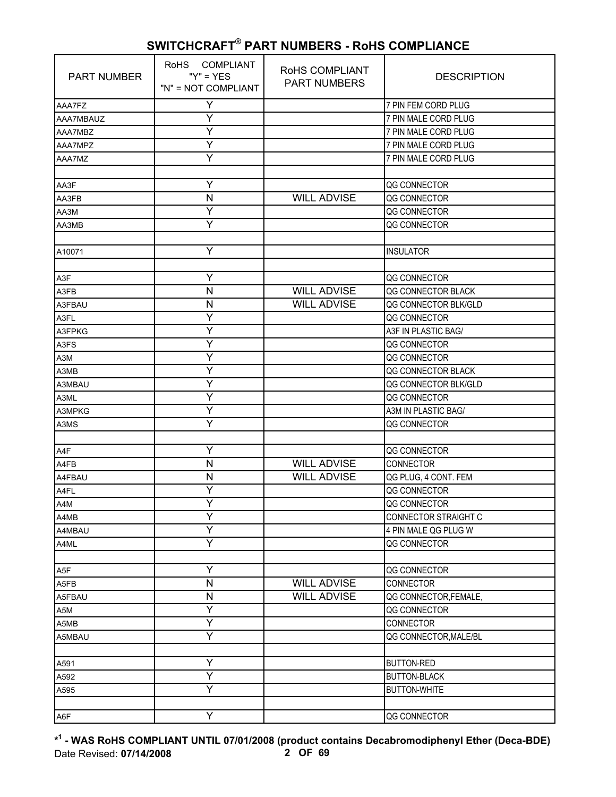| <b>PART NUMBER</b> | RoHS COMPLIANT<br>" $Y$ " = $YES$<br>"N" = NOT COMPLIANT | ROHS COMPLIANT<br><b>PART NUMBERS</b> | <b>DESCRIPTION</b>    |
|--------------------|----------------------------------------------------------|---------------------------------------|-----------------------|
| AAA7FZ             | Υ                                                        |                                       | 7 PIN FEM CORD PLUG   |
| AAA7MBAUZ          | Υ                                                        |                                       | 7 PIN MALE CORD PLUG  |
| AAA7MBZ            | Ÿ                                                        |                                       | 7 PIN MALE CORD PLUG  |
| AAA7MPZ            | Υ                                                        |                                       | 7 PIN MALE CORD PLUG  |
| AAA7MZ             | Ÿ                                                        |                                       | 7 PIN MALE CORD PLUG  |
|                    |                                                          |                                       |                       |
| AA3F               | Y                                                        |                                       | QG CONNECTOR          |
| AA3FB              | $\mathsf{N}$                                             | <b>WILL ADVISE</b>                    | QG CONNECTOR          |
| AA3M               | Y                                                        |                                       | QG CONNECTOR          |
| AA3MB              | Ÿ                                                        |                                       | QG CONNECTOR          |
|                    |                                                          |                                       |                       |
| A10071             | Υ                                                        |                                       | <b>INSULATOR</b>      |
|                    |                                                          |                                       |                       |
| A3F                | Y                                                        |                                       | QG CONNECTOR          |
| A3FB               | $\mathsf{N}$                                             | <b>WILL ADVISE</b>                    | QG CONNECTOR BLACK    |
| A3FBAU             | N                                                        | <b>WILL ADVISE</b>                    | QG CONNECTOR BLK/GLD  |
| A3FL               | Υ                                                        |                                       | QG CONNECTOR          |
| A3FPKG             | Y                                                        |                                       | A3F IN PLASTIC BAG/   |
| A3FS               | Υ                                                        |                                       | QG CONNECTOR          |
| A3M                | Y                                                        |                                       | QG CONNECTOR          |
| A3MB               | Y                                                        |                                       | QG CONNECTOR BLACK    |
| A3MBAU             | Y                                                        |                                       | QG CONNECTOR BLK/GLD  |
| A3ML               | Y                                                        |                                       | QG CONNECTOR          |
| A3MPKG             | Υ                                                        |                                       | A3M IN PLASTIC BAG/   |
| A3MS               | Ÿ                                                        |                                       | QG CONNECTOR          |
|                    |                                                          |                                       |                       |
| A4F                | Y                                                        |                                       | QG CONNECTOR          |
| A4FB               | N                                                        | <b>WILL ADVISE</b>                    | CONNECTOR             |
| A4FBAU             | N                                                        | <b>WILL ADVISE</b>                    | QG PLUG, 4 CONT. FEM  |
| A4FL               | Y                                                        |                                       | QG CONNECTOR          |
| A4M                | Ÿ                                                        |                                       | QG CONNECTOR          |
| A4MB               | Y                                                        |                                       | CONNECTOR STRAIGHT C  |
| A4MBAU             | Y                                                        |                                       | 4 PIN MALE QG PLUG W  |
| A4ML               | Y                                                        |                                       | QG CONNECTOR          |
|                    |                                                          |                                       |                       |
| A5F                | Υ                                                        |                                       | QG CONNECTOR          |
| A5FB               | N                                                        | <b>WILL ADVISE</b>                    | CONNECTOR             |
| A5FBAU             | N                                                        | <b>WILL ADVISE</b>                    | QG CONNECTOR, FEMALE, |
| A5M                | Υ                                                        |                                       | QG CONNECTOR          |
| A5MB               | Ÿ                                                        |                                       | CONNECTOR             |
| A5MBAU             | Y                                                        |                                       | QG CONNECTOR, MALE/BL |
|                    |                                                          |                                       |                       |
| A591               | Y                                                        |                                       | <b>BUTTON-RED</b>     |
| A592               | Y                                                        |                                       | <b>BUTTON-BLACK</b>   |
| A595               | Y                                                        |                                       | <b>BUTTON-WHITE</b>   |
|                    |                                                          |                                       |                       |
| A6F                | Y                                                        |                                       | QG CONNECTOR          |

**\* 1 - WAS RoHS COMPLIANT UNTIL 07/01/2008 (product contains Decabromodiphenyl Ether (Deca-BDE)** Date Revised: **07/14/2008 2 OF 69**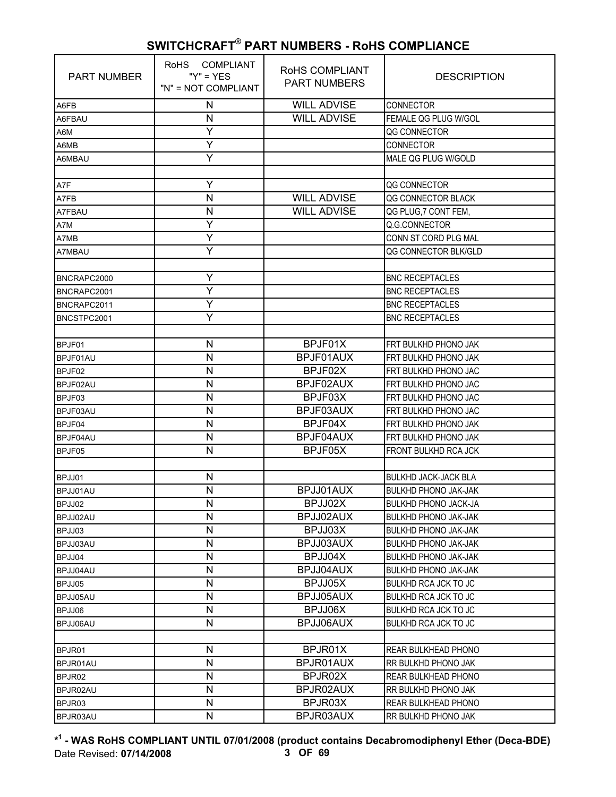| <b>PART NUMBER</b> | RoHS COMPLIANT<br>" $Y$ " = $YFS$<br>"N" = NOT COMPLIANT | RoHS COMPLIANT<br><b>PART NUMBERS</b> | <b>DESCRIPTION</b>          |
|--------------------|----------------------------------------------------------|---------------------------------------|-----------------------------|
| A6FB               | N                                                        | <b>WILL ADVISE</b>                    | <b>CONNECTOR</b>            |
| A6FBAU             | N                                                        | <b>WILL ADVISE</b>                    | FEMALE QG PLUG W/GOL        |
| A6M                | Y                                                        |                                       | QG CONNECTOR                |
| A6MB               | Y                                                        |                                       | CONNECTOR                   |
| A6MBAU             | Y                                                        |                                       | MALE OG PLUG W/GOLD         |
|                    |                                                          |                                       |                             |
| A7F                | Y                                                        |                                       | QG CONNECTOR                |
| A7FB               | N                                                        | <b>WILL ADVISE</b>                    | QG CONNECTOR BLACK          |
| A7FBAU             | N                                                        | <b>WILL ADVISE</b>                    | QG PLUG, 7 CONT FEM,        |
| A7M                | Υ                                                        |                                       | Q.G.CONNECTOR               |
| A7MB               | Y                                                        |                                       | CONN ST CORD PLG MAL        |
| A7MBAU             | Ÿ                                                        |                                       | QG CONNECTOR BLK/GLD        |
|                    |                                                          |                                       |                             |
| BNCRAPC2000        | Y                                                        |                                       | <b>BNC RECEPTACLES</b>      |
| BNCRAPC2001        | Y                                                        |                                       | <b>BNC RECEPTACLES</b>      |
| BNCRAPC2011        | Υ                                                        |                                       | <b>BNC RECEPTACLES</b>      |
| BNCSTPC2001        | Y                                                        |                                       | <b>BNC RECEPTACLES</b>      |
|                    |                                                          |                                       |                             |
| BPJF01             | N                                                        | BPJF01X                               | FRT BULKHD PHONO JAK        |
| BPJF01AU           | N                                                        | BPJF01AUX                             | FRT BULKHD PHONO JAK        |
| BPJF02             | N                                                        | BPJF02X                               | FRT BULKHD PHONO JAC        |
| BPJF02AU           | N                                                        | BPJF02AUX                             | FRT BULKHD PHONO JAC        |
| BPJF03             | N                                                        | BPJF03X                               | FRT BULKHD PHONO JAC        |
| BPJF03AU           | N                                                        | BPJF03AUX                             | FRT BULKHD PHONO JAC        |
| BPJF04             | N                                                        | BPJF04X                               | FRT BULKHD PHONO JAK        |
| BPJF04AU           | N                                                        | BPJF04AUX                             | FRT BULKHD PHONO JAK        |
| BPJF05             | N                                                        | BPJF05X                               | <b>FRONT BULKHD RCA JCK</b> |
|                    |                                                          |                                       |                             |
| BPJJ01             | N                                                        |                                       | <b>BULKHD JACK-JACK BLA</b> |
| BPJJ01AU           | N                                                        | BPJJ01AUX                             | <b>BULKHD PHONO JAK-JAK</b> |
| BPJJ02             | N                                                        | BPJJ02X                               | <b>BULKHD PHONO JACK-JA</b> |
| BPJJ02AU           | N                                                        | BPJJ02AUX                             | <b>BULKHD PHONO JAK-JAK</b> |
| BPJJ03             | N                                                        | BPJJ03X                               | <b>BULKHD PHONO JAK-JAK</b> |
| BPJJ03AU           | N                                                        | BPJJ03AUX                             | <b>BULKHD PHONO JAK-JAK</b> |
| BPJJ04             | N                                                        | BPJJ04X                               | <b>BULKHD PHONO JAK-JAK</b> |
| BPJJ04AU           | N                                                        | BPJJ04AUX                             | <b>BULKHD PHONO JAK-JAK</b> |
| BPJJ05             | N                                                        | BPJJ05X                               | <b>BULKHD RCA JCK TO JC</b> |
| BPJJ05AU           | N                                                        | BPJJ05AUX                             | <b>BULKHD RCA JCK TO JC</b> |
| BPJJ06             | N                                                        | BPJJ06X                               | <b>BULKHD RCA JCK TO JC</b> |
| BPJJ06AU           | N                                                        | BPJJ06AUX                             | <b>BULKHD RCA JCK TO JC</b> |
|                    |                                                          |                                       |                             |
| BPJR01             | N                                                        | BPJR01X                               | <b>REAR BULKHEAD PHONO</b>  |
| BPJR01AU           | N                                                        | BPJR01AUX                             | RR BULKHD PHONO JAK         |
| BPJR02             | N                                                        | BPJR02X                               | REAR BULKHEAD PHONO         |
| BPJR02AU           | N                                                        | BPJR02AUX                             | RR BULKHD PHONO JAK         |
| BPJR03             | N                                                        | BPJR03X                               | REAR BULKHEAD PHONO         |
| BPJR03AU           | N                                                        | BPJR03AUX                             | RR BULKHD PHONO JAK         |

**\* 1 - WAS RoHS COMPLIANT UNTIL 07/01/2008 (product contains Decabromodiphenyl Ether (Deca-BDE)** Date Revised: **07/14/2008 3 OF 69**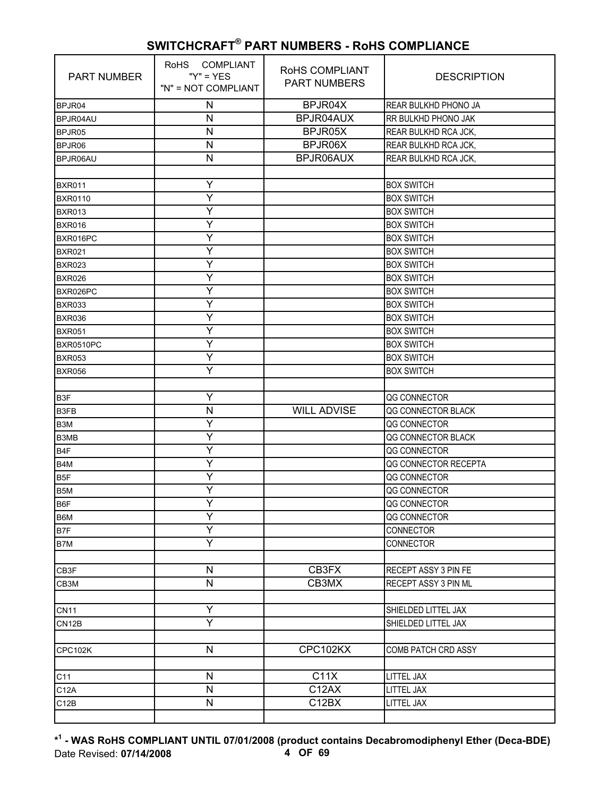| <b>PART NUMBER</b> | RoHS COMPLIANT<br>$''Y'' = YES$<br>"N" = NOT COMPLIANT | RoHS COMPLIANT<br><b>PART NUMBERS</b> | <b>DESCRIPTION</b>   |
|--------------------|--------------------------------------------------------|---------------------------------------|----------------------|
| BPJR04             | N                                                      | BPJR04X                               | REAR BULKHD PHONO JA |
| BPJR04AU           | N                                                      | BPJR04AUX                             | RR BULKHD PHONO JAK  |
| BPJR05             | N                                                      | BPJR05X                               | REAR BULKHD RCA JCK, |
| BPJR06             | N                                                      | BPJR06X                               | REAR BULKHD RCA JCK, |
| BPJR06AU           | N                                                      | BPJR06AUX                             | REAR BULKHD RCA JCK, |
|                    |                                                        |                                       |                      |
| <b>BXR011</b>      | Υ                                                      |                                       | <b>BOX SWITCH</b>    |
| <b>BXR0110</b>     | Y                                                      |                                       | <b>BOX SWITCH</b>    |
| <b>BXR013</b>      | Ý                                                      |                                       | <b>BOX SWITCH</b>    |
| <b>BXR016</b>      | Y                                                      |                                       | <b>BOX SWITCH</b>    |
| BXR016PC           | Υ                                                      |                                       | <b>BOX SWITCH</b>    |
| <b>BXR021</b>      | Y                                                      |                                       | <b>BOX SWITCH</b>    |
| <b>BXR023</b>      | Υ                                                      |                                       | <b>BOX SWITCH</b>    |
| <b>BXR026</b>      | Ý                                                      |                                       | <b>BOX SWITCH</b>    |
| BXR026PC           | Ÿ                                                      |                                       | <b>BOX SWITCH</b>    |
| <b>BXR033</b>      | Y                                                      |                                       | <b>BOX SWITCH</b>    |
| <b>BXR036</b>      | Υ                                                      |                                       | <b>BOX SWITCH</b>    |
| <b>BXR051</b>      | Υ                                                      |                                       | <b>BOX SWITCH</b>    |
| BXR0510PC          | Y                                                      |                                       | <b>BOX SWITCH</b>    |
| <b>BXR053</b>      | Ÿ                                                      |                                       | <b>BOX SWITCH</b>    |
| <b>BXR056</b>      | Y                                                      |                                       | <b>BOX SWITCH</b>    |
|                    |                                                        |                                       |                      |
| B <sub>3</sub> F   | Y                                                      |                                       | QG CONNECTOR         |
| B3FB               | N                                                      | <b>WILL ADVISE</b>                    | QG CONNECTOR BLACK   |
| B <sub>3</sub> M   | Y                                                      |                                       | QG CONNECTOR         |
| B3MB               | Y                                                      |                                       | QG CONNECTOR BLACK   |
| B <sub>4F</sub>    | Υ                                                      |                                       | QG CONNECTOR         |
| B <sub>4</sub> M   | Y                                                      |                                       | QG CONNECTOR RECEPTA |
| B <sub>5F</sub>    | Υ                                                      |                                       | QG CONNECTOR         |
| B5M                | Y                                                      |                                       | QG CONNECTOR         |
| B6F                | Y                                                      |                                       | QG CONNECTOR         |
| B6M                | Y                                                      |                                       | QG CONNECTOR         |
| B7F                | Y                                                      |                                       | CONNECTOR            |
| B7M                | Y                                                      |                                       | CONNECTOR            |
|                    |                                                        |                                       |                      |
| CB3F               | N                                                      | CB3FX                                 | RECEPT ASSY 3 PIN FE |
| CB3M               | N                                                      | CB3MX                                 | RECEPT ASSY 3 PIN ML |
|                    |                                                        |                                       |                      |
| <b>CN11</b>        | Υ                                                      |                                       | SHIELDED LITTEL JAX  |
| CN12B              | Ÿ                                                      |                                       | SHIELDED LITTEL JAX  |
|                    |                                                        |                                       |                      |
| CPC102K            | N                                                      | CPC102KX                              | COMB PATCH CRD ASSY  |
|                    |                                                        |                                       |                      |
| C11                | N                                                      | C11X                                  | LITTEL JAX           |
| C12A               | $\overline{\mathsf{N}}$                                | C12AX                                 | LITTEL JAX           |
| C12B               | N                                                      | C12BX                                 | LITTEL JAX           |
|                    |                                                        |                                       |                      |

**\* 1 - WAS RoHS COMPLIANT UNTIL 07/01/2008 (product contains Decabromodiphenyl Ether (Deca-BDE)** Date Revised: **07/14/2008 4 OF 69**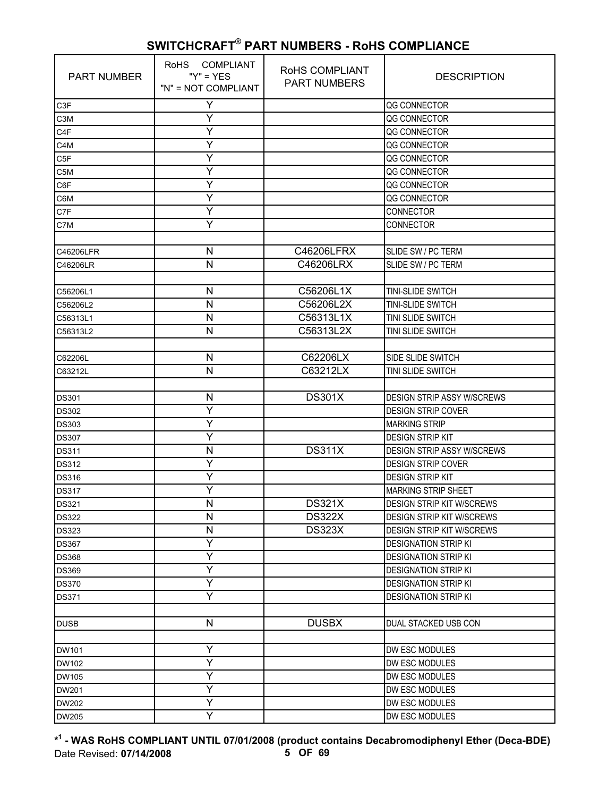| <b>PART NUMBER</b> | RoHS COMPLIANT<br>" $Y$ " = $YES$<br>"N" = NOT COMPLIANT | RoHS COMPLIANT<br><b>PART NUMBERS</b> | <b>DESCRIPTION</b>                |
|--------------------|----------------------------------------------------------|---------------------------------------|-----------------------------------|
| C <sub>3</sub> F   | Y                                                        |                                       | QG CONNECTOR                      |
| C <sub>3</sub> M   | Υ                                                        |                                       | QG CONNECTOR                      |
| C <sub>4</sub> F   | Y                                                        |                                       | QG CONNECTOR                      |
| C4M                | Y                                                        |                                       | QG CONNECTOR                      |
| C <sub>5F</sub>    | Υ                                                        |                                       | QG CONNECTOR                      |
| C5M                | Υ                                                        |                                       | QG CONNECTOR                      |
| C6F                | Y                                                        |                                       | QG CONNECTOR                      |
| C6M                | Y                                                        |                                       | QG CONNECTOR                      |
| C7F                | Y                                                        |                                       | <b>CONNECTOR</b>                  |
| C7M                | Υ                                                        |                                       | <b>CONNECTOR</b>                  |
|                    |                                                          |                                       |                                   |
| C46206LFR          | N                                                        | C46206LFRX                            | SLIDE SW / PC TERM                |
| C46206LR           | N                                                        | C46206LRX                             | SLIDE SW / PC TERM                |
|                    |                                                          |                                       |                                   |
| C56206L1           | N                                                        | C56206L1X                             | TINI-SLIDE SWITCH                 |
| C56206L2           | $\mathsf{N}$                                             | C56206L2X                             | TINI-SLIDE SWITCH                 |
| C56313L1           | N                                                        | C56313L1X                             | TINI SLIDE SWITCH                 |
| C56313L2           | $\mathsf{N}$                                             | C56313L2X                             | TINI SLIDE SWITCH                 |
|                    |                                                          |                                       |                                   |
| C62206L            | N                                                        | C62206LX                              | SIDE SLIDE SWITCH                 |
| C63212L            | ${\sf N}$                                                | C63212LX                              | TINI SLIDE SWITCH                 |
|                    |                                                          |                                       |                                   |
| <b>DS301</b>       | $\mathsf{N}$                                             | <b>DS301X</b>                         | <b>DESIGN STRIP ASSY W/SCREWS</b> |
| <b>DS302</b>       | Y                                                        |                                       | <b>DESIGN STRIP COVER</b>         |
| <b>DS303</b>       | Υ                                                        |                                       | <b>MARKING STRIP</b>              |
| <b>DS307</b>       | Y                                                        |                                       | <b>DESIGN STRIP KIT</b>           |
| <b>DS311</b>       | N                                                        | <b>DS311X</b>                         | <b>DESIGN STRIP ASSY W/SCREWS</b> |
| <b>DS312</b>       | Y                                                        |                                       | <b>DESIGN STRIP COVER</b>         |
| <b>DS316</b>       | Y                                                        |                                       | <b>DESIGN STRIP KIT</b>           |
| <b>DS317</b>       | Y                                                        |                                       | <b>MARKING STRIP SHEET</b>        |
| <b>DS321</b>       | N                                                        | <b>DS321X</b>                         | <b>DESIGN STRIP KIT W/SCREWS</b>  |
| <b>DS322</b>       | N                                                        | <b>DS322X</b>                         | <b>DESIGN STRIP KIT W/SCREWS</b>  |
| <b>DS323</b>       | $\mathsf{N}$                                             | <b>DS323X</b>                         | <b>DESIGN STRIP KIT W/SCREWS</b>  |
| <b>DS367</b>       | Y                                                        |                                       | <b>DESIGNATION STRIP KI</b>       |
| <b>DS368</b>       | Υ                                                        |                                       | <b>DESIGNATION STRIP KI</b>       |
| <b>DS369</b>       | Y                                                        |                                       | <b>DESIGNATION STRIP KI</b>       |
| <b>DS370</b>       | Y                                                        |                                       | <b>DESIGNATION STRIP KI</b>       |
| <b>DS371</b>       | Y                                                        |                                       | <b>DESIGNATION STRIP KI</b>       |
|                    |                                                          |                                       |                                   |
| <b>DUSB</b>        | $\mathsf{N}$                                             | <b>DUSBX</b>                          | DUAL STACKED USB CON              |
|                    |                                                          |                                       |                                   |
| DW101              | Y                                                        |                                       | DW ESC MODULES                    |
| DW102              | Υ                                                        |                                       | DW ESC MODULES                    |
| <b>DW105</b>       | Y                                                        |                                       | DW ESC MODULES                    |
| <b>DW201</b>       | Υ                                                        |                                       | DW ESC MODULES                    |
| <b>DW202</b>       | Y                                                        |                                       | DW ESC MODULES                    |
| <b>DW205</b>       | Ÿ                                                        |                                       | DW ESC MODULES                    |

**\* 1 - WAS RoHS COMPLIANT UNTIL 07/01/2008 (product contains Decabromodiphenyl Ether (Deca-BDE)** Date Revised: **07/14/2008 5 OF 69**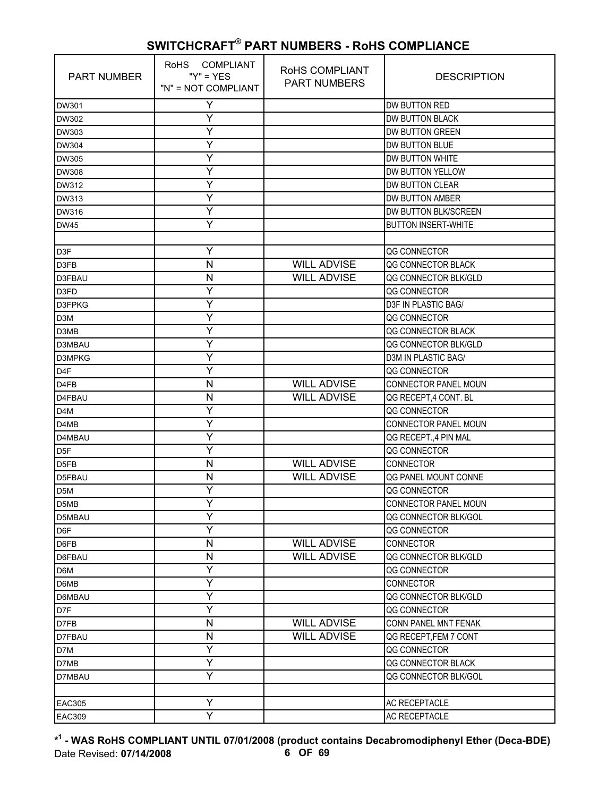| <b>PART NUMBER</b>            | RoHS COMPLIANT<br>" $Y$ " = $YFS$<br>"N" = NOT COMPLIANT | ROHS COMPLIANT<br><b>PART NUMBERS</b> | <b>DESCRIPTION</b>         |
|-------------------------------|----------------------------------------------------------|---------------------------------------|----------------------------|
| DW301                         | Y                                                        |                                       | DW BUTTON RED              |
| DW302                         | Υ                                                        |                                       | <b>DW BUTTON BLACK</b>     |
| DW303                         | Υ                                                        |                                       | <b>DW BUTTON GREEN</b>     |
| <b>DW304</b>                  | Y                                                        |                                       | DW BUTTON BLUE             |
| DW305                         | Υ                                                        |                                       | DW BUTTON WHITE            |
| <b>DW308</b>                  | Υ                                                        |                                       | DW BUTTON YELLOW           |
| DW312                         | Y                                                        |                                       | <b>DW BUTTON CLEAR</b>     |
| DW313                         | Y                                                        |                                       | <b>DW BUTTON AMBER</b>     |
| DW316                         | Y                                                        |                                       | DW BUTTON BLK/SCREEN       |
| <b>DW45</b>                   | Y                                                        |                                       | <b>BUTTON INSERT-WHITE</b> |
|                               |                                                          |                                       |                            |
| D <sub>3</sub> F              | Υ                                                        |                                       | QG CONNECTOR               |
| D3FB                          | N                                                        | <b>WILL ADVISE</b>                    | QG CONNECTOR BLACK         |
| D3FBAU                        | N                                                        | <b>WILL ADVISE</b>                    | QG CONNECTOR BLK/GLD       |
| D <sub>3FD</sub>              | Y                                                        |                                       | QG CONNECTOR               |
| <b>D3FPKG</b>                 | Υ                                                        |                                       | D3F IN PLASTIC BAG/        |
| D <sub>3</sub> M              | Υ                                                        |                                       | QG CONNECTOR               |
| D3MB                          | Y                                                        |                                       | QG CONNECTOR BLACK         |
| D3MBAU                        | Y                                                        |                                       | QG CONNECTOR BLK/GLD       |
| D3MPKG                        | Y                                                        |                                       | <b>D3M IN PLASTIC BAG/</b> |
| D <sub>4</sub> F              | Y                                                        |                                       | QG CONNECTOR               |
| D <sub>4FB</sub>              | N                                                        | <b>WILL ADVISE</b>                    | CONNECTOR PANEL MOUN       |
| D4FBAU                        | N                                                        | <b>WILL ADVISE</b>                    | QG RECEPT, 4 CONT. BL      |
| D4M                           | Ý                                                        |                                       | QG CONNECTOR               |
| D4MB                          | Y                                                        |                                       | CONNECTOR PANEL MOUN       |
| D4MBAU                        | Υ                                                        |                                       | QG RECEPT., 4 PIN MAL      |
| D <sub>5F</sub>               | Y                                                        |                                       | <b>QG CONNECTOR</b>        |
| D <sub>5FB</sub>              | N                                                        | <b>WILL ADVISE</b>                    | <b>CONNECTOR</b>           |
| D5FBAU                        | N                                                        | <b>WILL ADVISE</b>                    | QG PANEL MOUNT CONNE       |
| D <sub>5</sub> M              | Υ                                                        |                                       | QG CONNECTOR               |
| D <sub>5</sub> M <sub>B</sub> | Y                                                        |                                       | CONNECTOR PANEL MOUN       |
| D5MBAU                        | Υ                                                        |                                       | QG CONNECTOR BLK/GOL       |
| D6F                           | Y                                                        |                                       | QG CONNECTOR               |
| D6FB                          | N                                                        | <b>WILL ADVISE</b>                    | CONNECTOR                  |
| D6FBAU                        | N                                                        | <b>WILL ADVISE</b>                    | QG CONNECTOR BLK/GLD       |
| D6M                           | Υ                                                        |                                       | QG CONNECTOR               |
| D6MB                          | Y                                                        |                                       | CONNECTOR                  |
| D6MBAU                        | Ÿ                                                        |                                       | QG CONNECTOR BLK/GLD       |
| D7F                           | Ý                                                        |                                       | QG CONNECTOR               |
| D7FB                          | N                                                        | <b>WILL ADVISE</b>                    | CONN PANEL MNT FENAK       |
| D7FBAU                        | N                                                        | <b>WILL ADVISE</b>                    | QG RECEPT, FEM 7 CONT      |
| D7M                           | Υ                                                        |                                       | QG CONNECTOR               |
| D7MB                          | Y                                                        |                                       | QG CONNECTOR BLACK         |
| D7MBAU                        | Y                                                        |                                       | QG CONNECTOR BLK/GOL       |
|                               |                                                          |                                       |                            |
| <b>EAC305</b>                 | Υ                                                        |                                       | AC RECEPTACLE              |
| <b>EAC309</b>                 | Ÿ                                                        |                                       | <b>AC RECEPTACLE</b>       |

**\* 1 - WAS RoHS COMPLIANT UNTIL 07/01/2008 (product contains Decabromodiphenyl Ether (Deca-BDE)** Date Revised: **07/14/2008 6 OF 69**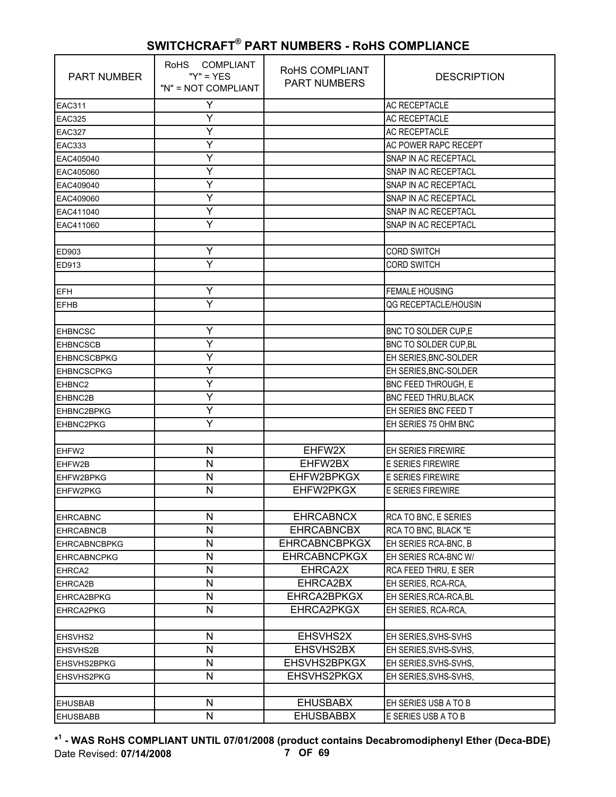| <b>PART NUMBER</b>  | RoHS COMPLIANT<br>" $Y$ " = $YFS$<br>"N" = NOT COMPLIANT | ROHS COMPLIANT<br><b>PART NUMBERS</b> | <b>DESCRIPTION</b>          |
|---------------------|----------------------------------------------------------|---------------------------------------|-----------------------------|
| <b>EAC311</b>       | Y                                                        |                                       | <b>AC RECEPTACLE</b>        |
| <b>EAC325</b>       | Υ                                                        |                                       | <b>AC RECEPTACLE</b>        |
| <b>EAC327</b>       | Y                                                        |                                       | <b>AC RECEPTACLE</b>        |
| <b>EAC333</b>       | Y                                                        |                                       | AC POWER RAPC RECEPT        |
| EAC405040           | Y                                                        |                                       | SNAP IN AC RECEPTACL        |
| EAC405060           | Υ                                                        |                                       | SNAP IN AC RECEPTACL        |
| EAC409040           | Y                                                        |                                       | SNAP IN AC RECEPTACL        |
| EAC409060           | Y                                                        |                                       | SNAP IN AC RECEPTACL        |
| EAC411040           | Y                                                        |                                       | SNAP IN AC RECEPTACL        |
| EAC411060           | Y                                                        |                                       | SNAP IN AC RECEPTACL        |
|                     |                                                          |                                       |                             |
| ED903               | Υ                                                        |                                       | <b>CORD SWITCH</b>          |
| ED913               | Y                                                        |                                       | <b>CORD SWITCH</b>          |
|                     |                                                          |                                       |                             |
| <b>IEFH</b>         | Y                                                        |                                       | <b>FEMALE HOUSING</b>       |
| <b>EFHB</b>         | Ÿ                                                        |                                       | QG RECEPTACLE/HOUSIN        |
|                     |                                                          |                                       |                             |
| <b>EHBNCSC</b>      | Υ                                                        |                                       | BNC TO SOLDER CUP,E         |
| <b>EHBNCSCB</b>     | Y                                                        |                                       | BNC TO SOLDER CUP, BL       |
| <b>EHBNCSCBPKG</b>  | Υ                                                        |                                       | EH SERIES, BNC-SOLDER       |
| <b>EHBNCSCPKG</b>   | Υ                                                        |                                       | EH SERIES, BNC-SOLDER       |
| EHBNC2              | Υ                                                        |                                       | BNC FEED THROUGH, E         |
| EHBNC2B             | Y                                                        |                                       | <b>BNC FEED THRU, BLACK</b> |
| <b>EHBNC2BPKG</b>   | Y                                                        |                                       | EH SERIES BNC FEED T        |
| <b>EHBNC2PKG</b>    | Υ                                                        |                                       | EH SERIES 75 OHM BNC        |
|                     |                                                          |                                       |                             |
| EHFW2               | N                                                        | EHFW2X                                | <b>EH SERIES FIREWIRE</b>   |
| EHFW2B              | N                                                        | EHFW2BX                               | <b>E SERIES FIREWIRE</b>    |
| EHFW2BPKG           | N                                                        | EHFW2BPKGX                            | <b>E SERIES FIREWIRE</b>    |
| <b>EHFW2PKG</b>     | N                                                        | EHFW2PKGX                             | <b>E SERIES FIREWIRE</b>    |
|                     |                                                          |                                       |                             |
| <b>EHRCABNC</b>     | N                                                        | <b>EHRCABNCX</b>                      | RCA TO BNC, E SERIES        |
| <b>EHRCABNCB</b>    | N                                                        | <b>EHRCABNCBX</b>                     | RCA TO BNC, BLACK "E        |
| <b>EHRCABNCBPKG</b> | N                                                        | <b>EHRCABNCBPKGX</b>                  | EH SERIES RCA-BNC, B        |
| <b>EHRCABNCPKG</b>  | N                                                        | <b>EHRCABNCPKGX</b>                   | EH SERIES RCA-BNC W/        |
| EHRCA2              | N                                                        | EHRCA2X                               | RCA FEED THRU, E SER        |
| EHRCA2B             | N                                                        | EHRCA2BX                              | EH SERIES, RCA-RCA,         |
| EHRCA2BPKG          | $\mathsf{N}$                                             | EHRCA2BPKGX                           | EH SERIES, RCA-RCA, BL      |
| EHRCA2PKG           | N                                                        | EHRCA2PKGX                            | EH SERIES, RCA-RCA,         |
|                     |                                                          |                                       |                             |
| EHSVHS2             | N                                                        | EHSVHS2X                              | EH SERIES, SVHS-SVHS        |
| EHSVHS2B            | N                                                        | EHSVHS2BX                             | EH SERIES, SVHS-SVHS,       |
| EHSVHS2BPKG         | N                                                        | EHSVHS2BPKGX                          | EH SERIES, SVHS-SVHS,       |
| <b>EHSVHS2PKG</b>   | N                                                        | EHSVHS2PKGX                           | EH SERIES, SVHS-SVHS,       |
|                     |                                                          |                                       |                             |
| <b>EHUSBAB</b>      | N                                                        | <b>EHUSBABX</b>                       | EH SERIES USB A TO B        |
| <b>EHUSBABB</b>     | N                                                        | <b>EHUSBABBX</b>                      | E SERIES USB A TO B         |

**\* 1 - WAS RoHS COMPLIANT UNTIL 07/01/2008 (product contains Decabromodiphenyl Ether (Deca-BDE)** Date Revised: **07/14/2008 7 OF 69**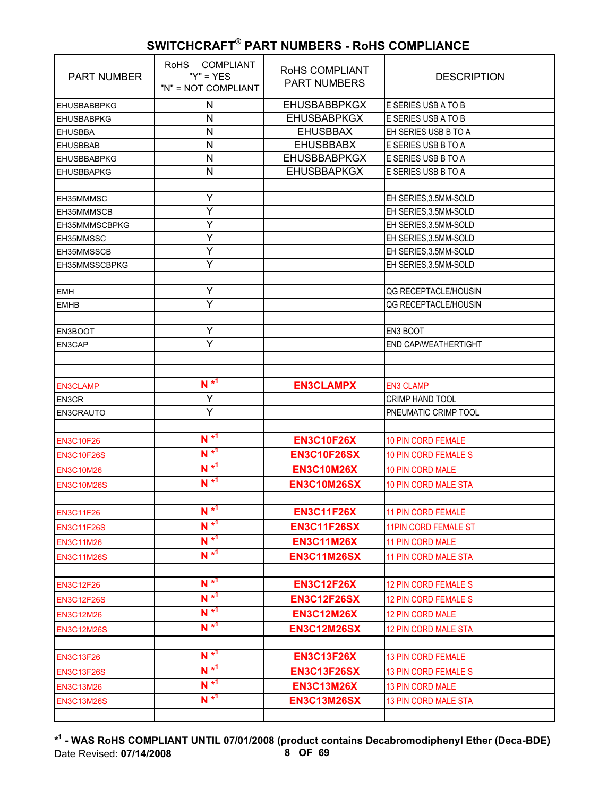| <b>PART NUMBER</b> | RoHS COMPLIANT<br>" $Y$ " = $YES$<br>"N" = NOT COMPLIANT | RoHS COMPLIANT<br><b>PART NUMBERS</b> | <b>DESCRIPTION</b>          |
|--------------------|----------------------------------------------------------|---------------------------------------|-----------------------------|
| <b>EHUSBABBPKG</b> | N                                                        | <b>EHUSBABBPKGX</b>                   | E SERIES USB A TO B         |
| <b>EHUSBABPKG</b>  | N                                                        | <b>EHUSBABPKGX</b>                    | E SERIES USB A TO B         |
| <b>EHUSBBA</b>     | N                                                        | <b>EHUSBBAX</b>                       | EH SERIES USB B TO A        |
| <b>EHUSBBAB</b>    | N                                                        | <b>EHUSBBABX</b>                      | E SERIES USB B TO A         |
| <b>EHUSBBABPKG</b> | $\mathsf{N}$                                             | <b>EHUSBBABPKGX</b>                   | E SERIES USB B TO A         |
| <b>EHUSBBAPKG</b>  | N                                                        | <b>EHUSBBAPKGX</b>                    | E SERIES USB B TO A         |
|                    |                                                          |                                       |                             |
| EH35MMMSC          | Y                                                        |                                       | EH SERIES, 3.5MM-SOLD       |
| EH35MMMSCB         | Y                                                        |                                       | EH SERIES, 3.5MM-SOLD       |
| EH35MMMSCBPKG      | Y                                                        |                                       | EH SERIES, 3.5MM-SOLD       |
| EH35MMSSC          | Y                                                        |                                       | EH SERIES, 3.5MM-SOLD       |
| EH35MMSSCB         | Υ                                                        |                                       | EH SERIES, 3.5MM-SOLD       |
| EH35MMSSCBPKG      | Ÿ                                                        |                                       | EH SERIES, 3.5MM-SOLD       |
|                    |                                                          |                                       |                             |
| <b>EMH</b>         | Y                                                        |                                       | QG RECEPTACLE/HOUSIN        |
| <b>EMHB</b>        | Ÿ                                                        |                                       | <b>QG RECEPTACLE/HOUSIN</b> |
|                    |                                                          |                                       |                             |
| <b>EN3BOOT</b>     | Y                                                        |                                       | EN3 BOOT                    |
| EN3CAP             | Y                                                        |                                       | END CAP/WEATHERTIGHT        |
|                    |                                                          |                                       |                             |
|                    |                                                          |                                       |                             |
| <b>EN3CLAMP</b>    | $N^{*1}$                                                 | <b>EN3CLAMPX</b>                      | <b>EN3 CLAMP</b>            |
| EN3CR              | Ÿ                                                        |                                       | <b>CRIMP HAND TOOL</b>      |
| <b>EN3CRAUTO</b>   | Ÿ                                                        |                                       | PNEUMATIC CRIMP TOOL        |
|                    |                                                          |                                       |                             |
| <b>EN3C10F26</b>   | $N^{*1}$                                                 | <b>EN3C10F26X</b>                     | 10 PIN CORD FEMALE          |
| <b>EN3C10F26S</b>  | $N^{*1}$                                                 | <b>EN3C10F26SX</b>                    | <b>10 PIN CORD FEMALE S</b> |
| <b>EN3C10M26</b>   | $N^{*1}$                                                 | <b>EN3C10M26X</b>                     | <b>10 PIN CORD MALE</b>     |
| <b>EN3C10M26S</b>  | $N^{*1}$                                                 | <b>EN3C10M26SX</b>                    | <b>10 PIN CORD MALE STA</b> |
|                    |                                                          |                                       |                             |
| <b>EN3C11F26</b>   | $N^{\star}$ <sup>1</sup>                                 | <b>EN3C11F26X</b>                     | <b>11 PIN CORD FEMALE</b>   |
| <b>EN3C11F26S</b>  | $N^{*1}$                                                 | <b>EN3C11F26SX</b>                    | <b>11PIN CORD FEMALE ST</b> |
| <b>EN3C11M26</b>   | $N^{*1}$                                                 | <b>EN3C11M26X</b>                     | 11 PIN CORD MALE            |
|                    | $N^*$ <sup>1</sup>                                       |                                       |                             |
| <b>EN3C11M26S</b>  |                                                          | <b>EN3C11M26SX</b>                    | <b>11 PIN CORD MALE STA</b> |
|                    | $N^{*1}$                                                 |                                       |                             |
| <b>EN3C12F26</b>   | $N^{*1}$                                                 | <b>EN3C12F26X</b>                     | 12 PIN CORD FEMALE S        |
| <b>EN3C12F26S</b>  |                                                          | <b>EN3C12F26SX</b>                    | 12 PIN CORD FEMALE S        |
| <b>EN3C12M26</b>   | $N^{*1}$                                                 | <b>EN3C12M26X</b>                     | 12 PIN CORD MALE            |
| <b>EN3C12M26S</b>  | $N^{*1}$                                                 | <b>EN3C12M26SX</b>                    | <b>12 PIN CORD MALE STA</b> |
|                    |                                                          |                                       |                             |
| <b>EN3C13F26</b>   | $N^{*1}$                                                 | <b>EN3C13F26X</b>                     | <b>13 PIN CORD FEMALE</b>   |
| <b>EN3C13F26S</b>  | $N^{*1}$                                                 | <b>EN3C13F26SX</b>                    | <b>13 PIN CORD FEMALE S</b> |
| <b>EN3C13M26</b>   | $N^{*1}$                                                 | <b>EN3C13M26X</b>                     | 13 PIN CORD MALE            |
| <b>EN3C13M26S</b>  | $N^{*1}$                                                 | <b>EN3C13M26SX</b>                    | <b>13 PIN CORD MALE STA</b> |
|                    |                                                          |                                       |                             |

**\* 1 - WAS RoHS COMPLIANT UNTIL 07/01/2008 (product contains Decabromodiphenyl Ether (Deca-BDE)** Date Revised: 07/14/2008 **8 OF 69**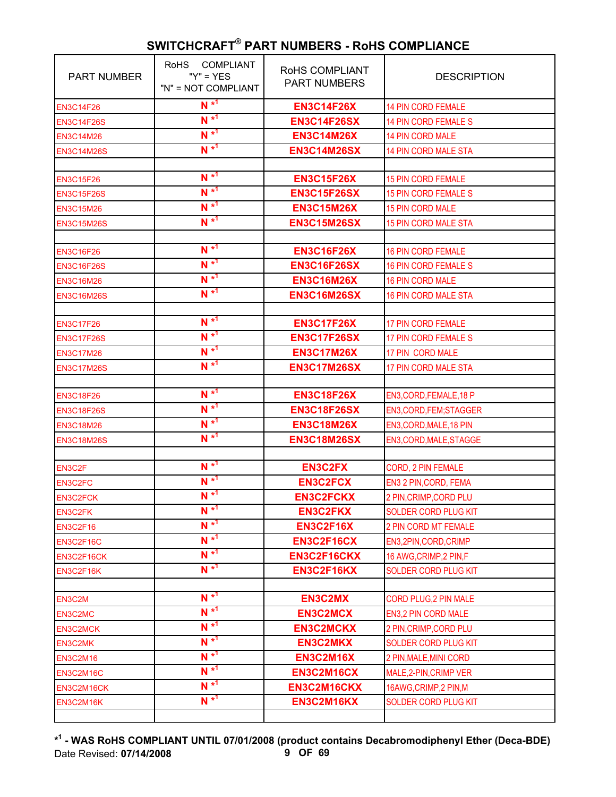| <b>PART NUMBER</b> | <b>COMPLIANT</b><br><b>RoHS</b><br>" $Y$ " = $YES$<br>"N" = NOT COMPLIANT | <b>ROHS COMPLIANT</b><br><b>PART NUMBERS</b> | <b>DESCRIPTION</b>          |
|--------------------|---------------------------------------------------------------------------|----------------------------------------------|-----------------------------|
| <b>EN3C14F26</b>   | $N^{*1}$                                                                  | <b>EN3C14F26X</b>                            | <b>14 PIN CORD FEMALE</b>   |
| <b>EN3C14F26S</b>  | $N^{*1}$                                                                  | <b>EN3C14F26SX</b>                           | <b>14 PIN CORD FEMALE S</b> |
| <b>EN3C14M26</b>   | $N^{*1}$                                                                  | <b>EN3C14M26X</b>                            | <b>14 PIN CORD MALE</b>     |
| <b>EN3C14M26S</b>  | $N^{*1}$                                                                  | <b>EN3C14M26SX</b>                           | <b>14 PIN CORD MALE STA</b> |
|                    |                                                                           |                                              |                             |
| <b>EN3C15F26</b>   | $N^{*1}$                                                                  | <b>EN3C15F26X</b>                            | <b>15 PIN CORD FEMALE</b>   |
| <b>EN3C15F26S</b>  | $N^{*1}$                                                                  | <b>EN3C15F26SX</b>                           | <b>15 PIN CORD FEMALE S</b> |
| <b>EN3C15M26</b>   | $N^{*1}$                                                                  | <b>EN3C15M26X</b>                            | <b>15 PIN CORD MALE</b>     |
| <b>EN3C15M26S</b>  | $N^{*1}$                                                                  | <b>EN3C15M26SX</b>                           | <b>15 PIN CORD MALE STA</b> |
|                    |                                                                           |                                              |                             |
| <b>EN3C16F26</b>   | $N^{*1}$                                                                  | <b>EN3C16F26X</b>                            | <b>16 PIN CORD FEMALE</b>   |
| <b>EN3C16F26S</b>  | $N^{*1}$                                                                  | <b>EN3C16F26SX</b>                           | <b>16 PIN CORD FEMALE S</b> |
| <b>EN3C16M26</b>   | $N^{*1}$                                                                  | <b>EN3C16M26X</b>                            | 16 PIN CORD MALE            |
| <b>EN3C16M26S</b>  | $N^{*1}$                                                                  | <b>EN3C16M26SX</b>                           | <b>16 PIN CORD MALE STA</b> |
|                    |                                                                           |                                              |                             |
| <b>EN3C17F26</b>   | $N^{*1}$                                                                  | <b>EN3C17F26X</b>                            | <b>17 PIN CORD FEMALE</b>   |
| <b>EN3C17F26S</b>  | $N^{*1}$                                                                  | <b>EN3C17F26SX</b>                           | <b>17 PIN CORD FEMALE S</b> |
| <b>EN3C17M26</b>   | $N^{*1}$                                                                  | <b>EN3C17M26X</b>                            | 17 PIN CORD MALE            |
| <b>EN3C17M26S</b>  | $N^{*1}$                                                                  | <b>EN3C17M26SX</b>                           | 17 PIN CORD MALE STA        |
|                    |                                                                           |                                              |                             |
| <b>EN3C18F26</b>   | $N^{*1}$                                                                  | <b>EN3C18F26X</b>                            | EN3, CORD, FEMALE, 18 P     |
| <b>EN3C18F26S</b>  | $N^{*1}$                                                                  | <b>EN3C18F26SX</b>                           | EN3, CORD, FEM; STAGGER     |
| <b>EN3C18M26</b>   | $N^{*1}$                                                                  | <b>EN3C18M26X</b>                            | EN3, CORD, MALE, 18 PIN     |
| <b>EN3C18M26S</b>  | $N^{*1}$                                                                  | <b>EN3C18M26SX</b>                           | EN3, CORD, MALE, STAGGE     |
|                    |                                                                           |                                              |                             |
| EN3C2F             | $N^{*1}$                                                                  | <b>EN3C2FX</b>                               | CORD, 2 PIN FEMALE          |
| EN3C2FC            | $N^{*1}$                                                                  | <b>EN3C2FCX</b>                              | EN3 2 PIN, CORD, FEMA       |
| <b>EN3C2FCK</b>    | $N^{*1}$                                                                  | <b>EN3C2FCKX</b>                             | 2 PIN, CRIMP, CORD PLU      |
| <b>EN3C2FK</b>     | $N^{\star^1}$                                                             | <b>EN3C2FKX</b>                              | <b>SOLDER CORD PLUG KIT</b> |
| <b>EN3C2F16</b>    | $N^{*1}$                                                                  | <b>EN3C2F16X</b>                             | 2 PIN CORD MT FEMALE        |
| EN3C2F16C          | $N^{*1}$                                                                  | <b>EN3C2F16CX</b>                            | EN3,2PIN,CORD,CRIMP         |
| EN3C2F16CK         | $N^{*1}$                                                                  | EN3C2F16CKX                                  | 16 AWG, CRIMP, 2 PIN, F     |
| EN3C2F16K          | $N^{\star 1}$                                                             | EN3C2F16KX                                   | SOLDER CORD PLUG KIT        |
|                    |                                                                           |                                              |                             |
| EN3C2M             | $N^{*1}$                                                                  | <b>EN3C2MX</b>                               | CORD PLUG, 2 PIN MALE       |
| EN3C2MC            | $N^{*1}$                                                                  | <b>EN3C2MCX</b>                              | EN3,2 PIN CORD MALE         |
| <b>EN3C2MCK</b>    | $N^{*1}$                                                                  | <b>EN3C2MCKX</b>                             | 2 PIN, CRIMP, CORD PLU      |
| EN3C2MK            | $N^{*1}$                                                                  | <b>EN3C2MKX</b>                              | SOLDER CORD PLUG KIT        |
| <b>EN3C2M16</b>    | $N^{*1}$                                                                  | <b>EN3C2M16X</b>                             | 2 PIN, MALE, MINI CORD      |
| EN3C2M16C          | $N^{*1}$                                                                  | EN3C2M16CX                                   | MALE, 2-PIN, CRIMP VER      |
| EN3C2M16CK         | $N^{*1}$                                                                  | EN3C2M16CKX                                  | 16AWG, CRIMP, 2 PIN, M      |
| EN3C2M16K          | $N^{*1}$                                                                  | EN3C2M16KX                                   | <b>SOLDER CORD PLUG KIT</b> |
|                    |                                                                           |                                              |                             |

**\* 1 - WAS RoHS COMPLIANT UNTIL 07/01/2008 (product contains Decabromodiphenyl Ether (Deca-BDE)** Date Revised: **07/14/2008 9 OF 69**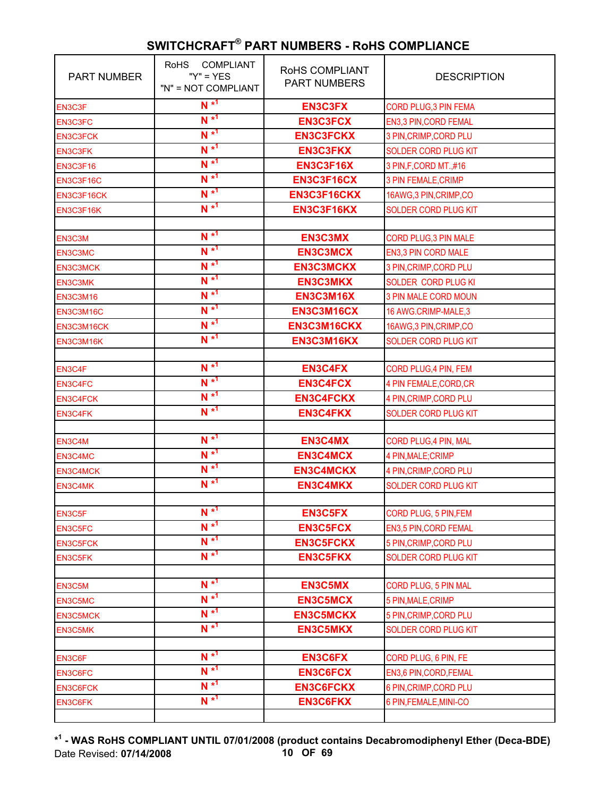| <b>PART NUMBER</b> | COMPLIANT<br><b>RoHS</b><br>" $Y$ " = $YES$<br>"N" = NOT COMPLIANT | RoHS COMPLIANT<br><b>PART NUMBERS</b> | <b>DESCRIPTION</b>           |
|--------------------|--------------------------------------------------------------------|---------------------------------------|------------------------------|
| EN3C3F             | $N^{*1}$                                                           | <b>EN3C3FX</b>                        | <b>CORD PLUG, 3 PIN FEMA</b> |
| <b>EN3C3FC</b>     | $N^{*1}$                                                           | <b>EN3C3FCX</b>                       | EN3,3 PIN, CORD FEMAL        |
| <b>EN3C3FCK</b>    | $N^{*1}$                                                           | <b>EN3C3FCKX</b>                      | 3 PIN, CRIMP, CORD PLU       |
| <b>EN3C3FK</b>     | $N^{*1}$                                                           | <b>EN3C3FKX</b>                       | SOLDER CORD PLUG KIT         |
| <b>EN3C3F16</b>    | $N^{*1}$                                                           | <b>EN3C3F16X</b>                      | 3 PIN, F, CORD MT., #16      |
| EN3C3F16C          | $N^{*1}$                                                           | EN3C3F16CX                            | 3 PIN FEMALE, CRIMP          |
| EN3C3F16CK         | $N^{*1}$                                                           | EN3C3F16CKX                           | 16AWG, 3 PIN, CRIMP, CO      |
| EN3C3F16K          | $N^{*1}$                                                           | EN3C3F16KX                            | <b>SOLDER CORD PLUG KIT</b>  |
|                    |                                                                    |                                       |                              |
| EN3C3M             | $N^{*1}$                                                           | <b>EN3C3MX</b>                        | CORD PLUG, 3 PIN MALE        |
| EN3C3MC            | $N^{*1}$                                                           | <b>EN3C3MCX</b>                       | EN3,3 PIN CORD MALE          |
| <b>EN3C3MCK</b>    | $N^{*1}$                                                           | <b>EN3C3MCKX</b>                      | 3 PIN, CRIMP, CORD PLU       |
| EN3C3MK            | $N^{*1}$                                                           | <b>EN3C3MKX</b>                       | <b>SOLDER CORD PLUG KI</b>   |
| <b>EN3C3M16</b>    | $N^{*1}$                                                           | <b>EN3C3M16X</b>                      | <b>3 PIN MALE CORD MOUN</b>  |
| EN3C3M16C          | $N^{*1}$                                                           | EN3C3M16CX                            | 16 AWG.CRIMP-MALE,3          |
| EN3C3M16CK         | $N^{*1}$                                                           | EN3C3M16CKX                           | 16AWG, 3 PIN, CRIMP, CO      |
| EN3C3M16K          | $N^{*1}$                                                           | EN3C3M16KX                            | <b>SOLDER CORD PLUG KIT</b>  |
|                    |                                                                    |                                       |                              |
| EN3C4F             | $N^{*1}$                                                           | <b>EN3C4FX</b>                        | CORD PLUG, 4 PIN, FEM        |
| EN3C4FC            | $N^{*1}$                                                           | <b>EN3C4FCX</b>                       | 4 PIN FEMALE, CORD, CR       |
| <b>EN3C4FCK</b>    | $N^{*1}$                                                           | <b>EN3C4FCKX</b>                      | 4 PIN, CRIMP, CORD PLU       |
| EN3C4FK            | $N^{*1}$                                                           | <b>EN3C4FKX</b>                       | SOLDER CORD PLUG KIT         |
|                    |                                                                    |                                       |                              |
| EN3C4M             | $N^{*1}$                                                           | <b>EN3C4MX</b>                        | CORD PLUG, 4 PIN, MAL        |
| EN3C4MC            | $N^{*1}$                                                           | <b>EN3C4MCX</b>                       | 4 PIN, MALE; CRIMP           |
| <b>EN3C4MCK</b>    | $N^{*1}$                                                           | <b>EN3C4MCKX</b>                      | 4 PIN, CRIMP, CORD PLU       |
| EN3C4MK            | $N^{*1}$                                                           | <b>EN3C4MKX</b>                       | <b>SOLDER CORD PLUG KIT</b>  |
|                    |                                                                    |                                       |                              |
| EN3C5F             | $N^{*1}$                                                           | <b>EN3C5FX</b>                        | CORD PLUG, 5 PIN, FEM        |
| EN3C5FC            | $N^{*1}$                                                           | <b>EN3C5FCX</b>                       | EN3,5 PIN, CORD FEMAL        |
| <b>EN3C5FCK</b>    | $N^{*1}$                                                           | <b>EN3C5FCKX</b>                      | 5 PIN, CRIMP, CORD PLU       |
| EN3C5FK            | $N^{*1}$                                                           | <b>EN3C5FKX</b>                       | <b>SOLDER CORD PLUG KIT</b>  |
|                    | $N^{*1}$                                                           |                                       |                              |
| EN3C5M             | $N^{*1}$                                                           | <b>EN3C5MX</b>                        | CORD PLUG, 5 PIN MAL         |
| EN3C5MC            | $N^{*1}$                                                           | <b>EN3C5MCX</b>                       | 5 PIN, MALE, CRIMP           |
| <b>EN3C5MCK</b>    |                                                                    | <b>EN3C5MCKX</b>                      | 5 PIN, CRIMP, CORD PLU       |
| EN3C5MK            | $N^{*1}$                                                           | <b>EN3C5MKX</b>                       | <b>SOLDER CORD PLUG KIT</b>  |
|                    | $N^{*1}$                                                           |                                       |                              |
| EN3C6F             | $N^{*1}$                                                           | <b>EN3C6FX</b>                        | CORD PLUG, 6 PIN, FE         |
| EN3C6FC            | $N^{*1}$                                                           | <b>EN3C6FCX</b>                       | EN3,6 PIN, CORD, FEMAL       |
| <b>EN3C6FCK</b>    | $N^*$ <sup>1</sup>                                                 | <b>EN3C6FCKX</b>                      | 6 PIN, CRIMP, CORD PLU       |
| EN3C6FK            |                                                                    | <b>EN3C6FKX</b>                       | 6 PIN, FEMALE, MINI-CO       |

**\* 1 - WAS RoHS COMPLIANT UNTIL 07/01/2008 (product contains Decabromodiphenyl Ether (Deca-BDE)** Date Revised: **07/14/2008 10 OF 69**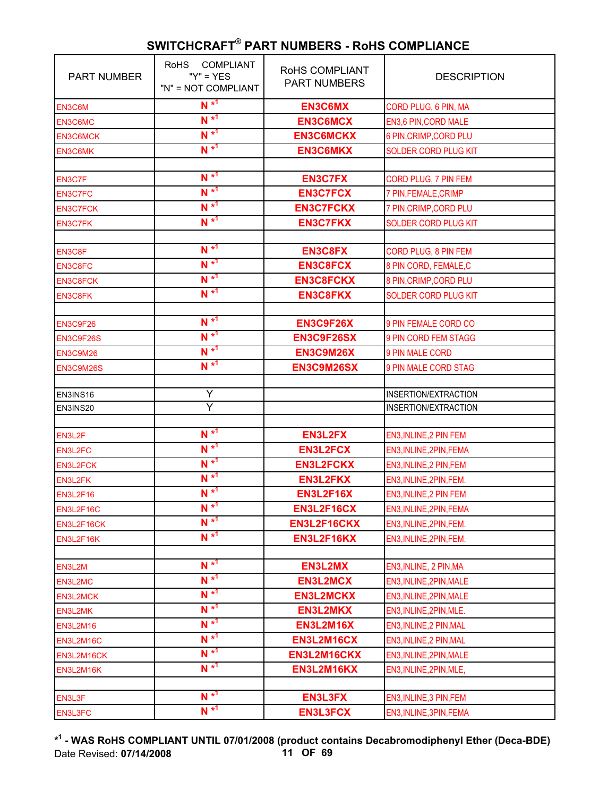| <b>PART NUMBER</b>         | COMPLIANT<br><b>RoHS</b><br>" $Y$ " = $YES$<br>"N" = NOT COMPLIANT | RoHS COMPLIANT<br><b>PART NUMBERS</b> | <b>DESCRIPTION</b>          |
|----------------------------|--------------------------------------------------------------------|---------------------------------------|-----------------------------|
| EN3C6M                     | $N^{*1}$                                                           | <b>EN3C6MX</b>                        | CORD PLUG, 6 PIN, MA        |
| EN3C6MC                    | $N^{*1}$                                                           | <b>EN3C6MCX</b>                       | EN3,6 PIN, CORD MALE        |
| <b>EN3C6MCK</b>            | $N^{*1}$                                                           | <b>EN3C6MCKX</b>                      | 6 PIN, CRIMP, CORD PLU      |
| <b>EN3C6MK</b>             | $N^{*1}$                                                           | <b>EN3C6MKX</b>                       | <b>SOLDER CORD PLUG KIT</b> |
|                            |                                                                    |                                       |                             |
| EN3C7F                     | $N^{*1}$                                                           | <b>EN3C7FX</b>                        | CORD PLUG, 7 PIN FEM        |
| <b>EN3C7FC</b>             | $N^{*1}$                                                           | <b>EN3C7FCX</b>                       | 7 PIN, FEMALE, CRIMP        |
| <b>EN3C7FCK</b>            | $N^{*1}$                                                           | <b>EN3C7FCKX</b>                      | 7 PIN, CRIMP, CORD PLU      |
| <b>EN3C7FK</b>             | $N^{*1}$                                                           | <b>EN3C7FKX</b>                       | SOLDER CORD PLUG KIT        |
|                            |                                                                    |                                       |                             |
| EN3C8F                     | $N^{*1}$                                                           | <b>EN3C8FX</b>                        | CORD PLUG, 8 PIN FEM        |
| EN3C8FC                    | $N^{*1}$                                                           | <b>EN3C8FCX</b>                       | 8 PIN CORD, FEMALE,C        |
| <b>EN3C8FCK</b>            | $N^{*1}$                                                           | <b>EN3C8FCKX</b>                      | 8 PIN, CRIMP, CORD PLU      |
| <b>EN3C8FK</b>             | $N^{*1}$                                                           | <b>EN3C8FKX</b>                       | <b>SOLDER CORD PLUG KIT</b> |
|                            |                                                                    |                                       |                             |
| <b>EN3C9F26</b>            | $N^{*1}$                                                           | EN3C9F26X                             | 9 PIN FEMALE CORD CO        |
| EN3C9F26S                  | $N^{*1}$                                                           | EN3C9F26SX                            | 9 PIN CORD FEM STAGG        |
| <b>EN3C9M26</b>            | $N^{*1}$                                                           | <b>EN3C9M26X</b>                      | 9 PIN MALE CORD             |
| EN3C9M26S                  | $N^{*1}$                                                           | EN3C9M26SX                            | 9 PIN MALE CORD STAG        |
|                            |                                                                    |                                       |                             |
| EN3INS16                   | Ÿ                                                                  |                                       | INSERTION/EXTRACTION        |
| EN3INS20                   | $\overline{Y}$                                                     |                                       | INSERTION/EXTRACTION        |
| EN3L2F                     | $N^{*1}$                                                           | <b>EN3L2FX</b>                        | EN3, INLINE, 2 PIN FEM      |
|                            | $N^{*1}$                                                           | <b>EN3L2FCX</b>                       | EN3, INLINE, 2PIN, FEMA     |
| EN3L2FC<br><b>EN3L2FCK</b> | $N^{*1}$                                                           | <b>EN3L2FCKX</b>                      | EN3, INLINE, 2 PIN, FEM     |
|                            | $N^{*1}$                                                           | <b>EN3L2FKX</b>                       | EN3, INLINE, 2PIN, FEM.     |
| EN3L2FK                    | $N^{*1}$                                                           | <b>EN3L2F16X</b>                      | EN3, INLINE, 2 PIN FEM      |
| <b>EN3L2F16</b>            | $N^{*1}$                                                           |                                       |                             |
| EN3L2F16C                  | $N^{*1}$                                                           | <b>EN3L2F16CX</b><br>EN3L2F16CKX      | EN3, INLINE, 2PIN, FEMA     |
| EN3L2F16CK                 | $N^{*1}$                                                           |                                       | EN3, INLINE, 2PIN, FEM.     |
| EN3L2F16K                  |                                                                    | EN3L2F16KX                            | EN3, INLINE, 2PIN, FEM.     |
| EN3L2M                     | $N^{*1}$                                                           | EN3L2MX                               | EN3, INLINE, 2 PIN, MA      |
| EN3L2MC                    | $N^{*1}$                                                           | <b>EN3L2MCX</b>                       | EN3, INLINE, 2PIN, MALE     |
| <b>EN3L2MCK</b>            | $N^{*1}$                                                           | <b>EN3L2MCKX</b>                      | EN3, INLINE, 2PIN, MALE     |
|                            | $N^{*1}$                                                           | <b>EN3L2MKX</b>                       | EN3, INLINE, 2PIN, MLE.     |
| EN3L2MK                    | $N^{*1}$                                                           | <b>EN3L2M16X</b>                      |                             |
| <b>EN3L2M16</b>            | $N^{*1}$                                                           | EN3L2M16CX                            | EN3, INLINE, 2 PIN, MAL     |
| EN3L2M16C                  | $N^{*1}$                                                           | EN3L2M16CKX                           | EN3, INLINE, 2 PIN, MAL     |
| EN3L2M16CK                 | $N^{*1}$                                                           |                                       | EN3, INLINE, 2PIN, MALE     |
| EN3L2M16K                  |                                                                    | EN3L2M16KX                            | EN3, INLINE, 2PIN, MLE,     |
| EN3L3F                     | $N^{*1}$                                                           | <b>EN3L3FX</b>                        | EN3, INLINE, 3 PIN, FEM     |
| EN3L3FC                    | $N^*$ <sup>1</sup>                                                 | <b>EN3L3FCX</b>                       | EN3, INLINE, 3PIN, FEMA     |
|                            |                                                                    |                                       |                             |

**\* 1 - WAS RoHS COMPLIANT UNTIL 07/01/2008 (product contains Decabromodiphenyl Ether (Deca-BDE)** Date Revised: **07/14/2008 11 OF 69**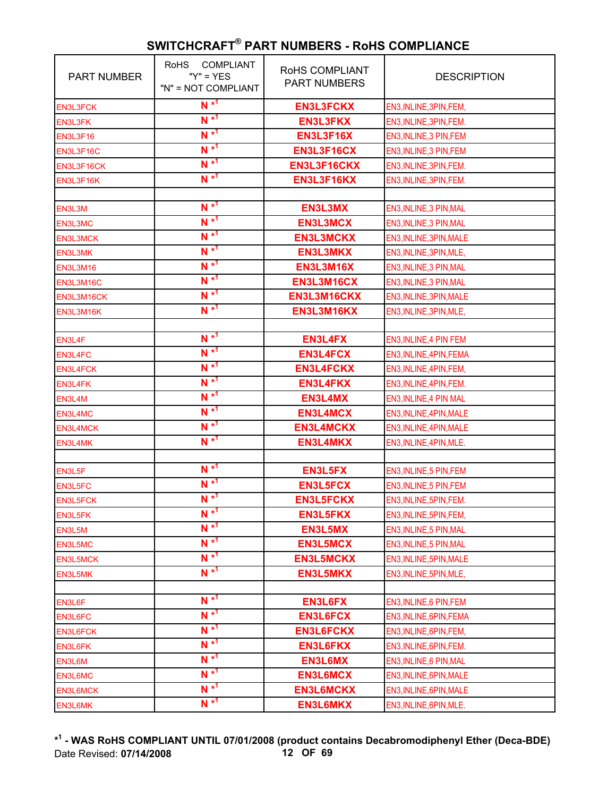| <b>PART NUMBER</b> | <b>COMPLIANT</b><br><b>RoHS</b><br>" $Y$ " = $YES$<br>"N" = NOT COMPLIANT | RoHS COMPLIANT<br><b>PART NUMBERS</b> | <b>DESCRIPTION</b>      |
|--------------------|---------------------------------------------------------------------------|---------------------------------------|-------------------------|
| <b>EN3L3FCK</b>    | $N^{*1}$                                                                  | <b>EN3L3FCKX</b>                      | EN3, INLINE, 3PIN, FEM, |
| <b>EN3L3FK</b>     | $N^{*1}$                                                                  | <b>EN3L3FKX</b>                       | EN3, INLINE, 3PIN, FEM. |
| <b>EN3L3F16</b>    | $N^{*1}$                                                                  | <b>EN3L3F16X</b>                      | EN3, INLINE, 3 PIN, FEM |
| EN3L3F16C          | $N^{*1}$                                                                  | EN3L3F16CX                            | EN3, INLINE, 3 PIN, FEM |
| EN3L3F16CK         | $N^{*1}$                                                                  | EN3L3F16CKX                           | EN3, INLINE, 3PIN, FEM. |
| EN3L3F16K          | $N^{*1}$                                                                  | EN3L3F16KX                            | EN3, INLINE, 3PIN, FEM. |
|                    |                                                                           |                                       |                         |
| EN3L3M             | $N^{*1}$                                                                  | EN3L3MX                               | EN3, INLINE, 3 PIN, MAL |
| EN3L3MC            | $N^{*1}$                                                                  | <b>EN3L3MCX</b>                       | EN3, INLINE, 3 PIN, MAL |
| <b>EN3L3MCK</b>    | $N^{*1}$                                                                  | <b>EN3L3MCKX</b>                      | EN3, INLINE, 3PIN, MALE |
| EN3L3MK            | $N^{*1}$                                                                  | <b>EN3L3MKX</b>                       | EN3, INLINE, 3PIN, MLE, |
| <b>EN3L3M16</b>    | $N^{*1}$                                                                  | <b>EN3L3M16X</b>                      | EN3, INLINE, 3 PIN, MAL |
| EN3L3M16C          | $N^{*1}$                                                                  | EN3L3M16CX                            | EN3, INLINE, 3 PIN, MAL |
| EN3L3M16CK         | $N^{*1}$                                                                  | EN3L3M16CKX                           | EN3, INLINE, 3PIN, MALE |
| EN3L3M16K          | $N^{*1}$                                                                  | EN3L3M16KX                            | EN3, INLINE, 3PIN, MLE, |
|                    |                                                                           |                                       |                         |
| EN3L4F             | $N^{*1}$                                                                  | <b>EN3L4FX</b>                        | EN3, INLINE, 4 PIN FEM  |
| EN3L4FC            | $N^{*1}$                                                                  | <b>EN3L4FCX</b>                       | EN3, INLINE, 4PIN, FEMA |
| <b>EN3L4FCK</b>    | $N^{*1}$                                                                  | <b>EN3L4FCKX</b>                      | EN3, INLINE, 4PIN, FEM, |
| EN3L4FK            | $N^{*1}$                                                                  | <b>EN3L4FKX</b>                       | EN3, INLINE, 4PIN, FEM. |
| EN3L4M             | $N^{*1}$                                                                  | EN3L4MX                               | EN3, INLINE, 4 PIN MAL  |
| EN3L4MC            | $N^{*1}$                                                                  | <b>EN3L4MCX</b>                       | EN3, INLINE, 4PIN, MALE |
| <b>EN3L4MCK</b>    | $N^{*1}$                                                                  | <b>EN3L4MCKX</b>                      | EN3, INLINE, 4PIN, MALE |
| EN3L4MK            | $N^{*1}$                                                                  | <b>EN3L4MKX</b>                       | EN3, INLINE, 4PIN, MLE. |
|                    |                                                                           |                                       |                         |
| EN3L5F             | $N^{*1}$                                                                  | <b>EN3L5FX</b>                        | EN3, INLINE, 5 PIN, FEM |
| EN3L5FC            | $N^{*1}$                                                                  | <b>EN3L5FCX</b>                       | EN3, INLINE, 5 PIN, FEM |
| <b>EN3L5FCK</b>    | $N^{*1}$                                                                  | <b>EN3L5FCKX</b>                      | EN3, INLINE, 5PIN, FEM. |
| EN3L5FK            | $N^*$ <sup>1</sup>                                                        | <b>EN3L5FKX</b>                       | EN3, INLINE, 5PIN, FEM, |
| EN3L5M             | $N^{*1}$                                                                  | EN3L5MX                               | EN3, INLINE, 5 PIN, MAL |
| EN3L5MC            | $N^{*1}$                                                                  | <b>EN3L5MCX</b>                       | EN3, INLINE, 5 PIN, MAL |
| EN3L5MCK           | $N^{*1}$                                                                  | <b>EN3L5MCKX</b>                      | EN3, INLINE, 5PIN, MALE |
| EN3L5MK            | $N^*$ <sup>1</sup>                                                        | <b>EN3L5MKX</b>                       | EN3, INLINE, 5PIN, MLE, |
|                    |                                                                           |                                       |                         |
| EN3L6F             | $N^{*1}$                                                                  | <b>EN3L6FX</b>                        | EN3, INLINE, 6 PIN, FEM |
| EN3L6FC            | $N^{*1}$                                                                  | <b>EN3L6FCX</b>                       | EN3, INLINE, 6PIN, FEMA |
| <b>EN3L6FCK</b>    | $N^{*1}$                                                                  | <b>EN3L6FCKX</b>                      | EN3, INLINE, 6PIN, FEM, |
| EN3L6FK            | $N^{*1}$                                                                  | <b>EN3L6FKX</b>                       | EN3, INLINE, 6PIN, FEM. |
| EN3L6M             | $N^{*1}$                                                                  | <b>EN3L6MX</b>                        | EN3, INLINE, 6 PIN, MAL |
| EN3L6MC            | $N^{*1}$                                                                  | <b>EN3L6MCX</b>                       | EN3, INLINE, 6PIN, MALE |
| <b>EN3L6MCK</b>    | $N^{*1}$                                                                  | <b>EN3L6MCKX</b>                      | EN3, INLINE, 6PIN, MALE |
| EN3L6MK            | $N^{*1}$                                                                  | <b>EN3L6MKX</b>                       | EN3, INLINE, 6PIN, MLE. |

**\* 1 - WAS RoHS COMPLIANT UNTIL 07/01/2008 (product contains Decabromodiphenyl Ether (Deca-BDE)** Date Revised: **07/14/2008 12 OF 69**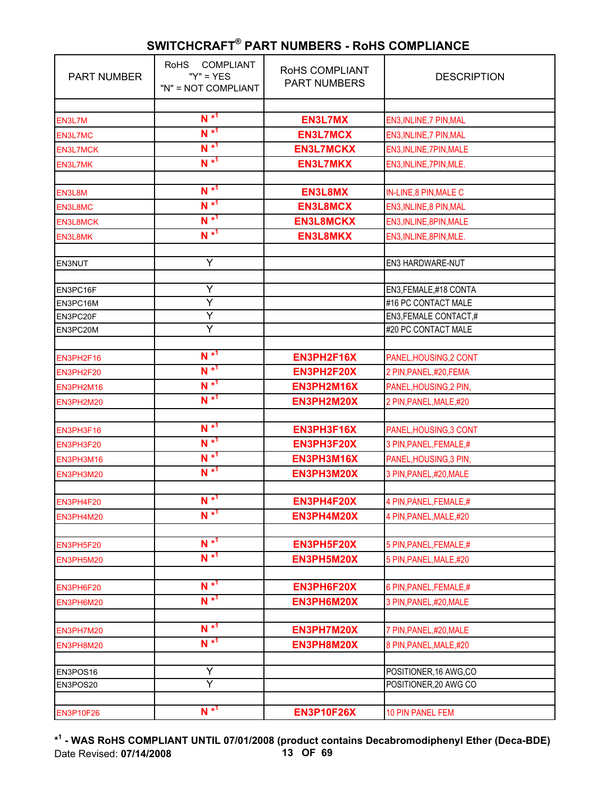| <b>PART NUMBER</b> | <b>COMPLIANT</b><br><b>RoHS</b><br>" $Y$ " = $YES$<br>"N" = NOT COMPLIANT | RoHS COMPLIANT<br><b>PART NUMBERS</b> | <b>DESCRIPTION</b>           |
|--------------------|---------------------------------------------------------------------------|---------------------------------------|------------------------------|
|                    | $N^{*1}$                                                                  |                                       |                              |
| EN3L7M             | $N^{*1}$                                                                  | <b>EN3L7MX</b>                        | EN3, INLINE, 7 PIN, MAL      |
| EN3L7MC            | $N^{*1}$                                                                  | <b>EN3L7MCX</b>                       | EN3, INLINE, 7 PIN, MAL      |
| <b>EN3L7MCK</b>    | $N^{*1}$                                                                  | <b>EN3L7MCKX</b>                      | EN3, INLINE, 7PIN, MALE      |
| EN3L7MK            |                                                                           | <b>EN3L7MKX</b>                       | EN3, INLINE, 7PIN, MLE.      |
| EN3L8M             | $N^{*1}$                                                                  | EN3L8MX                               | <b>IN-LINE,8 PIN, MALE C</b> |
| EN3L8MC            | $N^{*1}$                                                                  | <b>EN3L8MCX</b>                       | EN3, INLINE, 8 PIN, MAL      |
|                    | $N^{*1}$                                                                  | <b>EN3L8MCKX</b>                      | EN3, INLINE, 8PIN, MALE      |
| <b>EN3L8MCK</b>    | $N^{*1}$                                                                  | <b>EN3L8MKX</b>                       |                              |
| EN3L8MK            |                                                                           |                                       | EN3, INLINE, 8PIN, MLE.      |
| <b>EN3NUT</b>      | Υ                                                                         |                                       | EN3 HARDWARE-NUT             |
|                    |                                                                           |                                       |                              |
| EN3PC16F           | Ÿ                                                                         |                                       | EN3, FEMALE, #18 CONTA       |
| EN3PC16M           | Y                                                                         |                                       | #16 PC CONTACT MALE          |
| EN3PC20F           | Υ                                                                         |                                       | EN3, FEMALE CONTACT,#        |
| EN3PC20M           | Y                                                                         |                                       | #20 PC CONTACT MALE          |
|                    |                                                                           |                                       |                              |
| EN3PH2F16          | $N^{*1}$                                                                  | EN3PH2F16X                            | PANEL, HOUSING, 2 CONT       |
| EN3PH2F20          | $N^{*1}$                                                                  | EN3PH2F20X                            | 2 PIN, PANEL, #20, FEMA      |
| EN3PH2M16          | $N^{*1}$                                                                  | EN3PH2M16X                            | PANEL, HOUSING, 2 PIN,       |
| EN3PH2M20          | $N^{*1}$                                                                  | EN3PH2M20X                            | 2 PIN, PANEL, MALE, #20      |
|                    |                                                                           |                                       |                              |
| EN3PH3F16          | $N^{*1}$                                                                  | EN3PH3F16X                            | PANEL, HOUSING, 3 CONT       |
| EN3PH3F20          | $N^{*1}$                                                                  | EN3PH3F20X                            | 3 PIN, PANEL, FEMALE, #      |
| EN3PH3M16          | $N^{*1}$                                                                  | EN3PH3M16X                            | PANEL, HOUSING, 3 PIN,       |
| EN3PH3M20          | $N^{*1}$                                                                  | EN3PH3M20X                            | 3 PIN, PANEL, #20, MALE      |
|                    |                                                                           |                                       |                              |
| EN3PH4F20          | $N^{*1}$                                                                  | EN3PH4F20X                            | 4 PIN, PANEL, FEMALE, #      |
| EN3PH4M20          | $N^{*1}$                                                                  | EN3PH4M20X                            | 4 PIN, PANEL, MALE, #20      |
|                    | $N^{*1}$                                                                  | EN3PH5F20X                            | 5 PIN, PANEL, FEMALE, #      |
| EN3PH5F20          | $N^{*1}$                                                                  | EN3PH5M20X                            | 5 PIN, PANEL, MALE, #20      |
| EN3PH5M20          |                                                                           |                                       |                              |
| EN3PH6F20          | $N^{*1}$                                                                  | EN3PH6F20X                            | 6 PIN, PANEL, FEMALE, #      |
| EN3PH6M20          | $N^{*1}$                                                                  | EN3PH6M20X                            | 3 PIN, PANEL, #20, MALE      |
|                    |                                                                           |                                       |                              |
| EN3PH7M20          | $N^{*1}$                                                                  | EN3PH7M20X                            | 7 PIN, PANEL, #20, MALE      |
| EN3PH8M20          | $N^*$ <sup>1</sup>                                                        | EN3PH8M20X                            | 8 PIN, PANEL, MALE, #20      |
|                    |                                                                           |                                       |                              |
| EN3POS16           | Y                                                                         |                                       | POSITIONER, 16 AWG, CO       |
| EN3POS20           | Υ                                                                         |                                       | POSITIONER, 20 AWG CO        |
|                    |                                                                           |                                       |                              |
| <b>EN3P10F26</b>   | $N^{*1}$                                                                  | <b>EN3P10F26X</b>                     | 10 PIN PANEL FEM             |

**\* 1 - WAS RoHS COMPLIANT UNTIL 07/01/2008 (product contains Decabromodiphenyl Ether (Deca-BDE)** Date Revised: **07/14/2008 13 OF 69**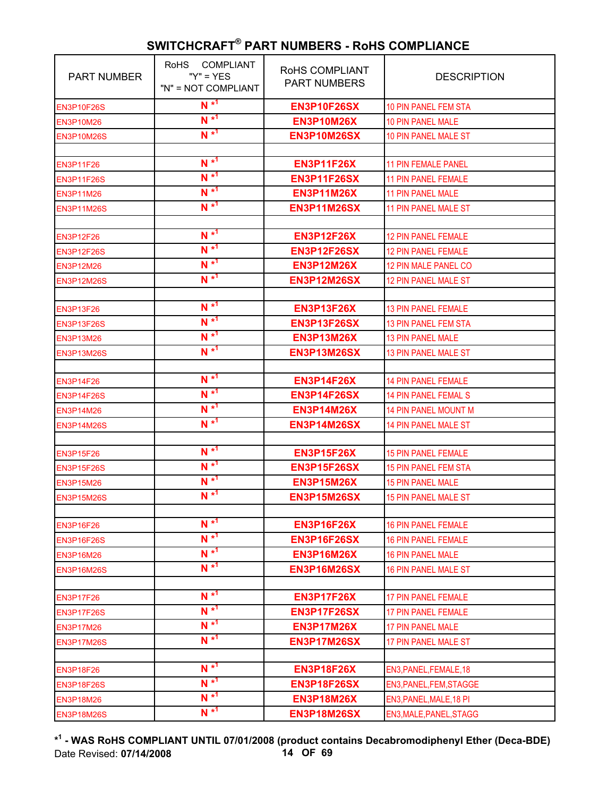| <b>PART NUMBER</b> | <b>RoHS</b><br><b>COMPLIANT</b><br>" $Y$ " = $YES$<br>"N" = NOT COMPLIANT | RoHS COMPLIANT<br><b>PART NUMBERS</b> | <b>DESCRIPTION</b>          |
|--------------------|---------------------------------------------------------------------------|---------------------------------------|-----------------------------|
| <b>EN3P10F26S</b>  | $N^{*1}$                                                                  | <b>EN3P10F26SX</b>                    | <b>10 PIN PANEL FEM STA</b> |
| <b>EN3P10M26</b>   | $N^{*1}$                                                                  | <b>EN3P10M26X</b>                     | 10 PIN PANEL MALE           |
| <b>EN3P10M26S</b>  | $N^{*1}$                                                                  | <b>EN3P10M26SX</b>                    | 10 PIN PANEL MALE ST        |
|                    |                                                                           |                                       |                             |
| <b>EN3P11F26</b>   | $N^{*1}$                                                                  | <b>EN3P11F26X</b>                     | <b>11 PIN FEMALE PANEL</b>  |
| <b>EN3P11F26S</b>  | $N^{*1}$                                                                  | <b>EN3P11F26SX</b>                    | <b>11 PIN PANEL FEMALE</b>  |
| <b>EN3P11M26</b>   | $N^{*1}$                                                                  | <b>EN3P11M26X</b>                     | <b>11 PIN PANEL MALE</b>    |
| <b>EN3P11M26S</b>  | $N^{*1}$                                                                  | <b>EN3P11M26SX</b>                    | 11 PIN PANEL MALE ST        |
|                    |                                                                           |                                       |                             |
| <b>EN3P12F26</b>   | $N^{*1}$                                                                  | <b>EN3P12F26X</b>                     | <b>12 PIN PANEL FEMALE</b>  |
| <b>EN3P12F26S</b>  | $N^{*1}$                                                                  | <b>EN3P12F26SX</b>                    | <b>12 PIN PANEL FEMALE</b>  |
| <b>EN3P12M26</b>   | $N^{*1}$                                                                  | <b>EN3P12M26X</b>                     | 12 PIN MALE PANEL CO        |
| <b>EN3P12M26S</b>  | $N^{*1}$                                                                  | <b>EN3P12M26SX</b>                    | 12 PIN PANEL MALE ST        |
|                    |                                                                           |                                       |                             |
| <b>EN3P13F26</b>   | $N^{*1}$                                                                  | <b>EN3P13F26X</b>                     | <b>13 PIN PANEL FEMALE</b>  |
| <b>EN3P13F26S</b>  | $N^{*1}$                                                                  | <b>EN3P13F26SX</b>                    | <b>13 PIN PANEL FEM STA</b> |
| <b>EN3P13M26</b>   | $N^{*1}$                                                                  | <b>EN3P13M26X</b>                     | <b>13 PIN PANEL MALE</b>    |
| <b>EN3P13M26S</b>  | $N^{*1}$                                                                  | <b>EN3P13M26SX</b>                    | <b>13 PIN PANEL MALE ST</b> |
|                    |                                                                           |                                       |                             |
| <b>EN3P14F26</b>   | $N^{*1}$                                                                  | <b>EN3P14F26X</b>                     | <b>14 PIN PANEL FEMALE</b>  |
| <b>EN3P14F26S</b>  | $N^{*1}$                                                                  | <b>EN3P14F26SX</b>                    | <b>14 PIN PANEL FEMAL S</b> |
| <b>EN3P14M26</b>   | $N^{*1}$                                                                  | <b>EN3P14M26X</b>                     | <b>14 PIN PANEL MOUNT M</b> |
| <b>EN3P14M26S</b>  | $N^{*1}$                                                                  | <b>EN3P14M26SX</b>                    | 14 PIN PANEL MALE ST        |
|                    |                                                                           |                                       |                             |
| <b>EN3P15F26</b>   | $N^{*1}$                                                                  | <b>EN3P15F26X</b>                     | <b>15 PIN PANEL FEMALE</b>  |
| <b>EN3P15F26S</b>  | $N^{*1}$                                                                  | <b>EN3P15F26SX</b>                    | <b>15 PIN PANEL FEM STA</b> |
| <b>EN3P15M26</b>   | $N^{*1}$                                                                  | <b>EN3P15M26X</b>                     | <b>15 PIN PANEL MALE</b>    |
| <b>EN3P15M26S</b>  | $N^{*1}$                                                                  | <b>EN3P15M26SX</b>                    | <b>15 PIN PANEL MALE ST</b> |
|                    | $N^{*1}$                                                                  |                                       |                             |
| <b>EN3P16F26</b>   | $N^{*1}$                                                                  | <b>EN3P16F26X</b>                     | <b>16 PIN PANEL FEMALE</b>  |
| <b>EN3P16F26S</b>  | $N^{*1}$                                                                  | <b>EN3P16F26SX</b>                    | <b>16 PIN PANEL FEMALE</b>  |
| <b>EN3P16M26</b>   |                                                                           | <b>EN3P16M26X</b>                     | <b>16 PIN PANEL MALE</b>    |
| <b>EN3P16M26S</b>  | $N^{*1}$                                                                  | <b>EN3P16M26SX</b>                    | <b>16 PIN PANEL MALE ST</b> |
|                    | $N^{*1}$                                                                  |                                       |                             |
| <b>EN3P17F26</b>   | $N^{*1}$                                                                  | <b>EN3P17F26X</b>                     | <b>17 PIN PANEL FEMALE</b>  |
| <b>EN3P17F26S</b>  | $N^{*1}$                                                                  | <b>EN3P17F26SX</b>                    | <b>17 PIN PANEL FEMALE</b>  |
| <b>EN3P17M26</b>   |                                                                           | <b>EN3P17M26X</b>                     | <b>17 PIN PANEL MALE</b>    |
| <b>EN3P17M26S</b>  | $N^{*1}$                                                                  | <b>EN3P17M26SX</b>                    | <b>17 PIN PANEL MALE ST</b> |
|                    | $N^{*1}$                                                                  |                                       |                             |
| <b>EN3P18F26</b>   | $N^{*1}$                                                                  | <b>EN3P18F26X</b>                     | EN3, PANEL, FEMALE, 18      |
| <b>EN3P18F26S</b>  | $N^{*1}$                                                                  | <b>EN3P18F26SX</b>                    | EN3, PANEL, FEM, STAGGE     |
| <b>EN3P18M26</b>   |                                                                           | <b>EN3P18M26X</b>                     | EN3, PANEL, MALE, 18 PI     |
| <b>EN3P18M26S</b>  | $N^{*1}$                                                                  | <b>EN3P18M26SX</b>                    | EN3, MALE, PANEL, STAGG     |

**\* 1 - WAS RoHS COMPLIANT UNTIL 07/01/2008 (product contains Decabromodiphenyl Ether (Deca-BDE)** Date Revised: **07/14/2008 14 OF 69**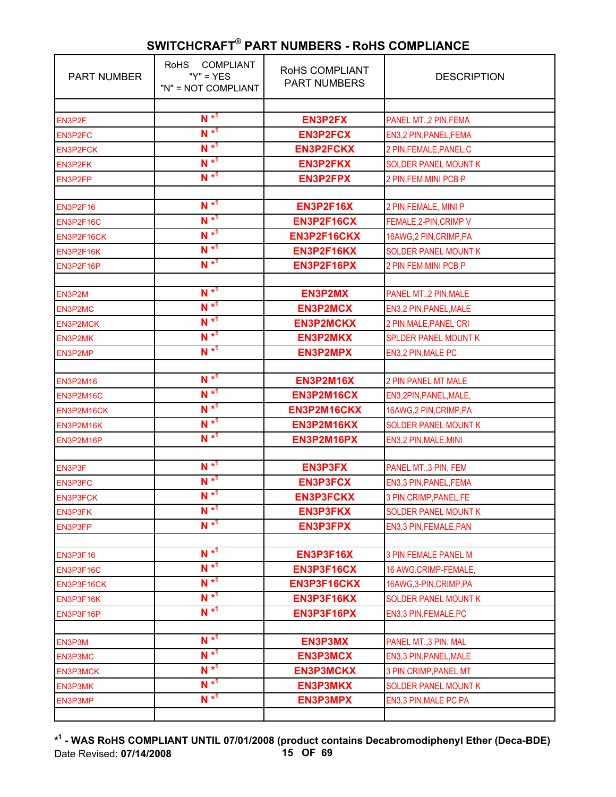| <b>PART NUMBER</b> | <b>COMPLIANT</b><br><b>RoHS</b><br>" $Y$ " = $YES$<br>"N" = NOT COMPLIANT | RoHS COMPLIANT<br><b>PART NUMBERS</b> | <b>DESCRIPTION</b>          |
|--------------------|---------------------------------------------------------------------------|---------------------------------------|-----------------------------|
|                    | $N^{*1}$                                                                  |                                       |                             |
| EN3P2F             | $N^{*1}$                                                                  | <b>EN3P2FX</b>                        | PANEL MT., 2 PIN, FEMA      |
| EN3P2FC            | $N^{*1}$                                                                  | <b>EN3P2FCX</b>                       | EN3,2 PIN, PANEL, FEMA      |
| <b>EN3P2FCK</b>    | $N^{*1}$                                                                  | <b>EN3P2FCKX</b>                      | 2 PIN, FEMALE, PANEL, C     |
| EN3P2FK            | $N^{*1}$                                                                  | <b>EN3P2FKX</b>                       | <b>SOLDER PANEL MOUNT K</b> |
| EN3P2FP            |                                                                           | <b>EN3P2FPX</b>                       | 2 PIN, FEM. MINI PCB P      |
| <b>EN3P2F16</b>    | $N^{*1}$                                                                  | <b>EN3P2F16X</b>                      | 2 PIN, FEMALE, MINI P       |
| EN3P2F16C          | $N^{*1}$                                                                  | EN3P2F16CX                            | FEMALE, 2-PIN, CRIMP V      |
| EN3P2F16CK         | $N^{*1}$                                                                  | EN3P2F16CKX                           | 16AWG,2 PIN, CRIMP, PA      |
| EN3P2F16K          | $N^{*1}$                                                                  | EN3P2F16KX                            | <b>SOLDER PANEL MOUNT K</b> |
| EN3P2F16P          | $N^{*1}$                                                                  | EN3P2F16PX                            | 2 PIN FEM.MINI PCB P        |
|                    |                                                                           |                                       |                             |
| EN3P2M             | $N^{*1}$                                                                  | <b>EN3P2MX</b>                        | PANEL MT., 2 PIN, MALE      |
| EN3P2MC            | $N^{*1}$                                                                  | <b>EN3P2MCX</b>                       | EN3,2 PIN, PANEL, MALE      |
| <b>EN3P2MCK</b>    | $N^{*1}$                                                                  | <b>EN3P2MCKX</b>                      | 2 PIN, MALE, PANEL CRI      |
| <b>EN3P2MK</b>     | $N^{*1}$                                                                  | <b>EN3P2MKX</b>                       | <b>SPLDER PANEL MOUNT K</b> |
| EN3P2MP            | $N^{*1}$                                                                  | <b>EN3P2MPX</b>                       | EN3,2 PIN, MALE PC          |
|                    |                                                                           |                                       |                             |
| <b>EN3P2M16</b>    | $N^{*1}$                                                                  | <b>EN3P2M16X</b>                      | <b>2 PIN PANEL MT MALE</b>  |
| EN3P2M16C          | $N^{*1}$                                                                  | EN3P2M16CX                            | EN3,2PIN, PANEL, MALE,      |
| EN3P2M16CK         | $N^{*1}$                                                                  | EN3P2M16CKX                           | 16AWG,2 PIN, CRIMP, PA      |
| EN3P2M16K          | $N^{*1}$                                                                  | EN3P2M16KX                            | <b>SOLDER PANEL MOUNT K</b> |
| EN3P2M16P          | $N^{*1}$                                                                  | EN3P2M16PX                            | EN3,2 PIN, MALE, MINI       |
|                    |                                                                           |                                       |                             |
| EN3P3F             | $N^{*1}$                                                                  | <b>EN3P3FX</b>                        | PANEL MT., 3 PIN, FEM       |
| EN3P3FC            | $N^{*1}$                                                                  | <b>EN3P3FCX</b>                       | EN3,3 PIN, PANEL, FEMA      |
| <b>EN3P3FCK</b>    | $N^{*1}$                                                                  | <b>EN3P3FCKX</b>                      | 3 PIN, CRIMP, PANEL, FE     |
| EN3P3FK            | $N^{*1}$                                                                  | <b>EN3P3FKX</b>                       | <b>SOLDER PANEL MOUNT K</b> |
| EN3P3FP            | $N^{*1}$                                                                  | <b>EN3P3FPX</b>                       | EN3,3 PIN, FEMALE, PAN      |
|                    |                                                                           |                                       |                             |
| <b>EN3P3F16</b>    | $N^{*1}$                                                                  | <b>EN3P3F16X</b>                      | <b>3 PIN FEMALE PANEL M</b> |
| EN3P3F16C          | $N^{*1}$                                                                  | EN3P3F16CX                            | 16 AWG.CRIMP-FEMALE,        |
| EN3P3F16CK         | $N^{*1}$                                                                  | EN3P3F16CKX                           | 16AWG, 3-PIN, CRIMP, PA     |
| EN3P3F16K          | $N^{*1}$                                                                  | EN3P3F16KX                            | SOLDER PANEL MOUNT K        |
| EN3P3F16P          | $N^{*1}$                                                                  | EN3P3F16PX                            | EN3,3 PIN, FEMALE, PC       |
|                    | $N^{*1}$                                                                  |                                       |                             |
| EN3P3M             | $N^*$ <sup>1</sup>                                                        | <b>EN3P3MX</b>                        | PANEL MT., 3 PIN, MAL       |
| EN3P3MC            | $N^{*1}$                                                                  | <b>EN3P3MCX</b>                       | EN3,3 PIN, PANEL, MALE      |
| <b>EN3P3MCK</b>    | $N^{*1}$                                                                  | <b>EN3P3MCKX</b>                      | 3 PIN, CRIMP, PANEL MT      |
| EN3P3MK            | $N^{*1}$                                                                  | <b>EN3P3MKX</b>                       | <b>SOLDER PANEL MOUNT K</b> |
| EN3P3MP            |                                                                           | <b>EN3P3MPX</b>                       | EN3,3 PIN, MALE PC PA       |

**\* 1 - WAS RoHS COMPLIANT UNTIL 07/01/2008 (product contains Decabromodiphenyl Ether (Deca-BDE)** Date Revised: **07/14/2008 15 OF 69**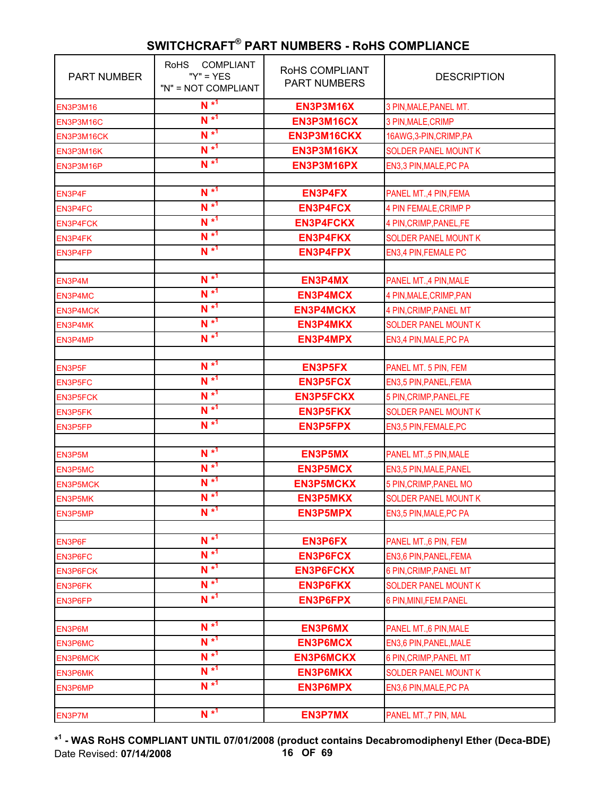| <b>PART NUMBER</b> | <b>COMPLIANT</b><br><b>RoHS</b><br>" $Y$ " = $YES$<br>"N" = NOT COMPLIANT | RoHS COMPLIANT<br><b>PART NUMBERS</b> | <b>DESCRIPTION</b>          |
|--------------------|---------------------------------------------------------------------------|---------------------------------------|-----------------------------|
| <b>EN3P3M16</b>    | $N^{*1}$                                                                  | <b>EN3P3M16X</b>                      | 3 PIN, MALE, PANEL MT.      |
| EN3P3M16C          | $N^{*1}$                                                                  | EN3P3M16CX                            | 3 PIN, MALE, CRIMP          |
| EN3P3M16CK         | $N^{*1}$                                                                  | EN3P3M16CKX                           | 16AWG, 3-PIN, CRIMP, PA     |
| EN3P3M16K          | $N^{*1}$                                                                  | EN3P3M16KX                            | <b>SOLDER PANEL MOUNT K</b> |
| EN3P3M16P          | $N^{*1}$                                                                  | EN3P3M16PX                            | EN3,3 PIN, MALE, PC PA      |
|                    |                                                                           |                                       |                             |
| EN3P4F             | $N^{*1}$                                                                  | <b>EN3P4FX</b>                        | PANEL MT., 4 PIN, FEMA      |
| EN3P4FC            | $N^{*1}$                                                                  | <b>EN3P4FCX</b>                       | 4 PIN FEMALE, CRIMP P       |
| <b>EN3P4FCK</b>    | $N^{*1}$                                                                  | <b>EN3P4FCKX</b>                      | 4 PIN, CRIMP, PANEL, FE     |
| EN3P4FK            | $N^{*1}$                                                                  | <b>EN3P4FKX</b>                       | <b>SOLDER PANEL MOUNT K</b> |
| EN3P4FP            | $N^{*1}$                                                                  | <b>EN3P4FPX</b>                       | EN3,4 PIN, FEMALE PC        |
|                    |                                                                           |                                       |                             |
| EN3P4M             | $N^{*1}$                                                                  | <b>EN3P4MX</b>                        | PANEL MT., 4 PIN, MALE      |
| EN3P4MC            | $N^{*1}$                                                                  | <b>EN3P4MCX</b>                       | 4 PIN, MALE, CRIMP, PAN     |
| <b>EN3P4MCK</b>    | $N^{*1}$                                                                  | <b>EN3P4MCKX</b>                      | 4 PIN, CRIMP, PANEL MT      |
| EN3P4MK            | $N^{*1}$                                                                  | <b>EN3P4MKX</b>                       | <b>SOLDER PANEL MOUNT K</b> |
| EN3P4MP            | $N^{*1}$                                                                  | <b>EN3P4MPX</b>                       | EN3,4 PIN, MALE, PC PA      |
|                    |                                                                           |                                       |                             |
| EN3P5F             | $N^{*1}$                                                                  | <b>EN3P5FX</b>                        | PANEL MT. 5 PIN, FEM        |
| EN3P5FC            | $N^{*1}$                                                                  | <b>EN3P5FCX</b>                       | EN3,5 PIN, PANEL, FEMA      |
| <b>EN3P5FCK</b>    | $N^{*1}$                                                                  | <b>EN3P5FCKX</b>                      | 5 PIN, CRIMP, PANEL, FE     |
| EN3P5FK            | $N^{*1}$                                                                  | <b>EN3P5FKX</b>                       | <b>SOLDER PANEL MOUNT K</b> |
| EN3P5FP            | $N^{*1}$                                                                  | <b>EN3P5FPX</b>                       | EN3,5 PIN, FEMALE, PC       |
|                    |                                                                           |                                       |                             |
| EN3P5M             | $N^{*1}$                                                                  | <b>EN3P5MX</b>                        | PANEL MT.,5 PIN, MALE       |
| EN3P5MC            | $N^{*1}$                                                                  | <b>EN3P5MCX</b>                       | EN3,5 PIN, MALE, PANEL      |
| <b>EN3P5MCK</b>    | $N^{*1}$                                                                  | <b>EN3P5MCKX</b>                      | 5 PIN, CRIMP, PANEL MO      |
| EN3P5MK            | $N^{*1}$                                                                  | <b>EN3P5MKX</b>                       | <b>SOLDER PANEL MOUNT K</b> |
| EN3P5MP            | $N^{*1}$                                                                  | <b>EN3P5MPX</b>                       | EN3,5 PIN, MALE, PC PA      |
|                    |                                                                           |                                       |                             |
| EN3P6F             | $N^*$ <sup>1</sup>                                                        | <b>EN3P6FX</b>                        | PANEL MT., 6 PIN, FEM       |
| EN3P6FC            | $N^{*1}$                                                                  | <b>EN3P6FCX</b>                       | EN3,6 PIN, PANEL, FEMA      |
| <b>EN3P6FCK</b>    | $N^{*1}$                                                                  | <b>EN3P6FCKX</b>                      | 6 PIN, CRIMP, PANEL MT      |
| <b>EN3P6FK</b>     | $N^{*1}$                                                                  | <b>EN3P6FKX</b>                       | <b>SOLDER PANEL MOUNT K</b> |
| EN3P6FP            | $N^*$ <sup>1</sup>                                                        | <b>EN3P6FPX</b>                       | 6 PIN, MINI, FEM. PANEL     |
|                    |                                                                           |                                       |                             |
| EN3P6M             | $N^{*1}$                                                                  | <b>EN3P6MX</b>                        | PANEL MT.,6 PIN, MALE       |
| EN3P6MC            | $N^{*1}$                                                                  | <b>EN3P6MCX</b>                       | EN3,6 PIN, PANEL, MALE      |
| <b>EN3P6MCK</b>    | $N^{*1}$                                                                  | <b>EN3P6MCKX</b>                      | 6 PIN, CRIMP, PANEL MT      |
| EN3P6MK            | $N^{*1}$                                                                  | <b>EN3P6MKX</b>                       | <b>SOLDER PANEL MOUNT K</b> |
| EN3P6MP            | $N^{*1}$                                                                  | <b>EN3P6MPX</b>                       | EN3,6 PIN, MALE, PC PA      |
|                    |                                                                           |                                       |                             |
| EN3P7M             | $N^{*1}$                                                                  | <b>EN3P7MX</b>                        | PANEL MT., 7 PIN, MAL       |

**\* 1 - WAS RoHS COMPLIANT UNTIL 07/01/2008 (product contains Decabromodiphenyl Ether (Deca-BDE)** Date Revised: **07/14/2008 16 OF 69**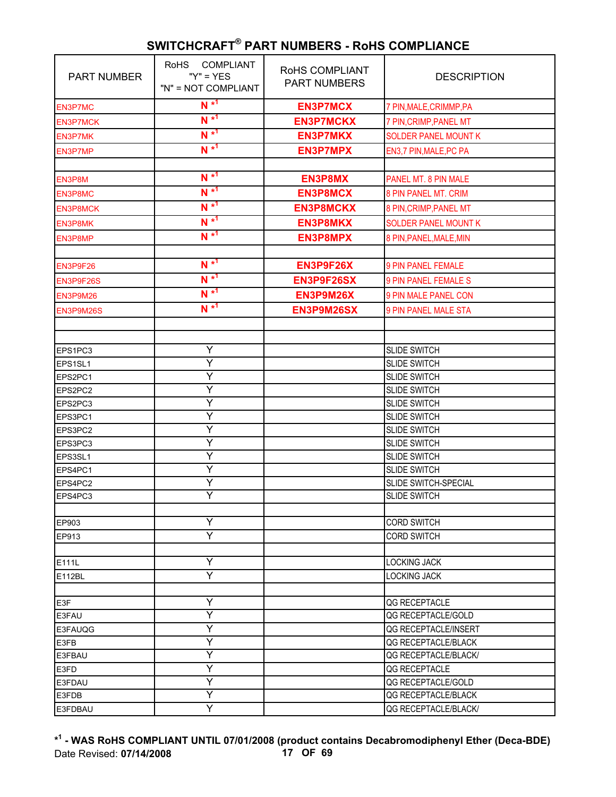| <b>PART NUMBER</b> | <b>COMPLIANT</b><br><b>RoHS</b><br>" $Y$ " = $YES$<br>"N" = NOT COMPLIANT | RoHS COMPLIANT<br><b>PART NUMBERS</b> | <b>DESCRIPTION</b>          |
|--------------------|---------------------------------------------------------------------------|---------------------------------------|-----------------------------|
| EN3P7MC            | $N^{*1}$                                                                  | <b>EN3P7MCX</b>                       | 7 PIN, MALE, CRIMMP, PA     |
| <b>EN3P7MCK</b>    | $N^{*1}$                                                                  | <b>EN3P7MCKX</b>                      | 7 PIN, CRIMP, PANEL MT      |
| <b>EN3P7MK</b>     | $N^{*1}$                                                                  | <b>EN3P7MKX</b>                       | <b>SOLDER PANEL MOUNT K</b> |
| EN3P7MP            | $N^{*1}$                                                                  | <b>EN3P7MPX</b>                       | EN3,7 PIN, MALE, PC PA      |
|                    |                                                                           |                                       |                             |
| EN3P8M             | $N^{*1}$                                                                  | <b>EN3P8MX</b>                        | PANEL MT. 8 PIN MALE        |
| EN3P8MC            | $N^{*1}$                                                                  | <b>EN3P8MCX</b>                       | 8 PIN PANEL MT. CRIM        |
| <b>EN3P8MCK</b>    | $N^{*1}$                                                                  | <b>EN3P8MCKX</b>                      | 8 PIN, CRIMP, PANEL MT      |
| <b>EN3P8MK</b>     | $N^{*1}$                                                                  | <b>EN3P8MKX</b>                       | <b>SOLDER PANEL MOUNT K</b> |
| EN3P8MP            | $N^{*1}$                                                                  | <b>EN3P8MPX</b>                       | 8 PIN, PANEL, MALE, MIN     |
|                    |                                                                           |                                       |                             |
| EN3P9F26           | $N^{*1}$                                                                  | EN3P9F26X                             | 9 PIN PANEL FEMALE          |
|                    | $N^{*1}$                                                                  | EN3P9F26SX                            | <b>9 PIN PANEL FEMALE S</b> |
| EN3P9F26S          | $N^{*1}$                                                                  |                                       |                             |
| EN3P9M26           | $N^{*1}$                                                                  | EN3P9M26X                             | 9 PIN MALE PANEL CON        |
| EN3P9M26S          |                                                                           | EN3P9M26SX                            | <b>9 PIN PANEL MALE STA</b> |
|                    |                                                                           |                                       |                             |
| EPS1PC3            | Y                                                                         |                                       | <b>SLIDE SWITCH</b>         |
| EPS1SL1            | Y                                                                         |                                       | <b>SLIDE SWITCH</b>         |
| EPS2PC1            | Υ                                                                         |                                       | <b>SLIDE SWITCH</b>         |
| EPS2PC2            | Υ                                                                         |                                       | <b>SLIDE SWITCH</b>         |
| EPS2PC3            | Ÿ                                                                         |                                       | <b>SLIDE SWITCH</b>         |
| EPS3PC1            | Y                                                                         |                                       | <b>SLIDE SWITCH</b>         |
| EPS3PC2            | Y                                                                         |                                       | <b>SLIDE SWITCH</b>         |
| EPS3PC3            | Y                                                                         |                                       | <b>SLIDE SWITCH</b>         |
| EPS3SL1            | Y                                                                         |                                       | <b>SLIDE SWITCH</b>         |
| EPS4PC1            | Ÿ                                                                         |                                       | <b>SLIDE SWITCH</b>         |
| EPS4PC2            | Y                                                                         |                                       | SLIDE SWITCH-SPECIAL        |
| EPS4PC3            | Y                                                                         |                                       | SLIDE SWITCH                |
|                    |                                                                           |                                       |                             |
| EP903              | Y                                                                         |                                       | <b>CORD SWITCH</b>          |
| EP913              | Y                                                                         |                                       | <b>CORD SWITCH</b>          |
|                    |                                                                           |                                       |                             |
| E111L              | Υ                                                                         |                                       | <b>LOCKING JACK</b>         |
| E112BL             | Y                                                                         |                                       | <b>LOCKING JACK</b>         |
|                    |                                                                           |                                       |                             |
| E3F                | Y                                                                         |                                       | QG RECEPTACLE               |
| E3FAU              | Υ                                                                         |                                       | QG RECEPTACLE/GOLD          |
| E3FAUQG            | Υ                                                                         |                                       | QG RECEPTACLE/INSERT        |
| E3FB               | Υ                                                                         |                                       | QG RECEPTACLE/BLACK         |
| E3FBAU             | Y                                                                         |                                       | QG RECEPTACLE/BLACK/        |
| E3FD               | Ÿ                                                                         |                                       | QG RECEPTACLE               |
| E3FDAU             | Υ                                                                         |                                       | QG RECEPTACLE/GOLD          |
| E3FDB              | Υ                                                                         |                                       | QG RECEPTACLE/BLACK         |
| E3FDBAU            | Y                                                                         |                                       | QG RECEPTACLE/BLACK/        |

**\* 1 - WAS RoHS COMPLIANT UNTIL 07/01/2008 (product contains Decabromodiphenyl Ether (Deca-BDE)** Date Revised: **07/14/2008 17 OF 69**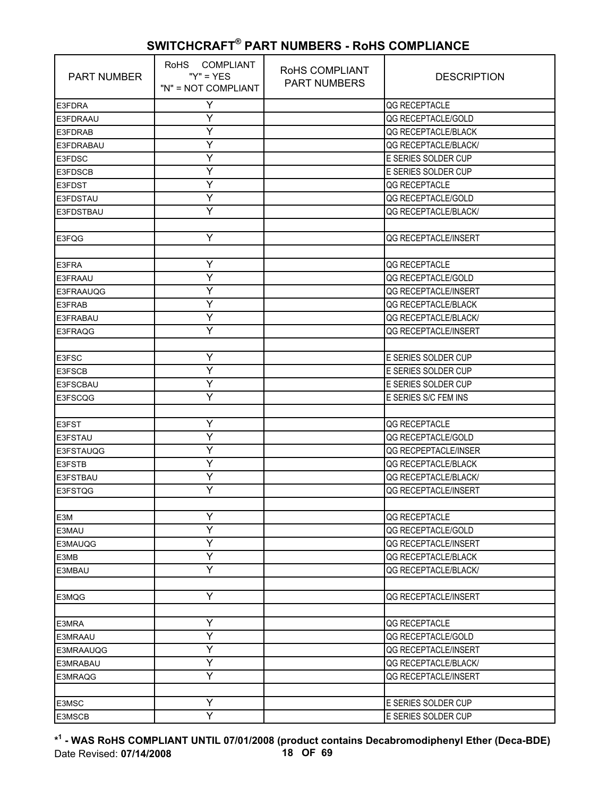| <b>PART NUMBER</b> | RoHS COMPLIANT<br>" $Y$ " = $YES$<br>"N" = NOT COMPLIANT | RoHS COMPLIANT<br><b>PART NUMBERS</b> | <b>DESCRIPTION</b>          |
|--------------------|----------------------------------------------------------|---------------------------------------|-----------------------------|
| E3FDRA             | Y                                                        |                                       | QG RECEPTACLE               |
| E3FDRAAU           | Y                                                        |                                       | QG RECEPTACLE/GOLD          |
| E3FDRAB            | Y                                                        |                                       | QG RECEPTACLE/BLACK         |
| E3FDRABAU          | Υ                                                        |                                       | <b>QG RECEPTACLE/BLACK/</b> |
| E3FDSC             | Y                                                        |                                       | E SERIES SOLDER CUP         |
| E3FDSCB            | Ÿ                                                        |                                       | E SERIES SOLDER CUP         |
| <b>E3FDST</b>      | Y                                                        |                                       | QG RECEPTACLE               |
| E3FDSTAU           | Y                                                        |                                       | QG RECEPTACLE/GOLD          |
| E3FDSTBAU          | Y                                                        |                                       | QG RECEPTACLE/BLACK/        |
|                    |                                                          |                                       |                             |
| E3FQG              | Y                                                        |                                       | QG RECEPTACLE/INSERT        |
|                    |                                                          |                                       |                             |
| E3FRA              | Y                                                        |                                       | QG RECEPTACLE               |
| E3FRAAU            | Y                                                        |                                       | QG RECEPTACLE/GOLD          |
| E3FRAAUQG          | Y                                                        |                                       | QG RECEPTACLE/INSERT        |
| E3FRAB             | Ÿ                                                        |                                       | QG RECEPTACLE/BLACK         |
| E3FRABAU           | Y                                                        |                                       | QG RECEPTACLE/BLACK/        |
| <b>E3FRAQG</b>     | Y                                                        |                                       | QG RECEPTACLE/INSERT        |
|                    |                                                          |                                       |                             |
| E3FSC              | Υ                                                        |                                       | E SERIES SOLDER CUP         |
| E3FSCB             | Ÿ                                                        |                                       | E SERIES SOLDER CUP         |
| E3FSCBAU           | Y                                                        |                                       | E SERIES SOLDER CUP         |
| E3FSCQG            | Y                                                        |                                       | E SERIES S/C FEM INS        |
|                    |                                                          |                                       |                             |
| E3FST              | Υ                                                        |                                       | QG RECEPTACLE               |
| E3FSTAU            | Ÿ                                                        |                                       | QG RECEPTACLE/GOLD          |
| E3FSTAUQG          | Y                                                        |                                       | QG RECPEPTACLE/INSER        |
| <b>E3FSTB</b>      | Y                                                        |                                       | QG RECEPTACLE/BLACK         |
| <b>E3FSTBAU</b>    | Y                                                        |                                       | QG RECEPTACLE/BLACK/        |
| E3FSTQG            | Ÿ                                                        |                                       | QG RECEPTACLE/INSERT        |
|                    |                                                          |                                       |                             |
| E3M                | Υ                                                        |                                       | QG RECEPTACLE               |
| E3MAU              | Y                                                        |                                       | QG RECEPTACLE/GOLD          |
| E3MAUQG            | Υ                                                        |                                       | <b>QG RECEPTACLE/INSERT</b> |
| E3MB               | Y                                                        |                                       | QG RECEPTACLE/BLACK         |
| E3MBAU             | Y                                                        |                                       | QG RECEPTACLE/BLACK/        |
|                    |                                                          |                                       |                             |
| E3MQG              | Y                                                        |                                       | QG RECEPTACLE/INSERT        |
|                    |                                                          |                                       |                             |
| E3MRA              | Υ                                                        |                                       | QG RECEPTACLE               |
| E3MRAAU            | Ÿ                                                        |                                       | QG RECEPTACLE/GOLD          |
| E3MRAAUQG          | Y                                                        |                                       | QG RECEPTACLE/INSERT        |
| E3MRABAU           | Υ                                                        |                                       | QG RECEPTACLE/BLACK/        |
| E3MRAQG            | Y                                                        |                                       | QG RECEPTACLE/INSERT        |
|                    |                                                          |                                       |                             |
| E3MSC              | Υ                                                        |                                       | E SERIES SOLDER CUP         |
| E3MSCB             | Ÿ                                                        |                                       | E SERIES SOLDER CUP         |

**\* 1 - WAS RoHS COMPLIANT UNTIL 07/01/2008 (product contains Decabromodiphenyl Ether (Deca-BDE)** Date Revised: **07/14/2008 18 OF 69**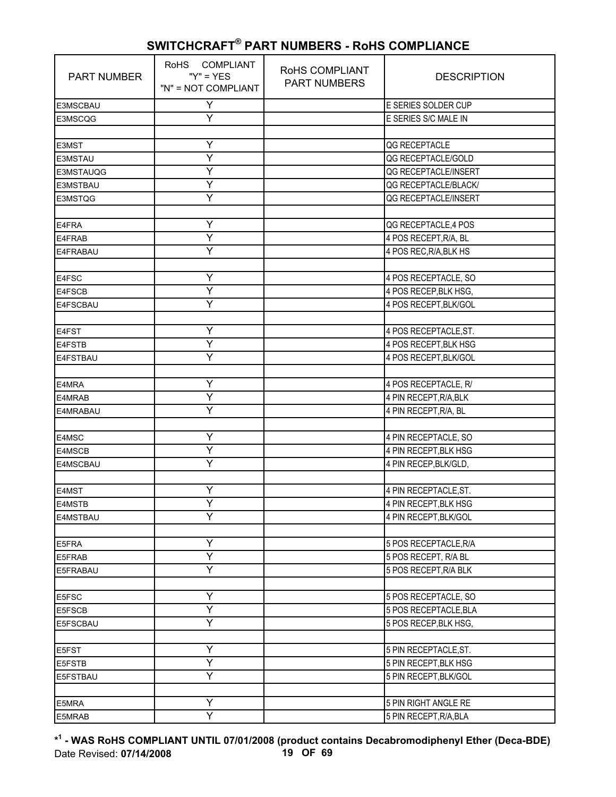| <b>PART NUMBER</b> | RoHS COMPLIANT<br>" $Y$ " = $YES$<br>"N" = NOT COMPLIANT | RoHS COMPLIANT<br><b>PART NUMBERS</b> | <b>DESCRIPTION</b>     |
|--------------------|----------------------------------------------------------|---------------------------------------|------------------------|
| E3MSCBAU           | Υ                                                        |                                       | E SERIES SOLDER CUP    |
| E3MSCQG            | Υ                                                        |                                       | E SERIES S/C MALE IN   |
|                    |                                                          |                                       |                        |
| E3MST              | Y                                                        |                                       | QG RECEPTACLE          |
| E3MSTAU            | Ÿ                                                        |                                       | QG RECEPTACLE/GOLD     |
| E3MSTAUQG          | Ÿ                                                        |                                       | QG RECEPTACLE/INSERT   |
| E3MSTBAU           | Υ                                                        |                                       | QG RECEPTACLE/BLACK/   |
| E3MSTQG            | Y                                                        |                                       | QG RECEPTACLE/INSERT   |
|                    |                                                          |                                       |                        |
| E4FRA              | Υ                                                        |                                       | QG RECEPTACLE, 4 POS   |
| E4FRAB             | $\overline{\mathsf{Y}}$                                  |                                       | 4 POS RECEPT, R/A, BL  |
| E4FRABAU           | Υ                                                        |                                       | 4 POS REC, R/A, BLK HS |
|                    |                                                          |                                       |                        |
| E4FSC              | Y                                                        |                                       | 4 POS RECEPTACLE, SO   |
| E4FSCB             | Ÿ                                                        |                                       | 4 POS RECEP, BLK HSG,  |
| E4FSCBAU           | Ÿ                                                        |                                       | 4 POS RECEPT, BLK/GOL  |
|                    |                                                          |                                       |                        |
| E4FST              | Y                                                        |                                       | 4 POS RECEPTACLE, ST.  |
| E4FSTB             | Y                                                        |                                       | 4 POS RECEPT, BLK HSG  |
| E4FSTBAU           | Ÿ                                                        |                                       | 4 POS RECEPT, BLK/GOL  |
|                    |                                                          |                                       |                        |
| E4MRA              | Υ                                                        |                                       | 4 POS RECEPTACLE, R/   |
| E4MRAB             | Y                                                        |                                       | 4 PIN RECEPT, R/A, BLK |
| E4MRABAU           | Ý                                                        |                                       | 4 PIN RECEPT, R/A, BL  |
|                    |                                                          |                                       |                        |
| E4MSC              | Y                                                        |                                       | 4 PIN RECEPTACLE, SO   |
| E4MSCB             | Υ                                                        |                                       | 4 PIN RECEPT, BLK HSG  |
| E4MSCBAU           | Y                                                        |                                       | 4 PIN RECEP, BLK/GLD,  |
|                    |                                                          |                                       |                        |
| E4MST              | Υ                                                        |                                       | 4 PIN RECEPTACLE, ST.  |
| E4MSTB             | Ÿ                                                        |                                       | 4 PIN RECEPT, BLK HSG  |
| E4MSTBAU           | Υ                                                        |                                       | 4 PIN RECEPT, BLK/GOL  |
|                    |                                                          |                                       |                        |
| E5FRA              | Y                                                        |                                       | 5 POS RECEPTACLE, R/A  |
| E5FRAB             | Ÿ                                                        |                                       | 5 POS RECEPT, R/A BL   |
| E5FRABAU           | Y                                                        |                                       | 5 POS RECEPT, R/A BLK  |
|                    |                                                          |                                       |                        |
| E5FSC              | Υ                                                        |                                       | 5 POS RECEPTACLE, SO   |
| E5FSCB             | Y                                                        |                                       | 5 POS RECEPTACLE, BLA  |
| E5FSCBAU           | Y                                                        |                                       | 5 POS RECEP, BLK HSG,  |
|                    |                                                          |                                       |                        |
| E5FST              | Υ                                                        |                                       | 5 PIN RECEPTACLE, ST.  |
| E5FSTB             | Y                                                        |                                       | 5 PIN RECEPT, BLK HSG  |
| E5FSTBAU           | Y                                                        |                                       | 5 PIN RECEPT, BLK/GOL  |
|                    |                                                          |                                       |                        |
| E5MRA              | Υ                                                        |                                       | 5 PIN RIGHT ANGLE RE   |
| E5MRAB             | $\overline{Y}$                                           |                                       | 5 PIN RECEPT, R/A, BLA |

**\* 1 - WAS RoHS COMPLIANT UNTIL 07/01/2008 (product contains Decabromodiphenyl Ether (Deca-BDE)** Date Revised: **07/14/2008 19 OF 69**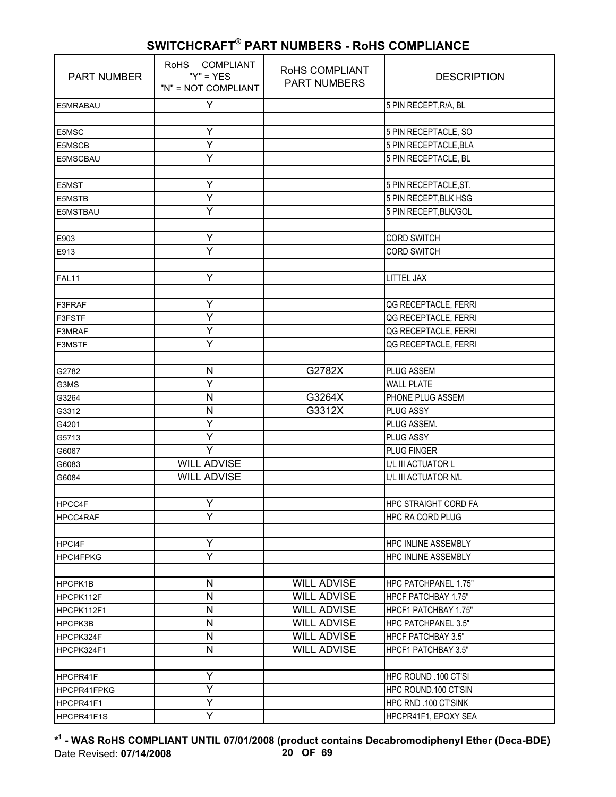| <b>PART NUMBER</b> | RoHS COMPLIANT<br>" $Y$ " = $YES$<br>"N" = NOT COMPLIANT | RoHS COMPLIANT<br><b>PART NUMBERS</b> | <b>DESCRIPTION</b>         |
|--------------------|----------------------------------------------------------|---------------------------------------|----------------------------|
| E5MRABAU           | Y                                                        |                                       | 5 PIN RECEPT, R/A, BL      |
|                    |                                                          |                                       |                            |
| E5MSC              | Y                                                        |                                       | 5 PIN RECEPTACLE, SO       |
| E5MSCB             | Υ                                                        |                                       | 5 PIN RECEPTACLE, BLA      |
| E5MSCBAU           | Ÿ                                                        |                                       | 5 PIN RECEPTACLE, BL       |
|                    |                                                          |                                       |                            |
| E5MST              | Y                                                        |                                       | 5 PIN RECEPTACLE, ST.      |
| <b>E5MSTB</b>      | Ÿ                                                        |                                       | 5 PIN RECEPT, BLK HSG      |
| E5MSTBAU           | Y                                                        |                                       | 5 PIN RECEPT, BLK/GOL      |
|                    |                                                          |                                       |                            |
| E903               | Υ                                                        |                                       | <b>CORD SWITCH</b>         |
| E913               | Ÿ                                                        |                                       | <b>CORD SWITCH</b>         |
|                    |                                                          |                                       |                            |
| FAL11              | Y                                                        |                                       | <b>LITTEL JAX</b>          |
|                    |                                                          |                                       |                            |
| F3FRAF             | Υ                                                        |                                       | QG RECEPTACLE, FERRI       |
| F3FSTF             | Y                                                        |                                       | QG RECEPTACLE, FERRI       |
| F3MRAF             | Y                                                        |                                       | QG RECEPTACLE, FERRI       |
| <b>F3MSTF</b>      | Y                                                        |                                       | QG RECEPTACLE, FERRI       |
|                    |                                                          |                                       |                            |
| G2782              | N                                                        | G2782X                                | PLUG ASSEM                 |
| G3MS               | Y                                                        |                                       | <b>WALL PLATE</b>          |
| G3264              | N                                                        | G3264X                                | PHONE PLUG ASSEM           |
| G3312              | N                                                        | G3312X                                | <b>PLUG ASSY</b>           |
| G4201              | Ÿ                                                        |                                       | PLUG ASSEM.                |
| G5713              | Y                                                        |                                       | PLUG ASSY                  |
| G6067              | Y                                                        |                                       | PLUG FINGER                |
| G6083              | <b>WILL ADVISE</b>                                       |                                       | L/L III ACTUATOR L         |
| G6084              | <b>WILL ADVISE</b>                                       |                                       | L/L III ACTUATOR N/L       |
|                    |                                                          |                                       |                            |
| HPCC4F             | Y                                                        |                                       | HPC STRAIGHT CORD FA       |
| <b>HPCC4RAF</b>    | Y                                                        |                                       | <b>HPC RA CORD PLUG</b>    |
|                    |                                                          |                                       |                            |
| HPCI4F             | Y                                                        |                                       | <b>HPC INLINE ASSEMBLY</b> |
| <b>HPCI4FPKG</b>   | Y                                                        |                                       | <b>HPC INLINE ASSEMBLY</b> |
|                    |                                                          |                                       |                            |
| <b>HPCPK1B</b>     | N                                                        | <b>WILL ADVISE</b>                    | HPC PATCHPANEL 1.75"       |
| HPCPK112F          | $\mathsf{N}$                                             | <b>WILL ADVISE</b>                    | <b>HPCF PATCHBAY 1.75"</b> |
| HPCPK112F1         | N                                                        | <b>WILL ADVISE</b>                    | HPCF1 PATCHBAY 1.75"       |
| HPCPK3B            | $\mathsf{N}$                                             | <b>WILL ADVISE</b>                    | HPC PATCHPANEL 3.5"        |
| HPCPK324F          | N                                                        | <b>WILL ADVISE</b>                    | <b>HPCF PATCHBAY 3.5"</b>  |
| HPCPK324F1         | $\mathsf{N}$                                             | <b>WILL ADVISE</b>                    | HPCF1 PATCHBAY 3.5"        |
|                    |                                                          |                                       |                            |
| HPCPR41F           | Y                                                        |                                       | HPC ROUND .100 CT'SI       |
| HPCPR41FPKG        | Y                                                        |                                       | HPC ROUND.100 CT'SIN       |
| HPCPR41F1          | Y                                                        |                                       | HPC RND .100 CT'SINK       |
| HPCPR41F1S         | Ÿ                                                        |                                       | HPCPR41F1, EPOXY SEA       |

**\* 1 - WAS RoHS COMPLIANT UNTIL 07/01/2008 (product contains Decabromodiphenyl Ether (Deca-BDE)** Date Revised: **07/14/2008 20 OF 69**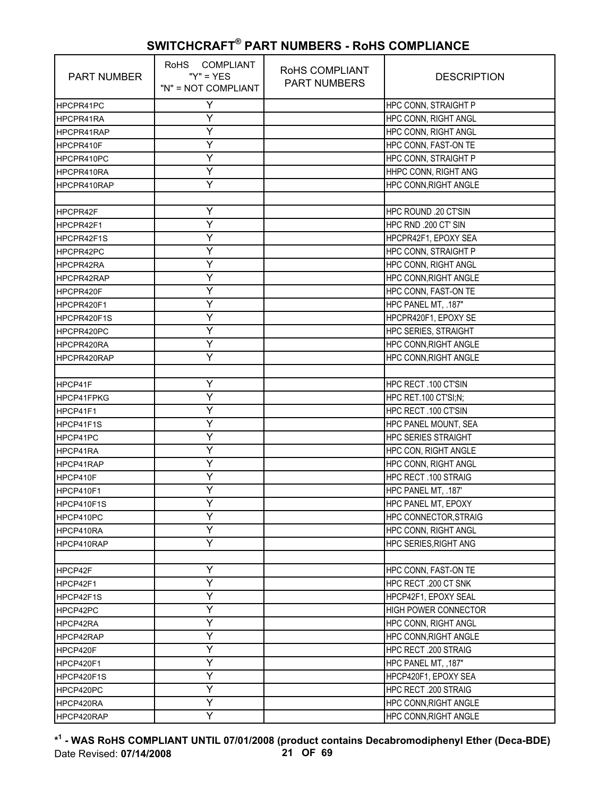| <b>PART NUMBER</b> | RoHS COMPLIANT<br>$''Y'' = YES$<br>"N" = NOT COMPLIANT | RoHS COMPLIANT<br><b>PART NUMBERS</b> | <b>DESCRIPTION</b>           |
|--------------------|--------------------------------------------------------|---------------------------------------|------------------------------|
| HPCPR41PC          | Y                                                      |                                       | HPC CONN, STRAIGHT P         |
| HPCPR41RA          | Υ                                                      |                                       | HPC CONN, RIGHT ANGL         |
| HPCPR41RAP         | Υ                                                      |                                       | <b>HPC CONN, RIGHT ANGL</b>  |
| HPCPR410F          | Y                                                      |                                       | HPC CONN, FAST-ON TE         |
| HPCPR410PC         | Y                                                      |                                       | <b>HPC CONN, STRAIGHT P</b>  |
| HPCPR410RA         | Υ                                                      |                                       | HHPC CONN, RIGHT ANG         |
| HPCPR410RAP        | Ÿ                                                      |                                       | HPC CONN, RIGHT ANGLE        |
|                    |                                                        |                                       |                              |
| HPCPR42F           | Y                                                      |                                       | HPC ROUND .20 CT'SIN         |
| HPCPR42F1          | Y                                                      |                                       | HPC RND .200 CT' SIN         |
| HPCPR42F1S         | Υ                                                      |                                       | HPCPR42F1, EPOXY SEA         |
| HPCPR42PC          | Y                                                      |                                       | HPC CONN, STRAIGHT P         |
| HPCPR42RA          | Y                                                      |                                       | HPC CONN, RIGHT ANGL         |
| HPCPR42RAP         | Ý                                                      |                                       | HPC CONN, RIGHT ANGLE        |
| HPCPR420F          | Y                                                      |                                       | HPC CONN, FAST-ON TE         |
| HPCPR420F1         | Υ                                                      |                                       | HPC PANEL MT, .187"          |
| HPCPR420F1S        | Υ                                                      |                                       | HPCPR420F1, EPOXY SE         |
| HPCPR420PC         | Y                                                      |                                       | <b>HPC SERIES, STRAIGHT</b>  |
| HPCPR420RA         | Y                                                      |                                       | HPC CONN, RIGHT ANGLE        |
| HPCPR420RAP        | Y                                                      |                                       | HPC CONN, RIGHT ANGLE        |
|                    |                                                        |                                       |                              |
| HPCP41F            | Υ                                                      |                                       | HPC RECT.100 CT'SIN          |
| HPCP41FPKG         | Y                                                      |                                       | HPC RET.100 CT'SI;N;         |
| HPCP41F1           | Ý                                                      |                                       | HPC RECT.100 CT'SIN          |
| HPCP41F1S          | Y                                                      |                                       | HPC PANEL MOUNT, SEA         |
| HPCP41PC           | Υ                                                      |                                       | <b>HPC SERIES STRAIGHT</b>   |
| HPCP41RA           | Υ                                                      |                                       | HPC CON, RIGHT ANGLE         |
| HPCP41RAP          | Y                                                      |                                       | <b>HPC CONN, RIGHT ANGL</b>  |
| HPCP410F           | Y                                                      |                                       | HPC RECT.100 STRAIG          |
| HPCP410F1          | Υ                                                      |                                       | HPC PANEL MT, .187'          |
| HPCP410F1S         | Y                                                      |                                       | HPC PANEL MT, EPOXY          |
| HPCP410PC          | Υ                                                      |                                       | <b>HPC CONNECTOR, STRAIG</b> |
| HPCP410RA          | Y                                                      |                                       | HPC CONN, RIGHT ANGL         |
| HPCP410RAP         | Ý                                                      |                                       | <b>HPC SERIES, RIGHT ANG</b> |
|                    |                                                        |                                       |                              |
| HPCP42F            | Υ                                                      |                                       | HPC CONN, FAST-ON TE         |
| HPCP42F1           | Y                                                      |                                       | HPC RECT .200 CT SNK         |
| HPCP42F1S          | Υ                                                      |                                       | HPCP42F1, EPOXY SEAL         |
| HPCP42PC           | Ý                                                      |                                       | <b>HIGH POWER CONNECTOR</b>  |
| HPCP42RA           | Υ                                                      |                                       | HPC CONN, RIGHT ANGL         |
| HPCP42RAP          | Υ                                                      |                                       | HPC CONN, RIGHT ANGLE        |
| HPCP420F           | Y                                                      |                                       | HPC RECT .200 STRAIG         |
| HPCP420F1          | Υ                                                      |                                       | HPC PANEL MT, , 187"         |
| HPCP420F1S         | Y                                                      |                                       | HPCP420F1, EPOXY SEA         |
| HPCP420PC          | Υ                                                      |                                       | <b>HPC RECT .200 STRAIG</b>  |
| HPCP420RA          | Υ                                                      |                                       | HPC CONN, RIGHT ANGLE        |
| HPCP420RAP         | Y                                                      |                                       | HPC CONN, RIGHT ANGLE        |

**\* 1 - WAS RoHS COMPLIANT UNTIL 07/01/2008 (product contains Decabromodiphenyl Ether (Deca-BDE)** Date Revised: **07/14/2008 21 OF 69**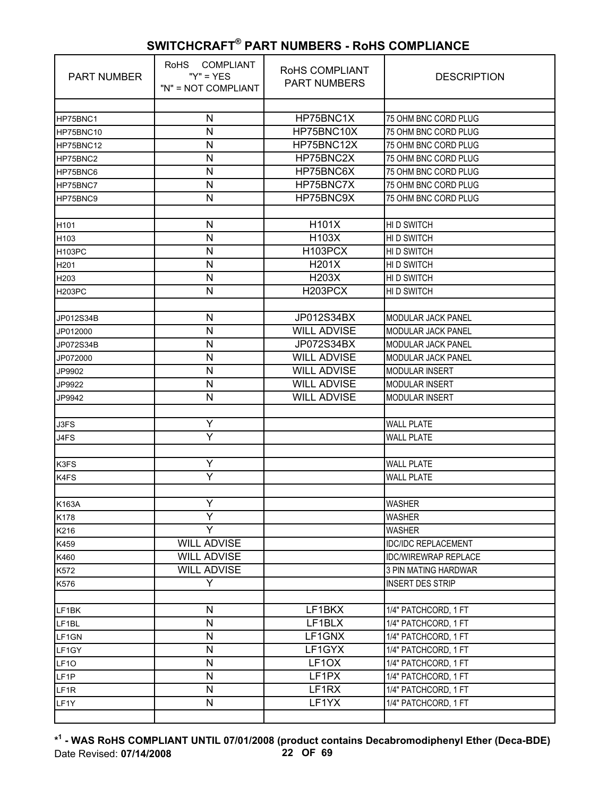| <b>PART NUMBER</b> | RoHS COMPLIANT<br>" $Y$ " = $YES$<br>"N" = NOT COMPLIANT | RoHS COMPLIANT<br><b>PART NUMBERS</b> | <b>DESCRIPTION</b>          |
|--------------------|----------------------------------------------------------|---------------------------------------|-----------------------------|
|                    |                                                          |                                       |                             |
| HP75BNC1           | N                                                        | HP75BNC1X                             | 75 OHM BNC CORD PLUG        |
| HP75BNC10          | N                                                        | HP75BNC10X                            | 75 OHM BNC CORD PLUG        |
| HP75BNC12          | N                                                        | HP75BNC12X                            | 75 OHM BNC CORD PLUG        |
| HP75BNC2           | N                                                        | HP75BNC2X                             | 75 OHM BNC CORD PLUG        |
| HP75BNC6           | N                                                        | HP75BNC6X                             | 75 OHM BNC CORD PLUG        |
| HP75BNC7           | N                                                        | HP75BNC7X                             | 75 OHM BNC CORD PLUG        |
| HP75BNC9           | N                                                        | HP75BNC9X                             | 75 OHM BNC CORD PLUG        |
|                    |                                                          |                                       |                             |
| H <sub>101</sub>   | N                                                        | H101X                                 | HID SWITCH                  |
| H103               | N                                                        | H103X                                 | HID SWITCH                  |
| H103PC             | N                                                        | H103PCX                               | HI D SWITCH                 |
| H <sub>201</sub>   | N                                                        | H201X                                 | HI D SWITCH                 |
| H <sub>203</sub>   | N                                                        | <b>H203X</b>                          | <b>HID SWITCH</b>           |
| <b>H203PC</b>      | N                                                        | H203PCX                               | HI D SWITCH                 |
|                    |                                                          |                                       |                             |
| JP012S34B          | N                                                        | JP012S34BX                            | MODULAR JACK PANEL          |
| JP012000           | N                                                        | <b>WILL ADVISE</b>                    | MODULAR JACK PANEL          |
| JP072S34B          | N                                                        | JP072S34BX                            | <b>MODULAR JACK PANEL</b>   |
| JP072000           | N                                                        | <b>WILL ADVISE</b>                    | <b>MODULAR JACK PANEL</b>   |
| JP9902             | N                                                        | <b>WILL ADVISE</b>                    | <b>MODULAR INSERT</b>       |
| JP9922             | N                                                        | <b>WILL ADVISE</b>                    | <b>MODULAR INSERT</b>       |
| JP9942             | Ν                                                        | <b>WILL ADVISE</b>                    | MODULAR INSERT              |
|                    |                                                          |                                       |                             |
| J3FS               | Υ                                                        |                                       | <b>WALL PLATE</b>           |
| J4FS               | Ÿ                                                        |                                       | <b>WALL PLATE</b>           |
|                    |                                                          |                                       |                             |
| K3FS               | Y                                                        |                                       | <b>WALL PLATE</b>           |
| K4FS               | Y                                                        |                                       | <b>WALL PLATE</b>           |
|                    |                                                          |                                       |                             |
| K163A              | Y                                                        |                                       | <b>WASHER</b>               |
| K178               | Υ                                                        |                                       | <b>WASHER</b>               |
| K216               | Y                                                        |                                       | <b>WASHER</b>               |
| K459               | <b>WILL ADVISE</b>                                       |                                       | <b>IDC/IDC REPLACEMENT</b>  |
| K460               | <b>WILL ADVISE</b>                                       |                                       | <b>IDC/WIREWRAP REPLACE</b> |
| K572               | <b>WILL ADVISE</b>                                       |                                       | 3 PIN MATING HARDWAR        |
| K576               | Y                                                        |                                       | <b>INSERT DES STRIP</b>     |
|                    |                                                          |                                       |                             |
| LF1BK              | N                                                        | LF1BKX                                | 1/4" PATCHCORD, 1 FT        |
| LF1BL              | N                                                        | LF1BLX                                | 1/4" PATCHCORD, 1 FT        |
| LF1GN              | N                                                        | LF1GNX                                | 1/4" PATCHCORD, 1 FT        |
| LF1GY              | $\mathsf{N}$                                             | LF1GYX                                | 1/4" PATCHCORD, 1 FT        |
| LF <sub>10</sub>   | N                                                        | LF1OX                                 | 1/4" PATCHCORD, 1 FT        |
| LF <sub>1P</sub>   | N                                                        | LF1PX                                 | 1/4" PATCHCORD, 1 FT        |
| LF <sub>1R</sub>   | N                                                        | LF1RX                                 | 1/4" PATCHCORD, 1 FT        |
| LF1Y               | N                                                        | LF1YX                                 | 1/4" PATCHCORD, 1 FT        |
|                    |                                                          |                                       |                             |

**\* 1 - WAS RoHS COMPLIANT UNTIL 07/01/2008 (product contains Decabromodiphenyl Ether (Deca-BDE)** Date Revised: **07/14/2008 22 OF 69**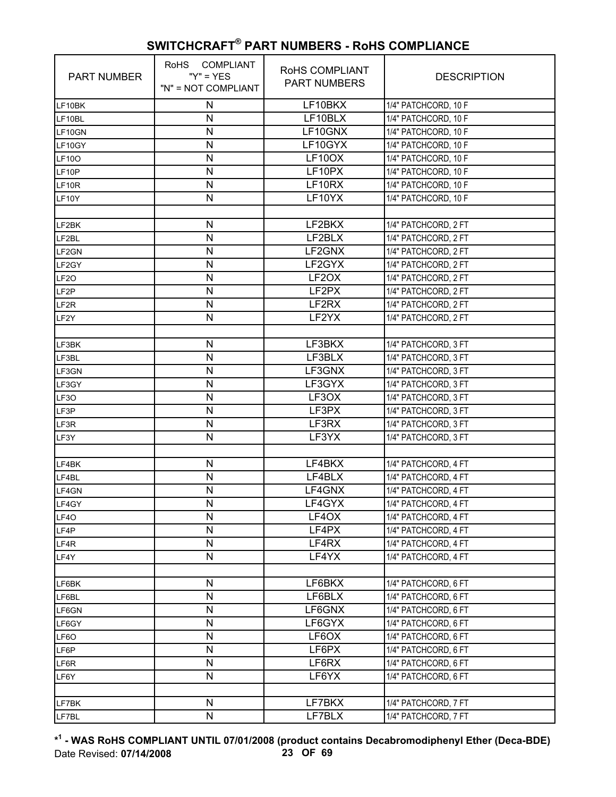| <b>PART NUMBER</b> | RoHS COMPLIANT<br>" $Y$ " = $YES$<br>"N" = NOT COMPLIANT | ROHS COMPLIANT<br><b>PART NUMBERS</b> | <b>DESCRIPTION</b>   |
|--------------------|----------------------------------------------------------|---------------------------------------|----------------------|
| LF10BK             | N                                                        | LF10BKX                               | 1/4" PATCHCORD, 10 F |
| LF10BL             | N                                                        | LF10BLX                               | 1/4" PATCHCORD, 10 F |
| LF10GN             | N                                                        | LF10GNX                               | 1/4" PATCHCORD, 10 F |
| LF10GY             | N                                                        | LF10GYX                               | 1/4" PATCHCORD, 10 F |
| <b>LF100</b>       | N                                                        | LF10OX                                | 1/4" PATCHCORD, 10 F |
| LF10P              | N                                                        | LF10PX                                | 1/4" PATCHCORD, 10 F |
| LF10R              | N                                                        | LF10RX                                | 1/4" PATCHCORD, 10 F |
| LF10Y              | N                                                        | LF10YX                                | 1/4" PATCHCORD, 10 F |
|                    |                                                          |                                       |                      |
| LF2BK              | N                                                        | LF2BKX                                | 1/4" PATCHCORD, 2 FT |
| LF2BL              | ${\sf N}$                                                | LF2BLX                                | 1/4" PATCHCORD, 2 FT |
| LF2GN              | N                                                        | LF2GNX                                | 1/4" PATCHCORD, 2 FT |
| LF2GY              | N                                                        | LF <sub>2GYX</sub>                    | 1/4" PATCHCORD, 2 FT |
| LF <sub>20</sub>   | N                                                        | LF2OX                                 | 1/4" PATCHCORD, 2 FT |
| LF <sub>2P</sub>   | N                                                        | LF2PX                                 | 1/4" PATCHCORD, 2 FT |
| LF <sub>2R</sub>   | $\mathsf{N}$                                             | LF2RX                                 | 1/4" PATCHCORD, 2 FT |
| LF <sub>2</sub> Y  | N                                                        | LF2YX                                 | 1/4" PATCHCORD, 2 FT |
|                    |                                                          |                                       |                      |
| LF3BK              | N                                                        | LF3BKX                                | 1/4" PATCHCORD, 3 FT |
| LF3BL              | N                                                        | LF3BLX                                | 1/4" PATCHCORD, 3 FT |
| LF3GN              | ${\sf N}$                                                | LF3GNX                                | 1/4" PATCHCORD, 3 FT |
| LF3GY              | N                                                        | LF3GYX                                | 1/4" PATCHCORD, 3 FT |
| LF3O               | N                                                        | LF3OX                                 | 1/4" PATCHCORD, 3 FT |
| LF3P               | N                                                        | LF3PX                                 | 1/4" PATCHCORD, 3 FT |
| LF3R               | N                                                        | LF3RX                                 | 1/4" PATCHCORD, 3 FT |
| LF3Y               | $\mathsf{N}$                                             | LF3YX                                 | 1/4" PATCHCORD, 3 FT |
|                    |                                                          |                                       |                      |
| LF4BK              | N                                                        | LF4BKX                                | 1/4" PATCHCORD, 4 FT |
| LF4BL              | N                                                        | LF4BLX                                | 1/4" PATCHCORD, 4 FT |
| LF4GN              | N                                                        | LF4GNX                                | 1/4" PATCHCORD, 4 FT |
| LF4GY              | N                                                        | LF4GYX                                | 1/4" PATCHCORD, 4 FT |
| LF4O               | N                                                        | LF4OX                                 | 1/4" PATCHCORD, 4 FT |
| LF4P               | N                                                        | LF4PX                                 | 1/4" PATCHCORD, 4 FT |
| LF4R               | N                                                        | LF4RX                                 | 1/4" PATCHCORD, 4 FT |
| LF4Y               | $\mathsf{N}$                                             | LF4YX                                 | 1/4" PATCHCORD, 4 FT |
|                    |                                                          |                                       |                      |
| LF6BK              | N                                                        | LF6BKX                                | 1/4" PATCHCORD, 6 FT |
| LF6BL              | N                                                        | LF6BLX                                | 1/4" PATCHCORD, 6 FT |
| LF6GN              | N                                                        | LF6GNX                                | 1/4" PATCHCORD, 6 FT |
| LF6GY              | N                                                        | LF6GYX                                | 1/4" PATCHCORD, 6 FT |
| LF6O               | N                                                        | LF6OX                                 | 1/4" PATCHCORD, 6 FT |
| LF6P               | N                                                        | LF6PX                                 | 1/4" PATCHCORD, 6 FT |
| LF6R               | N                                                        | LF6RX                                 | 1/4" PATCHCORD, 6 FT |
| LF6Y               | N                                                        | LF6YX                                 | 1/4" PATCHCORD, 6 FT |
|                    |                                                          |                                       |                      |
| LF7BK              | N                                                        | LF7BKX                                | 1/4" PATCHCORD, 7 FT |
| LF7BL              | N                                                        | LF7BLX                                | 1/4" PATCHCORD, 7 FT |

**\* 1 - WAS RoHS COMPLIANT UNTIL 07/01/2008 (product contains Decabromodiphenyl Ether (Deca-BDE)** Date Revised: **07/14/2008 23 OF 69**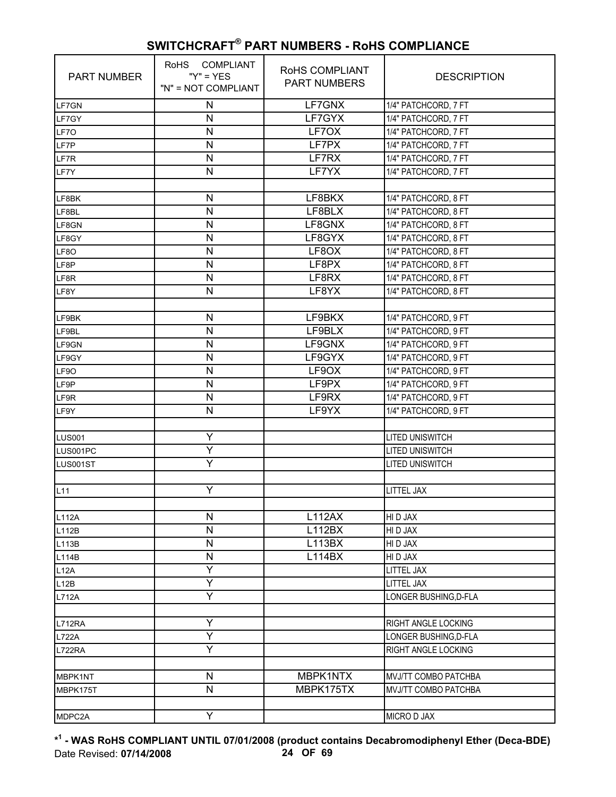| <b>PART NUMBER</b> | RoHS COMPLIANT<br>" $Y$ " = $YES$<br>"N" = NOT COMPLIANT | RoHS COMPLIANT<br><b>PART NUMBERS</b> | <b>DESCRIPTION</b>                           |
|--------------------|----------------------------------------------------------|---------------------------------------|----------------------------------------------|
| LF7GN              | ${\sf N}$                                                | LF7GNX                                | 1/4" PATCHCORD, 7 FT                         |
| LF7GY              | $\mathsf{N}$                                             | LF7GYX                                | 1/4" PATCHCORD, 7 FT                         |
| LF7O               | N                                                        | LF7OX                                 | 1/4" PATCHCORD, 7 FT                         |
| LF7P               | N                                                        | LF7PX                                 | 1/4" PATCHCORD, 7 FT                         |
| LF7R               | $\mathsf{N}$                                             | LF7RX                                 | 1/4" PATCHCORD, 7 FT                         |
| LF7Y               | $\mathsf{N}$                                             | LF7YX                                 | 1/4" PATCHCORD, 7 FT                         |
|                    |                                                          |                                       |                                              |
| LF8BK              | N                                                        | LF8BKX                                | 1/4" PATCHCORD, 8 FT                         |
| LF8BL              | $\mathsf{N}$                                             | LF8BLX                                | 1/4" PATCHCORD, 8 FT                         |
| LF8GN              | $\mathsf{N}$                                             | LF8GNX                                | 1/4" PATCHCORD, 8 FT                         |
| LF8GY              | ${\sf N}$                                                | LF8GYX                                | 1/4" PATCHCORD, 8 FT                         |
| LF8O               | $\mathsf{N}$                                             | LF8OX                                 | 1/4" PATCHCORD, 8 FT                         |
| LF8P               | N                                                        | LF8PX                                 | 1/4" PATCHCORD, 8 FT                         |
| LF8R               | $\mathsf{N}$                                             | LF8RX                                 | 1/4" PATCHCORD, 8 FT                         |
| LF8Y               | N                                                        | LF8YX                                 | 1/4" PATCHCORD, 8 FT                         |
|                    |                                                          |                                       |                                              |
| LF9BK              | N                                                        | LF9BKX                                | 1/4" PATCHCORD, 9 FT                         |
| LF9BL              | N                                                        | LF9BLX                                | 1/4" PATCHCORD, 9 FT                         |
| LF9GN              | N                                                        | LF9GNX                                | 1/4" PATCHCORD, 9 FT                         |
| LF9GY              | $\mathsf{N}$                                             | LF9GYX                                | 1/4" PATCHCORD, 9 FT                         |
| LF9O               | ${\sf N}$                                                | LF9OX                                 | 1/4" PATCHCORD, 9 FT                         |
| LF9P               | $\mathsf{N}$                                             | LF9PX                                 | 1/4" PATCHCORD, 9 FT                         |
| LF9R               | N                                                        | LF9RX                                 | 1/4" PATCHCORD, 9 FT                         |
| LF9Y               | N                                                        | LF9YX                                 | 1/4" PATCHCORD, 9 FT                         |
|                    |                                                          |                                       |                                              |
| <b>LUS001</b>      | Y                                                        |                                       | LITED UNISWITCH                              |
| LUS001PC           | Y                                                        |                                       | <b>LITED UNISWITCH</b>                       |
| LUS001ST           | Y                                                        |                                       | LITED UNISWITCH                              |
|                    |                                                          |                                       |                                              |
| L11                | Y                                                        |                                       | LITTEL JAX                                   |
|                    |                                                          |                                       |                                              |
| L112A              | N                                                        | <b>L112AX</b>                         | HI D JAX                                     |
| L112B              | N                                                        | L112BX                                | HI D JAX                                     |
| L113B              | N                                                        | L113BX                                | HI D JAX                                     |
| L114B              | $\mathsf{N}$                                             | <b>L114BX</b>                         | HI D JAX                                     |
| L12A               | Y                                                        |                                       | LITTEL JAX                                   |
| L12B               | Y<br>Υ                                                   |                                       | LITTEL JAX                                   |
| L712A              |                                                          |                                       | LONGER BUSHING, D-FLA                        |
|                    | Ÿ                                                        |                                       |                                              |
| L712RA             | Y                                                        |                                       | RIGHT ANGLE LOCKING                          |
| <b>L722A</b>       | Y                                                        |                                       | LONGER BUSHING, D-FLA                        |
| <b>L722RA</b>      |                                                          |                                       | RIGHT ANGLE LOCKING                          |
|                    | N                                                        |                                       |                                              |
| MBPK1NT            | $\mathsf{N}$                                             | MBPK1NTX<br>MBPK175TX                 | MVJ/TT COMBO PATCHBA<br>MVJ/TT COMBO PATCHBA |
| MBPK175T           |                                                          |                                       |                                              |
| MDPC2A             | Y                                                        |                                       | MICRO D JAX                                  |
|                    |                                                          |                                       |                                              |

**\* 1 - WAS RoHS COMPLIANT UNTIL 07/01/2008 (product contains Decabromodiphenyl Ether (Deca-BDE)** Date Revised: **07/14/2008 24 OF 69**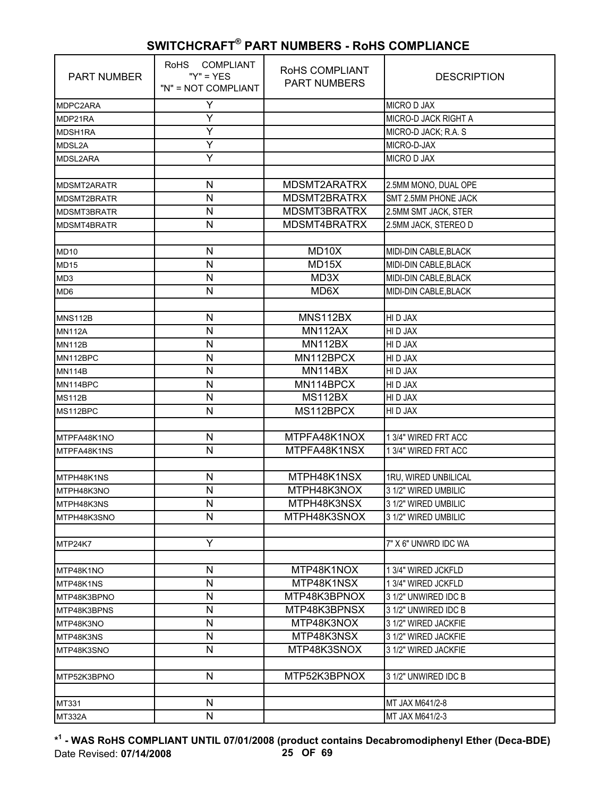| <b>PART NUMBER</b> | RoHS COMPLIANT<br>" $Y$ " = $YES$<br>"N" = NOT COMPLIANT | RoHS COMPLIANT<br><b>PART NUMBERS</b> | <b>DESCRIPTION</b>    |
|--------------------|----------------------------------------------------------|---------------------------------------|-----------------------|
| MDPC2ARA           | Υ                                                        |                                       | <b>MICRO D JAX</b>    |
| MDP21RA            | Y                                                        |                                       | MICRO-D JACK RIGHT A  |
| MDSH1RA            | Ÿ                                                        |                                       | MICRO-D JACK; R.A. S  |
| MDSL2A             | Y                                                        |                                       | MICRO-D-JAX           |
| MDSL2ARA           | Y                                                        |                                       | MICRO D JAX           |
|                    |                                                          |                                       |                       |
| MDSMT2ARATR        | N                                                        | MDSMT2ARATRX                          | 2.5MM MONO, DUAL OPE  |
| MDSMT2BRATR        | N                                                        | MDSMT2BRATRX                          | SMT 2.5MM PHONE JACK  |
| MDSMT3BRATR        | $\mathsf{N}$                                             | MDSMT3BRATRX                          | 2.5MM SMT JACK, STER  |
| MDSMT4BRATR        | $\mathsf{N}$                                             | MDSMT4BRATRX                          | 2.5MM JACK, STEREO D  |
|                    |                                                          |                                       |                       |
| <b>MD10</b>        | $\mathsf{N}$                                             | MD10X                                 | MIDI-DIN CABLE, BLACK |
| <b>MD15</b>        | N                                                        | MD15X                                 | MIDI-DIN CABLE, BLACK |
| MD <sub>3</sub>    | $\mathsf{N}$                                             | MD3X                                  | MIDI-DIN CABLE, BLACK |
| MD <sub>6</sub>    | $\mathsf{N}$                                             | MD6X                                  | MIDI-DIN CABLE, BLACK |
|                    |                                                          |                                       |                       |
| <b>MNS112B</b>     | N                                                        | MNS112BX                              | HI D JAX              |
| <b>MN112A</b>      | N                                                        | <b>MN112AX</b>                        | HI D JAX              |
| <b>MN112B</b>      | N                                                        | <b>MN112BX</b>                        | HI D JAX              |
| MN112BPC           | $\mathsf{N}$                                             | MN112BPCX                             | HI D JAX              |
| <b>MN114B</b>      | N                                                        | MN114BX                               | HI D JAX              |
| MN114BPC           | $\mathsf{N}$                                             | MN114BPCX                             | HI D JAX              |
| <b>MS112B</b>      | N                                                        | MS112BX                               | HI D JAX              |
| MS112BPC           | $\mathsf{N}$                                             | MS112BPCX                             | HI D JAX              |
|                    |                                                          |                                       |                       |
| MTPFA48K1NO        | N                                                        | MTPFA48K1NOX                          | 1 3/4" WIRED FRT ACC  |
| MTPFA48K1NS        | $\mathsf{N}$                                             | MTPFA48K1NSX                          | 1 3/4" WIRED FRT ACC  |
|                    |                                                          |                                       |                       |
| MTPH48K1NS         | $\mathsf{N}$                                             | MTPH48K1NSX                           | 1RU, WIRED UNBILICAL  |
| MTPH48K3NO         | N                                                        | MTPH48K3NOX                           | 3 1/2" WIRED UMBILIC  |
| MTPH48K3NS         | N                                                        | MTPH48K3NSX                           | 3 1/2" WIRED UMBILIC  |
| MTPH48K3SNO        | N                                                        | MTPH48K3SNOX                          | 3 1/2" WIRED UMBILIC  |
|                    |                                                          |                                       |                       |
| MTP24K7            | Y                                                        |                                       | 7" X 6" UNWRD IDC WA  |
|                    |                                                          |                                       |                       |
| MTP48K1NO          | N                                                        | MTP48K1NOX                            | 1 3/4" WIRED JCKFLD   |
| MTP48K1NS          | $\mathsf{N}$                                             | MTP48K1NSX                            | 1 3/4" WIRED JCKFLD   |
| MTP48K3BPNO        | N                                                        | MTP48K3BPNOX                          | 3 1/2" UNWIRED IDC B  |
| MTP48K3BPNS        | $\mathsf{N}$                                             | MTP48K3BPNSX                          | 3 1/2" UNWIRED IDC B  |
| MTP48K3NO          | N                                                        | MTP48K3NOX                            | 3 1/2" WIRED JACKFIE  |
| MTP48K3NS          | N                                                        | MTP48K3NSX                            | 3 1/2" WIRED JACKFIE  |
| MTP48K3SNO         | N                                                        | MTP48K3SNOX                           | 3 1/2" WIRED JACKFIE  |
|                    |                                                          |                                       |                       |
| MTP52K3BPNO        | $\mathsf{N}$                                             | MTP52K3BPNOX                          | 3 1/2" UNWIRED IDC B  |
|                    |                                                          |                                       |                       |
| MT331              | N                                                        |                                       | MT JAX M641/2-8       |
| <b>MT332A</b>      | N                                                        |                                       | MT JAX M641/2-3       |

**\* 1 - WAS RoHS COMPLIANT UNTIL 07/01/2008 (product contains Decabromodiphenyl Ether (Deca-BDE)** Date Revised: **07/14/2008 25 OF 69**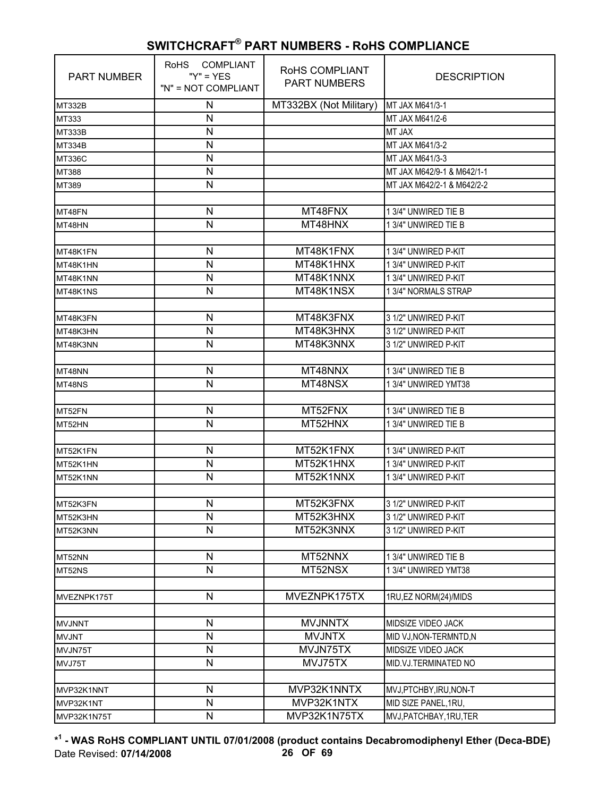| N<br>MT332BX (Not Military)<br>MT JAX M641/3-1<br>MT332B<br>N<br>MT JAX M641/2-6<br>MT333<br>N<br><b>MT JAX</b><br><b>MT333B</b><br>N<br>MT JAX M641/3-2<br><b>MT334B</b><br>$\mathsf{N}$<br>MT JAX M641/3-3<br><b>MT336C</b><br>$\mathsf{N}$<br>MT JAX M642/9-1 & M642/1-1<br>MT388<br>N<br>MT JAX M642/2-1 & M642/2-2<br>MT389<br>MT48FNX<br>N<br>1 3/4" UNWIRED TIE B<br>MT48FN<br>$\mathsf{N}$<br>MT48HNX<br>1 3/4" UNWIRED TIE B<br>MT48HN<br>MT48K1FNX<br>N<br>1 3/4" UNWIRED P-KIT<br>MT48K1FN<br>N<br>MT48K1HNX<br>1 3/4" UNWIRED P-KIT<br>MT48K1HN<br>$\mathsf{N}$<br>MT48K1NNX<br>1 3/4" UNWIRED P-KIT<br>MT48K1NN<br>$\mathsf{N}$<br>MT48K1NSX<br>1 3/4" NORMALS STRAP<br>MT48K1NS<br>MT48K3FNX<br>3 1/2" UNWIRED P-KIT<br>N<br>MT48K3FN<br>MT48K3HNX<br>N<br>3 1/2" UNWIRED P-KIT<br>MT48K3HN<br>N<br>MT48K3NNX<br>3 1/2" UNWIRED P-KIT<br>MT48K3NN<br>MT48NNX<br>N<br>1 3/4" UNWIRED TIE B<br>MT48NN<br>N<br>MT48NSX<br>1 3/4" UNWIRED YMT38<br>MT48NS<br>MT52FNX<br>N<br>1 3/4" UNWIRED TIE B<br>MT52FN<br>$\mathsf{N}$<br>MT52HNX<br>1 3/4" UNWIRED TIE B<br>MT52HN<br>MT52K1FNX<br>N<br>1 3/4" UNWIRED P-KIT<br>MT52K1FN<br>MT52K1HNX<br>N<br>1 3/4" UNWIRED P-KIT<br>MT52K1HN<br>MT52K1NNX<br>N<br>1 3/4" UNWIRED P-KIT<br>MT52K1NN<br>N<br>MT52K3FNX<br>3 1/2" UNWIRED P-KIT<br>N<br>MT52K3HNX<br>3 1/2" UNWIRED P-KIT<br>MT52K3HN<br>N<br>MT52K3NNX<br>3 1/2" UNWIRED P-KIT<br>MT52K3NN<br>$\mathsf{N}$<br>MT52NNX<br>1 3/4" UNWIRED TIE B<br>MT52NN<br>N<br>MT52NSX<br>1 3/4" UNWIRED YMT38<br>MT52NS<br>MVEZNPK175TX<br>$\mathsf{N}$<br>1RU, EZ NORM(24)/MIDS<br>MVEZNPK175T<br>$\mathsf{N}$<br><b>MVJNNTX</b><br>MIDSIZE VIDEO JACK<br><b>MVJNNT</b><br>$\mathsf{N}$<br><b>MVJNTX</b><br>MID VJ, NON-TERMNTD, N<br><b>MVJNT</b><br>$\mathsf{N}$<br>MVJN75TX<br>MIDSIZE VIDEO JACK<br>MVJN75T<br>N<br>MVJ75TX<br>MID.VJ.TERMINATED NO<br>MVJ75T<br>$\mathsf{N}$<br>MVP32K1NNTX<br>MVJ, PTCHBY, IRU, NON-T<br>MVP32K1NNT<br>N<br>MVP32K1NTX<br>MID SIZE PANEL, 1RU,<br>MVP32K1NT<br>$\mathsf{N}$<br>MVP32K1N75TX<br>MVJ, PATCHBAY, 1RU, TER<br>MVP32K1N75T | <b>PART NUMBER</b> | RoHS COMPLIANT<br>" $Y$ " = $YES$<br>"N" = NOT COMPLIANT | RoHS COMPLIANT<br><b>PART NUMBERS</b> | <b>DESCRIPTION</b> |
|--------------------------------------------------------------------------------------------------------------------------------------------------------------------------------------------------------------------------------------------------------------------------------------------------------------------------------------------------------------------------------------------------------------------------------------------------------------------------------------------------------------------------------------------------------------------------------------------------------------------------------------------------------------------------------------------------------------------------------------------------------------------------------------------------------------------------------------------------------------------------------------------------------------------------------------------------------------------------------------------------------------------------------------------------------------------------------------------------------------------------------------------------------------------------------------------------------------------------------------------------------------------------------------------------------------------------------------------------------------------------------------------------------------------------------------------------------------------------------------------------------------------------------------------------------------------------------------------------------------------------------------------------------------------------------------------------------------------------------------------------------------------------------------------------------------------------------------------------------------------------------------------------------------------------------------------------------------------------------------------------------------------------------------------------------------------------------|--------------------|----------------------------------------------------------|---------------------------------------|--------------------|
|                                                                                                                                                                                                                                                                                                                                                                                                                                                                                                                                                                                                                                                                                                                                                                                                                                                                                                                                                                                                                                                                                                                                                                                                                                                                                                                                                                                                                                                                                                                                                                                                                                                                                                                                                                                                                                                                                                                                                                                                                                                                                |                    |                                                          |                                       |                    |
|                                                                                                                                                                                                                                                                                                                                                                                                                                                                                                                                                                                                                                                                                                                                                                                                                                                                                                                                                                                                                                                                                                                                                                                                                                                                                                                                                                                                                                                                                                                                                                                                                                                                                                                                                                                                                                                                                                                                                                                                                                                                                |                    |                                                          |                                       |                    |
|                                                                                                                                                                                                                                                                                                                                                                                                                                                                                                                                                                                                                                                                                                                                                                                                                                                                                                                                                                                                                                                                                                                                                                                                                                                                                                                                                                                                                                                                                                                                                                                                                                                                                                                                                                                                                                                                                                                                                                                                                                                                                |                    |                                                          |                                       |                    |
|                                                                                                                                                                                                                                                                                                                                                                                                                                                                                                                                                                                                                                                                                                                                                                                                                                                                                                                                                                                                                                                                                                                                                                                                                                                                                                                                                                                                                                                                                                                                                                                                                                                                                                                                                                                                                                                                                                                                                                                                                                                                                |                    |                                                          |                                       |                    |
|                                                                                                                                                                                                                                                                                                                                                                                                                                                                                                                                                                                                                                                                                                                                                                                                                                                                                                                                                                                                                                                                                                                                                                                                                                                                                                                                                                                                                                                                                                                                                                                                                                                                                                                                                                                                                                                                                                                                                                                                                                                                                |                    |                                                          |                                       |                    |
|                                                                                                                                                                                                                                                                                                                                                                                                                                                                                                                                                                                                                                                                                                                                                                                                                                                                                                                                                                                                                                                                                                                                                                                                                                                                                                                                                                                                                                                                                                                                                                                                                                                                                                                                                                                                                                                                                                                                                                                                                                                                                |                    |                                                          |                                       |                    |
|                                                                                                                                                                                                                                                                                                                                                                                                                                                                                                                                                                                                                                                                                                                                                                                                                                                                                                                                                                                                                                                                                                                                                                                                                                                                                                                                                                                                                                                                                                                                                                                                                                                                                                                                                                                                                                                                                                                                                                                                                                                                                |                    |                                                          |                                       |                    |
|                                                                                                                                                                                                                                                                                                                                                                                                                                                                                                                                                                                                                                                                                                                                                                                                                                                                                                                                                                                                                                                                                                                                                                                                                                                                                                                                                                                                                                                                                                                                                                                                                                                                                                                                                                                                                                                                                                                                                                                                                                                                                |                    |                                                          |                                       |                    |
|                                                                                                                                                                                                                                                                                                                                                                                                                                                                                                                                                                                                                                                                                                                                                                                                                                                                                                                                                                                                                                                                                                                                                                                                                                                                                                                                                                                                                                                                                                                                                                                                                                                                                                                                                                                                                                                                                                                                                                                                                                                                                |                    |                                                          |                                       |                    |
|                                                                                                                                                                                                                                                                                                                                                                                                                                                                                                                                                                                                                                                                                                                                                                                                                                                                                                                                                                                                                                                                                                                                                                                                                                                                                                                                                                                                                                                                                                                                                                                                                                                                                                                                                                                                                                                                                                                                                                                                                                                                                |                    |                                                          |                                       |                    |
|                                                                                                                                                                                                                                                                                                                                                                                                                                                                                                                                                                                                                                                                                                                                                                                                                                                                                                                                                                                                                                                                                                                                                                                                                                                                                                                                                                                                                                                                                                                                                                                                                                                                                                                                                                                                                                                                                                                                                                                                                                                                                |                    |                                                          |                                       |                    |
|                                                                                                                                                                                                                                                                                                                                                                                                                                                                                                                                                                                                                                                                                                                                                                                                                                                                                                                                                                                                                                                                                                                                                                                                                                                                                                                                                                                                                                                                                                                                                                                                                                                                                                                                                                                                                                                                                                                                                                                                                                                                                |                    |                                                          |                                       |                    |
|                                                                                                                                                                                                                                                                                                                                                                                                                                                                                                                                                                                                                                                                                                                                                                                                                                                                                                                                                                                                                                                                                                                                                                                                                                                                                                                                                                                                                                                                                                                                                                                                                                                                                                                                                                                                                                                                                                                                                                                                                                                                                |                    |                                                          |                                       |                    |
|                                                                                                                                                                                                                                                                                                                                                                                                                                                                                                                                                                                                                                                                                                                                                                                                                                                                                                                                                                                                                                                                                                                                                                                                                                                                                                                                                                                                                                                                                                                                                                                                                                                                                                                                                                                                                                                                                                                                                                                                                                                                                |                    |                                                          |                                       |                    |
|                                                                                                                                                                                                                                                                                                                                                                                                                                                                                                                                                                                                                                                                                                                                                                                                                                                                                                                                                                                                                                                                                                                                                                                                                                                                                                                                                                                                                                                                                                                                                                                                                                                                                                                                                                                                                                                                                                                                                                                                                                                                                |                    |                                                          |                                       |                    |
|                                                                                                                                                                                                                                                                                                                                                                                                                                                                                                                                                                                                                                                                                                                                                                                                                                                                                                                                                                                                                                                                                                                                                                                                                                                                                                                                                                                                                                                                                                                                                                                                                                                                                                                                                                                                                                                                                                                                                                                                                                                                                |                    |                                                          |                                       |                    |
|                                                                                                                                                                                                                                                                                                                                                                                                                                                                                                                                                                                                                                                                                                                                                                                                                                                                                                                                                                                                                                                                                                                                                                                                                                                                                                                                                                                                                                                                                                                                                                                                                                                                                                                                                                                                                                                                                                                                                                                                                                                                                |                    |                                                          |                                       |                    |
|                                                                                                                                                                                                                                                                                                                                                                                                                                                                                                                                                                                                                                                                                                                                                                                                                                                                                                                                                                                                                                                                                                                                                                                                                                                                                                                                                                                                                                                                                                                                                                                                                                                                                                                                                                                                                                                                                                                                                                                                                                                                                |                    |                                                          |                                       |                    |
|                                                                                                                                                                                                                                                                                                                                                                                                                                                                                                                                                                                                                                                                                                                                                                                                                                                                                                                                                                                                                                                                                                                                                                                                                                                                                                                                                                                                                                                                                                                                                                                                                                                                                                                                                                                                                                                                                                                                                                                                                                                                                |                    |                                                          |                                       |                    |
|                                                                                                                                                                                                                                                                                                                                                                                                                                                                                                                                                                                                                                                                                                                                                                                                                                                                                                                                                                                                                                                                                                                                                                                                                                                                                                                                                                                                                                                                                                                                                                                                                                                                                                                                                                                                                                                                                                                                                                                                                                                                                |                    |                                                          |                                       |                    |
|                                                                                                                                                                                                                                                                                                                                                                                                                                                                                                                                                                                                                                                                                                                                                                                                                                                                                                                                                                                                                                                                                                                                                                                                                                                                                                                                                                                                                                                                                                                                                                                                                                                                                                                                                                                                                                                                                                                                                                                                                                                                                |                    |                                                          |                                       |                    |
|                                                                                                                                                                                                                                                                                                                                                                                                                                                                                                                                                                                                                                                                                                                                                                                                                                                                                                                                                                                                                                                                                                                                                                                                                                                                                                                                                                                                                                                                                                                                                                                                                                                                                                                                                                                                                                                                                                                                                                                                                                                                                |                    |                                                          |                                       |                    |
|                                                                                                                                                                                                                                                                                                                                                                                                                                                                                                                                                                                                                                                                                                                                                                                                                                                                                                                                                                                                                                                                                                                                                                                                                                                                                                                                                                                                                                                                                                                                                                                                                                                                                                                                                                                                                                                                                                                                                                                                                                                                                |                    |                                                          |                                       |                    |
|                                                                                                                                                                                                                                                                                                                                                                                                                                                                                                                                                                                                                                                                                                                                                                                                                                                                                                                                                                                                                                                                                                                                                                                                                                                                                                                                                                                                                                                                                                                                                                                                                                                                                                                                                                                                                                                                                                                                                                                                                                                                                |                    |                                                          |                                       |                    |
|                                                                                                                                                                                                                                                                                                                                                                                                                                                                                                                                                                                                                                                                                                                                                                                                                                                                                                                                                                                                                                                                                                                                                                                                                                                                                                                                                                                                                                                                                                                                                                                                                                                                                                                                                                                                                                                                                                                                                                                                                                                                                |                    |                                                          |                                       |                    |
|                                                                                                                                                                                                                                                                                                                                                                                                                                                                                                                                                                                                                                                                                                                                                                                                                                                                                                                                                                                                                                                                                                                                                                                                                                                                                                                                                                                                                                                                                                                                                                                                                                                                                                                                                                                                                                                                                                                                                                                                                                                                                |                    |                                                          |                                       |                    |
|                                                                                                                                                                                                                                                                                                                                                                                                                                                                                                                                                                                                                                                                                                                                                                                                                                                                                                                                                                                                                                                                                                                                                                                                                                                                                                                                                                                                                                                                                                                                                                                                                                                                                                                                                                                                                                                                                                                                                                                                                                                                                |                    |                                                          |                                       |                    |
|                                                                                                                                                                                                                                                                                                                                                                                                                                                                                                                                                                                                                                                                                                                                                                                                                                                                                                                                                                                                                                                                                                                                                                                                                                                                                                                                                                                                                                                                                                                                                                                                                                                                                                                                                                                                                                                                                                                                                                                                                                                                                |                    |                                                          |                                       |                    |
|                                                                                                                                                                                                                                                                                                                                                                                                                                                                                                                                                                                                                                                                                                                                                                                                                                                                                                                                                                                                                                                                                                                                                                                                                                                                                                                                                                                                                                                                                                                                                                                                                                                                                                                                                                                                                                                                                                                                                                                                                                                                                |                    |                                                          |                                       |                    |
|                                                                                                                                                                                                                                                                                                                                                                                                                                                                                                                                                                                                                                                                                                                                                                                                                                                                                                                                                                                                                                                                                                                                                                                                                                                                                                                                                                                                                                                                                                                                                                                                                                                                                                                                                                                                                                                                                                                                                                                                                                                                                |                    |                                                          |                                       |                    |
|                                                                                                                                                                                                                                                                                                                                                                                                                                                                                                                                                                                                                                                                                                                                                                                                                                                                                                                                                                                                                                                                                                                                                                                                                                                                                                                                                                                                                                                                                                                                                                                                                                                                                                                                                                                                                                                                                                                                                                                                                                                                                | MT52K3FN           |                                                          |                                       |                    |
|                                                                                                                                                                                                                                                                                                                                                                                                                                                                                                                                                                                                                                                                                                                                                                                                                                                                                                                                                                                                                                                                                                                                                                                                                                                                                                                                                                                                                                                                                                                                                                                                                                                                                                                                                                                                                                                                                                                                                                                                                                                                                |                    |                                                          |                                       |                    |
|                                                                                                                                                                                                                                                                                                                                                                                                                                                                                                                                                                                                                                                                                                                                                                                                                                                                                                                                                                                                                                                                                                                                                                                                                                                                                                                                                                                                                                                                                                                                                                                                                                                                                                                                                                                                                                                                                                                                                                                                                                                                                |                    |                                                          |                                       |                    |
|                                                                                                                                                                                                                                                                                                                                                                                                                                                                                                                                                                                                                                                                                                                                                                                                                                                                                                                                                                                                                                                                                                                                                                                                                                                                                                                                                                                                                                                                                                                                                                                                                                                                                                                                                                                                                                                                                                                                                                                                                                                                                |                    |                                                          |                                       |                    |
|                                                                                                                                                                                                                                                                                                                                                                                                                                                                                                                                                                                                                                                                                                                                                                                                                                                                                                                                                                                                                                                                                                                                                                                                                                                                                                                                                                                                                                                                                                                                                                                                                                                                                                                                                                                                                                                                                                                                                                                                                                                                                |                    |                                                          |                                       |                    |
|                                                                                                                                                                                                                                                                                                                                                                                                                                                                                                                                                                                                                                                                                                                                                                                                                                                                                                                                                                                                                                                                                                                                                                                                                                                                                                                                                                                                                                                                                                                                                                                                                                                                                                                                                                                                                                                                                                                                                                                                                                                                                |                    |                                                          |                                       |                    |
|                                                                                                                                                                                                                                                                                                                                                                                                                                                                                                                                                                                                                                                                                                                                                                                                                                                                                                                                                                                                                                                                                                                                                                                                                                                                                                                                                                                                                                                                                                                                                                                                                                                                                                                                                                                                                                                                                                                                                                                                                                                                                |                    |                                                          |                                       |                    |
|                                                                                                                                                                                                                                                                                                                                                                                                                                                                                                                                                                                                                                                                                                                                                                                                                                                                                                                                                                                                                                                                                                                                                                                                                                                                                                                                                                                                                                                                                                                                                                                                                                                                                                                                                                                                                                                                                                                                                                                                                                                                                |                    |                                                          |                                       |                    |
|                                                                                                                                                                                                                                                                                                                                                                                                                                                                                                                                                                                                                                                                                                                                                                                                                                                                                                                                                                                                                                                                                                                                                                                                                                                                                                                                                                                                                                                                                                                                                                                                                                                                                                                                                                                                                                                                                                                                                                                                                                                                                |                    |                                                          |                                       |                    |
|                                                                                                                                                                                                                                                                                                                                                                                                                                                                                                                                                                                                                                                                                                                                                                                                                                                                                                                                                                                                                                                                                                                                                                                                                                                                                                                                                                                                                                                                                                                                                                                                                                                                                                                                                                                                                                                                                                                                                                                                                                                                                |                    |                                                          |                                       |                    |
|                                                                                                                                                                                                                                                                                                                                                                                                                                                                                                                                                                                                                                                                                                                                                                                                                                                                                                                                                                                                                                                                                                                                                                                                                                                                                                                                                                                                                                                                                                                                                                                                                                                                                                                                                                                                                                                                                                                                                                                                                                                                                |                    |                                                          |                                       |                    |
|                                                                                                                                                                                                                                                                                                                                                                                                                                                                                                                                                                                                                                                                                                                                                                                                                                                                                                                                                                                                                                                                                                                                                                                                                                                                                                                                                                                                                                                                                                                                                                                                                                                                                                                                                                                                                                                                                                                                                                                                                                                                                |                    |                                                          |                                       |                    |
|                                                                                                                                                                                                                                                                                                                                                                                                                                                                                                                                                                                                                                                                                                                                                                                                                                                                                                                                                                                                                                                                                                                                                                                                                                                                                                                                                                                                                                                                                                                                                                                                                                                                                                                                                                                                                                                                                                                                                                                                                                                                                |                    |                                                          |                                       |                    |
|                                                                                                                                                                                                                                                                                                                                                                                                                                                                                                                                                                                                                                                                                                                                                                                                                                                                                                                                                                                                                                                                                                                                                                                                                                                                                                                                                                                                                                                                                                                                                                                                                                                                                                                                                                                                                                                                                                                                                                                                                                                                                |                    |                                                          |                                       |                    |
|                                                                                                                                                                                                                                                                                                                                                                                                                                                                                                                                                                                                                                                                                                                                                                                                                                                                                                                                                                                                                                                                                                                                                                                                                                                                                                                                                                                                                                                                                                                                                                                                                                                                                                                                                                                                                                                                                                                                                                                                                                                                                |                    |                                                          |                                       |                    |
|                                                                                                                                                                                                                                                                                                                                                                                                                                                                                                                                                                                                                                                                                                                                                                                                                                                                                                                                                                                                                                                                                                                                                                                                                                                                                                                                                                                                                                                                                                                                                                                                                                                                                                                                                                                                                                                                                                                                                                                                                                                                                |                    |                                                          |                                       |                    |

**\* 1 - WAS RoHS COMPLIANT UNTIL 07/01/2008 (product contains Decabromodiphenyl Ether (Deca-BDE)** Date Revised: **07/14/2008 26 OF 69**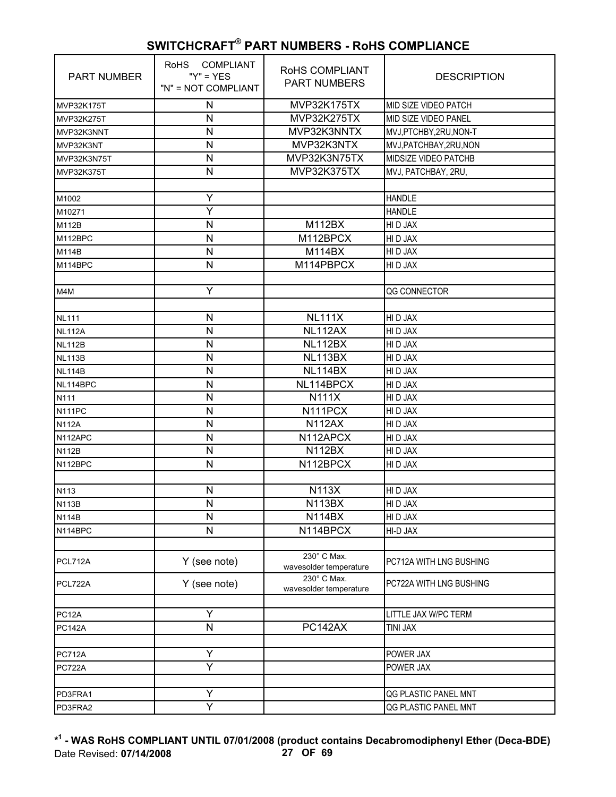| PART NUMBER   | <b>COMPLIANT</b><br><b>RoHS</b><br>" $Y$ " = $YES$<br>"N" = NOT COMPLIANT | RoHS COMPLIANT<br><b>PART NUMBERS</b> | <b>DESCRIPTION</b>      |
|---------------|---------------------------------------------------------------------------|---------------------------------------|-------------------------|
| MVP32K175T    | N                                                                         | MVP32K175TX                           | MID SIZE VIDEO PATCH    |
| MVP32K275T    | N                                                                         | MVP32K275TX                           | MID SIZE VIDEO PANEL    |
| MVP32K3NNT    | N                                                                         | MVP32K3NNTX                           | MVJ,PTCHBY,2RU,NON-T    |
| MVP32K3NT     | $\mathsf{N}$                                                              | MVP32K3NTX                            | MVJ, PATCHBAY, 2RU, NON |
| MVP32K3N75T   | $\mathsf{N}$                                                              | MVP32K3N75TX                          | MIDSIZE VIDEO PATCHB    |
| MVP32K375T    | $\mathsf{N}$                                                              | MVP32K375TX                           | MVJ, PATCHBAY, 2RU,     |
|               |                                                                           |                                       |                         |
| M1002         | Ÿ                                                                         |                                       | <b>HANDLE</b>           |
| M10271        | Υ                                                                         |                                       | <b>HANDLE</b>           |
| M112B         | $\mathsf{N}$                                                              | <b>M112BX</b>                         | HI D JAX                |
| M112BPC       | $\mathsf{N}$                                                              | M112BPCX                              | HI D JAX                |
| M114B         | N                                                                         | M114BX                                | HI D JAX                |
| M114BPC       | N                                                                         | M114PBPCX                             | HI D JAX                |
|               |                                                                           |                                       |                         |
| M4M           | Y                                                                         |                                       | QG CONNECTOR            |
|               |                                                                           |                                       |                         |
| <b>NL111</b>  | $\mathsf{N}$                                                              | NL111X                                | HI D JAX                |
| <b>NL112A</b> | $\mathsf{N}$                                                              | NL112AX                               | HI D JAX                |
| <b>NL112B</b> | N                                                                         | NL112BX                               | HI D JAX                |
| <b>NL113B</b> | ${\sf N}$                                                                 | NL113BX                               | HI D JAX                |
| <b>NL114B</b> | $\mathsf{N}$                                                              | NL114BX                               | HI D JAX                |
| NL114BPC      | N                                                                         | NL114BPCX                             | HI D JAX                |
| N111          | $\mathsf{N}$                                                              | <b>N111X</b>                          | HI D JAX                |
| N111PC        | $\mathsf{N}$                                                              | N111PCX                               | HI D JAX                |
| <b>N112A</b>  | $\mathsf{N}$                                                              | <b>N112AX</b>                         | HI D JAX                |
| N112APC       | $\mathsf{N}$                                                              | N112APCX                              | HI D JAX                |
| <b>N112B</b>  | N                                                                         | <b>N112BX</b>                         | HI D JAX                |
| N112BPC       | N                                                                         | N112BPCX                              | HI D JAX                |
|               |                                                                           |                                       |                         |
| N113          | ${\sf N}$                                                                 | <b>N113X</b>                          | HI D JAX                |
| <b>N113B</b>  | N                                                                         | <b>N113BX</b>                         | HI D JAX                |
| <b>N114B</b>  | N                                                                         | <b>N114BX</b>                         | HI D JAX                |
| N114BPC       | N                                                                         | N114BPCX                              | HI-D JAX                |
|               |                                                                           |                                       |                         |
| PCL712A       | Y (see note)                                                              | 230° C Max.<br>wavesolder temperature | PC712A WITH LNG BUSHING |
| PCL722A       | Y (see note)                                                              | 230° C Max.<br>wavesolder temperature | PC722A WITH LNG BUSHING |
|               |                                                                           |                                       |                         |
| PC12A         | Y                                                                         |                                       | LITTLE JAX W/PC TERM    |
| <b>PC142A</b> | N                                                                         | PC142AX                               | <b>TINI JAX</b>         |
| <b>PC712A</b> | Y                                                                         |                                       | POWER JAX               |
| <b>PC722A</b> | Y                                                                         |                                       | POWER JAX               |
|               |                                                                           |                                       |                         |
| PD3FRA1       | Y                                                                         |                                       | QG PLASTIC PANEL MNT    |
| PD3FRA2       | $\overline{\mathsf{Y}}$                                                   |                                       | QG PLASTIC PANEL MNT    |

**\* 1 - WAS RoHS COMPLIANT UNTIL 07/01/2008 (product contains Decabromodiphenyl Ether (Deca-BDE)** Date Revised: **07/14/2008 27 OF 69**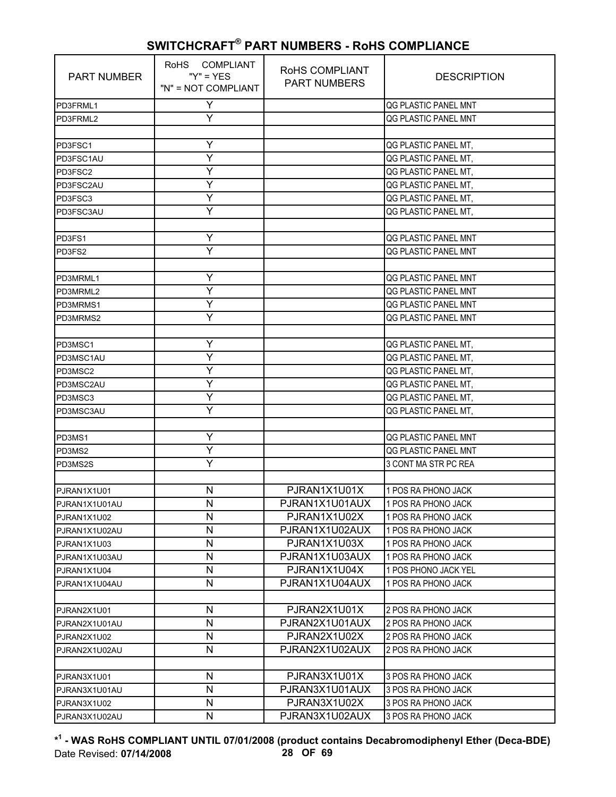| Y<br>QG PLASTIC PANEL MNT<br>PD3FRML1<br>Y<br>QG PLASTIC PANEL MNT<br>PD3FRML2<br>Υ<br>QG PLASTIC PANEL MT,<br>PD3FSC1<br>Y<br>QG PLASTIC PANEL MT,<br>PD3FSC1AU<br>Y<br>QG PLASTIC PANEL MT,<br>PD3FSC2<br>Υ<br>QG PLASTIC PANEL MT,<br>PD3FSC2AU<br>Y<br>QG PLASTIC PANEL MT,<br>PD3FSC3<br>Ý<br>QG PLASTIC PANEL MT,<br>PD3FSC3AU<br>Y<br>QG PLASTIC PANEL MNT<br>PD3FS1<br>Y<br>QG PLASTIC PANEL MNT<br>PD3FS2<br>Υ<br>QG PLASTIC PANEL MNT<br>$\overline{Y}$<br>QG PLASTIC PANEL MNT<br>PD3MRML2<br>Ÿ<br>QG PLASTIC PANEL MNT<br>PD3MRMS1<br>Y<br>QG PLASTIC PANEL MNT<br>Υ<br>QG PLASTIC PANEL MT,<br>PD3MSC1<br>Ÿ<br>QG PLASTIC PANEL MT,<br>PD3MSC1AU<br>Y<br>QG PLASTIC PANEL MT,<br>PD3MSC2<br>Υ<br>QG PLASTIC PANEL MT,<br>PD3MSC2AU<br>Y<br>QG PLASTIC PANEL MT,<br>PD3MSC3<br>Ý<br>QG PLASTIC PANEL MT,<br>PD3MSC3AU<br>Y<br>QG PLASTIC PANEL MNT<br>PD3MS1<br>Υ<br>QG PLASTIC PANEL MNT<br>PD3MS2<br>Y<br>3 CONT MA STR PC REA<br>PD3MS2S<br>PJRAN1X1U01X<br>$\mathsf{N}$<br>1 POS RA PHONO JACK<br>PJRAN1X1U01<br>N<br>PJRAN1X1U01AUX<br>1 POS RA PHONO JACK<br>PJRAN1X1U01AU<br>PJRAN1X1U02X<br>N<br>1 POS RA PHONO JACK<br>PJRAN1X1U02<br>N<br>PJRAN1X1U02AUX<br>1 POS RA PHONO JACK<br>PJRAN1X1U02AU<br>N<br>PJRAN1X1U03X<br>1 POS RA PHONO JACK<br>PJRAN1X1U03<br>$\mathsf{N}$<br>PJRAN1X1U03AUX<br>1 POS RA PHONO JACK<br>PJRAN1X1U03AU<br>N<br>PJRAN1X1U04X<br>1 POS PHONO JACK YEL<br>PJRAN1X1U04<br>N<br>PJRAN1X1U04AUX<br>1 POS RA PHONO JACK<br>PJRAN1X1U04AU<br>PJRAN2X1U01X<br>N<br>2 POS RA PHONO JACK<br>PJRAN2X1U01<br>N<br>PJRAN2X1U01AUX<br>2 POS RA PHONO JACK<br>PJRAN2X1U01AU<br>N<br>PJRAN2X1U02X<br>2 POS RA PHONO JACK<br>PJRAN2X1U02<br>N<br>PJRAN2X1U02AUX<br>2 POS RA PHONO JACK<br>PJRAN2X1U02AU<br>PJRAN3X1U01X<br>N<br>3 POS RA PHONO JACK<br>PJRAN3X1U01<br>N<br>PJRAN3X1U01AUX<br>3 POS RA PHONO JACK<br>PJRAN3X1U01AU<br>N<br>PJRAN3X1U02X<br>3 POS RA PHONO JACK<br>PJRAN3X1U02 | <b>PART NUMBER</b> | RoHS COMPLIANT<br>" $Y$ " = $YES$<br>"N" = NOT COMPLIANT | RoHS COMPLIANT<br><b>PART NUMBERS</b> | <b>DESCRIPTION</b>  |
|---------------------------------------------------------------------------------------------------------------------------------------------------------------------------------------------------------------------------------------------------------------------------------------------------------------------------------------------------------------------------------------------------------------------------------------------------------------------------------------------------------------------------------------------------------------------------------------------------------------------------------------------------------------------------------------------------------------------------------------------------------------------------------------------------------------------------------------------------------------------------------------------------------------------------------------------------------------------------------------------------------------------------------------------------------------------------------------------------------------------------------------------------------------------------------------------------------------------------------------------------------------------------------------------------------------------------------------------------------------------------------------------------------------------------------------------------------------------------------------------------------------------------------------------------------------------------------------------------------------------------------------------------------------------------------------------------------------------------------------------------------------------------------------------------------------------------------------------------------------------------------------------------------------------------------|--------------------|----------------------------------------------------------|---------------------------------------|---------------------|
|                                                                                                                                                                                                                                                                                                                                                                                                                                                                                                                                                                                                                                                                                                                                                                                                                                                                                                                                                                                                                                                                                                                                                                                                                                                                                                                                                                                                                                                                                                                                                                                                                                                                                                                                                                                                                                                                                                                                 |                    |                                                          |                                       |                     |
|                                                                                                                                                                                                                                                                                                                                                                                                                                                                                                                                                                                                                                                                                                                                                                                                                                                                                                                                                                                                                                                                                                                                                                                                                                                                                                                                                                                                                                                                                                                                                                                                                                                                                                                                                                                                                                                                                                                                 |                    |                                                          |                                       |                     |
|                                                                                                                                                                                                                                                                                                                                                                                                                                                                                                                                                                                                                                                                                                                                                                                                                                                                                                                                                                                                                                                                                                                                                                                                                                                                                                                                                                                                                                                                                                                                                                                                                                                                                                                                                                                                                                                                                                                                 |                    |                                                          |                                       |                     |
|                                                                                                                                                                                                                                                                                                                                                                                                                                                                                                                                                                                                                                                                                                                                                                                                                                                                                                                                                                                                                                                                                                                                                                                                                                                                                                                                                                                                                                                                                                                                                                                                                                                                                                                                                                                                                                                                                                                                 |                    |                                                          |                                       |                     |
|                                                                                                                                                                                                                                                                                                                                                                                                                                                                                                                                                                                                                                                                                                                                                                                                                                                                                                                                                                                                                                                                                                                                                                                                                                                                                                                                                                                                                                                                                                                                                                                                                                                                                                                                                                                                                                                                                                                                 |                    |                                                          |                                       |                     |
|                                                                                                                                                                                                                                                                                                                                                                                                                                                                                                                                                                                                                                                                                                                                                                                                                                                                                                                                                                                                                                                                                                                                                                                                                                                                                                                                                                                                                                                                                                                                                                                                                                                                                                                                                                                                                                                                                                                                 |                    |                                                          |                                       |                     |
|                                                                                                                                                                                                                                                                                                                                                                                                                                                                                                                                                                                                                                                                                                                                                                                                                                                                                                                                                                                                                                                                                                                                                                                                                                                                                                                                                                                                                                                                                                                                                                                                                                                                                                                                                                                                                                                                                                                                 |                    |                                                          |                                       |                     |
|                                                                                                                                                                                                                                                                                                                                                                                                                                                                                                                                                                                                                                                                                                                                                                                                                                                                                                                                                                                                                                                                                                                                                                                                                                                                                                                                                                                                                                                                                                                                                                                                                                                                                                                                                                                                                                                                                                                                 |                    |                                                          |                                       |                     |
|                                                                                                                                                                                                                                                                                                                                                                                                                                                                                                                                                                                                                                                                                                                                                                                                                                                                                                                                                                                                                                                                                                                                                                                                                                                                                                                                                                                                                                                                                                                                                                                                                                                                                                                                                                                                                                                                                                                                 |                    |                                                          |                                       |                     |
|                                                                                                                                                                                                                                                                                                                                                                                                                                                                                                                                                                                                                                                                                                                                                                                                                                                                                                                                                                                                                                                                                                                                                                                                                                                                                                                                                                                                                                                                                                                                                                                                                                                                                                                                                                                                                                                                                                                                 |                    |                                                          |                                       |                     |
|                                                                                                                                                                                                                                                                                                                                                                                                                                                                                                                                                                                                                                                                                                                                                                                                                                                                                                                                                                                                                                                                                                                                                                                                                                                                                                                                                                                                                                                                                                                                                                                                                                                                                                                                                                                                                                                                                                                                 |                    |                                                          |                                       |                     |
|                                                                                                                                                                                                                                                                                                                                                                                                                                                                                                                                                                                                                                                                                                                                                                                                                                                                                                                                                                                                                                                                                                                                                                                                                                                                                                                                                                                                                                                                                                                                                                                                                                                                                                                                                                                                                                                                                                                                 |                    |                                                          |                                       |                     |
|                                                                                                                                                                                                                                                                                                                                                                                                                                                                                                                                                                                                                                                                                                                                                                                                                                                                                                                                                                                                                                                                                                                                                                                                                                                                                                                                                                                                                                                                                                                                                                                                                                                                                                                                                                                                                                                                                                                                 |                    |                                                          |                                       |                     |
|                                                                                                                                                                                                                                                                                                                                                                                                                                                                                                                                                                                                                                                                                                                                                                                                                                                                                                                                                                                                                                                                                                                                                                                                                                                                                                                                                                                                                                                                                                                                                                                                                                                                                                                                                                                                                                                                                                                                 | PD3MRML1           |                                                          |                                       |                     |
|                                                                                                                                                                                                                                                                                                                                                                                                                                                                                                                                                                                                                                                                                                                                                                                                                                                                                                                                                                                                                                                                                                                                                                                                                                                                                                                                                                                                                                                                                                                                                                                                                                                                                                                                                                                                                                                                                                                                 |                    |                                                          |                                       |                     |
|                                                                                                                                                                                                                                                                                                                                                                                                                                                                                                                                                                                                                                                                                                                                                                                                                                                                                                                                                                                                                                                                                                                                                                                                                                                                                                                                                                                                                                                                                                                                                                                                                                                                                                                                                                                                                                                                                                                                 |                    |                                                          |                                       |                     |
|                                                                                                                                                                                                                                                                                                                                                                                                                                                                                                                                                                                                                                                                                                                                                                                                                                                                                                                                                                                                                                                                                                                                                                                                                                                                                                                                                                                                                                                                                                                                                                                                                                                                                                                                                                                                                                                                                                                                 | PD3MRMS2           |                                                          |                                       |                     |
|                                                                                                                                                                                                                                                                                                                                                                                                                                                                                                                                                                                                                                                                                                                                                                                                                                                                                                                                                                                                                                                                                                                                                                                                                                                                                                                                                                                                                                                                                                                                                                                                                                                                                                                                                                                                                                                                                                                                 |                    |                                                          |                                       |                     |
|                                                                                                                                                                                                                                                                                                                                                                                                                                                                                                                                                                                                                                                                                                                                                                                                                                                                                                                                                                                                                                                                                                                                                                                                                                                                                                                                                                                                                                                                                                                                                                                                                                                                                                                                                                                                                                                                                                                                 |                    |                                                          |                                       |                     |
|                                                                                                                                                                                                                                                                                                                                                                                                                                                                                                                                                                                                                                                                                                                                                                                                                                                                                                                                                                                                                                                                                                                                                                                                                                                                                                                                                                                                                                                                                                                                                                                                                                                                                                                                                                                                                                                                                                                                 |                    |                                                          |                                       |                     |
|                                                                                                                                                                                                                                                                                                                                                                                                                                                                                                                                                                                                                                                                                                                                                                                                                                                                                                                                                                                                                                                                                                                                                                                                                                                                                                                                                                                                                                                                                                                                                                                                                                                                                                                                                                                                                                                                                                                                 |                    |                                                          |                                       |                     |
|                                                                                                                                                                                                                                                                                                                                                                                                                                                                                                                                                                                                                                                                                                                                                                                                                                                                                                                                                                                                                                                                                                                                                                                                                                                                                                                                                                                                                                                                                                                                                                                                                                                                                                                                                                                                                                                                                                                                 |                    |                                                          |                                       |                     |
|                                                                                                                                                                                                                                                                                                                                                                                                                                                                                                                                                                                                                                                                                                                                                                                                                                                                                                                                                                                                                                                                                                                                                                                                                                                                                                                                                                                                                                                                                                                                                                                                                                                                                                                                                                                                                                                                                                                                 |                    |                                                          |                                       |                     |
|                                                                                                                                                                                                                                                                                                                                                                                                                                                                                                                                                                                                                                                                                                                                                                                                                                                                                                                                                                                                                                                                                                                                                                                                                                                                                                                                                                                                                                                                                                                                                                                                                                                                                                                                                                                                                                                                                                                                 |                    |                                                          |                                       |                     |
|                                                                                                                                                                                                                                                                                                                                                                                                                                                                                                                                                                                                                                                                                                                                                                                                                                                                                                                                                                                                                                                                                                                                                                                                                                                                                                                                                                                                                                                                                                                                                                                                                                                                                                                                                                                                                                                                                                                                 |                    |                                                          |                                       |                     |
|                                                                                                                                                                                                                                                                                                                                                                                                                                                                                                                                                                                                                                                                                                                                                                                                                                                                                                                                                                                                                                                                                                                                                                                                                                                                                                                                                                                                                                                                                                                                                                                                                                                                                                                                                                                                                                                                                                                                 |                    |                                                          |                                       |                     |
|                                                                                                                                                                                                                                                                                                                                                                                                                                                                                                                                                                                                                                                                                                                                                                                                                                                                                                                                                                                                                                                                                                                                                                                                                                                                                                                                                                                                                                                                                                                                                                                                                                                                                                                                                                                                                                                                                                                                 |                    |                                                          |                                       |                     |
|                                                                                                                                                                                                                                                                                                                                                                                                                                                                                                                                                                                                                                                                                                                                                                                                                                                                                                                                                                                                                                                                                                                                                                                                                                                                                                                                                                                                                                                                                                                                                                                                                                                                                                                                                                                                                                                                                                                                 |                    |                                                          |                                       |                     |
|                                                                                                                                                                                                                                                                                                                                                                                                                                                                                                                                                                                                                                                                                                                                                                                                                                                                                                                                                                                                                                                                                                                                                                                                                                                                                                                                                                                                                                                                                                                                                                                                                                                                                                                                                                                                                                                                                                                                 |                    |                                                          |                                       |                     |
|                                                                                                                                                                                                                                                                                                                                                                                                                                                                                                                                                                                                                                                                                                                                                                                                                                                                                                                                                                                                                                                                                                                                                                                                                                                                                                                                                                                                                                                                                                                                                                                                                                                                                                                                                                                                                                                                                                                                 |                    |                                                          |                                       |                     |
|                                                                                                                                                                                                                                                                                                                                                                                                                                                                                                                                                                                                                                                                                                                                                                                                                                                                                                                                                                                                                                                                                                                                                                                                                                                                                                                                                                                                                                                                                                                                                                                                                                                                                                                                                                                                                                                                                                                                 |                    |                                                          |                                       |                     |
|                                                                                                                                                                                                                                                                                                                                                                                                                                                                                                                                                                                                                                                                                                                                                                                                                                                                                                                                                                                                                                                                                                                                                                                                                                                                                                                                                                                                                                                                                                                                                                                                                                                                                                                                                                                                                                                                                                                                 |                    |                                                          |                                       |                     |
|                                                                                                                                                                                                                                                                                                                                                                                                                                                                                                                                                                                                                                                                                                                                                                                                                                                                                                                                                                                                                                                                                                                                                                                                                                                                                                                                                                                                                                                                                                                                                                                                                                                                                                                                                                                                                                                                                                                                 |                    |                                                          |                                       |                     |
|                                                                                                                                                                                                                                                                                                                                                                                                                                                                                                                                                                                                                                                                                                                                                                                                                                                                                                                                                                                                                                                                                                                                                                                                                                                                                                                                                                                                                                                                                                                                                                                                                                                                                                                                                                                                                                                                                                                                 |                    |                                                          |                                       |                     |
|                                                                                                                                                                                                                                                                                                                                                                                                                                                                                                                                                                                                                                                                                                                                                                                                                                                                                                                                                                                                                                                                                                                                                                                                                                                                                                                                                                                                                                                                                                                                                                                                                                                                                                                                                                                                                                                                                                                                 |                    |                                                          |                                       |                     |
|                                                                                                                                                                                                                                                                                                                                                                                                                                                                                                                                                                                                                                                                                                                                                                                                                                                                                                                                                                                                                                                                                                                                                                                                                                                                                                                                                                                                                                                                                                                                                                                                                                                                                                                                                                                                                                                                                                                                 |                    |                                                          |                                       |                     |
|                                                                                                                                                                                                                                                                                                                                                                                                                                                                                                                                                                                                                                                                                                                                                                                                                                                                                                                                                                                                                                                                                                                                                                                                                                                                                                                                                                                                                                                                                                                                                                                                                                                                                                                                                                                                                                                                                                                                 |                    |                                                          |                                       |                     |
|                                                                                                                                                                                                                                                                                                                                                                                                                                                                                                                                                                                                                                                                                                                                                                                                                                                                                                                                                                                                                                                                                                                                                                                                                                                                                                                                                                                                                                                                                                                                                                                                                                                                                                                                                                                                                                                                                                                                 |                    |                                                          |                                       |                     |
|                                                                                                                                                                                                                                                                                                                                                                                                                                                                                                                                                                                                                                                                                                                                                                                                                                                                                                                                                                                                                                                                                                                                                                                                                                                                                                                                                                                                                                                                                                                                                                                                                                                                                                                                                                                                                                                                                                                                 |                    |                                                          |                                       |                     |
|                                                                                                                                                                                                                                                                                                                                                                                                                                                                                                                                                                                                                                                                                                                                                                                                                                                                                                                                                                                                                                                                                                                                                                                                                                                                                                                                                                                                                                                                                                                                                                                                                                                                                                                                                                                                                                                                                                                                 |                    |                                                          |                                       |                     |
|                                                                                                                                                                                                                                                                                                                                                                                                                                                                                                                                                                                                                                                                                                                                                                                                                                                                                                                                                                                                                                                                                                                                                                                                                                                                                                                                                                                                                                                                                                                                                                                                                                                                                                                                                                                                                                                                                                                                 |                    |                                                          |                                       |                     |
|                                                                                                                                                                                                                                                                                                                                                                                                                                                                                                                                                                                                                                                                                                                                                                                                                                                                                                                                                                                                                                                                                                                                                                                                                                                                                                                                                                                                                                                                                                                                                                                                                                                                                                                                                                                                                                                                                                                                 |                    |                                                          |                                       |                     |
|                                                                                                                                                                                                                                                                                                                                                                                                                                                                                                                                                                                                                                                                                                                                                                                                                                                                                                                                                                                                                                                                                                                                                                                                                                                                                                                                                                                                                                                                                                                                                                                                                                                                                                                                                                                                                                                                                                                                 |                    |                                                          |                                       |                     |
|                                                                                                                                                                                                                                                                                                                                                                                                                                                                                                                                                                                                                                                                                                                                                                                                                                                                                                                                                                                                                                                                                                                                                                                                                                                                                                                                                                                                                                                                                                                                                                                                                                                                                                                                                                                                                                                                                                                                 |                    |                                                          |                                       |                     |
|                                                                                                                                                                                                                                                                                                                                                                                                                                                                                                                                                                                                                                                                                                                                                                                                                                                                                                                                                                                                                                                                                                                                                                                                                                                                                                                                                                                                                                                                                                                                                                                                                                                                                                                                                                                                                                                                                                                                 |                    |                                                          |                                       |                     |
| PJRAN3X1U02AU                                                                                                                                                                                                                                                                                                                                                                                                                                                                                                                                                                                                                                                                                                                                                                                                                                                                                                                                                                                                                                                                                                                                                                                                                                                                                                                                                                                                                                                                                                                                                                                                                                                                                                                                                                                                                                                                                                                   |                    | N                                                        | PJRAN3X1U02AUX                        | 3 POS RA PHONO JACK |

**\* 1 - WAS RoHS COMPLIANT UNTIL 07/01/2008 (product contains Decabromodiphenyl Ether (Deca-BDE)** Date Revised: **07/14/2008 28 OF 69**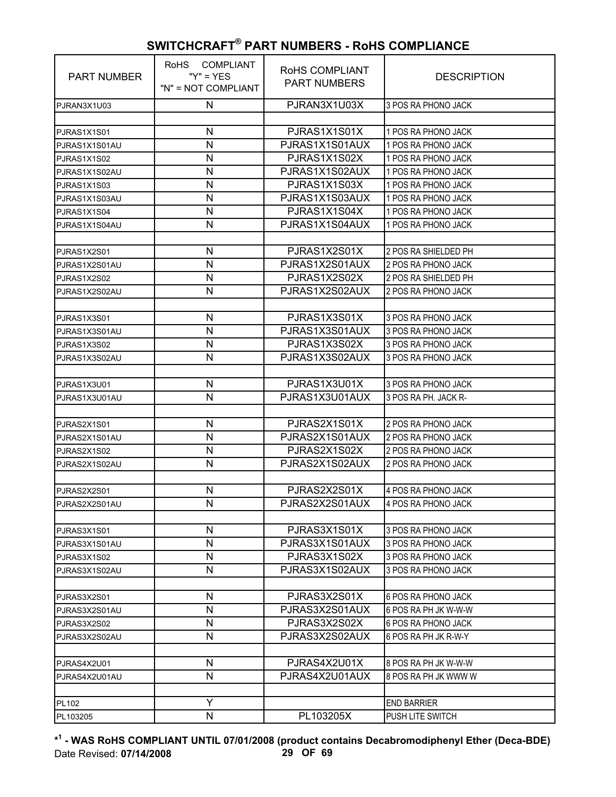| <b>PART NUMBER</b> | <b>RoHS</b><br>COMPLIANT<br>" $Y$ " = $YES$<br>"N" = NOT COMPLIANT | RoHS COMPLIANT<br><b>PART NUMBERS</b> | <b>DESCRIPTION</b>      |
|--------------------|--------------------------------------------------------------------|---------------------------------------|-------------------------|
| PJRAN3X1U03        | N                                                                  | PJRAN3X1U03X                          | 3 POS RA PHONO JACK     |
|                    |                                                                    |                                       |                         |
| PJRAS1X1S01        | N                                                                  | PJRAS1X1S01X                          | 1 POS RA PHONO JACK     |
| PJRAS1X1S01AU      | N                                                                  | PJRAS1X1S01AUX                        | 1 POS RA PHONO JACK     |
| PJRAS1X1S02        | N                                                                  | PJRAS1X1S02X                          | 1 POS RA PHONO JACK     |
| PJRAS1X1S02AU      | N                                                                  | PJRAS1X1S02AUX                        | 1 POS RA PHONO JACK     |
| PJRAS1X1S03        | N                                                                  | PJRAS1X1S03X                          | 1 POS RA PHONO JACK     |
| PJRAS1X1S03AU      | N                                                                  | PJRAS1X1S03AUX                        | 1 POS RA PHONO JACK     |
| PJRAS1X1S04        | N                                                                  | PJRAS1X1S04X                          | 1 POS RA PHONO JACK     |
| PJRAS1X1S04AU      | N                                                                  | PJRAS1X1S04AUX                        | 1 POS RA PHONO JACK     |
|                    |                                                                    |                                       |                         |
| PJRAS1X2S01        | N                                                                  | PJRAS1X2S01X                          | 2 POS RA SHIELDED PH    |
| PJRAS1X2S01AU      | N                                                                  | PJRAS1X2S01AUX                        | 2 POS RA PHONO JACK     |
| PJRAS1X2S02        | N                                                                  | PJRAS1X2S02X                          | 2 POS RA SHIELDED PH    |
| PJRAS1X2S02AU      | N                                                                  | PJRAS1X2S02AUX                        | 2 POS RA PHONO JACK     |
|                    |                                                                    |                                       |                         |
| PJRAS1X3S01        | N                                                                  | PJRAS1X3S01X                          | 3 POS RA PHONO JACK     |
| PJRAS1X3S01AU      | N                                                                  | PJRAS1X3S01AUX                        | 3 POS RA PHONO JACK     |
| PJRAS1X3S02        | N                                                                  | PJRAS1X3S02X                          | 3 POS RA PHONO JACK     |
| PJRAS1X3S02AU      | N                                                                  | PJRAS1X3S02AUX                        | 3 POS RA PHONO JACK     |
|                    |                                                                    |                                       |                         |
| PJRAS1X3U01        | N                                                                  | PJRAS1X3U01X                          | 3 POS RA PHONO JACK     |
| PJRAS1X3U01AU      | N                                                                  | PJRAS1X3U01AUX                        | 3 POS RA PH. JACK R-    |
|                    |                                                                    |                                       |                         |
| PJRAS2X1S01        | N                                                                  | PJRAS2X1S01X                          | 2 POS RA PHONO JACK     |
| PJRAS2X1S01AU      | N                                                                  | PJRAS2X1S01AUX                        | 2 POS RA PHONO JACK     |
| PJRAS2X1S02        | N                                                                  | PJRAS2X1S02X                          | 2 POS RA PHONO JACK     |
| PJRAS2X1S02AU      | N                                                                  | PJRAS2X1S02AUX                        | 2 POS RA PHONO JACK     |
|                    |                                                                    |                                       |                         |
| PJRAS2X2S01        | N                                                                  | PJRAS2X2S01X                          | 4 POS RA PHONO JACK     |
| PJRAS2X2S01AU      | N                                                                  | PJRAS2X2S01AUX                        | 4 POS RA PHONO JACK     |
|                    |                                                                    |                                       |                         |
| PJRAS3X1S01        | N                                                                  | PJRAS3X1S01X                          | 3 POS RA PHONO JACK     |
| PJRAS3X1S01AU      | N                                                                  | PJRAS3X1S01AUX                        | 3 POS RA PHONO JACK     |
| PJRAS3X1S02        | N                                                                  | PJRAS3X1S02X                          | 3 POS RA PHONO JACK     |
| PJRAS3X1S02AU      | N                                                                  | PJRAS3X1S02AUX                        | 3 POS RA PHONO JACK     |
|                    |                                                                    |                                       |                         |
| PJRAS3X2S01        | N                                                                  | PJRAS3X2S01X                          | 6 POS RA PHONO JACK     |
| PJRAS3X2S01AU      | N                                                                  | PJRAS3X2S01AUX                        | 6 POS RA PH JK W-W-W    |
| PJRAS3X2S02        | N                                                                  | PJRAS3X2S02X                          | 6 POS RA PHONO JACK     |
| PJRAS3X2S02AU      | N                                                                  | PJRAS3X2S02AUX                        | 6 POS RA PH JK R-W-Y    |
|                    |                                                                    |                                       |                         |
| PJRAS4X2U01        | N                                                                  | PJRAS4X2U01X                          | 8 POS RA PH JK W-W-W    |
| PJRAS4X2U01AU      | N                                                                  | PJRAS4X2U01AUX                        | 8 POS RA PH JK WWW W    |
|                    |                                                                    |                                       |                         |
| PL102              | Y                                                                  |                                       | <b>END BARRIER</b>      |
| PL103205           | N                                                                  | PL103205X                             | <b>PUSH LITE SWITCH</b> |

**\* 1 - WAS RoHS COMPLIANT UNTIL 07/01/2008 (product contains Decabromodiphenyl Ether (Deca-BDE)** Date Revised: **07/14/2008 29 OF 69**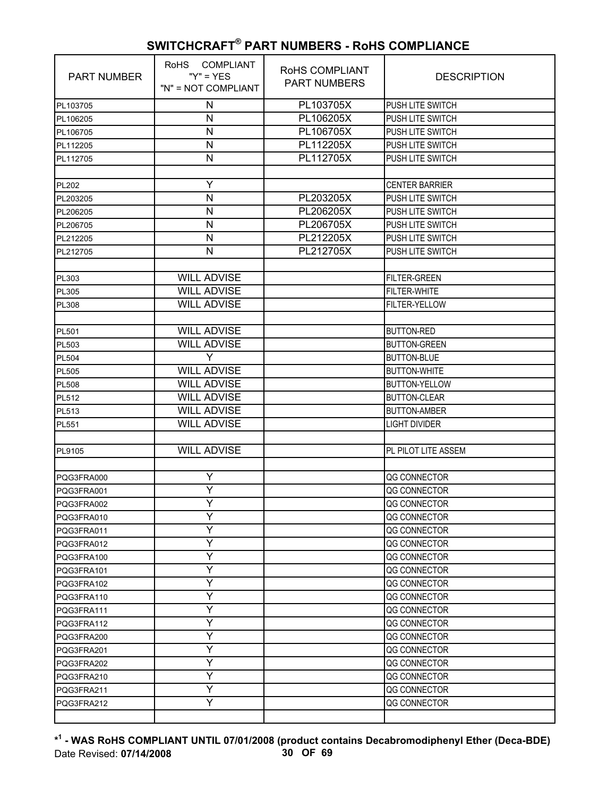| <b>PART NUMBER</b> | RoHS COMPLIANT<br>" $Y$ " = $YES$<br>"N" = NOT COMPLIANT | RoHS COMPLIANT<br><b>PART NUMBERS</b> | <b>DESCRIPTION</b>      |
|--------------------|----------------------------------------------------------|---------------------------------------|-------------------------|
| PL103705           | N                                                        | PL103705X                             | PUSH LITE SWITCH        |
| PL106205           | N                                                        | PL106205X                             | PUSH LITE SWITCH        |
| PL106705           | $\mathsf{N}$                                             | PL106705X                             | PUSH LITE SWITCH        |
| PL112205           | N                                                        | PL112205X                             | PUSH LITE SWITCH        |
| PL112705           | $\mathsf{N}$                                             | PL112705X                             | PUSH LITE SWITCH        |
|                    |                                                          |                                       |                         |
| PL202              | Y                                                        |                                       | <b>CENTER BARRIER</b>   |
| PL203205           | $\mathsf{N}$                                             | PL203205X                             | PUSH LITE SWITCH        |
| PL206205           | N                                                        | PL206205X                             | PUSH LITE SWITCH        |
| PL206705           | $\mathsf{N}$                                             | PL206705X                             | PUSH LITE SWITCH        |
| PL212205           | ${\sf N}$                                                | PL212205X                             | PUSH LITE SWITCH        |
| PL212705           | N                                                        | PL212705X                             | <b>PUSH LITE SWITCH</b> |
|                    |                                                          |                                       |                         |
| PL303              | <b>WILL ADVISE</b>                                       |                                       | <b>FILTER-GREEN</b>     |
| PL305              | <b>WILL ADVISE</b>                                       |                                       | <b>FILTER-WHITE</b>     |
| PL308              | <b>WILL ADVISE</b>                                       |                                       | FILTER-YELLOW           |
|                    |                                                          |                                       |                         |
| <b>PL501</b>       | <b>WILL ADVISE</b>                                       |                                       | <b>BUTTON-RED</b>       |
| PL503              | <b>WILL ADVISE</b>                                       |                                       | <b>BUTTON-GREEN</b>     |
| <b>PL504</b>       | Y                                                        |                                       | <b>BUTTON-BLUE</b>      |
| <b>PL505</b>       | <b>WILL ADVISE</b>                                       |                                       | <b>BUTTON-WHITE</b>     |
| <b>PL508</b>       | <b>WILL ADVISE</b>                                       |                                       | <b>BUTTON-YELLOW</b>    |
| <b>PL512</b>       | <b>WILL ADVISE</b>                                       |                                       | <b>BUTTON-CLEAR</b>     |
| PL513              | <b>WILL ADVISE</b>                                       |                                       | <b>BUTTON-AMBER</b>     |
| <b>PL551</b>       | <b>WILL ADVISE</b>                                       |                                       | <b>LIGHT DIVIDER</b>    |
|                    |                                                          |                                       |                         |
| PL9105             | <b>WILL ADVISE</b>                                       |                                       | PL PILOT LITE ASSEM     |
|                    |                                                          |                                       |                         |
| PQG3FRA000         | Υ                                                        |                                       | QG CONNECTOR            |
| PQG3FRA001         | Y                                                        |                                       | QG CONNECTOR            |
| PQG3FRA002         | Y                                                        |                                       | QG CONNECTOR            |
| PQG3FRA010         | Y                                                        |                                       | QG CONNECTOR            |
| PQG3FRA011         | Y                                                        |                                       | QG CONNECTOR            |
| PQG3FRA012         | Υ                                                        |                                       | QG CONNECTOR            |
| PQG3FRA100         | Y                                                        |                                       | QG CONNECTOR            |
| PQG3FRA101         | Υ                                                        |                                       | QG CONNECTOR            |
| PQG3FRA102         | Υ                                                        |                                       | QG CONNECTOR            |
| PQG3FRA110         | Υ                                                        |                                       | QG CONNECTOR            |
| PQG3FRA111         | Y                                                        |                                       | QG CONNECTOR            |
| PQG3FRA112         | Y                                                        |                                       | QG CONNECTOR            |
| PQG3FRA200         | Υ                                                        |                                       | QG CONNECTOR            |
| PQG3FRA201         | Υ                                                        |                                       | QG CONNECTOR            |
| PQG3FRA202         | Y                                                        |                                       | QG CONNECTOR            |
| PQG3FRA210         | Y                                                        |                                       | QG CONNECTOR            |
| PQG3FRA211         | Ÿ                                                        |                                       | QG CONNECTOR            |
| PQG3FRA212         | Υ                                                        |                                       | QG CONNECTOR            |
|                    |                                                          |                                       |                         |

**\* 1 - WAS RoHS COMPLIANT UNTIL 07/01/2008 (product contains Decabromodiphenyl Ether (Deca-BDE)** Date Revised: **07/14/2008 30 OF 69**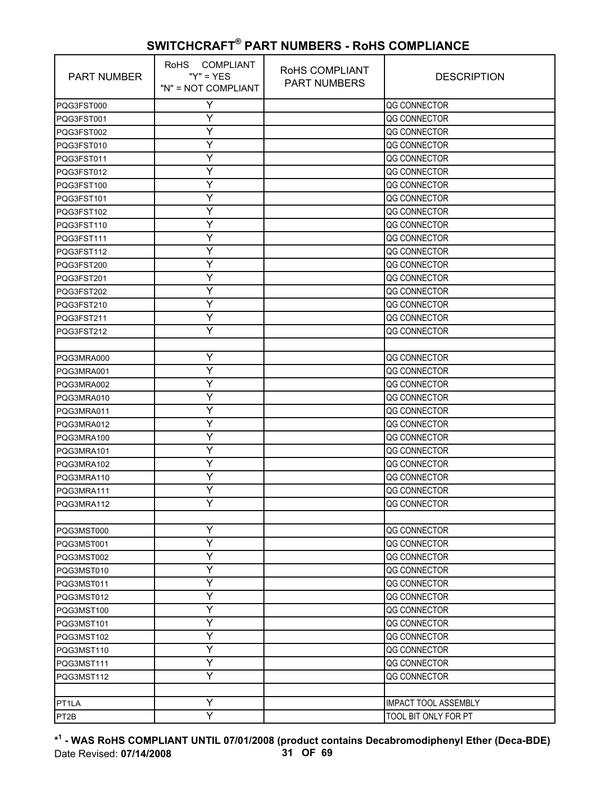| <b>PART NUMBER</b> | RoHS COMPLIANT<br>" $Y$ " = $YES$<br>"N" = NOT COMPLIANT | RoHS COMPLIANT<br><b>PART NUMBERS</b> | <b>DESCRIPTION</b>          |
|--------------------|----------------------------------------------------------|---------------------------------------|-----------------------------|
| PQG3FST000         | Y                                                        |                                       | QG CONNECTOR                |
| PQG3FST001         | Υ                                                        |                                       | QG CONNECTOR                |
| PQG3FST002         | Υ                                                        |                                       | QG CONNECTOR                |
| PQG3FST010         | Y                                                        |                                       | QG CONNECTOR                |
| PQG3FST011         | Υ                                                        |                                       | QG CONNECTOR                |
| PQG3FST012         | Υ                                                        |                                       | QG CONNECTOR                |
| PQG3FST100         | Y                                                        |                                       | QG CONNECTOR                |
| PQG3FST101         | Υ                                                        |                                       | QG CONNECTOR                |
| PQG3FST102         | Y                                                        |                                       | QG CONNECTOR                |
| PQG3FST110         | Υ                                                        |                                       | QG CONNECTOR                |
| PQG3FST111         | Υ                                                        |                                       | QG CONNECTOR                |
| PQG3FST112         | Y                                                        |                                       | QG CONNECTOR                |
| PQG3FST200         | Υ                                                        |                                       | QG CONNECTOR                |
| PQG3FST201         | Y                                                        |                                       | QG CONNECTOR                |
| PQG3FST202         | Υ                                                        |                                       | QG CONNECTOR                |
| PQG3FST210         | Υ                                                        |                                       | QG CONNECTOR                |
| PQG3FST211         | Y                                                        |                                       | QG CONNECTOR                |
| PQG3FST212         | Υ                                                        |                                       | QG CONNECTOR                |
|                    |                                                          |                                       |                             |
| PQG3MRA000         | Υ                                                        |                                       | QG CONNECTOR                |
| PQG3MRA001         | Y                                                        |                                       | QG CONNECTOR                |
| PQG3MRA002         | Y                                                        |                                       | QG CONNECTOR                |
| PQG3MRA010         | Υ                                                        |                                       | QG CONNECTOR                |
| PQG3MRA011         | Y                                                        |                                       | QG CONNECTOR                |
| PQG3MRA012         | Υ                                                        |                                       | QG CONNECTOR                |
| PQG3MRA100         | Υ                                                        |                                       | QG CONNECTOR                |
| PQG3MRA101         | Y                                                        |                                       | QG CONNECTOR                |
| PQG3MRA102         | Υ                                                        |                                       | QG CONNECTOR                |
| PQG3MRA110         | Y                                                        |                                       | QG CONNECTOR                |
| PQG3MRA111         | Υ                                                        |                                       | QG CONNECTOR                |
| PQG3MRA112         | Y                                                        |                                       | QG CONNECTOR                |
|                    |                                                          |                                       |                             |
| PQG3MST000         | Y                                                        |                                       | QG CONNECTOR                |
| PQG3MST001         | Y                                                        |                                       | QG CONNECTOR                |
| PQG3MST002         | Y                                                        |                                       | QG CONNECTOR                |
| PQG3MST010         | Υ                                                        |                                       | QG CONNECTOR                |
| PQG3MST011         | Y                                                        |                                       | QG CONNECTOR                |
| PQG3MST012         | Υ                                                        |                                       | QG CONNECTOR                |
| PQG3MST100         | Y                                                        |                                       | QG CONNECTOR                |
| PQG3MST101         | Y                                                        |                                       | QG CONNECTOR                |
| PQG3MST102         | Υ                                                        |                                       | QG CONNECTOR                |
| PQG3MST110         | Ÿ                                                        |                                       | QG CONNECTOR                |
| PQG3MST111         | Υ                                                        |                                       | QG CONNECTOR                |
| PQG3MST112         | Y                                                        |                                       | QG CONNECTOR                |
|                    |                                                          |                                       |                             |
| PT <sub>1</sub> LA | Υ                                                        |                                       | <b>IMPACT TOOL ASSEMBLY</b> |
| PT <sub>2</sub> B  | $\overline{\mathsf{Y}}$                                  |                                       | TOOL BIT ONLY FOR PT        |

**\* 1 - WAS RoHS COMPLIANT UNTIL 07/01/2008 (product contains Decabromodiphenyl Ether (Deca-BDE)** Date Revised: **07/14/2008 31 OF 69**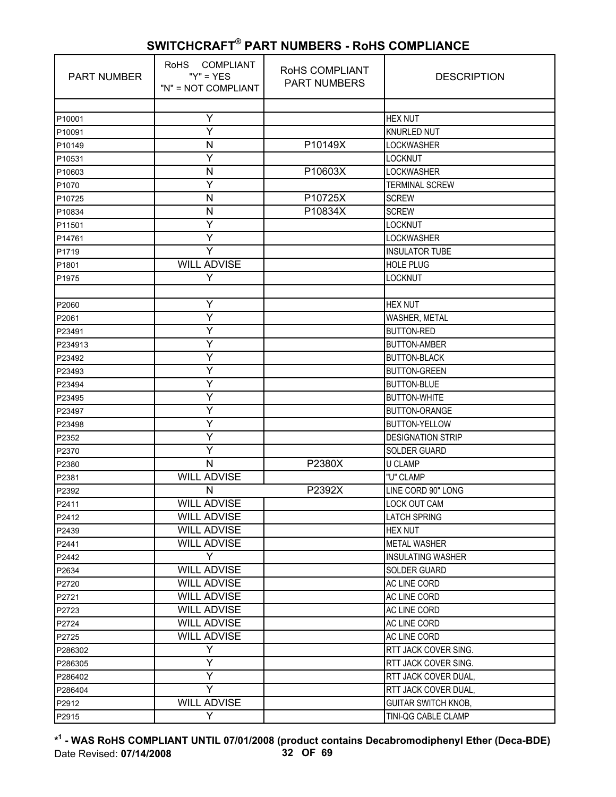| <b>PART NUMBER</b> | <b>COMPLIANT</b><br><b>RoHS</b><br>" $Y$ " = $YES$<br>"N" = NOT COMPLIANT | RoHS COMPLIANT<br><b>PART NUMBERS</b> | <b>DESCRIPTION</b>         |
|--------------------|---------------------------------------------------------------------------|---------------------------------------|----------------------------|
|                    |                                                                           |                                       |                            |
| P10001             | Υ                                                                         |                                       | <b>HEX NUT</b>             |
| P10091             | Ÿ                                                                         |                                       | <b>KNURLED NUT</b>         |
| P10149             | $\mathsf{N}$                                                              | P10149X                               | <b>LOCKWASHER</b>          |
| P10531             | Y                                                                         |                                       | <b>LOCKNUT</b>             |
| P10603             | N                                                                         | P10603X                               | <b>LOCKWASHER</b>          |
| P1070              | Y                                                                         |                                       | <b>TERMINAL SCREW</b>      |
| P10725             | N                                                                         | P10725X                               | <b>SCREW</b>               |
| P10834             | $\mathsf{N}$                                                              | P10834X                               | <b>SCREW</b>               |
| P11501             | Y                                                                         |                                       | LOCKNUT                    |
| P14761             | Υ                                                                         |                                       | <b>LOCKWASHER</b>          |
| P1719              | Y                                                                         |                                       | <b>INSULATOR TUBE</b>      |
| P1801              | <b>WILL ADVISE</b>                                                        |                                       | <b>HOLE PLUG</b>           |
| P1975              | Y                                                                         |                                       | LOCKNUT                    |
|                    |                                                                           |                                       |                            |
| P2060              | Y                                                                         |                                       | <b>HEX NUT</b>             |
| P2061              | Υ                                                                         |                                       | WASHER, METAL              |
| P23491             | Ÿ                                                                         |                                       | <b>BUTTON-RED</b>          |
| P234913            | Y                                                                         |                                       | <b>BUTTON-AMBER</b>        |
| P23492             | Y                                                                         |                                       | <b>BUTTON-BLACK</b>        |
| P23493             | Υ                                                                         |                                       | <b>BUTTON-GREEN</b>        |
| P23494             | Υ                                                                         |                                       | <b>BUTTON-BLUE</b>         |
| P23495             | Ÿ                                                                         |                                       | <b>BUTTON-WHITE</b>        |
| P23497             | Y                                                                         |                                       | <b>BUTTON-ORANGE</b>       |
| P23498             | Υ                                                                         |                                       | <b>BUTTON-YELLOW</b>       |
| P2352              | Υ                                                                         |                                       | <b>DESIGNATION STRIP</b>   |
| P2370              | Y                                                                         |                                       | <b>SOLDER GUARD</b>        |
| P2380              | N                                                                         | P2380X                                | <b>U CLAMP</b>             |
| P2381              | <b>WILL ADVISE</b>                                                        |                                       | "U" CLAMP                  |
| P2392              | N                                                                         | P2392X                                | LINE CORD 90" LONG         |
| P2411              | WILL ADVISE                                                               |                                       | LOCK OUT CAM               |
| P2412              | <b>WILL ADVISE</b>                                                        |                                       | <b>LATCH SPRING</b>        |
| P2439              | <b>WILL ADVISE</b>                                                        |                                       | <b>HEX NUT</b>             |
| P2441              | <b>WILL ADVISE</b>                                                        |                                       | <b>METAL WASHER</b>        |
| P2442              | Y                                                                         |                                       | <b>INSULATING WASHER</b>   |
| P2634              | <b>WILL ADVISE</b>                                                        |                                       | <b>SOLDER GUARD</b>        |
| P2720              | <b>WILL ADVISE</b>                                                        |                                       | AC LINE CORD               |
| P2721              | <b>WILL ADVISE</b>                                                        |                                       | <b>AC LINE CORD</b>        |
| P2723              | <b>WILL ADVISE</b>                                                        |                                       | AC LINE CORD               |
| P2724              | <b>WILL ADVISE</b>                                                        |                                       | AC LINE CORD               |
| P2725              | <b>WILL ADVISE</b>                                                        |                                       | AC LINE CORD               |
| P286302            | Y                                                                         |                                       | RTT JACK COVER SING.       |
| P286305            | Y                                                                         |                                       | RTT JACK COVER SING.       |
| P286402            | Y                                                                         |                                       | RTT JACK COVER DUAL,       |
| P286404            | Y                                                                         |                                       | RTT JACK COVER DUAL,       |
| P2912              | <b>WILL ADVISE</b>                                                        |                                       | <b>GUITAR SWITCH KNOB,</b> |
| P2915              | Y                                                                         |                                       | TINI-QG CABLE CLAMP        |

**\* 1 - WAS RoHS COMPLIANT UNTIL 07/01/2008 (product contains Decabromodiphenyl Ether (Deca-BDE)** Date Revised: **07/14/2008 32 OF 69**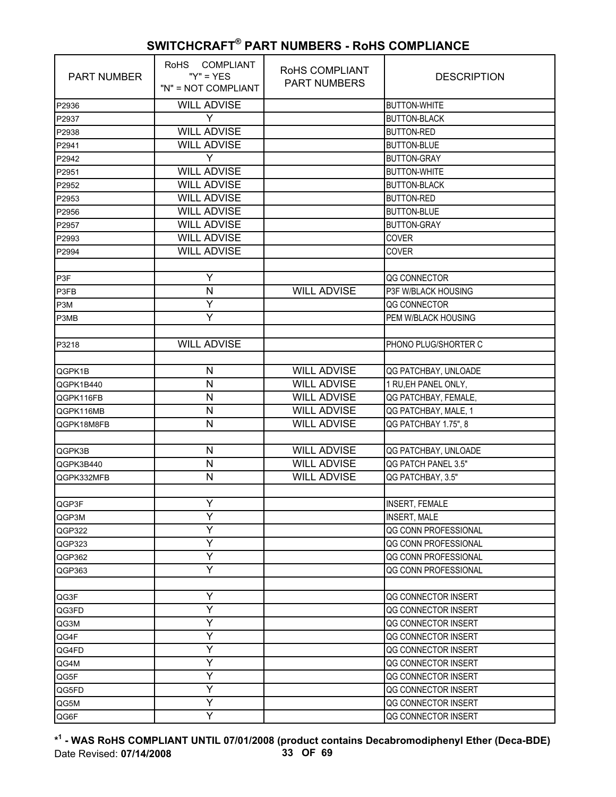| PART NUMBER | RoHS COMPLIANT<br>" $Y$ " = $YES$<br>"N" = NOT COMPLIANT | RoHS COMPLIANT<br><b>PART NUMBERS</b> | <b>DESCRIPTION</b>    |
|-------------|----------------------------------------------------------|---------------------------------------|-----------------------|
| P2936       | <b>WILL ADVISE</b>                                       |                                       | <b>BUTTON-WHITE</b>   |
| P2937       | Y                                                        |                                       | <b>BUTTON-BLACK</b>   |
| P2938       | <b>WILL ADVISE</b>                                       |                                       | <b>BUTTON-RED</b>     |
| P2941       | <b>WILL ADVISE</b>                                       |                                       | <b>BUTTON-BLUE</b>    |
| P2942       | Y                                                        |                                       | <b>BUTTON-GRAY</b>    |
| P2951       | <b>WILL ADVISE</b>                                       |                                       | <b>BUTTON-WHITE</b>   |
| P2952       | <b>WILL ADVISE</b>                                       |                                       | <b>BUTTON-BLACK</b>   |
| P2953       | <b>WILL ADVISE</b>                                       |                                       | <b>BUTTON-RED</b>     |
| P2956       | <b>WILL ADVISE</b>                                       |                                       | <b>BUTTON-BLUE</b>    |
| P2957       | <b>WILL ADVISE</b>                                       |                                       | <b>BUTTON-GRAY</b>    |
| P2993       | <b>WILL ADVISE</b>                                       |                                       | <b>COVER</b>          |
| P2994       | <b>WILL ADVISE</b>                                       |                                       | <b>COVER</b>          |
|             |                                                          |                                       |                       |
| P3F         | Y                                                        |                                       | QG CONNECTOR          |
| P3FB        | $\mathsf{N}$                                             | <b>WILL ADVISE</b>                    | P3F W/BLACK HOUSING   |
| P3M         | Υ                                                        |                                       | QG CONNECTOR          |
| P3MB        | Υ                                                        |                                       | PEM W/BLACK HOUSING   |
|             |                                                          |                                       |                       |
| P3218       | <b>WILL ADVISE</b>                                       |                                       | PHONO PLUG/SHORTER C  |
|             |                                                          |                                       |                       |
| QGPK1B      | ${\sf N}$                                                | <b>WILL ADVISE</b>                    | QG PATCHBAY, UNLOADE  |
| QGPK1B440   | N                                                        | <b>WILL ADVISE</b>                    | 1 RU, EH PANEL ONLY,  |
| QGPK116FB   | $\mathsf{N}$                                             | <b>WILL ADVISE</b>                    | QG PATCHBAY, FEMALE,  |
| QGPK116MB   | N                                                        | <b>WILL ADVISE</b>                    | QG PATCHBAY, MALE, 1  |
| QGPK18M8FB  | N                                                        | <b>WILL ADVISE</b>                    | QG PATCHBAY 1.75", 8  |
|             |                                                          |                                       |                       |
| QGPK3B      | N                                                        | <b>WILL ADVISE</b>                    | QG PATCHBAY, UNLOADE  |
| QGPK3B440   | $\mathsf{N}$                                             | <b>WILL ADVISE</b>                    | QG PATCH PANEL 3.5"   |
| QGPK332MFB  | N                                                        | <b>WILL ADVISE</b>                    | QG PATCHBAY, 3.5"     |
|             |                                                          |                                       |                       |
| QGP3F       | Y                                                        |                                       | <b>INSERT, FEMALE</b> |
| QGP3M       | Y                                                        |                                       | <b>INSERT, MALE</b>   |
| QGP322      | Y                                                        |                                       | QG CONN PROFESSIONAL  |
| QGP323      | Υ                                                        |                                       | QG CONN PROFESSIONAL  |
| QGP362      | Y                                                        |                                       | QG CONN PROFESSIONAL  |
| QGP363      | Υ                                                        |                                       | QG CONN PROFESSIONAL  |
|             |                                                          |                                       |                       |
| QG3F        | Υ                                                        |                                       | QG CONNECTOR INSERT   |
| QG3FD       | Y                                                        |                                       | QG CONNECTOR INSERT   |
| QG3M        | Υ                                                        |                                       | QG CONNECTOR INSERT   |
| QG4F        | Υ                                                        |                                       | QG CONNECTOR INSERT   |
| QG4FD       | Υ                                                        |                                       | QG CONNECTOR INSERT   |
| QG4M        | Υ                                                        |                                       | QG CONNECTOR INSERT   |
| QG5F        | Y                                                        |                                       | QG CONNECTOR INSERT   |
| QG5FD       | Y                                                        |                                       | QG CONNECTOR INSERT   |
| QG5M        | Υ                                                        |                                       | QG CONNECTOR INSERT   |
| QG6F        | Ÿ                                                        |                                       | QG CONNECTOR INSERT   |

**\* 1 - WAS RoHS COMPLIANT UNTIL 07/01/2008 (product contains Decabromodiphenyl Ether (Deca-BDE)** Date Revised: **07/14/2008 33 OF 69**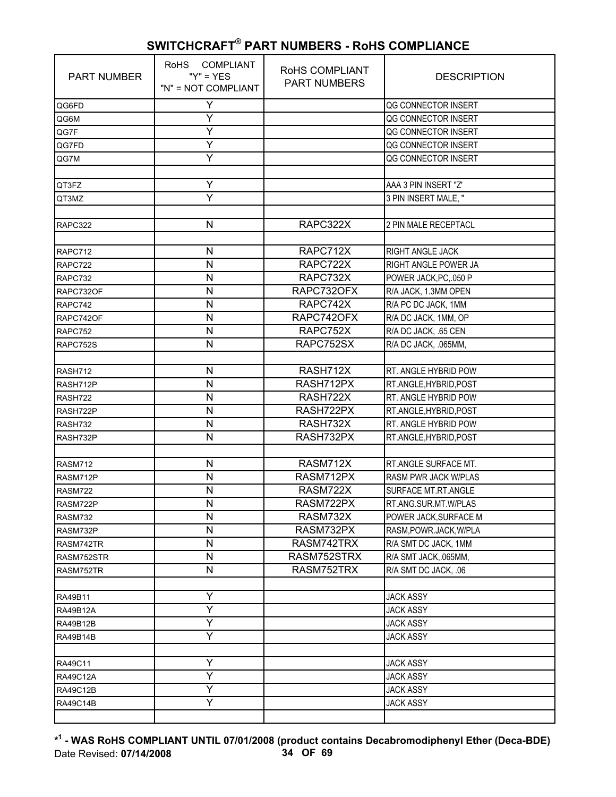| <b>PART NUMBER</b> | RoHS COMPLIANT<br>" $Y$ " = $YES$<br>"N" = NOT COMPLIANT | RoHS COMPLIANT<br><b>PART NUMBERS</b> | <b>DESCRIPTION</b>          |
|--------------------|----------------------------------------------------------|---------------------------------------|-----------------------------|
| QG6FD              | Υ                                                        |                                       | QG CONNECTOR INSERT         |
| QG6M               | Υ                                                        |                                       | QG CONNECTOR INSERT         |
| QG7F               | Ÿ                                                        |                                       | QG CONNECTOR INSERT         |
| QG7FD              | Υ                                                        |                                       | QG CONNECTOR INSERT         |
| QG7M               | Ÿ                                                        |                                       | QG CONNECTOR INSERT         |
|                    |                                                          |                                       |                             |
| QT3FZ              | Υ                                                        |                                       | AAA 3 PIN INSERT "Z'        |
| QT3MZ              | Y                                                        |                                       | 3 PIN INSERT MALE. "        |
|                    |                                                          |                                       |                             |
| RAPC322            | $\mathsf{N}$                                             | RAPC322X                              | 2 PIN MALE RECEPTACL        |
|                    |                                                          |                                       |                             |
| RAPC712            | N                                                        | RAPC712X                              | RIGHT ANGLE JACK            |
| RAPC722            | N                                                        | RAPC722X                              | RIGHT ANGLE POWER JA        |
| RAPC732            | N                                                        | RAPC732X                              | POWER JACK, PC, 050 P       |
| RAPC732OF          | $\mathsf{N}$                                             | RAPC732OFX                            | R/A JACK, 1.3MM OPEN        |
| RAPC742            | N                                                        | RAPC742X                              | R/A PC DC JACK, 1MM         |
| RAPC742OF          | N                                                        | RAPC742OFX                            | R/A DC JACK, 1MM, OP        |
| RAPC752            | N                                                        | RAPC752X                              | R/A DC JACK, .65 CEN        |
| RAPC752S           | N                                                        | RAPC752SX                             | R/A DC JACK, .065MM,        |
|                    |                                                          |                                       |                             |
| RASH712            | N                                                        | RASH712X                              | RT. ANGLE HYBRID POW        |
| RASH712P           | N                                                        | RASH712PX                             | RT.ANGLE, HYBRID, POST      |
| RASH722            | N                                                        | RASH722X                              | RT. ANGLE HYBRID POW        |
| RASH722P           | N                                                        | RASH722PX                             | RT.ANGLE, HYBRID, POST      |
| RASH732            | $\mathsf{N}$                                             | RASH732X                              | RT. ANGLE HYBRID POW        |
| RASH732P           | $\mathsf{N}$                                             | RASH732PX                             | RT.ANGLE, HYBRID, POST      |
|                    |                                                          |                                       |                             |
| <b>RASM712</b>     | N                                                        | RASM712X                              | RT.ANGLE SURFACE MT.        |
| RASM712P           | N                                                        | RASM712PX                             | <b>RASM PWR JACK W/PLAS</b> |
| <b>RASM722</b>     | $\mathsf{N}$                                             | RASM722X                              | SURFACE MT.RT.ANGLE         |
| RASM722P           | $\mathsf{N}$                                             | RASM722PX                             | RT.ANG.SUR.MT.W/PLAS        |
| <b>RASM732</b>     | N                                                        | RASM732X                              | POWER JACK, SURFACE M       |
| RASM732P           | N                                                        | RASM732PX                             | RASM, POWR. JACK, W/PLA     |
| RASM742TR          | N                                                        | RASM742TRX                            | R/A SMT DC JACK, 1MM        |
| RASM752STR         | $\mathsf{N}$                                             | RASM752STRX                           | R/A SMT JACK, 065MM,        |
| RASM752TR          | N                                                        | RASM752TRX                            | R/A SMT DC JACK, .06        |
| RA49B11            | Y                                                        |                                       | <b>JACK ASSY</b>            |
| <b>RA49B12A</b>    | Y                                                        |                                       | <b>JACK ASSY</b>            |
| RA49B12B           | Ÿ                                                        |                                       | <b>JACK ASSY</b>            |
| RA49B14B           | Y                                                        |                                       | <b>JACK ASSY</b>            |
|                    |                                                          |                                       |                             |
| RA49C11            | Y                                                        |                                       | <b>JACK ASSY</b>            |
| RA49C12A           | Y                                                        |                                       | <b>JACK ASSY</b>            |
| RA49C12B           | Ÿ                                                        |                                       | <b>JACK ASSY</b>            |
| <b>RA49C14B</b>    | Y                                                        |                                       | <b>JACK ASSY</b>            |
|                    |                                                          |                                       |                             |

**\* 1 - WAS RoHS COMPLIANT UNTIL 07/01/2008 (product contains Decabromodiphenyl Ether (Deca-BDE)** Date Revised: **07/14/2008 34 OF 69**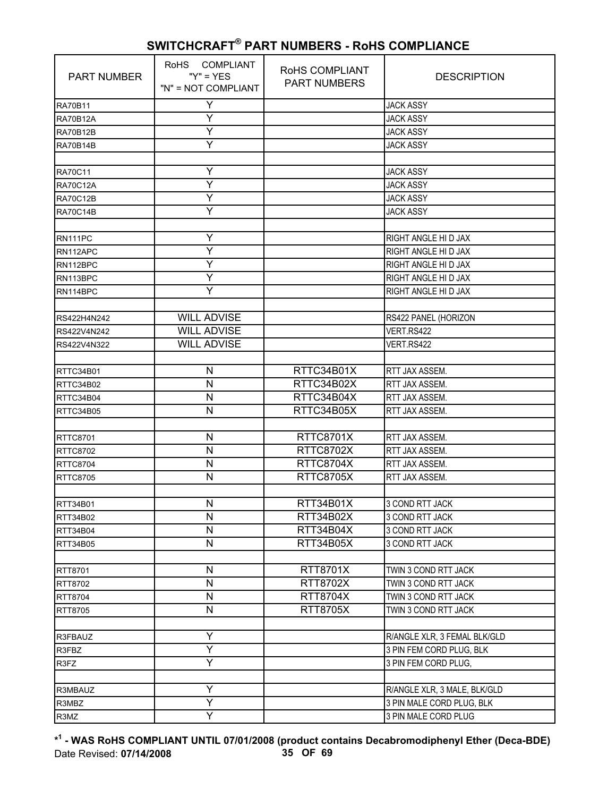| <b>PART NUMBER</b> | RoHS COMPLIANT<br>" $Y$ " = $YES$<br>"N" = NOT COMPLIANT | RoHS COMPLIANT<br><b>PART NUMBERS</b> | <b>DESCRIPTION</b>           |
|--------------------|----------------------------------------------------------|---------------------------------------|------------------------------|
| <b>RA70B11</b>     | Y                                                        |                                       | <b>JACK ASSY</b>             |
| <b>RA70B12A</b>    | Υ                                                        |                                       | <b>JACK ASSY</b>             |
| <b>RA70B12B</b>    | Y                                                        |                                       | <b>JACK ASSY</b>             |
| <b>RA70B14B</b>    | Y                                                        |                                       | <b>JACK ASSY</b>             |
|                    |                                                          |                                       |                              |
| <b>RA70C11</b>     | Υ                                                        |                                       | <b>JACK ASSY</b>             |
| <b>RA70C12A</b>    | Υ                                                        |                                       | <b>JACK ASSY</b>             |
| <b>RA70C12B</b>    | Y                                                        |                                       | <b>JACK ASSY</b>             |
| <b>RA70C14B</b>    | Y                                                        |                                       | <b>JACK ASSY</b>             |
|                    |                                                          |                                       |                              |
| RN111PC            | Υ                                                        |                                       | RIGHT ANGLE HI D JAX         |
| RN112APC           | Y                                                        |                                       | RIGHT ANGLE HI D JAX         |
| RN112BPC           | Y                                                        |                                       | RIGHT ANGLE HI D JAX         |
| RN113BPC           | Y                                                        |                                       | RIGHT ANGLE HI D JAX         |
| RN114BPC           | Y                                                        |                                       | RIGHT ANGLE HI D JAX         |
|                    |                                                          |                                       |                              |
| RS422H4N242        | <b>WILL ADVISE</b>                                       |                                       | RS422 PANEL (HORIZON         |
| RS422V4N242        | <b>WILL ADVISE</b>                                       |                                       | VERT.RS422                   |
| RS422V4N322        | <b>WILL ADVISE</b>                                       |                                       | VERT.RS422                   |
|                    |                                                          |                                       |                              |
| RTTC34B01          | N                                                        | RTTC34B01X                            | RTT JAX ASSEM.               |
| RTTC34B02          | N                                                        | RTTC34B02X                            | <b>RTT JAX ASSEM.</b>        |
| RTTC34B04          | $\mathsf{N}$                                             | RTTC34B04X                            | RTT JAX ASSEM.               |
| RTTC34B05          | N                                                        | RTTC34B05X                            | RTT JAX ASSEM.               |
|                    |                                                          |                                       |                              |
| <b>RTTC8701</b>    | N                                                        | <b>RTTC8701X</b>                      | RTT JAX ASSEM.               |
| <b>RTTC8702</b>    | N                                                        | <b>RTTC8702X</b>                      | RTT JAX ASSEM.               |
| <b>RTTC8704</b>    | $\mathsf{N}$                                             | RTTC8704X                             | RTT JAX ASSEM.               |
| <b>RTTC8705</b>    | N                                                        | <b>RTTC8705X</b>                      | RTT JAX ASSEM.               |
|                    |                                                          |                                       |                              |
| RTT34B01           | N                                                        | RTT34B01X                             | 3 COND RTT JACK              |
| RTT34B02           | N                                                        | RTT34B02X                             | 3 COND RTT JACK              |
| RTT34B04           | N                                                        | RTT34B04X                             | 3 COND RTT JACK              |
| RTT34B05           | $\mathsf{N}$                                             | RTT34B05X                             | 3 COND RTT JACK              |
|                    |                                                          |                                       |                              |
| RTT8701            | N                                                        | RTT8701X                              | TWIN 3 COND RTT JACK         |
| RTT8702            | N                                                        | RTT8702X                              | TWIN 3 COND RTT JACK         |
| RTT8704            | $\mathsf{N}$                                             | RTT8704X                              | TWIN 3 COND RTT JACK         |
| RTT8705            | $\mathsf{N}$                                             | <b>RTT8705X</b>                       | TWIN 3 COND RTT JACK         |
|                    |                                                          |                                       |                              |
| R3FBAUZ            | Y                                                        |                                       | R/ANGLE XLR, 3 FEMAL BLK/GLD |
| R3FBZ              | Ÿ                                                        |                                       | 3 PIN FEM CORD PLUG, BLK     |
| R3FZ               | Y                                                        |                                       | 3 PIN FEM CORD PLUG,         |
|                    |                                                          |                                       |                              |
| R3MBAUZ            | Υ                                                        |                                       | R/ANGLE XLR, 3 MALE, BLK/GLD |
| R3MBZ              | Ÿ                                                        |                                       | 3 PIN MALE CORD PLUG, BLK    |
| R3MZ               | Ÿ                                                        |                                       | 3 PIN MALE CORD PLUG         |

**\* 1 - WAS RoHS COMPLIANT UNTIL 07/01/2008 (product contains Decabromodiphenyl Ether (Deca-BDE)** Date Revised: **07/14/2008 35 OF 69**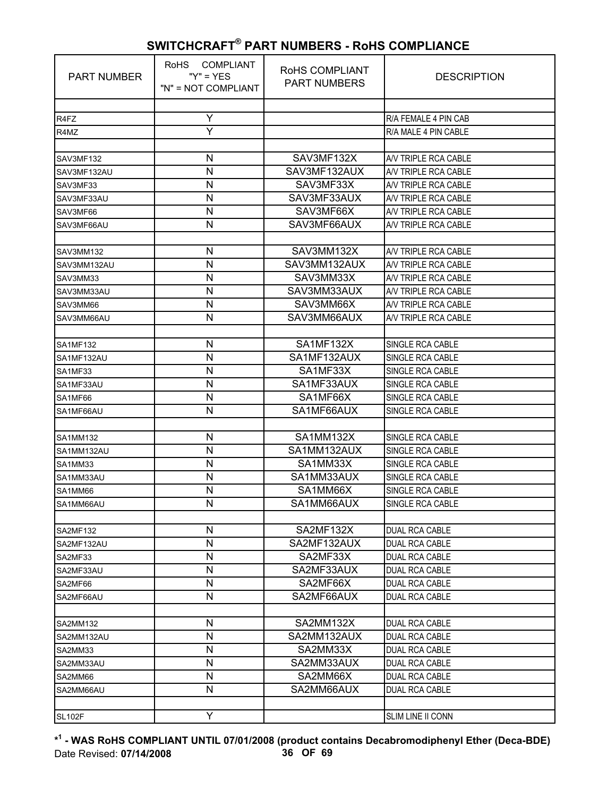| <b>PART NUMBER</b> | <b>RoHS</b><br>COMPLIANT<br>" $Y$ " = $YES$<br>"N" = NOT COMPLIANT | RoHS COMPLIANT<br><b>PART NUMBERS</b> | <b>DESCRIPTION</b>                           |
|--------------------|--------------------------------------------------------------------|---------------------------------------|----------------------------------------------|
|                    |                                                                    |                                       |                                              |
| R4FZ               | Y                                                                  |                                       | R/A FEMALE 4 PIN CAB                         |
| R4MZ               | Ÿ                                                                  |                                       | R/A MALE 4 PIN CABLE                         |
|                    |                                                                    |                                       |                                              |
| SAV3MF132          | N                                                                  | SAV3MF132X                            | A/V TRIPLE RCA CABLE                         |
| SAV3MF132AU        | N                                                                  | SAV3MF132AUX                          | A/V TRIPLE RCA CABLE                         |
| SAV3MF33           | N                                                                  | SAV3MF33X                             | A/V TRIPLE RCA CABLE                         |
| SAV3MF33AU         | N                                                                  | SAV3MF33AUX                           | A/V TRIPLE RCA CABLE                         |
| SAV3MF66           | $\mathsf{N}$                                                       | SAV3MF66X                             | A/V TRIPLE RCA CABLE                         |
| SAV3MF66AU         | $\mathsf{N}$                                                       | SAV3MF66AUX                           | A/V TRIPLE RCA CABLE                         |
|                    |                                                                    |                                       |                                              |
| SAV3MM132          | N                                                                  | SAV3MM132X<br>SAV3MM132AUX            | A/V TRIPLE RCA CABLE<br>A/V TRIPLE RCA CABLE |
| SAV3MM132AU        | N                                                                  |                                       |                                              |
| SAV3MM33           | $\mathsf{N}$                                                       | SAV3MM33X                             | A/V TRIPLE RCA CABLE                         |
| SAV3MM33AU         | $\mathsf{N}$                                                       | SAV3MM33AUX                           | A/V TRIPLE RCA CABLE                         |
| SAV3MM66           | N                                                                  | SAV3MM66X                             | A/V TRIPLE RCA CABLE                         |
| SAV3MM66AU         | N                                                                  | SAV3MM66AUX                           | A/V TRIPLE RCA CABLE                         |
|                    | $\mathsf{N}$                                                       | SA1MF132X                             |                                              |
| <b>SA1MF132</b>    | N                                                                  | SA1MF132AUX                           | SINGLE RCA CABLE<br>SINGLE RCA CABLE         |
| SA1MF132AU         | N                                                                  | SA1MF33X                              | <b>SINGLE RCA CABLE</b>                      |
| SA1MF33            | N                                                                  | SA1MF33AUX                            |                                              |
| SA1MF33AU          | $\mathsf{N}$                                                       | SA1MF66X                              | SINGLE RCA CABLE                             |
| SA1MF66            | $\mathsf{N}$                                                       | SA1MF66AUX                            | SINGLE RCA CABLE<br>SINGLE RCA CABLE         |
| SA1MF66AU          |                                                                    |                                       |                                              |
| <b>SA1MM132</b>    | N                                                                  | SA1MM132X                             | <b>SINGLE RCA CABLE</b>                      |
| SA1MM132AU         | N                                                                  | SA1MM132AUX                           | SINGLE RCA CABLE                             |
| SA1MM33            | N                                                                  | SA1MM33X                              | SINGLE RCA CABLE                             |
| SA1MM33AU          | $\mathsf{N}$                                                       | SA1MM33AUX                            | SINGLE RCA CABLE                             |
| SA1MM66            | N                                                                  | SA1MM66X                              | SINGLE RCA CABLE                             |
| SA1MM66AU          | N                                                                  | SA1MM66AUX                            | SINGLE RCA CABLE                             |
|                    |                                                                    |                                       |                                              |
| <b>SA2MF132</b>    | N                                                                  | SA2MF132X                             | <b>DUAL RCA CABLE</b>                        |
| SA2MF132AU         | $\mathsf{N}$                                                       | SA2MF132AUX                           | <b>DUAL RCA CABLE</b>                        |
| SA2MF33            | $\mathsf{N}$                                                       | SA2MF33X                              | <b>DUAL RCA CABLE</b>                        |
| SA2MF33AU          | N                                                                  | SA2MF33AUX                            | DUAL RCA CABLE                               |
| SA2MF66            | $\mathsf{N}$                                                       | SA2MF66X                              | <b>DUAL RCA CABLE</b>                        |
| SA2MF66AU          | N                                                                  | SA2MF66AUX                            | <b>DUAL RCA CABLE</b>                        |
|                    |                                                                    |                                       |                                              |
| SA2MM132           | $\mathsf{N}$                                                       | SA2MM132X                             | <b>DUAL RCA CABLE</b>                        |
| SA2MM132AU         | N                                                                  | SA2MM132AUX                           | DUAL RCA CABLE                               |
| SA2MM33            | N                                                                  | SA2MM33X                              | <b>DUAL RCA CABLE</b>                        |
| SA2MM33AU          | N                                                                  | SA2MM33AUX                            | <b>DUAL RCA CABLE</b>                        |
| SA2MM66            | $\mathsf{N}$                                                       | SA2MM66X                              | DUAL RCA CABLE                               |
| SA2MM66AU          | N                                                                  | SA2MM66AUX                            | <b>DUAL RCA CABLE</b>                        |
|                    |                                                                    |                                       |                                              |
| <b>SL102F</b>      | Y                                                                  |                                       | SLIM LINE II CONN                            |

**\* 1 - WAS RoHS COMPLIANT UNTIL 07/01/2008 (product contains Decabromodiphenyl Ether (Deca-BDE)** Date Revised: **07/14/2008 36 OF 69**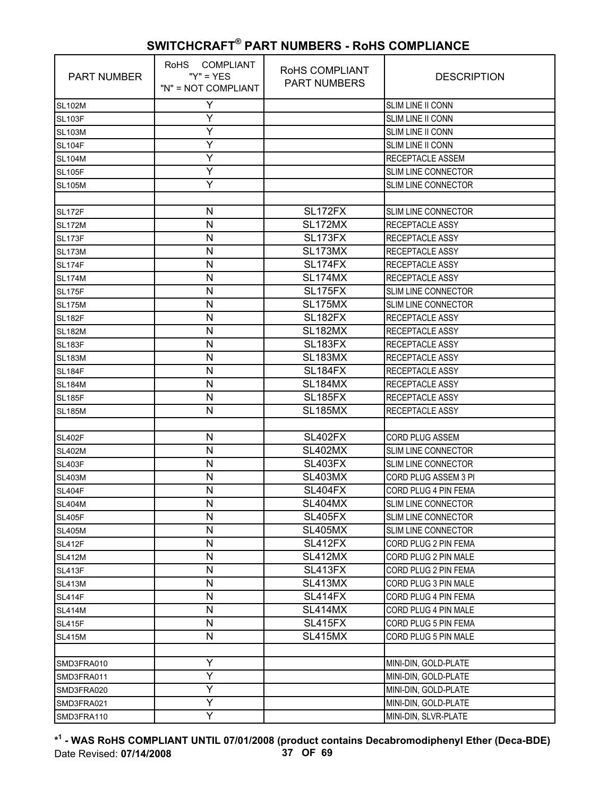| <b>PART NUMBER</b> | RoHS COMPLIANT<br>" $Y$ " = $YES$<br>"N" = NOT COMPLIANT | RoHS COMPLIANT<br><b>PART NUMBERS</b> | <b>DESCRIPTION</b>         |
|--------------------|----------------------------------------------------------|---------------------------------------|----------------------------|
| <b>SL102M</b>      | Y                                                        |                                       | SLIM LINE II CONN          |
| <b>SL103F</b>      | Υ                                                        |                                       | SLIM LINE II CONN          |
| <b>SL103M</b>      | Y                                                        |                                       | SLIM LINE II CONN          |
| <b>SL104F</b>      | Y                                                        |                                       | SLIM LINE II CONN          |
| <b>SL104M</b>      | Υ                                                        |                                       | <b>RECEPTACLE ASSEM</b>    |
| <b>SL105F</b>      | Y                                                        |                                       | <b>SLIM LINE CONNECTOR</b> |
| <b>SL105M</b>      | Υ                                                        |                                       | <b>SLIM LINE CONNECTOR</b> |
|                    |                                                          |                                       |                            |
| <b>SL172F</b>      | N                                                        | SL172FX                               | <b>SLIM LINE CONNECTOR</b> |
| <b>SL172M</b>      | N                                                        | SL172MX                               | <b>RECEPTACLE ASSY</b>     |
| <b>SL173F</b>      | N                                                        | SL173FX                               | RECEPTACLE ASSY            |
| <b>SL173M</b>      | N                                                        | SL173MX                               | RECEPTACLE ASSY            |
| <b>SL174F</b>      | $\mathsf{N}$                                             | <b>SL174FX</b>                        | RECEPTACLE ASSY            |
| <b>SL174M</b>      | N                                                        | <b>SL174MX</b>                        | RECEPTACLE ASSY            |
| <b>SL175F</b>      | N                                                        | <b>SL175FX</b>                        | <b>SLIM LINE CONNECTOR</b> |
| <b>SL175M</b>      | N                                                        | <b>SL175MX</b>                        | <b>SLIM LINE CONNECTOR</b> |
| <b>SL182F</b>      | N                                                        | SL <sub>182FX</sub>                   | <b>RECEPTACLE ASSY</b>     |
| <b>SL182M</b>      | N                                                        | <b>SL182MX</b>                        | <b>RECEPTACLE ASSY</b>     |
| <b>SL183F</b>      | N                                                        | SL183FX                               | RECEPTACLE ASSY            |
| <b>SL183M</b>      | N                                                        | SL183MX                               | <b>RECEPTACLE ASSY</b>     |
| <b>SL184F</b>      | N                                                        | SL184FX                               | RECEPTACLE ASSY            |
| <b>SL184M</b>      | N                                                        | SL184MX                               | RECEPTACLE ASSY            |
| <b>SL185F</b>      | $\mathsf{N}$                                             | <b>SL185FX</b>                        | RECEPTACLE ASSY            |
| <b>SL185M</b>      | N                                                        | <b>SL185MX</b>                        | RECEPTACLE ASSY            |
|                    |                                                          |                                       |                            |
| <b>SL402F</b>      | N                                                        | <b>SL402FX</b>                        | <b>CORD PLUG ASSEM</b>     |
| <b>SL402M</b>      | N                                                        | SL402MX                               | <b>SLIM LINE CONNECTOR</b> |
| <b>SL403F</b>      | N                                                        | <b>SL403FX</b>                        | SLIM LINE CONNECTOR        |
| <b>SL403M</b>      | N                                                        | <b>SL403MX</b>                        | CORD PLUG ASSEM 3 PI       |
| <b>SL404F</b>      | N                                                        | <b>SL404FX</b>                        | CORD PLUG 4 PIN FEMA       |
| <b>SL404M</b>      | N                                                        | <b>SL404MX</b>                        | SLIM LINE CONNECTOR        |
| <b>SL405F</b>      | N                                                        | <b>SL405FX</b>                        | SLIM LINE CONNECTOR        |
| <b>SL405M</b>      | N                                                        | <b>SL405MX</b>                        | SLIM LINE CONNECTOR        |
| <b>SL412F</b>      | N                                                        | SL412FX                               | CORD PLUG 2 PIN FEMA       |
| <b>SL412M</b>      | N                                                        | SL412MX                               | CORD PLUG 2 PIN MALE       |
| <b>SL413F</b>      | N                                                        | SL413FX                               | CORD PLUG 2 PIN FEMA       |
| <b>SL413M</b>      | N                                                        | SL413MX                               | CORD PLUG 3 PIN MALE       |
| <b>SL414F</b>      | $\mathsf{N}$                                             | <b>SL414FX</b>                        | CORD PLUG 4 PIN FEMA       |
| <b>SL414M</b>      | N                                                        | SL414MX                               | CORD PLUG 4 PIN MALE       |
| <b>SL415F</b>      | N                                                        | <b>SL415FX</b>                        | CORD PLUG 5 PIN FEMA       |
| <b>SL415M</b>      | N                                                        | SL415MX                               | CORD PLUG 5 PIN MALE       |
|                    |                                                          |                                       |                            |
| SMD3FRA010         | Υ                                                        |                                       | MINI-DIN, GOLD-PLATE       |
| SMD3FRA011         | Y                                                        |                                       | MINI-DIN, GOLD-PLATE       |
| SMD3FRA020         | Υ                                                        |                                       | MINI-DIN, GOLD-PLATE       |
| SMD3FRA021         | Y                                                        |                                       | MINI-DIN, GOLD-PLATE       |
| SMD3FRA110         | Υ                                                        |                                       | MINI-DIN, SLVR-PLATE       |

**\* 1 - WAS RoHS COMPLIANT UNTIL 07/01/2008 (product contains Decabromodiphenyl Ether (Deca-BDE)** Date Revised: **07/14/2008 37 OF 69**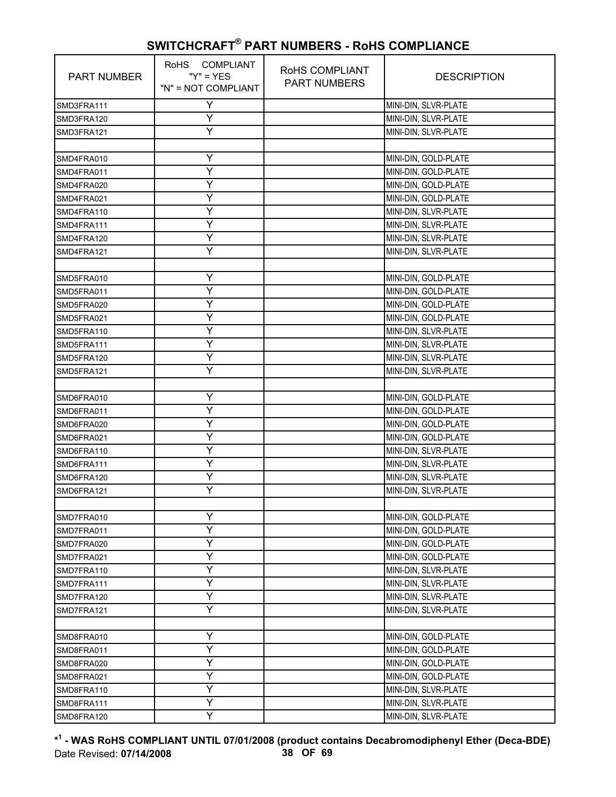| <b>PART NUMBER</b> | RoHS COMPLIANT<br>" $Y$ " = $YES$<br>"N" = NOT COMPLIANT | RoHS COMPLIANT<br><b>PART NUMBERS</b> | <b>DESCRIPTION</b>   |
|--------------------|----------------------------------------------------------|---------------------------------------|----------------------|
| SMD3FRA111         | Υ                                                        |                                       | MINI-DIN, SLVR-PLATE |
| SMD3FRA120         | Y                                                        |                                       | MINI-DIN, SLVR-PLATE |
| SMD3FRA121         | Ÿ                                                        |                                       | MINI-DIN, SLVR-PLATE |
|                    |                                                          |                                       |                      |
| SMD4FRA010         | Υ                                                        |                                       | MINI-DIN, GOLD-PLATE |
| SMD4FRA011         | Ÿ                                                        |                                       | MINI-DIN, GOLD-PLATE |
| SMD4FRA020         | Y                                                        |                                       | MINI-DIN, GOLD-PLATE |
| SMD4FRA021         | Y                                                        |                                       | MINI-DIN, GOLD-PLATE |
| SMD4FRA110         | Y                                                        |                                       | MINI-DIN, SLVR-PLATE |
| SMD4FRA111         | Υ                                                        |                                       | MINI-DIN, SLVR-PLATE |
| SMD4FRA120         | Y                                                        |                                       | MINI-DIN, SLVR-PLATE |
| SMD4FRA121         | Ÿ                                                        |                                       | MINI-DIN, SLVR-PLATE |
|                    |                                                          |                                       |                      |
| SMD5FRA010         | Y                                                        |                                       | MINI-DIN, GOLD-PLATE |
| SMD5FRA011         | Υ                                                        |                                       | MINI-DIN, GOLD-PLATE |
| SMD5FRA020         | Υ                                                        |                                       | MINI-DIN, GOLD-PLATE |
| SMD5FRA021         | Ÿ                                                        |                                       | MINI-DIN, GOLD-PLATE |
| SMD5FRA110         | Y                                                        |                                       | MINI-DIN, SLVR-PLATE |
| SMD5FRA111         | Y                                                        |                                       | MINI-DIN, SLVR-PLATE |
| SMD5FRA120         | Y                                                        |                                       | MINI-DIN, SLVR-PLATE |
| SMD5FRA121         | Υ                                                        |                                       | MINI-DIN, SLVR-PLATE |
|                    |                                                          |                                       |                      |
| SMD6FRA010         | Y                                                        |                                       | MINI-DIN, GOLD-PLATE |
| SMD6FRA011         | Y                                                        |                                       | MINI-DIN, GOLD-PLATE |
| SMD6FRA020         | Υ                                                        |                                       | MINI-DIN, GOLD-PLATE |
| SMD6FRA021         | Υ                                                        |                                       | MINI-DIN, GOLD-PLATE |
| SMD6FRA110         | Y                                                        |                                       | MINI-DIN, SLVR-PLATE |
| SMD6FRA111         | Y                                                        |                                       | MINI-DIN, SLVR-PLATE |
| SMD6FRA120         | Y                                                        |                                       | MINI-DIN, SLVR-PLATE |
| SMD6FRA121         | Y                                                        |                                       | MINI-DIN, SLVR-PLATE |
|                    |                                                          |                                       |                      |
| SMD7FRA010         | Y                                                        |                                       | MINI-DIN, GOLD-PLATE |
| SMD7FRA011         | Y                                                        |                                       | MINI-DIN, GOLD-PLATE |
| SMD7FRA020         | Y                                                        |                                       | MINI-DIN, GOLD-PLATE |
| SMD7FRA021         | Υ                                                        |                                       | MINI-DIN, GOLD-PLATE |
| SMD7FRA110         | Υ                                                        |                                       | MINI-DIN, SLVR-PLATE |
| SMD7FRA111         | Y                                                        |                                       | MINI-DIN, SLVR-PLATE |
| SMD7FRA120         | Y                                                        |                                       | MINI-DIN, SLVR-PLATE |
| SMD7FRA121         | Y                                                        |                                       | MINI-DIN, SLVR-PLATE |
|                    |                                                          |                                       |                      |
| SMD8FRA010         | Υ                                                        |                                       | MINI-DIN, GOLD-PLATE |
| SMD8FRA011         | Υ                                                        |                                       | MINI-DIN, GOLD-PLATE |
| SMD8FRA020         | Υ                                                        |                                       | MINI-DIN, GOLD-PLATE |
| SMD8FRA021         | Y                                                        |                                       | MINI-DIN, GOLD-PLATE |
| SMD8FRA110         | Υ                                                        |                                       | MINI-DIN, SLVR-PLATE |
| SMD8FRA111         | Υ                                                        |                                       | MINI-DIN, SLVR-PLATE |
| SMD8FRA120         | Ÿ                                                        |                                       | MINI-DIN, SLVR-PLATE |

**\* 1 - WAS RoHS COMPLIANT UNTIL 07/01/2008 (product contains Decabromodiphenyl Ether (Deca-BDE)** Date Revised: **07/14/2008 38 OF 69**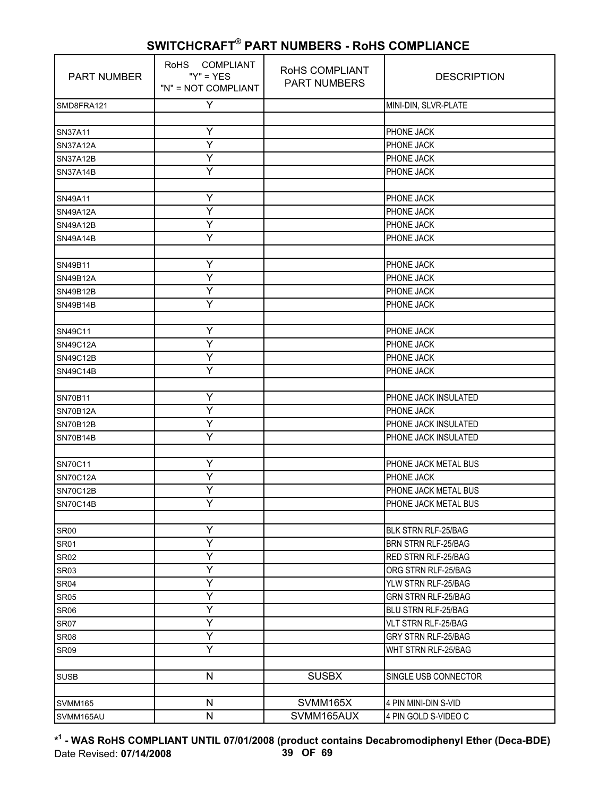| PART NUMBER     | RoHS COMPLIANT<br>" $Y$ " = $YES$<br>"N" = NOT COMPLIANT | RoHS COMPLIANT<br><b>PART NUMBERS</b> | <b>DESCRIPTION</b>         |
|-----------------|----------------------------------------------------------|---------------------------------------|----------------------------|
| SMD8FRA121      | Υ                                                        |                                       | MINI-DIN, SLVR-PLATE       |
|                 |                                                          |                                       |                            |
| SN37A11         | Υ                                                        |                                       | PHONE JACK                 |
| <b>SN37A12A</b> | Y                                                        |                                       | PHONE JACK                 |
| <b>SN37A12B</b> | Ÿ                                                        |                                       | PHONE JACK                 |
| <b>SN37A14B</b> | Y                                                        |                                       | PHONE JACK                 |
|                 |                                                          |                                       |                            |
| SN49A11         | Υ                                                        |                                       | PHONE JACK                 |
| <b>SN49A12A</b> | Y                                                        |                                       | PHONE JACK                 |
| <b>SN49A12B</b> | Ÿ                                                        |                                       | PHONE JACK                 |
| <b>SN49A14B</b> | Y                                                        |                                       | PHONE JACK                 |
|                 |                                                          |                                       |                            |
| SN49B11         | Υ                                                        |                                       | PHONE JACK                 |
| <b>SN49B12A</b> | Y                                                        |                                       | PHONE JACK                 |
| SN49B12B        | Y                                                        |                                       | PHONE JACK                 |
| SN49B14B        | Y                                                        |                                       | PHONE JACK                 |
|                 |                                                          |                                       |                            |
| SN49C11         | Υ                                                        |                                       | PHONE JACK                 |
| <b>SN49C12A</b> | Y                                                        |                                       | PHONE JACK                 |
| SN49C12B        | Ÿ                                                        |                                       | PHONE JACK                 |
| <b>SN49C14B</b> | Y                                                        |                                       | PHONE JACK                 |
|                 |                                                          |                                       |                            |
| <b>SN70B11</b>  | Υ                                                        |                                       | PHONE JACK INSULATED       |
| <b>SN70B12A</b> | Y                                                        |                                       | PHONE JACK                 |
| <b>SN70B12B</b> | Ÿ                                                        |                                       | PHONE JACK INSULATED       |
| <b>SN70B14B</b> | Y                                                        |                                       | PHONE JACK INSULATED       |
|                 |                                                          |                                       |                            |
| <b>SN70C11</b>  | Υ                                                        |                                       | PHONE JACK METAL BUS       |
| <b>SN70C12A</b> | Y                                                        |                                       | PHONE JACK                 |
| <b>SN70C12B</b> | Υ                                                        |                                       | PHONE JACK METAL BUS       |
| <b>SN70C14B</b> | Ÿ                                                        |                                       | PHONE JACK METAL BUS       |
|                 |                                                          |                                       |                            |
| <b>SR00</b>     | Υ                                                        |                                       | BLK STRN RLF-25/BAG        |
| <b>SR01</b>     | Y                                                        |                                       | <b>BRN STRN RLF-25/BAG</b> |
| <b>SR02</b>     | Y                                                        |                                       | <b>RED STRN RLF-25/BAG</b> |
| <b>SR03</b>     | Y                                                        |                                       | ORG STRN RLF-25/BAG        |
| <b>SR04</b>     | Υ                                                        |                                       | YLW STRN RLF-25/BAG        |
| <b>SR05</b>     | Y                                                        |                                       | <b>GRN STRN RLF-25/BAG</b> |
| <b>SR06</b>     | Y                                                        |                                       | BLU STRN RLF-25/BAG        |
| <b>SR07</b>     | Ÿ                                                        |                                       | VLT STRN RLF-25/BAG        |
| <b>SR08</b>     | Ÿ                                                        |                                       | GRY STRN RLF-25/BAG        |
| <b>SR09</b>     | Υ                                                        |                                       | WHT STRN RLF-25/BAG        |
|                 |                                                          |                                       |                            |
| <b>SUSB</b>     | N                                                        | <b>SUSBX</b>                          | SINGLE USB CONNECTOR       |
|                 |                                                          |                                       |                            |
| <b>SVMM165</b>  | $\mathsf{N}$                                             | SVMM165X                              | 4 PIN MINI-DIN S-VID       |
| SVMM165AU       | $\mathsf{N}$                                             | SVMM165AUX                            | 4 PIN GOLD S-VIDEO C       |

**\* 1 - WAS RoHS COMPLIANT UNTIL 07/01/2008 (product contains Decabromodiphenyl Ether (Deca-BDE)** Date Revised: **07/14/2008 39 OF 69**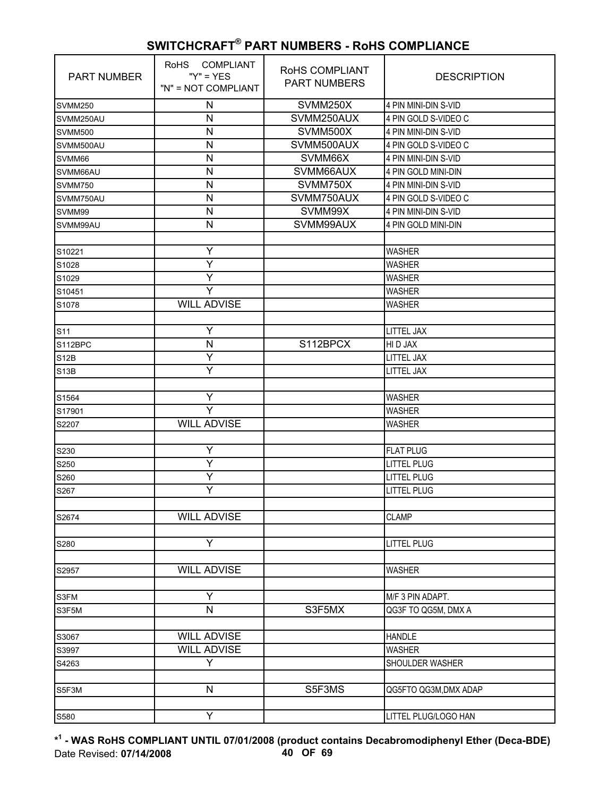| <b>PART NUMBER</b> | COMPLIANT<br><b>RoHS</b><br>" $Y$ " = $YES$<br>"N" = NOT COMPLIANT | RoHS COMPLIANT<br><b>PART NUMBERS</b> | <b>DESCRIPTION</b>    |
|--------------------|--------------------------------------------------------------------|---------------------------------------|-----------------------|
| <b>SVMM250</b>     | N                                                                  | SVMM250X                              | 4 PIN MINI-DIN S-VID  |
| SVMM250AU          | N                                                                  | SVMM250AUX                            | 4 PIN GOLD S-VIDEO C  |
| SVMM500            | N                                                                  | SVMM500X                              | 4 PIN MINI-DIN S-VID  |
| SVMM500AU          | N                                                                  | SVMM500AUX                            | 4 PIN GOLD S-VIDEO C  |
| SVMM66             | N                                                                  | SVMM66X                               | 4 PIN MINI-DIN S-VID  |
| SVMM66AU           | N                                                                  | SVMM66AUX                             | 4 PIN GOLD MINI-DIN   |
| <b>SVMM750</b>     | N                                                                  | SVMM750X                              | 4 PIN MINI-DIN S-VID  |
| SVMM750AU          | N                                                                  | SVMM750AUX                            | 4 PIN GOLD S-VIDEO C  |
| SVMM99             | N                                                                  | SVMM99X                               | 4 PIN MINI-DIN S-VID  |
| SVMM99AU           | N                                                                  | SVMM99AUX                             | 4 PIN GOLD MINI-DIN   |
|                    |                                                                    |                                       |                       |
| S10221             | Y                                                                  |                                       | <b>WASHER</b>         |
| S1028              | Ÿ                                                                  |                                       | <b>WASHER</b>         |
| S1029              | Υ                                                                  |                                       | <b>WASHER</b>         |
| S10451             | Y                                                                  |                                       | <b>WASHER</b>         |
| S1078              | <b>WILL ADVISE</b>                                                 |                                       | <b>WASHER</b>         |
|                    |                                                                    |                                       |                       |
| S <sub>11</sub>    | Ÿ                                                                  |                                       | <b>LITTEL JAX</b>     |
| S112BPC            | N                                                                  | S112BPCX                              | HI D JAX              |
| <b>S12B</b>        | Y                                                                  |                                       | LITTEL JAX            |
| S13B               | Y                                                                  |                                       | <b>LITTEL JAX</b>     |
|                    |                                                                    |                                       |                       |
| S1564              | Ÿ                                                                  |                                       | <b>WASHER</b>         |
| S17901             | Y                                                                  |                                       | <b>WASHER</b>         |
| S2207              | <b>WILL ADVISE</b>                                                 |                                       | WASHER                |
|                    |                                                                    |                                       |                       |
| S230               | Y                                                                  |                                       | <b>FLAT PLUG</b>      |
| S250               | Ÿ                                                                  |                                       | <b>LITTEL PLUG</b>    |
| S260               | Υ                                                                  |                                       | <b>LITTEL PLUG</b>    |
| S267               | Ÿ                                                                  |                                       | <b>LITTEL PLUG</b>    |
|                    |                                                                    |                                       |                       |
| S2674              | <b>WILL ADVISE</b>                                                 |                                       | <b>CLAMP</b>          |
|                    |                                                                    |                                       |                       |
| S280               | Υ                                                                  |                                       | <b>LITTEL PLUG</b>    |
|                    |                                                                    |                                       |                       |
| S2957              | <b>WILL ADVISE</b>                                                 |                                       | <b>WASHER</b>         |
|                    |                                                                    |                                       |                       |
| S3FM               | Y                                                                  |                                       | M/F 3 PIN ADAPT.      |
| S3F5M              | $\mathsf{N}$                                                       | S3F5MX                                | QG3F TO QG5M, DMX A   |
|                    |                                                                    |                                       |                       |
| S3067              | <b>WILL ADVISE</b>                                                 |                                       | <b>HANDLE</b>         |
| S3997              | <b>WILL ADVISE</b>                                                 |                                       | <b>WASHER</b>         |
| S4263              | Y                                                                  |                                       | SHOULDER WASHER       |
|                    |                                                                    |                                       |                       |
| S5F3M              | ${\sf N}$                                                          | S5F3MS                                | QG5FTO QG3M, DMX ADAP |
|                    |                                                                    |                                       |                       |
| S580               | Y                                                                  |                                       | LITTEL PLUG/LOGO HAN  |

**\* 1 - WAS RoHS COMPLIANT UNTIL 07/01/2008 (product contains Decabromodiphenyl Ether (Deca-BDE)** Date Revised: **07/14/2008 40 OF 69**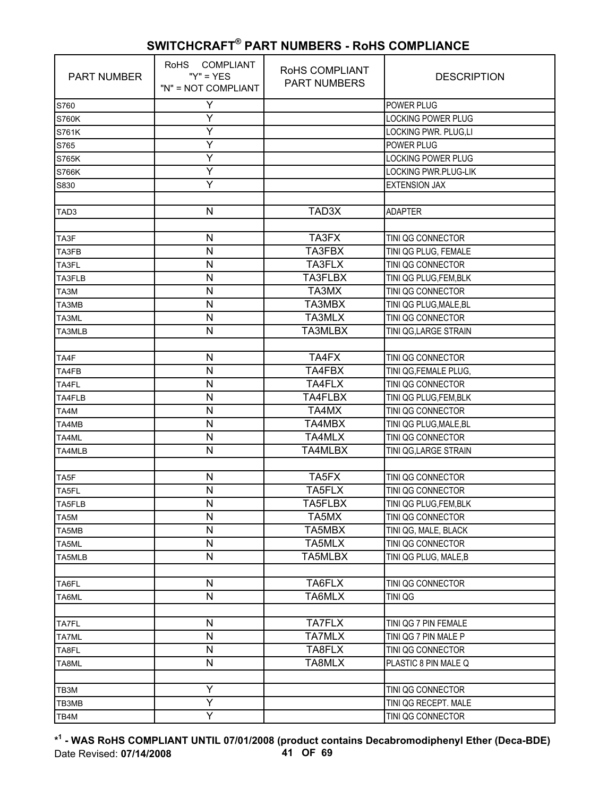| <b>PART NUMBER</b> | RoHS COMPLIANT<br>" $Y$ " = $YES$<br>"N" = NOT COMPLIANT | RoHS COMPLIANT<br><b>PART NUMBERS</b> | <b>DESCRIPTION</b>        |
|--------------------|----------------------------------------------------------|---------------------------------------|---------------------------|
| S760               | Υ                                                        |                                       | POWER PLUG                |
| <b>S760K</b>       | Υ                                                        |                                       | LOCKING POWER PLUG        |
| S761K              | Y                                                        |                                       | LOCKING PWR. PLUG,LI      |
| S765               | Y                                                        |                                       | POWER PLUG                |
| <b>S765K</b>       | Ÿ                                                        |                                       | <b>LOCKING POWER PLUG</b> |
| <b>S766K</b>       | Y                                                        |                                       | LOCKING PWR.PLUG-LIK      |
| S830               | Υ                                                        |                                       | <b>EXTENSION JAX</b>      |
|                    |                                                          |                                       |                           |
| TAD3               | N                                                        | TAD3X                                 | <b>ADAPTER</b>            |
|                    |                                                          |                                       |                           |
| TA3F               | N                                                        | TA3FX                                 | TINI QG CONNECTOR         |
| TA3FB              | N                                                        | TA3FBX                                | TINI QG PLUG, FEMALE      |
| TA3FL              | N                                                        | TA3FLX                                | TINI QG CONNECTOR         |
| TA3FLB             | N                                                        | TA3FLBX                               | TINI QG PLUG, FEM, BLK    |
| TA3M               | N                                                        | TA3MX                                 | TINI QG CONNECTOR         |
| TA3MB              | N                                                        | TA3MBX                                | TINI QG PLUG, MALE, BL    |
| TA3ML              | N                                                        | TA3MLX                                | TINI QG CONNECTOR         |
| TA3MLB             | N                                                        | TA3MLBX                               | TINI QG, LARGE STRAIN     |
|                    |                                                          |                                       |                           |
| TA4F               | $\mathsf{N}$                                             | TA4FX                                 | TINI QG CONNECTOR         |
| TA4FB              | $\mathsf{N}$                                             | TA4FBX                                | TINI QG, FEMALE PLUG,     |
| TA4FL              | N                                                        | TA4FLX                                | TINI QG CONNECTOR         |
| TA4FLB             | N                                                        | TA4FLBX                               | TINI QG PLUG, FEM, BLK    |
| TA4M               | N                                                        | TA4MX                                 | TINI QG CONNECTOR         |
| TA4MB              | N                                                        | TA4MBX                                | TINI QG PLUG, MALE, BL    |
| TA4ML              | N                                                        | TA4MLX                                | TINI QG CONNECTOR         |
| TA4MLB             | N                                                        | <b>TA4MLBX</b>                        | TINI QG, LARGE STRAIN     |
|                    |                                                          |                                       |                           |
| TA5F               | N                                                        | TA5FX                                 | TINI QG CONNECTOR         |
| TA5FL              | N                                                        | TA5FLX                                | TINI QG CONNECTOR         |
| TA5FLB             | N                                                        | TA5FLBX                               | TINI QG PLUG, FEM, BLK    |
| TA5M               | N                                                        | TA5MX                                 | TINI QG CONNECTOR         |
| TA5MB              | N                                                        | TA5MBX                                | TINI QG, MALE, BLACK      |
| TA5ML              | N                                                        | TA5MLX                                | TINI QG CONNECTOR         |
| TA5MLB             | $\mathsf{N}$                                             | TA5MLBX                               | TINI QG PLUG, MALE, B     |
|                    |                                                          |                                       |                           |
| TA6FL              | N                                                        | TA6FLX                                | TINI QG CONNECTOR         |
| TA6ML              | N                                                        | TA6MLX                                | TINI QG                   |
|                    |                                                          |                                       |                           |
| <b>TA7FL</b>       | $\mathsf{N}$                                             | <b>TA7FLX</b>                         | TINI QG 7 PIN FEMALE      |
| TA7ML              | N                                                        | <b>TA7MLX</b>                         | TINI QG 7 PIN MALE P      |
| TA8FL              | N                                                        | TA8FLX                                | TINI QG CONNECTOR         |
| TA8ML              | N                                                        | TA8MLX                                | PLASTIC 8 PIN MALE Q      |
|                    |                                                          |                                       |                           |
| TB3M               | Y                                                        |                                       | TINI QG CONNECTOR         |
| TB3MB              | Ÿ                                                        |                                       | TINI QG RECEPT. MALE      |
| TB4M               | Υ                                                        |                                       | TINI QG CONNECTOR         |

**\* 1 - WAS RoHS COMPLIANT UNTIL 07/01/2008 (product contains Decabromodiphenyl Ether (Deca-BDE)** Date Revised: **07/14/2008 41 OF 69**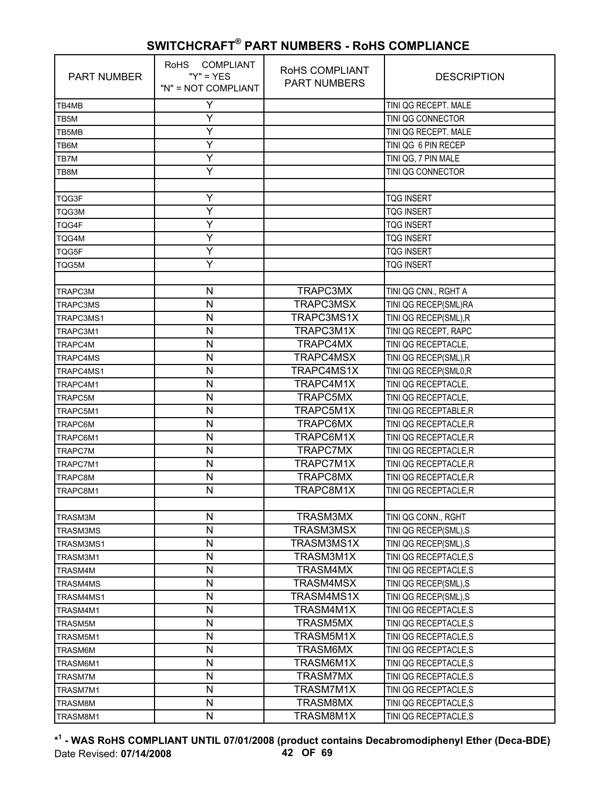| <b>PART NUMBER</b> | RoHS COMPLIANT<br>" $Y$ " = $YES$<br>"N" = NOT COMPLIANT | RoHS COMPLIANT<br><b>PART NUMBERS</b> | <b>DESCRIPTION</b>    |
|--------------------|----------------------------------------------------------|---------------------------------------|-----------------------|
| TB4MB              | Y                                                        |                                       | TINI QG RECEPT. MALE  |
| TB5M               | Υ                                                        |                                       | TINI QG CONNECTOR     |
| TB5MB              | Y                                                        |                                       | TINI QG RECEPT. MALE  |
| TB6M               | Y                                                        |                                       | TINI QG 6 PIN RECEP   |
| TB7M               | Y                                                        |                                       | TINI QG, 7 PIN MALE   |
| TB8M               | Y                                                        |                                       | TINI QG CONNECTOR     |
|                    |                                                          |                                       |                       |
| TQG3F              | Y                                                        |                                       | <b>TQG INSERT</b>     |
| TQG3M              | Y                                                        |                                       | <b>TQG INSERT</b>     |
| TQG4F              | Y                                                        |                                       | <b>TQG INSERT</b>     |
| TQG4M              | Y                                                        |                                       | <b>TQG INSERT</b>     |
| TQG5F              | Y                                                        |                                       | <b>TQG INSERT</b>     |
| TQG5M              | Y                                                        |                                       | <b>TQG INSERT</b>     |
|                    |                                                          |                                       |                       |
| <b>TRAPC3M</b>     | N                                                        | TRAPC3MX                              | TINI QG CNN., RGHT A  |
| <b>TRAPC3MS</b>    | N                                                        | TRAPC3MSX                             | TINI QG RECEP(SML)RA  |
| TRAPC3MS1          | N                                                        | TRAPC3MS1X                            | TINI QG RECEP(SML), R |
| TRAPC3M1           | N                                                        | TRAPC3M1X                             | TINI QG RECEPT, RAPC  |
| TRAPC4M            | N                                                        | TRAPC4MX                              | TINI QG RECEPTACLE,   |
| <b>TRAPC4MS</b>    | N                                                        | TRAPC4MSX                             | TINI QG RECEP(SML),R  |
| TRAPC4MS1          | N                                                        | TRAPC4MS1X                            | TINI QG RECEP(SML0,R  |
| TRAPC4M1           | N                                                        | TRAPC4M1X                             | TINI QG RECEPTACLE,   |
| TRAPC5M            | N                                                        | TRAPC5MX                              | TINI QG RECEPTACLE,   |
| TRAPC5M1           | N                                                        | TRAPC5M1X                             | TINI QG RECEPTABLE, R |
| TRAPC6M            | N                                                        | TRAPC6MX                              | TINI QG RECEPTACLE, R |
| TRAPC6M1           | N                                                        | TRAPC6M1X                             | TINI QG RECEPTACLE, R |
| <b>TRAPC7M</b>     | N                                                        | <b>TRAPC7MX</b>                       | TINI QG RECEPTACLE, R |
| TRAPC7M1           | N                                                        | TRAPC7M1X                             | TINI QG RECEPTACLE, R |
| TRAPC8M            | N                                                        | TRAPC8MX                              | TINI QG RECEPTACLE, R |
| TRAPC8M1           | N                                                        | TRAPC8M1X                             | TINI QG RECEPTACLE.R  |
|                    |                                                          |                                       |                       |
| TRASM3M            | N                                                        | TRASM3MX                              | TINI QG CONN., RGHT   |
| <b>TRASM3MS</b>    | N                                                        | TRASM3MSX                             | TINI QG RECEP(SML), S |
| TRASM3MS1          | N                                                        | TRASM3MS1X                            | TINI QG RECEP(SML),S  |
| TRASM3M1           | N                                                        | TRASM3M1X                             | TINI QG RECEPTACLE, S |
| TRASM4M            | N                                                        | TRASM4MX                              | TINI QG RECEPTACLE, S |
| TRASM4MS           | N                                                        | TRASM4MSX                             | TINI QG RECEP(SML), S |
| TRASM4MS1          | N                                                        | TRASM4MS1X                            | TINI QG RECEP(SML), S |
| TRASM4M1           | N                                                        | TRASM4M1X                             | TINI QG RECEPTACLE, S |
| TRASM5M            | N                                                        | TRASM5MX                              | TINI QG RECEPTACLE, S |
| TRASM5M1           | N                                                        | TRASM5M1X                             | TINI QG RECEPTACLE, S |
| TRASM6M            | N                                                        | TRASM6MX                              | TINI QG RECEPTACLE, S |
| TRASM6M1           | N                                                        | TRASM6M1X                             | TINI QG RECEPTACLE, S |
| <b>TRASM7M</b>     | N                                                        | <b>TRASM7MX</b>                       | TINI QG RECEPTACLE, S |
| TRASM7M1           | N                                                        | TRASM7M1X                             | TINI QG RECEPTACLE, S |
| TRASM8M            | N                                                        | TRASM8MX                              | TINI QG RECEPTACLE, S |
| TRASM8M1           | N                                                        | TRASM8M1X                             | TINI QG RECEPTACLE, S |

**\* 1 - WAS RoHS COMPLIANT UNTIL 07/01/2008 (product contains Decabromodiphenyl Ether (Deca-BDE)** Date Revised: **07/14/2008 42 OF 69**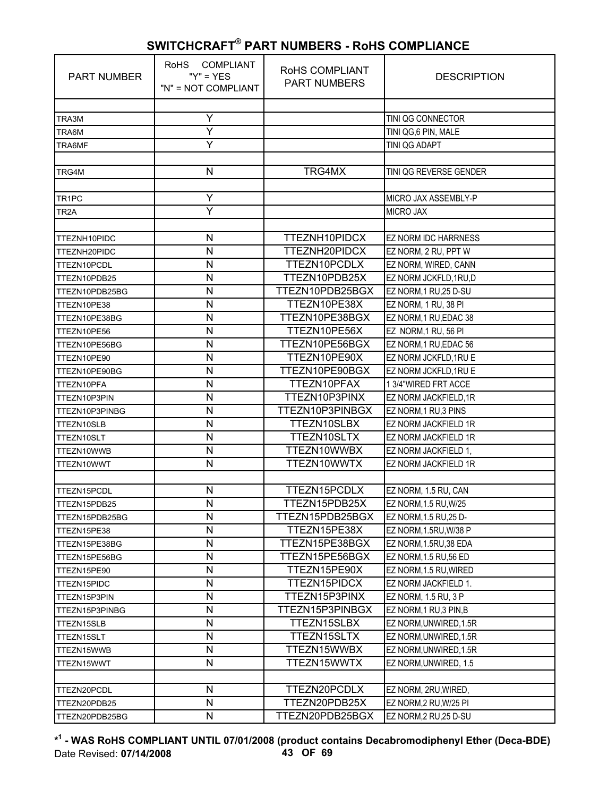| <b>PART NUMBER</b> | <b>COMPLIANT</b><br><b>RoHS</b><br>" $Y$ " = $YES$<br>"N" = NOT COMPLIANT | RoHS COMPLIANT<br><b>PART NUMBERS</b> | <b>DESCRIPTION</b>          |
|--------------------|---------------------------------------------------------------------------|---------------------------------------|-----------------------------|
|                    |                                                                           |                                       |                             |
| TRA3M              | Υ                                                                         |                                       | TINI QG CONNECTOR           |
| TRA6M              | Ÿ                                                                         |                                       | TINI QG,6 PIN, MALE         |
| TRA6MF             | Y                                                                         |                                       | TINI QG ADAPT               |
| TRG4M              | N                                                                         | TRG4MX                                | TINI QG REVERSE GENDER      |
|                    |                                                                           |                                       |                             |
| TR <sub>1PC</sub>  | Y                                                                         |                                       | MICRO JAX ASSEMBLY-P        |
| TR <sub>2</sub> A  | $\overline{Y}$                                                            |                                       | <b>MICRO JAX</b>            |
|                    |                                                                           |                                       |                             |
| TTEZNH10PIDC       | N                                                                         | TTEZNH10PIDCX                         | <b>EZ NORM IDC HARRNESS</b> |
| TTEZNH20PIDC       | N                                                                         | TTEZNH20PIDCX                         | EZ NORM, 2 RU, PPT W        |
| TTEZN10PCDL        | N                                                                         | TTEZN10PCDLX                          | EZ NORM, WIRED, CANN        |
| TTEZN10PDB25       | N                                                                         | TTEZN10PDB25X                         | EZ NORM JCKFLD, 1RU, D      |
| TTEZN10PDB25BG     | N                                                                         | TTEZN10PDB25BGX                       | EZ NORM, 1 RU, 25 D-SU      |
| TTEZN10PE38        | N                                                                         | TTEZN10PE38X                          | EZ NORM, 1 RU, 38 PI        |
| TTEZN10PE38BG      | N                                                                         | TTEZN10PE38BGX                        | EZ NORM, 1 RU, EDAC 38      |
| TTEZN10PE56        | N                                                                         | TTEZN10PE56X                          | EZ NORM, 1 RU, 56 PI        |
| TTEZN10PE56BG      | N                                                                         | TTEZN10PE56BGX                        | EZ NORM, 1 RU, EDAC 56      |
| TTEZN10PE90        | N                                                                         | TTEZN10PE90X                          | EZ NORM JCKFLD, 1RU E       |
| TTEZN10PE90BG      | N                                                                         | TTEZN10PE90BGX                        | EZ NORM JCKFLD, 1RU E       |
| TTEZN10PFA         | N                                                                         | TTEZN10PFAX                           | 1 3/4"WIRED FRT ACCE        |
| TTEZN10P3PIN       | N                                                                         | TTEZN10P3PINX                         | EZ NORM JACKFIELD, 1R       |
| TTEZN10P3PINBG     | N                                                                         | TTEZN10P3PINBGX                       | EZ NORM, 1 RU, 3 PINS       |
| TTEZN10SLB         | N                                                                         | TTEZN10SLBX                           | EZ NORM JACKFIELD 1R        |
| TTEZN10SLT         | N                                                                         | TTEZN10SLTX                           | EZ NORM JACKFIELD 1R        |
| TTEZN10WWB         | N                                                                         | TTEZN10WWBX                           | EZ NORM JACKFIELD 1,        |
| TTEZN10WWT         | N                                                                         | TTEZN10WWTX                           | EZ NORM JACKFIELD 1R        |
|                    |                                                                           |                                       |                             |
| TTEZN15PCDL        | $\mathsf{N}$                                                              | TTEZN15PCDLX                          | EZ NORM, 1.5 RU, CAN        |
| TTEZN15PDB25       | N                                                                         | TTEZN15PDB25X                         | EZ NORM, 1.5 RU, W/25       |
| TTEZN15PDB25BG     | N                                                                         | TTEZN15PDB25BGX                       | EZ NORM, 1.5 RU, 25 D-      |
| TTEZN15PE38        | Ν                                                                         | TTEZN15PE38X                          | EZ NORM, 1.5RU, W/38 P      |
| TTEZN15PE38BG      | N                                                                         | TTEZN15PE38BGX                        | EZ NORM, 1.5RU, 38 EDA      |
| TTEZN15PE56BG      | N                                                                         | TTEZN15PE56BGX                        | EZ NORM, 1.5 RU, 56 ED      |
| TTEZN15PE90        | N                                                                         | TTEZN15PE90X                          | EZ NORM, 1.5 RU, WIRED      |
| TTEZN15PIDC        | N                                                                         | TTEZN15PIDCX                          | EZ NORM JACKFIELD 1.        |
| TTEZN15P3PIN       | Ν                                                                         | TTEZN15P3PINX                         | EZ NORM, 1.5 RU, 3 P        |
| TTEZN15P3PINBG     | N                                                                         | TTEZN15P3PINBGX                       | EZ NORM, 1 RU, 3 PIN, B     |
| TTEZN15SLB         | N                                                                         | TTEZN15SLBX                           | EZ NORM, UNWIRED, 1.5R      |
| TTEZN15SLT         | N                                                                         | TTEZN15SLTX                           | EZ NORM, UNWIRED, 1.5R      |
| TTEZN15WWB         | N                                                                         | TTEZN15WWBX                           | EZ NORM, UNWIRED, 1.5R      |
| TTEZN15WWT         | Ν                                                                         | TTEZN15WWTX                           | EZ NORM, UNWIRED, 1.5       |
|                    |                                                                           |                                       |                             |
| TTEZN20PCDL        | N                                                                         | TTEZN20PCDLX                          | EZ NORM, 2RU, WIRED,        |
| TTEZN20PDB25       | N                                                                         | TTEZN20PDB25X                         | EZ NORM, 2 RU, W/25 PI      |
| TTEZN20PDB25BG     | N                                                                         | TTEZN20PDB25BGX                       | EZ NORM, 2 RU, 25 D-SU      |

**\* 1 - WAS RoHS COMPLIANT UNTIL 07/01/2008 (product contains Decabromodiphenyl Ether (Deca-BDE)** Date Revised: **07/14/2008 43 OF 69**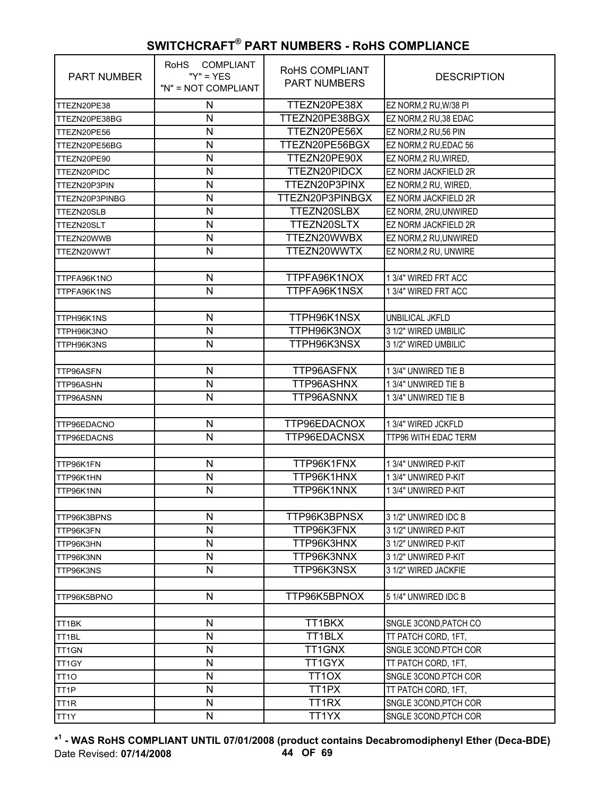| <b>PART NUMBER</b> | COMPLIANT<br><b>RoHS</b><br>" $Y$ " = $YES$<br>"N" = NOT COMPLIANT | ROHS COMPLIANT<br><b>PART NUMBERS</b> | <b>DESCRIPTION</b>          |
|--------------------|--------------------------------------------------------------------|---------------------------------------|-----------------------------|
| TTEZN20PE38        | Ν                                                                  | TTEZN20PE38X                          | EZ NORM, 2 RU, W/38 PI      |
| TTEZN20PE38BG      | N                                                                  | TTEZN20PE38BGX                        | EZ NORM, 2 RU, 38 EDAC      |
| TTEZN20PE56        | N                                                                  | TTEZN20PE56X                          | EZ NORM, 2 RU, 56 PIN       |
| TTEZN20PE56BG      | N                                                                  | TTEZN20PE56BGX                        | EZ NORM, 2 RU, EDAC 56      |
| TTEZN20PE90        | N                                                                  | TTEZN20PE90X                          | EZ NORM, 2 RU, WIRED,       |
| TTEZN20PIDC        | N                                                                  | TTEZN20PIDCX                          | EZ NORM JACKFIELD 2R        |
| TTEZN20P3PIN       | N                                                                  | TTEZN20P3PINX                         | EZ NORM, 2 RU, WIRED,       |
| TTEZN20P3PINBG     | N                                                                  | TTEZN20P3PINBGX                       | <b>EZ NORM JACKFIELD 2R</b> |
| TTEZN20SLB         | N                                                                  | TTEZN20SLBX                           | EZ NORM, 2RU, UNWIRED       |
| TTEZN20SLT         | N                                                                  | TTEZN20SLTX                           | <b>EZ NORM JACKFIELD 2R</b> |
| TTEZN20WWB         | N                                                                  | TTEZN20WWBX                           | EZ NORM, 2 RU, UNWIRED      |
| TTEZN20WWT         | N                                                                  | TTEZN20WWTX                           | EZ NORM, 2 RU, UNWIRE       |
|                    |                                                                    |                                       |                             |
| TTPFA96K1NO        | N                                                                  | TTPFA96K1NOX                          | 1 3/4" WIRED FRT ACC        |
| TTPFA96K1NS        | N                                                                  | TTPFA96K1NSX                          | 1 3/4" WIRED FRT ACC        |
|                    |                                                                    |                                       |                             |
| TTPH96K1NS         | N                                                                  | TTPH96K1NSX                           | UNBILICAL JKFLD             |
| TTPH96K3NO         | N                                                                  | TTPH96K3NOX                           | 3 1/2" WIRED UMBILIC        |
| TTPH96K3NS         | N                                                                  | TTPH96K3NSX                           | 3 1/2" WIRED UMBILIC        |
|                    |                                                                    |                                       |                             |
| TTP96ASFN          | N                                                                  | TTP96ASFNX                            | 1 3/4" UNWIRED TIE B        |
| TTP96ASHN          | N                                                                  | TTP96ASHNX                            | 1 3/4" UNWIRED TIE B        |
| TTP96ASNN          | N                                                                  | TTP96ASNNX                            | 1 3/4" UNWIRED TIE B        |
|                    |                                                                    |                                       |                             |
| TTP96EDACNO        | N                                                                  | TTP96EDACNOX                          | 1 3/4" WIRED JCKFLD         |
| TTP96EDACNS        | N                                                                  | TTP96EDACNSX                          | TTP96 WITH EDAC TERM        |
|                    |                                                                    |                                       |                             |
| TTP96K1FN          | N                                                                  | TTP96K1FNX                            | 1 3/4" UNWIRED P-KIT        |
| TTP96K1HN          | N                                                                  | TTP96K1HNX                            | 1 3/4" UNWIRED P-KIT        |
| TTP96K1NN          | N                                                                  | TTP96K1NNX                            | 13/4" UNWIRED P-KIT         |
|                    |                                                                    |                                       |                             |
| TTP96K3BPNS        | N                                                                  | TTP96K3BPNSX                          | 3 1/2" UNWIRED IDC B        |
| TTP96K3FN          | N                                                                  | TTP96K3FNX                            | 3 1/2" UNWIRED P-KIT        |
| TTP96K3HN          | N                                                                  | TTP96K3HNX                            | 3 1/2" UNWIRED P-KIT        |
| TTP96K3NN          | N                                                                  | TTP96K3NNX                            | 3 1/2" UNWIRED P-KIT        |
| TTP96K3NS          | N                                                                  | TTP96K3NSX                            | 3 1/2" WIRED JACKFIE        |
|                    |                                                                    |                                       |                             |
| TTP96K5BPNO        | $\mathsf{N}$                                                       | TTP96K5BPNOX                          | 5 1/4" UNWIRED IDC B        |
|                    |                                                                    |                                       |                             |
| TT1BK              | N                                                                  | TT1BKX                                | SNGLE 3COND, PATCH CO       |
| TT <sub>1</sub> BL | N                                                                  | TT1BLX                                | TT PATCH CORD, 1FT,         |
| TT1GN              | N                                                                  | TT1GNX                                | SNGLE 3COND.PTCH COR        |
| TT1GY              | N                                                                  | TT1GYX                                | TT PATCH CORD, 1FT,         |
| TT <sub>10</sub>   | $\mathsf{N}$                                                       | TT <sub>1</sub> OX                    | SNGLE 3COND.PTCH COR        |
| TT <sub>1</sub> P  | N                                                                  | TT <sub>1</sub> PX                    | TT PATCH CORD, 1FT,         |
| TT <sub>1R</sub>   | N                                                                  | TT1RX                                 | SNGLE 3COND, PTCH COR       |
| TT1Y               | $\mathsf{N}$                                                       | TT1YX                                 | SNGLE 3COND, PTCH COR       |

**\* 1 - WAS RoHS COMPLIANT UNTIL 07/01/2008 (product contains Decabromodiphenyl Ether (Deca-BDE)** Date Revised: **07/14/2008 44 OF 69**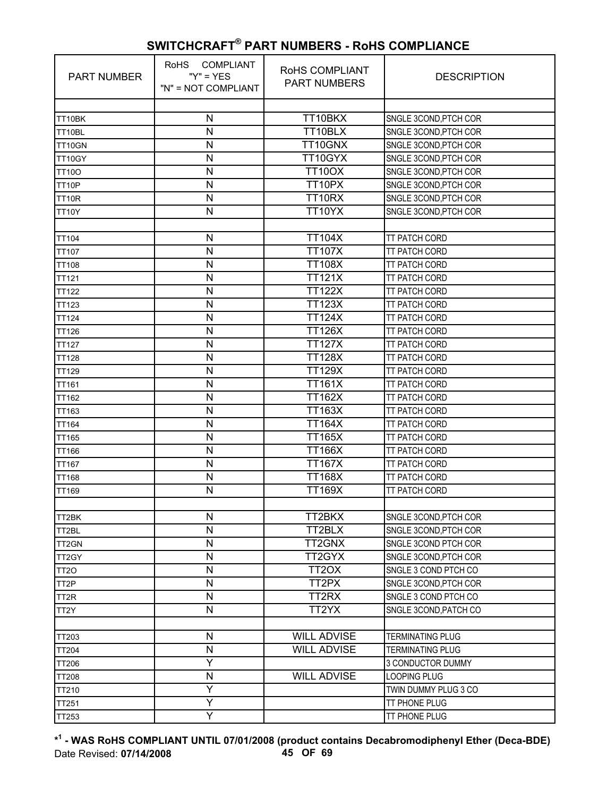| <b>PART NUMBER</b> | <b>COMPLIANT</b><br><b>RoHS</b><br>" $Y$ " = $YES$<br>"N" = NOT COMPLIANT | <b>ROHS COMPLIANT</b><br><b>PART NUMBERS</b> | <b>DESCRIPTION</b>      |
|--------------------|---------------------------------------------------------------------------|----------------------------------------------|-------------------------|
|                    |                                                                           |                                              |                         |
| TT10BK             | N                                                                         | TT10BKX                                      | SNGLE 3COND, PTCH COR   |
| TT10BL             | N                                                                         | TT10BLX                                      | SNGLE 3COND, PTCH COR   |
| TT10GN             | N                                                                         | TT10GNX                                      | SNGLE 3COND, PTCH COR   |
| TT10GY             | N                                                                         | TT10GYX                                      | SNGLE 3COND, PTCH COR   |
| <b>TT10O</b>       | N                                                                         | <b>TT10OX</b>                                | SNGLE 3COND, PTCH COR   |
| TT10P              | N                                                                         | TT10PX                                       | SNGLE 3COND, PTCH COR   |
| TT10R              | N                                                                         | TT10RX                                       | SNGLE 3COND, PTCH COR   |
| <b>TT10Y</b>       | N                                                                         | TT10YX                                       | SNGLE 3COND, PTCH COR   |
|                    |                                                                           |                                              |                         |
| <b>TT104</b>       | N                                                                         | <b>TT104X</b>                                | <b>TT PATCH CORD</b>    |
| <b>TT107</b>       | N                                                                         | <b>TT107X</b>                                | TT PATCH CORD           |
| <b>TT108</b>       | N                                                                         | <b>TT108X</b>                                | <b>TT PATCH CORD</b>    |
| <b>TT121</b>       | N                                                                         | <b>TT121X</b>                                | TT PATCH CORD           |
| <b>TT122</b>       | N                                                                         | <b>TT122X</b>                                | TT PATCH CORD           |
| <b>TT123</b>       | N                                                                         | <b>TT123X</b>                                | <b>TT PATCH CORD</b>    |
| <b>TT124</b>       | N                                                                         | <b>TT124X</b>                                | TT PATCH CORD           |
| <b>TT126</b>       | N                                                                         | <b>TT126X</b>                                | <b>TT PATCH CORD</b>    |
| <b>TT127</b>       | N                                                                         | <b>TT127X</b>                                | TT PATCH CORD           |
| TT128              | N                                                                         | <b>TT128X</b>                                | TT PATCH CORD           |
| <b>TT129</b>       | N                                                                         | <b>TT129X</b>                                | <b>TT PATCH CORD</b>    |
| <b>TT161</b>       | N                                                                         | $\overline{T1161}$ X                         | TT PATCH CORD           |
| <b>TT162</b>       | N                                                                         | <b>TT162X</b>                                | <b>TT PATCH CORD</b>    |
| TT163              | N                                                                         | <b>TT163X</b>                                | TT PATCH CORD           |
| <b>TT164</b>       | N                                                                         | <b>TT164X</b>                                | TT PATCH CORD           |
| <b>TT165</b>       | N                                                                         | <b>TT165X</b>                                | <b>TT PATCH CORD</b>    |
| <b>TT166</b>       | N                                                                         | <b>TT166X</b>                                | TT PATCH CORD           |
| <b>TT167</b>       | N                                                                         | <b>TT167X</b>                                | <b>TT PATCH CORD</b>    |
| <b>TT168</b>       | N                                                                         | <b>TT168X</b>                                | TT PATCH CORD           |
| TT169              | N                                                                         | <b>TT169X</b>                                | TT PATCH CORD           |
|                    |                                                                           |                                              |                         |
| TT2BK              | N                                                                         | TT2BKX                                       | SNGLE 3COND, PTCH COR   |
| TT2BL              | N                                                                         | TT2BLX                                       | SNGLE 3COND, PTCH COR   |
| TT <sub>2GN</sub>  | N                                                                         | TT2GNX                                       | SNGLE 3COND PTCH COR    |
| TT2GY              | N                                                                         | TT2GYX                                       | SNGLE 3COND, PTCH COR   |
| TT <sub>20</sub>   | N                                                                         | TT <sub>2</sub> OX                           | SNGLE 3 COND PTCH CO    |
| TT <sub>2</sub> P  | N                                                                         | TT2PX                                        | SNGLE 3COND, PTCH COR   |
| TT <sub>2R</sub>   | $\mathsf{N}$                                                              | TT2RX                                        | SNGLE 3 COND PTCH CO    |
| TT <sub>2</sub> Y  | N                                                                         | TT2YX                                        | SNGLE 3COND, PATCH CO   |
|                    |                                                                           |                                              |                         |
| TT203              | N                                                                         | <b>WILL ADVISE</b>                           | <b>TERMINATING PLUG</b> |
| <b>TT204</b>       | $\mathsf{N}$                                                              | <b>WILL ADVISE</b>                           | <b>TERMINATING PLUG</b> |
| <b>TT206</b>       | Y                                                                         |                                              | 3 CONDUCTOR DUMMY       |
| <b>TT208</b>       | N                                                                         | <b>WILL ADVISE</b>                           | LOOPING PLUG            |
| TT210              | Y                                                                         |                                              | TWIN DUMMY PLUG 3 CO    |
| <b>TT251</b>       | Υ                                                                         |                                              | TT PHONE PLUG           |
| TT253              | Υ                                                                         |                                              | TT PHONE PLUG           |

**\* 1 - WAS RoHS COMPLIANT UNTIL 07/01/2008 (product contains Decabromodiphenyl Ether (Deca-BDE)** Date Revised: **07/14/2008 45 OF 69**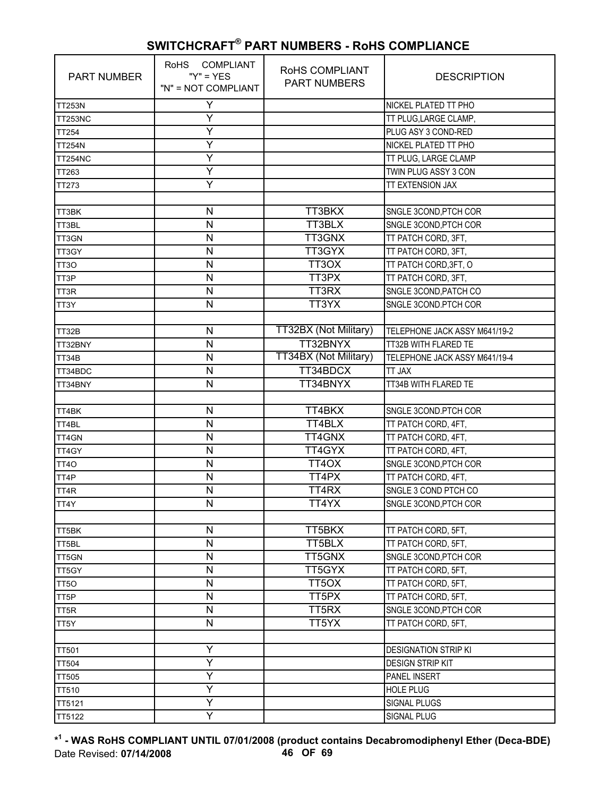| <b>PART NUMBER</b> | RoHS COMPLIANT<br>" $Y$ " = $YES$<br>"N" = NOT COMPLIANT | ROHS COMPLIANT<br><b>PART NUMBERS</b> | <b>DESCRIPTION</b>            |
|--------------------|----------------------------------------------------------|---------------------------------------|-------------------------------|
| <b>TT253N</b>      | Υ                                                        |                                       | NICKEL PLATED TT PHO          |
| <b>TT253NC</b>     | Υ                                                        |                                       | TT PLUG, LARGE CLAMP,         |
| <b>TT254</b>       | Y                                                        |                                       | PLUG ASY 3 COND-RED           |
| <b>TT254N</b>      | Y                                                        |                                       | NICKEL PLATED TT PHO          |
| <b>TT254NC</b>     | Ÿ                                                        |                                       | TT PLUG, LARGE CLAMP          |
| TT263              | Y                                                        |                                       | TWIN PLUG ASSY 3 CON          |
| TT273              | Υ                                                        |                                       | TT EXTENSION JAX              |
|                    |                                                          |                                       |                               |
| TT3BK              | N                                                        | TT3BKX                                | SNGLE 3COND, PTCH COR         |
| TT3BL              | $\mathsf{N}$                                             | TT3BLX                                | SNGLE 3COND, PTCH COR         |
| TT3GN              | N                                                        | TT3GNX                                | TT PATCH CORD, 3FT,           |
| TT3GY              | N                                                        | TT3GYX                                | TT PATCH CORD, 3FT,           |
| TT <sub>30</sub>   | N                                                        | TT3OX                                 | TT PATCH CORD, 3FT, O         |
| TT3P               | N                                                        | TT3PX                                 | TT PATCH CORD, 3FT,           |
| TT3R               | N                                                        | TT3RX                                 | SNGLE 3COND, PATCH CO         |
| TT3Y               | $\mathsf{N}$                                             | TT3YX                                 | SNGLE 3COND.PTCH COR          |
|                    |                                                          |                                       |                               |
| TT32B              | N                                                        | TT32BX (Not Military)                 | TELEPHONE JACK ASSY M641/19-2 |
| TT32BNY            | N                                                        | TT32BNYX                              | TT32B WITH FLARED TE          |
| TT34B              | N                                                        | TT34BX (Not Military)                 | TELEPHONE JACK ASSY M641/19-4 |
| TT34BDC            | $\mathsf{N}$                                             | TT34BDCX                              | TT JAX                        |
| TT34BNY            | N                                                        | TT34BNYX                              | TT34B WITH FLARED TE          |
|                    |                                                          |                                       |                               |
| TT4BK              | N                                                        | TT4BKX                                | SNGLE 3COND.PTCH COR          |
| TT4BL              | N                                                        | TT4BLX                                | TT PATCH CORD, 4FT,           |
| TT4GN              | $\mathsf{N}$                                             | TT4GNX                                | TT PATCH CORD, 4FT,           |
| TT4GY              | N                                                        | TT4GYX                                | TT PATCH CORD, 4FT,           |
| TT <sub>40</sub>   | N                                                        | TT4OX                                 | SNGLE 3COND, PTCH COR         |
| TT4P               | N                                                        | TT4PX                                 | TT PATCH CORD, 4FT,           |
| TT4R               | N                                                        | TT4RX                                 | SNGLE 3 COND PTCH CO          |
| TT4Y               | N                                                        | TT4YX                                 | SNGLE 3COND, PTCH COR         |
|                    |                                                          |                                       |                               |
| TT5BK              | N                                                        | TT5BKX                                | TT PATCH CORD, 5FT,           |
| TT5BL              | N                                                        | TT5BLX                                | TT PATCH CORD, 5FT,           |
| TT5GN              | $\mathsf{N}$                                             | TT5GNX                                | SNGLE 3COND, PTCH COR         |
| TT5GY              | N                                                        | TT5GYX                                | TT PATCH CORD, 5FT,           |
| TT <sub>50</sub>   | N                                                        | TT <sub>5</sub> OX                    | TT PATCH CORD, 5FT,           |
| TT <sub>5</sub> P  | N                                                        | TT5PX                                 | TT PATCH CORD, 5FT,           |
| TT5R               | N                                                        | TT5RX                                 | SNGLE 3COND, PTCH COR         |
| TT5Y               | $\mathsf{N}$                                             | TT5YX                                 | TT PATCH CORD, 5FT,           |
|                    |                                                          |                                       |                               |
| <b>TT501</b>       | Υ                                                        |                                       | <b>DESIGNATION STRIP KI</b>   |
| <b>TT504</b>       | Y                                                        |                                       | <b>DESIGN STRIP KIT</b>       |
| <b>TT505</b>       | Y                                                        |                                       | <b>PANEL INSERT</b>           |
| <b>TT510</b>       | Ÿ                                                        |                                       | <b>HOLE PLUG</b>              |
| TT5121             | Y                                                        |                                       | SIGNAL PLUGS                  |
| TT5122             | Y                                                        |                                       | SIGNAL PLUG                   |

**\* 1 - WAS RoHS COMPLIANT UNTIL 07/01/2008 (product contains Decabromodiphenyl Ether (Deca-BDE)** Date Revised: **07/14/2008 46 OF 69**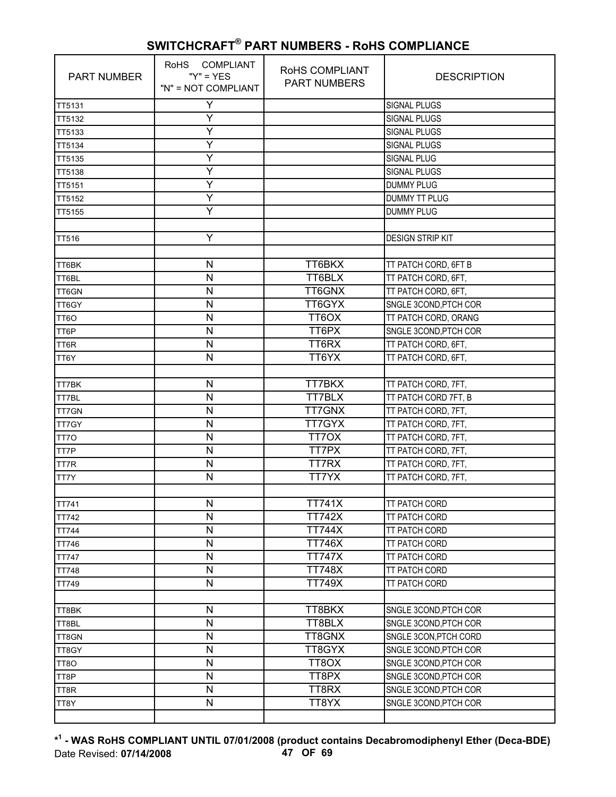| <b>PART NUMBER</b> | RoHS COMPLIANT<br>" $Y$ " = $YES$<br>"N" = NOT COMPLIANT | RoHS COMPLIANT<br><b>PART NUMBERS</b> | <b>DESCRIPTION</b>      |
|--------------------|----------------------------------------------------------|---------------------------------------|-------------------------|
| TT5131             | Υ                                                        |                                       | <b>SIGNAL PLUGS</b>     |
| TT5132             | Υ                                                        |                                       | <b>SIGNAL PLUGS</b>     |
| TT5133             | Ÿ                                                        |                                       | <b>SIGNAL PLUGS</b>     |
| TT5134             | Υ                                                        |                                       | <b>SIGNAL PLUGS</b>     |
| TT5135             | Ÿ                                                        |                                       | <b>SIGNAL PLUG</b>      |
| TT5138             | Y                                                        |                                       | <b>SIGNAL PLUGS</b>     |
| TT5151             | Υ                                                        |                                       | <b>DUMMY PLUG</b>       |
| TT5152             | Y                                                        |                                       | <b>DUMMY TT PLUG</b>    |
| TT5155             | Y                                                        |                                       | <b>DUMMY PLUG</b>       |
|                    |                                                          |                                       |                         |
| <b>TT516</b>       | Υ                                                        |                                       | <b>DESIGN STRIP KIT</b> |
|                    |                                                          |                                       |                         |
| TT6BK              | $\mathsf{N}$                                             | TT6BKX                                | TT PATCH CORD, 6FT B    |
| TT6BL              | $\mathsf{N}$                                             | TT6BLX                                | TT PATCH CORD, 6FT,     |
| TT6GN              | $\mathsf{N}$                                             | TT6GNX                                | TT PATCH CORD, 6FT,     |
| TT6GY              | ${\sf N}$                                                | TT6GYX                                | SNGLE 3COND, PTCH COR   |
| TT6O               | $\mathsf{N}$                                             | TT6OX                                 | TT PATCH CORD, ORANG    |
| TT6P               | $\mathsf{N}$                                             | TT6PX                                 | SNGLE 3COND, PTCH COR   |
| TT6R               | $\mathsf{N}$                                             | TT6RX                                 | TT PATCH CORD, 6FT,     |
| TT6Y               | $\mathsf{N}$                                             | TT6YX                                 | TT PATCH CORD, 6FT,     |
|                    |                                                          |                                       |                         |
| TT7BK              | ${\sf N}$                                                | TT7BKX                                | TT PATCH CORD, 7FT,     |
| TT7BL              | $\mathsf{N}$                                             | <b>TT7BLX</b>                         | TT PATCH CORD 7FT, B    |
| TT7GN              | N                                                        | <b>TT7GNX</b>                         | TT PATCH CORD, 7FT,     |
| TT7GY              | $\mathsf{N}$                                             | TT7GYX                                | TT PATCH CORD, 7FT,     |
| TT7O               | $\mathsf{N}$                                             | TT70X                                 | TT PATCH CORD, 7FT,     |
| TT7P               | N                                                        | TT7PX                                 | TT PATCH CORD, 7FT,     |
| TT7R               | $\mathsf{N}$                                             | <b>TT7RX</b>                          | TT PATCH CORD, 7FT,     |
| TT7Y               | $\mathsf{N}$                                             | TT7YX                                 | TT PATCH CORD, 7FT,     |
|                    |                                                          |                                       |                         |
| <b>TT741</b>       | $\mathsf{N}$                                             | <b>TT741X</b>                         | <b>TT PATCH CORD</b>    |
| <b>TT742</b>       | N                                                        | <b>TT742X</b>                         | TT PATCH CORD           |
| <b>TT744</b>       | $\mathsf{N}$                                             | <b>TT744X</b>                         | TT PATCH CORD           |
| TT746              | $\mathsf{N}$                                             | <b>TT746X</b>                         | <b>TT PATCH CORD</b>    |
| <b>TT747</b>       | $\mathsf{N}$                                             | <b>TT747X</b>                         | TT PATCH CORD           |
| <b>TT748</b>       | ${\sf N}$                                                | <b>TT748X</b>                         | TT PATCH CORD           |
| <b>TT749</b>       | ${\sf N}$                                                | <b>TT749X</b>                         | TT PATCH CORD           |
|                    |                                                          |                                       |                         |
| TT8BK              | $\mathsf{N}$                                             | TT8BKX                                | SNGLE 3COND, PTCH COR   |
| TT8BL              | $\mathsf{N}$                                             | TT8BLX                                | SNGLE 3COND, PTCH COR   |
| TT8GN              | ${\sf N}$                                                | TT8GNX                                | SNGLE 3CON, PTCH CORD   |
| TT8GY              | ${\sf N}$                                                | TT8GYX                                | SNGLE 3COND, PTCH COR   |
| TT8O               | $\mathsf{N}$                                             | TT8OX                                 | SNGLE 3COND, PTCH COR   |
| TT8P               | $\mathsf{N}$                                             | TT8PX                                 | SNGLE 3COND, PTCH COR   |
| TT8R               | $\mathsf{N}$                                             | TT8RX                                 | SNGLE 3COND, PTCH COR   |
| TT8Y               | ${\sf N}$                                                | TT8YX                                 | SNGLE 3COND, PTCH COR   |
|                    |                                                          |                                       |                         |

**\* 1 - WAS RoHS COMPLIANT UNTIL 07/01/2008 (product contains Decabromodiphenyl Ether (Deca-BDE)** Date Revised: **07/14/2008 47 OF 69**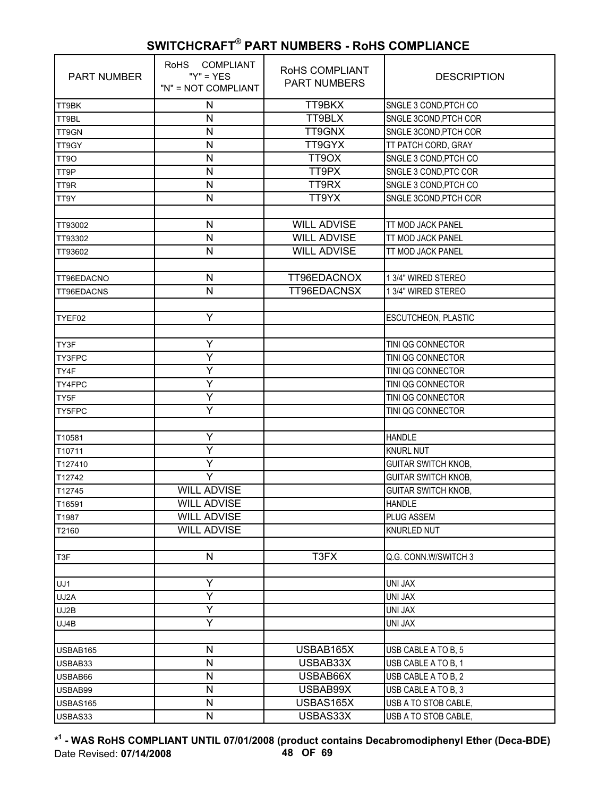| <b>PART NUMBER</b> | RoHS COMPLIANT<br>" $Y$ " = $YES$<br>"N" = NOT COMPLIANT | RoHS COMPLIANT<br><b>PART NUMBERS</b> | <b>DESCRIPTION</b>         |
|--------------------|----------------------------------------------------------|---------------------------------------|----------------------------|
| TT9BK              | ${\sf N}$                                                | TT9BKX                                | SNGLE 3 COND, PTCH CO      |
| TT9BL              | $\mathsf{N}$                                             | TT9BLX                                | SNGLE 3COND, PTCH COR      |
| TT9GN              | N                                                        | TT9GNX                                | SNGLE 3COND, PTCH COR      |
| TT9GY              | N                                                        | TT9GYX                                | TT PATCH CORD, GRAY        |
| TT9O               | $\mathsf{N}$                                             | TT9OX                                 | SNGLE 3 COND, PTCH CO      |
| TT9P               | $\mathsf{N}$                                             | TT9PX                                 | SNGLE 3 COND, PTC COR      |
| TT9R               | $\mathsf{N}$                                             | TT9RX                                 | SNGLE 3 COND, PTCH CO      |
| TT9Y               | N                                                        | TT9YX                                 | SNGLE 3COND, PTCH COR      |
|                    |                                                          |                                       |                            |
| TT93002            | ${\sf N}$                                                | <b>WILL ADVISE</b>                    | TT MOD JACK PANEL          |
| TT93302            | $\mathsf{N}$                                             | <b>WILL ADVISE</b>                    | TT MOD JACK PANEL          |
| TT93602            | $\mathsf{N}$                                             | <b>WILL ADVISE</b>                    | TT MOD JACK PANEL          |
|                    |                                                          |                                       |                            |
| TT96EDACNO         | $\mathsf{N}$                                             | TT96EDACNOX                           | 1 3/4" WIRED STEREO        |
| TT96EDACNS         | $\overline{\mathsf{N}}$                                  | TT96EDACNSX                           | 1 3/4" WIRED STEREO        |
|                    |                                                          |                                       |                            |
| TYEF02             | Υ                                                        |                                       | ESCUTCHEON, PLASTIC        |
|                    |                                                          |                                       |                            |
| TY3F               | Υ                                                        |                                       | TINI QG CONNECTOR          |
| TY3FPC             | Ÿ                                                        |                                       | TINI QG CONNECTOR          |
| TY4F               | Ÿ                                                        |                                       | TINI QG CONNECTOR          |
| TY4FPC             | Y                                                        |                                       | TINI QG CONNECTOR          |
| TY5F               | Ÿ                                                        |                                       | TINI QG CONNECTOR          |
| TY5FPC             | Ý                                                        |                                       | TINI QG CONNECTOR          |
|                    |                                                          |                                       |                            |
| T10581             | Υ                                                        |                                       | <b>HANDLE</b>              |
| T10711             | Υ                                                        |                                       | <b>KNURL NUT</b>           |
| T127410            | Y                                                        |                                       | <b>GUITAR SWITCH KNOB,</b> |
| T12742             | Y                                                        |                                       | <b>GUITAR SWITCH KNOB,</b> |
| T12745             | <b>WILL ADVISE</b>                                       |                                       | <b>GUITAR SWITCH KNOB,</b> |
| T16591             | <b>WILL ADVISE</b>                                       |                                       | <b>HANDLE</b>              |
| T1987              | <b>WILL ADVISE</b>                                       |                                       | PLUG ASSEM                 |
| T2160              | <b>WILL ADVISE</b>                                       |                                       | KNURLED NUT                |
|                    |                                                          |                                       |                            |
| T3F                | N                                                        | T3FX                                  | Q.G. CONN.W/SWITCH 3       |
|                    |                                                          |                                       |                            |
| UJ1                | Y                                                        |                                       | UNI JAX                    |
| UJ2A               | Υ                                                        |                                       | UNI JAX                    |
| UJ2B               | Υ                                                        |                                       | UNI JAX                    |
| UJ4B               | Y                                                        |                                       | UNI JAX                    |
|                    |                                                          |                                       |                            |
| USBAB165           | N                                                        | USBAB165X                             | USB CABLE A TO B, 5        |
| USBAB33            | N                                                        | USBAB33X                              | USB CABLE A TO B, 1        |
| USBAB66            | N                                                        | USBAB66X                              | USB CABLE A TO B, 2        |
| USBAB99            | $\mathsf{N}$                                             | USBAB99X                              | USB CABLE A TO B, 3        |
| USBAS165           | N                                                        | USBAS165X                             | USB A TO STOB CABLE,       |
| USBAS33            | ${\sf N}$                                                | USBAS33X                              | USB A TO STOB CABLE,       |

**\* 1 - WAS RoHS COMPLIANT UNTIL 07/01/2008 (product contains Decabromodiphenyl Ether (Deca-BDE)** Date Revised: **07/14/2008 48 OF 69**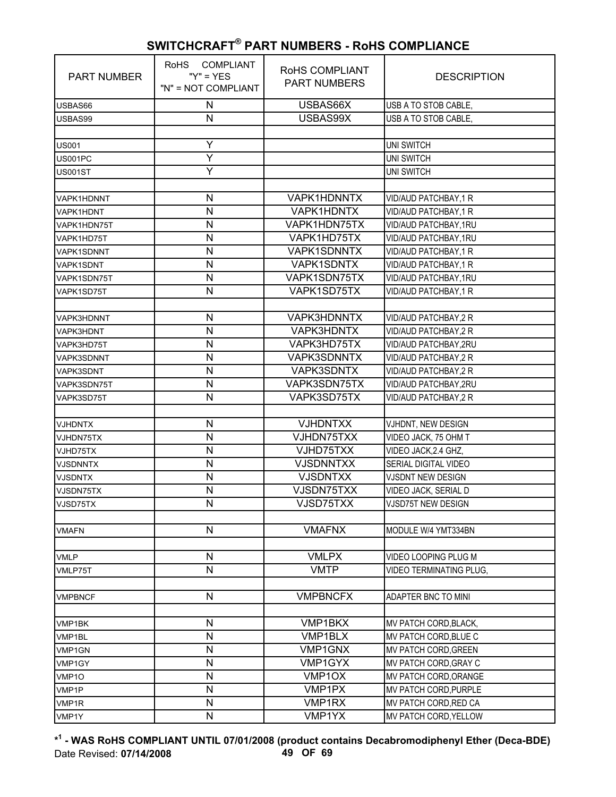| <b>PART NUMBER</b> | RoHS COMPLIANT<br>" $Y$ " = $YES$<br>"N" = NOT COMPLIANT | RoHS COMPLIANT<br><b>PART NUMBERS</b> | <b>DESCRIPTION</b>      |
|--------------------|----------------------------------------------------------|---------------------------------------|-------------------------|
| USBAS66            | ${\sf N}$                                                | USBAS66X                              | USB A TO STOB CABLE,    |
| USBAS99            | N                                                        | USBAS99X                              | USB A TO STOB CABLE,    |
|                    |                                                          |                                       |                         |
| <b>US001</b>       | Υ                                                        |                                       | <b>UNI SWITCH</b>       |
| US001PC            | Ÿ                                                        |                                       | <b>UNI SWITCH</b>       |
| <b>US001ST</b>     | Ÿ                                                        |                                       | UNI SWITCH              |
|                    |                                                          |                                       |                         |
| VAPK1HDNNT         | N                                                        | VAPK1HDNNTX                           | VID/AUD PATCHBAY, 1 R   |
| VAPK1HDNT          | N                                                        | VAPK1HDNTX                            | VID/AUD PATCHBAY, 1 R   |
| VAPK1HDN75T        | ${\sf N}$                                                | VAPK1HDN75TX                          | VID/AUD PATCHBAY, 1RU   |
| VAPK1HD75T         | $\mathsf{N}$                                             | VAPK1HD75TX                           | VID/AUD PATCHBAY, 1RU   |
| VAPK1SDNNT         | $\mathsf{N}$                                             | <b>VAPK1SDNNTX</b>                    | VID/AUD PATCHBAY, 1 R   |
| <b>VAPK1SDNT</b>   | N                                                        | VAPK1SDNTX                            | VID/AUD PATCHBAY, 1 R   |
| VAPK1SDN75T        | $\mathsf{N}$                                             | VAPK1SDN75TX                          | VID/AUD PATCHBAY, 1RU   |
| VAPK1SD75T         | $\mathsf{N}$                                             | VAPK1SD75TX                           | VID/AUD PATCHBAY, 1 R   |
|                    |                                                          |                                       |                         |
| VAPK3HDNNT         | N                                                        | VAPK3HDNNTX                           | VID/AUD PATCHBAY, 2 R   |
| VAPK3HDNT          | N                                                        | VAPK3HDNTX                            | VID/AUD PATCHBAY, 2 R   |
| VAPK3HD75T         | N                                                        | VAPK3HD75TX                           | VID/AUD PATCHBAY,2RU    |
| VAPK3SDNNT         | $\mathsf{N}$                                             | <b>VAPK3SDNNTX</b>                    | VID/AUD PATCHBAY, 2 R   |
| VAPK3SDNT          | ${\sf N}$                                                | VAPK3SDNTX                            | VID/AUD PATCHBAY, 2 R   |
| VAPK3SDN75T        | $\mathsf{N}$                                             | VAPK3SDN75TX                          | VID/AUD PATCHBAY, 2RU   |
| VAPK3SD75T         | N                                                        | VAPK3SD75TX                           | VID/AUD PATCHBAY, 2 R   |
|                    |                                                          |                                       |                         |
| <b>VJHDNTX</b>     | $\mathsf{N}$                                             | <b>VJHDNTXX</b>                       | VJHDNT, NEW DESIGN      |
| VJHDN75TX          | $\mathsf{N}$                                             | VJHDN75TXX                            | VIDEO JACK, 75 OHM T    |
| VJHD75TX           | N<br>N                                                   | VJHD75TXX<br><b>VJSDNNTXX</b>         | VIDEO JACK, 2.4 GHZ,    |
| <b>VJSDNNTX</b>    |                                                          |                                       | SERIAL DIGITAL VIDEO    |
| <b>VJSDNTX</b>     | N<br>$\mathsf{N}$                                        | <b>VJSDNTXX</b><br>VJSDN75TXX         | VJSDNT NEW DESIGN       |
| VJSDN75TX          | N                                                        |                                       | VIDEO JACK, SERIAL D    |
| VJSD75TX           |                                                          | VJSD75TXX                             | VJSD75T NEW DESIGN      |
| <b>VMAFN</b>       | N                                                        | <b>VMAFNX</b>                         | MODULE W/4 YMT334BN     |
|                    |                                                          |                                       |                         |
| <b>VMLP</b>        | $\mathsf{N}$                                             | <b>VMLPX</b>                          | VIDEO LOOPING PLUG M    |
| VMLP75T            | $\overline{\mathsf{N}}$                                  | <b>VMTP</b>                           | VIDEO TERMINATING PLUG, |
|                    |                                                          |                                       |                         |
| <b>VMPBNCF</b>     | $\mathsf{N}$                                             | <b>VMPBNCFX</b>                       | ADAPTER BNC TO MINI     |
|                    |                                                          |                                       |                         |
| VMP1BK             | $\mathsf{N}$                                             | VMP1BKX                               | MV PATCH CORD, BLACK,   |
| VMP1BL             | $\mathsf{N}$                                             | VMP1BLX                               | MV PATCH CORD, BLUE C   |
| VMP1GN             | $\mathsf{N}$                                             | VMP1GNX                               | MV PATCH CORD, GREEN    |
| VMP1GY             | N                                                        | VMP1GYX                               | MV PATCH CORD, GRAY C   |
| VMP1O              | $\mathsf{N}$                                             | VMP1OX                                | MV PATCH CORD, ORANGE   |
| VMP1P              | $\mathsf{N}$                                             | VMP1PX                                | MV PATCH CORD, PURPLE   |
| VMP1R              | $\mathsf{N}$                                             | VMP1RX                                | MV PATCH CORD, RED CA   |
| VMP1Y              | $\mathsf{N}$                                             | VMP1YX                                | MV PATCH CORD, YELLOW   |

**\* 1 - WAS RoHS COMPLIANT UNTIL 07/01/2008 (product contains Decabromodiphenyl Ether (Deca-BDE)** Date Revised: **07/14/2008 49 OF 69**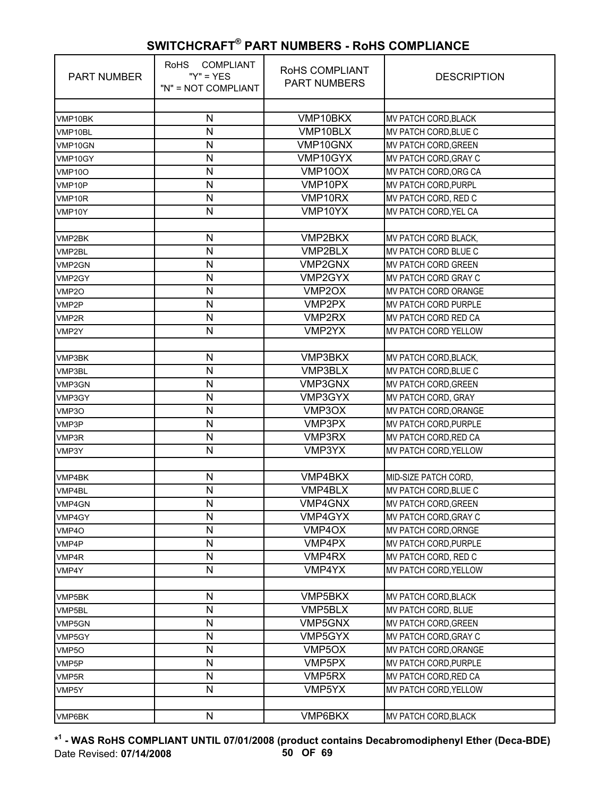| <b>PART NUMBER</b> | RoHS COMPLIANT<br>" $Y$ " = $YES$<br>"N" = NOT COMPLIANT | RoHS COMPLIANT<br><b>PART NUMBERS</b> | <b>DESCRIPTION</b>           |
|--------------------|----------------------------------------------------------|---------------------------------------|------------------------------|
| VMP10BK            | N                                                        | VMP10BKX                              | MV PATCH CORD, BLACK         |
| VMP10BL            | N                                                        | VMP10BLX                              | MV PATCH CORD, BLUE C        |
| VMP10GN            | N                                                        | VMP10GNX                              | <b>MV PATCH CORD, GREEN</b>  |
| VMP10GY            | N                                                        | VMP10GYX                              | MV PATCH CORD, GRAY C        |
| <b>VMP10O</b>      | N                                                        | VMP10OX                               | MV PATCH CORD, ORG CA        |
| VMP10P             | N                                                        | VMP10PX                               | MV PATCH CORD, PURPL         |
| VMP10R             | N                                                        | VMP10RX                               | MV PATCH CORD, RED C         |
| VMP10Y             | N                                                        | VMP10YX                               | MV PATCH CORD, YEL CA        |
|                    |                                                          |                                       |                              |
| VMP2BK             | N                                                        | VMP2BKX                               | MV PATCH CORD BLACK,         |
| VMP2BL             | N                                                        | VMP2BLX                               | MV PATCH CORD BLUE C         |
| VMP2GN             | N                                                        | VMP2GNX                               | <b>MV PATCH CORD GREEN</b>   |
| VMP2GY             | N                                                        | VMP2GYX                               | <b>MV PATCH CORD GRAY C</b>  |
| VMP <sub>20</sub>  | N                                                        | VMP2OX                                | MV PATCH CORD ORANGE         |
| VMP2P              | N                                                        | VMP2PX                                | MV PATCH CORD PURPLE         |
| VMP2R              | N                                                        | VMP2RX                                | MV PATCH CORD RED CA         |
| VMP2Y              | N                                                        | VMP2YX                                | MV PATCH CORD YELLOW         |
|                    |                                                          |                                       |                              |
| VMP3BK             | N                                                        | VMP3BKX                               | MV PATCH CORD, BLACK,        |
| VMP3BL             | N                                                        | <b>VMP3BLX</b>                        | MV PATCH CORD, BLUE C        |
| VMP3GN             | N                                                        | VMP3GNX                               | MV PATCH CORD, GREEN         |
| VMP3GY             | N                                                        | VMP3GYX                               | MV PATCH CORD, GRAY          |
| VMP3O              | N                                                        | VMP3OX                                | MV PATCH CORD, ORANGE        |
| VMP3P              | N                                                        | VMP3PX                                | MV PATCH CORD, PURPLE        |
| VMP3R              | N                                                        | VMP3RX                                | MV PATCH CORD, RED CA        |
| VMP3Y              | $\mathsf{N}$                                             | VMP3YX                                | MV PATCH CORD, YELLOW        |
|                    |                                                          |                                       |                              |
| VMP4BK             | N                                                        | VMP4BKX                               | MID-SIZE PATCH CORD,         |
| VMP4BL             | N                                                        | VMP4BLX                               | MV PATCH CORD, BLUE C        |
| VMP4GN             | N                                                        | VMP4GNX                               | <b>MV PATCH CORD, GREEN</b>  |
| VMP4GY             | N                                                        | VMP4GYX                               | MV PATCH CORD, GRAY C        |
| VMP4O              | N                                                        | VMP4OX                                | MV PATCH CORD, ORNGE         |
| VMP4P              | N                                                        | VMP4PX                                | MV PATCH CORD, PURPLE        |
| VMP4R              | N                                                        | VMP4RX                                | MV PATCH CORD, RED C         |
| VMP4Y              | N                                                        | VMP4YX                                | <b>MV PATCH CORD, YELLOW</b> |
|                    |                                                          |                                       |                              |
| VMP5BK             | N                                                        | VMP5BKX                               | MV PATCH CORD, BLACK         |
| VMP5BL             | N                                                        | VMP5BLX                               | MV PATCH CORD, BLUE          |
| VMP5GN             | N                                                        | VMP5GNX                               | MV PATCH CORD, GREEN         |
| VMP5GY             | N                                                        | VMP5GYX                               | MV PATCH CORD, GRAY C        |
| VMP5O              | $\mathsf{N}$                                             | VMP5OX                                | MV PATCH CORD, ORANGE        |
| VMP5P              | N                                                        | VMP5PX                                | MV PATCH CORD, PURPLE        |
| VMP5R              | N                                                        | VMP5RX                                | MV PATCH CORD, RED CA        |
| VMP5Y              | N                                                        | VMP5YX                                | MV PATCH CORD, YELLOW        |
|                    |                                                          |                                       |                              |
| VMP6BK             | N                                                        | VMP6BKX                               | MV PATCH CORD, BLACK         |

**\* 1 - WAS RoHS COMPLIANT UNTIL 07/01/2008 (product contains Decabromodiphenyl Ether (Deca-BDE)** Date Revised: **07/14/2008 50 OF 69**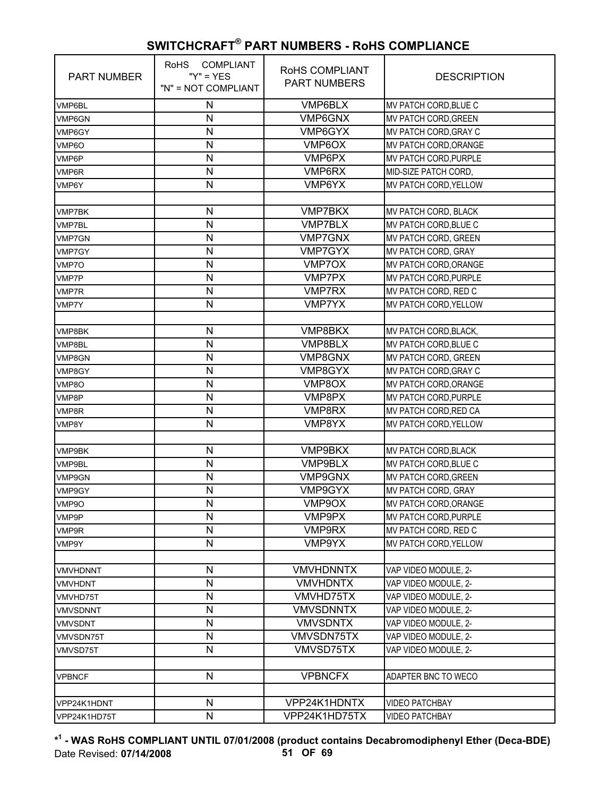| <b>PART NUMBER</b>             | RoHS COMPLIANT<br>" $Y$ " = $YES$<br>"N" = NOT COMPLIANT | RoHS COMPLIANT<br><b>PART NUMBERS</b> | <b>DESCRIPTION</b>                            |
|--------------------------------|----------------------------------------------------------|---------------------------------------|-----------------------------------------------|
| VMP6BL                         | $\mathsf{N}$                                             | VMP6BLX                               | MV PATCH CORD, BLUE C                         |
| VMP6GN                         | $\mathsf{N}$                                             | VMP6GNX                               | MV PATCH CORD, GREEN                          |
| VMP6GY                         | N                                                        | VMP6GYX                               | MV PATCH CORD, GRAY C                         |
| VMP6O                          | N                                                        | VMP6OX                                | MV PATCH CORD, ORANGE                         |
| VMP6P                          | N                                                        | VMP6PX                                | MV PATCH CORD, PURPLE                         |
| VMP6R                          | N                                                        | VMP6RX                                | MID-SIZE PATCH CORD,                          |
| VMP6Y                          | $\mathsf{N}$                                             | VMP6YX                                | MV PATCH CORD, YELLOW                         |
|                                | N                                                        | <b>VMP7BKX</b>                        |                                               |
| <b>VMP7BK</b>                  | N                                                        | <b>VMP7BLX</b>                        | MV PATCH CORD, BLACK<br>MV PATCH CORD, BLUE C |
| <b>VMP7BL</b><br><b>VMP7GN</b> | N                                                        | <b>VMP7GNX</b>                        | MV PATCH CORD, GREEN                          |
| VMP7GY                         | N                                                        | <b>VMP7GYX</b>                        | MV PATCH CORD, GRAY                           |
| VMP7O                          | N                                                        | VMP7OX                                | MV PATCH CORD, ORANGE                         |
|                                | N                                                        | <b>VMP7PX</b>                         | MV PATCH CORD, PURPLE                         |
| VMP7P                          | N                                                        | <b>VMP7RX</b>                         | MV PATCH CORD, RED C                          |
| <b>VMP7R</b>                   | N                                                        | <b>VMP7YX</b>                         | MV PATCH CORD, YELLOW                         |
| VMP7Y                          |                                                          |                                       |                                               |
| VMP8BK                         | N                                                        | VMP8BKX                               | MV PATCH CORD, BLACK,                         |
| VMP8BL                         | N                                                        | VMP8BLX                               | MV PATCH CORD, BLUE C                         |
| VMP8GN                         | N                                                        | VMP8GNX                               | MV PATCH CORD, GREEN                          |
| VMP8GY                         | N                                                        | VMP8GYX                               | MV PATCH CORD, GRAY C                         |
| VMP8O                          | N                                                        | VMP8OX                                | MV PATCH CORD, ORANGE                         |
| VMP8P                          | N                                                        | VMP8PX                                | MV PATCH CORD, PURPLE                         |
| VMP8R                          | N                                                        | VMP8RX                                | MV PATCH CORD, RED CA                         |
| VMP8Y                          | N                                                        | VMP8YX                                | MV PATCH CORD, YELLOW                         |
|                                |                                                          |                                       |                                               |
| VMP9BK                         | N                                                        | VMP9BKX                               | MV PATCH CORD, BLACK                          |
| <b>VMP9BL</b>                  | N                                                        | <b>VMP9BLX</b>                        | MV PATCH CORD, BLUE C                         |
| VMP9GN                         | N                                                        | <b>VMP9GNX</b>                        | MV PATCH CORD, GREEN                          |
| VMP9GY                         | N                                                        | VMP9GYX                               | MV PATCH CORD, GRAY                           |
| VMP9O                          | N                                                        | VMP9OX                                | MV PATCH CORD, ORANGE                         |
| VMP9P                          | N                                                        | VMP9PX                                | MV PATCH CORD, PURPLE                         |
| VMP9R                          | N                                                        | VMP9RX                                | MV PATCH CORD, RED C                          |
| VMP9Y                          | N                                                        | VMP9YX                                | MV PATCH CORD, YELLOW                         |
| VMVHDNNT                       | N                                                        | <b>VMVHDNNTX</b>                      | VAP VIDEO MODULE, 2-                          |
| <b>VMVHDNT</b>                 | N                                                        | <b>VMVHDNTX</b>                       | VAP VIDEO MODULE, 2-                          |
| VMVHD75T                       | N                                                        | VMVHD75TX                             | VAP VIDEO MODULE, 2-                          |
| <b>VMVSDNNT</b>                | N                                                        | <b>VMVSDNNTX</b>                      | VAP VIDEO MODULE, 2-                          |
| <b>VMVSDNT</b>                 | N                                                        | <b>VMVSDNTX</b>                       | VAP VIDEO MODULE, 2-                          |
| VMVSDN75T                      | $\mathsf{N}$                                             | VMVSDN75TX                            | VAP VIDEO MODULE, 2-                          |
| VMVSD75T                       | N                                                        | VMVSD75TX                             | VAP VIDEO MODULE, 2-                          |
|                                |                                                          |                                       |                                               |
| <b>VPBNCF</b>                  | $\mathsf{N}$                                             | <b>VPBNCFX</b>                        | ADAPTER BNC TO WECO                           |
|                                |                                                          |                                       |                                               |
| VPP24K1HDNT                    | N                                                        | VPP24K1HDNTX                          | <b>VIDEO PATCHBAY</b>                         |
| VPP24K1HD75T                   | $\mathsf{N}$                                             | VPP24K1HD75TX                         | <b>VIDEO PATCHBAY</b>                         |

**\* 1 - WAS RoHS COMPLIANT UNTIL 07/01/2008 (product contains Decabromodiphenyl Ether (Deca-BDE)** Date Revised: **07/14/2008 51 OF 69**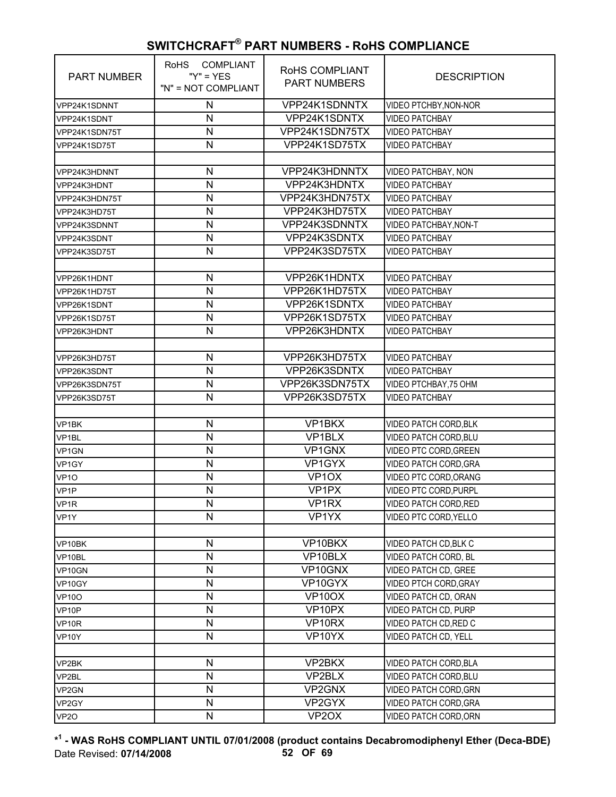| <b>PART NUMBER</b> | <b>COMPLIANT</b><br><b>RoHS</b><br>" $Y$ " = $YES$<br>"N" = NOT COMPLIANT | RoHS COMPLIANT<br><b>PART NUMBERS</b> | <b>DESCRIPTION</b>         |
|--------------------|---------------------------------------------------------------------------|---------------------------------------|----------------------------|
| VPP24K1SDNNT       | N                                                                         | VPP24K1SDNNTX                         | VIDEO PTCHBY, NON-NOR      |
| VPP24K1SDNT        | N                                                                         | VPP24K1SDNTX                          | <b>VIDEO PATCHBAY</b>      |
| VPP24K1SDN75T      | N                                                                         | VPP24K1SDN75TX                        | <b>VIDEO PATCHBAY</b>      |
| VPP24K1SD75T       | $\mathsf{N}$                                                              | VPP24K1SD75TX                         | <b>VIDEO PATCHBAY</b>      |
|                    |                                                                           |                                       |                            |
| VPP24K3HDNNT       | N                                                                         | VPP24K3HDNNTX                         | <b>VIDEO PATCHBAY, NON</b> |
| VPP24K3HDNT        | N                                                                         | VPP24K3HDNTX                          | <b>VIDEO PATCHBAY</b>      |
| VPP24K3HDN75T      | N                                                                         | VPP24K3HDN75TX                        | <b>VIDEO PATCHBAY</b>      |
| VPP24K3HD75T       | N                                                                         | VPP24K3HD75TX                         | <b>VIDEO PATCHBAY</b>      |
| VPP24K3SDNNT       | $\mathsf{N}$                                                              | VPP24K3SDNNTX                         | VIDEO PATCHBAY, NON-T      |
| VPP24K3SDNT        | $\mathsf{N}$                                                              | VPP24K3SDNTX                          | <b>VIDEO PATCHBAY</b>      |
| VPP24K3SD75T       | $\mathsf{N}$                                                              | VPP24K3SD75TX                         | <b>VIDEO PATCHBAY</b>      |
|                    |                                                                           |                                       |                            |
| VPP26K1HDNT        | $\mathsf{N}$                                                              | VPP26K1HDNTX                          | <b>VIDEO PATCHBAY</b>      |
| VPP26K1HD75T       | $\mathsf{N}$                                                              | VPP26K1HD75TX                         | <b>VIDEO PATCHBAY</b>      |
| VPP26K1SDNT        | $\mathsf{N}$                                                              | VPP26K1SDNTX                          | <b>VIDEO PATCHBAY</b>      |
| VPP26K1SD75T       | $\mathsf{N}$                                                              | VPP26K1SD75TX                         | <b>VIDEO PATCHBAY</b>      |
| VPP26K3HDNT        | N                                                                         | VPP26K3HDNTX                          | <b>VIDEO PATCHBAY</b>      |
|                    |                                                                           |                                       |                            |
| VPP26K3HD75T       | ${\sf N}$                                                                 | VPP26K3HD75TX                         | <b>VIDEO PATCHBAY</b>      |
| VPP26K3SDNT        | $\mathsf{N}$                                                              | VPP26K3SDNTX                          | <b>VIDEO PATCHBAY</b>      |
| VPP26K3SDN75T      | $\mathsf{N}$                                                              | VPP26K3SDN75TX                        | VIDEO PTCHBAY, 75 OHM      |
| VPP26K3SD75T       | $\overline{\mathsf{N}}$                                                   | VPP26K3SD75TX                         | <b>VIDEO PATCHBAY</b>      |
|                    |                                                                           |                                       |                            |
| VP1BK              | ${\sf N}$                                                                 | VP1BKX                                | VIDEO PATCH CORD, BLK      |
| VP <sub>1BL</sub>  | $\mathsf{N}$                                                              | VP <sub>1</sub> BLX                   | VIDEO PATCH CORD, BLU      |
| VP1GN              | N                                                                         | VP1GNX                                | VIDEO PTC CORD, GREEN      |
| VP1GY              | N                                                                         | VP1GYX                                | VIDEO PATCH CORD, GRA      |
| VP <sub>10</sub>   | $\mathsf{N}$                                                              | VP <sub>1</sub> OX                    | VIDEO PTC CORD, ORANG      |
| VP <sub>1</sub> P  | N                                                                         | VP <sub>1PX</sub>                     | VIDEO PTC CORD, PURPL      |
| VP1R               | $\mathsf{N}$                                                              | VP1RX                                 | VIDEO PATCH CORD, RED      |
| VP1Y               | N                                                                         | VP1YX                                 | VIDEO PTC CORD, YELLO      |
|                    |                                                                           |                                       |                            |
| VP10BK             | ${\sf N}$                                                                 | VP10BKX                               | VIDEO PATCH CD, BLK C      |
| VP10BL             | ${\sf N}$                                                                 | VP10BLX                               | VIDEO PATCH CORD, BL       |
| VP10GN             | ${\sf N}$                                                                 | VP10GNX                               | VIDEO PATCH CD, GREE       |
| VP10GY             | $\mathsf{N}$                                                              | VP10GYX                               | VIDEO PTCH CORD, GRAY      |
| <b>VP10O</b>       | N                                                                         | VP10OX                                | VIDEO PATCH CD, ORAN       |
| VP10P              | ${\sf N}$                                                                 | VP10PX                                | VIDEO PATCH CD, PURP       |
| VP10R              | ${\sf N}$                                                                 | VP10RX                                | VIDEO PATCH CD, RED C      |
| <b>VP10Y</b>       | $\mathsf{N}$                                                              | VP10YX                                | VIDEO PATCH CD, YELL       |
|                    |                                                                           |                                       |                            |
| VP2BK              | $\mathsf{N}$                                                              | VP2BKX                                | VIDEO PATCH CORD, BLA      |
| VP2BL              | ${\sf N}$                                                                 | VP2BLX                                | VIDEO PATCH CORD, BLU      |
| VP2GN              | ${\sf N}$                                                                 | VP2GNX                                | VIDEO PATCH CORD, GRN      |
| VP2GY              | ${\sf N}$                                                                 | VP2GYX                                | VIDEO PATCH CORD, GRA      |
| VP <sub>20</sub>   | $\mathsf{N}$                                                              | VP <sub>2</sub> OX                    | VIDEO PATCH CORD, ORN      |

**\* 1 - WAS RoHS COMPLIANT UNTIL 07/01/2008 (product contains Decabromodiphenyl Ether (Deca-BDE)** Date Revised: **07/14/2008 52 OF 69**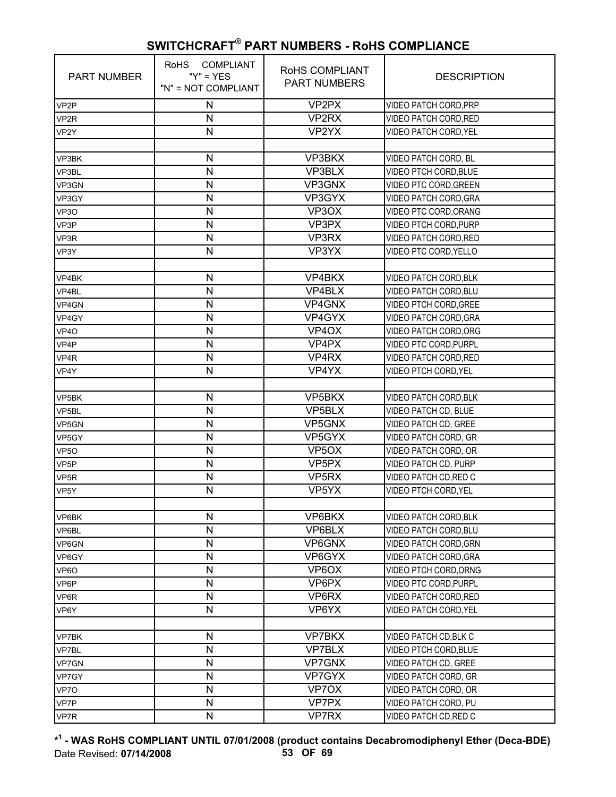| <b>PART NUMBER</b> | COMPLIANT<br><b>RoHS</b><br>" $Y$ " = $YES$<br>"N" = NOT COMPLIANT | ROHS COMPLIANT<br><b>PART NUMBERS</b> | <b>DESCRIPTION</b>           |
|--------------------|--------------------------------------------------------------------|---------------------------------------|------------------------------|
| VP <sub>2</sub> P  | N                                                                  | VP2PX                                 | VIDEO PATCH CORD, PRP        |
| VP <sub>2R</sub>   | $\mathsf{N}$                                                       | VP2RX                                 | VIDEO PATCH CORD, RED        |
| VP2Y               | N                                                                  | VP2YX                                 | VIDEO PATCH CORD, YEL        |
|                    |                                                                    |                                       |                              |
| VP3BK              | $\mathsf{N}$                                                       | VP3BKX                                | VIDEO PATCH CORD, BL         |
| VP3BL              | N                                                                  | VP3BLX                                | VIDEO PTCH CORD, BLUE        |
| VP3GN              | $\mathsf{N}$                                                       | VP3GNX                                | <b>VIDEO PTC CORD, GREEN</b> |
| VP3GY              | $\mathsf{N}$                                                       | VP3GYX                                | VIDEO PATCH CORD, GRA        |
| VP3O               | $\mathsf{N}$                                                       | VP3OX                                 | VIDEO PTC CORD, ORANG        |
| VP3P               | $\mathsf{N}$                                                       | VP3PX                                 | VIDEO PTCH CORD, PURP        |
| VP3R               | $\mathsf{N}$                                                       | VP3RX                                 | VIDEO PATCH CORD, RED        |
| VP3Y               | $\mathsf{N}$                                                       | VP3YX                                 | VIDEO PTC CORD, YELLO        |
|                    |                                                                    |                                       |                              |
| VP4BK              | $\mathsf{N}$                                                       | VP4BKX                                | <b>VIDEO PATCH CORD, BLK</b> |
| VP4BL              | $\mathsf{N}$                                                       | VP4BLX                                | <b>VIDEO PATCH CORD, BLU</b> |
| VP4GN              | $\mathsf{N}$                                                       | VP4GNX                                | VIDEO PTCH CORD, GREE        |
| VP4GY              | $\mathsf{N}$                                                       | VP4GYX                                | <b>VIDEO PATCH CORD, GRA</b> |
| VP4O               | N                                                                  | VP4OX                                 | <b>VIDEO PATCH CORD, ORG</b> |
| VP4P               | N                                                                  | VP4PX                                 | VIDEO PTC CORD, PURPL        |
| VP4R               | $\mathsf{N}$                                                       | VP4RX                                 | VIDEO PATCH CORD, RED        |
| VP4Y               | $\mathsf{N}$                                                       | VP4YX                                 | VIDEO PTCH CORD, YEL         |
|                    |                                                                    |                                       |                              |
| VP5BK              | $\mathsf{N}$                                                       | VP5BKX                                | VIDEO PATCH CORD, BLK        |
| VP5BL              | N                                                                  | VP <sub>5</sub> BLX                   | <b>VIDEO PATCH CD, BLUE</b>  |
| VP5GN              | $\mathsf{N}$                                                       | VP5GNX                                | VIDEO PATCH CD, GREE         |
| VP5GY              | $\mathsf{N}$                                                       | VP5GYX                                | VIDEO PATCH CORD, GR         |
| VP <sub>50</sub>   | $\mathsf{N}$                                                       | VP <sub>5</sub> OX                    | VIDEO PATCH CORD, OR         |
| VP <sub>5</sub> P  | $\mathsf{N}$                                                       | VP <sub>5</sub> PX                    | VIDEO PATCH CD, PURP         |
| VP <sub>5R</sub>   | $\mathsf{N}$                                                       | VP <sub>5RX</sub>                     | VIDEO PATCH CD, RED C        |
| VP5Y               | $\mathsf{N}$                                                       | VP5YX                                 | VIDEO PTCH CORD, YEL         |
|                    |                                                                    |                                       |                              |
| VP6BK              | $\mathsf{N}$                                                       | VP6BKX                                | <b>VIDEO PATCH CORD, BLK</b> |
| VP6BL              | $\mathsf{N}$                                                       | VP6BLX                                | VIDEO PATCH CORD, BLU        |
| VP6GN              | $\mathsf{N}$                                                       | VP6GNX                                | <b>VIDEO PATCH CORD, GRN</b> |
| VP6GY              | ${\sf N}$                                                          | VP6GYX                                | VIDEO PATCH CORD, GRA        |
| VP6O               | ${\sf N}$                                                          | VP6OX                                 | VIDEO PTCH CORD, ORNG        |
| VP6P               | N                                                                  | VP6PX                                 | VIDEO PTC CORD, PURPL        |
| VP6R               | $\mathsf{N}$                                                       | VP6RX                                 | VIDEO PATCH CORD, RED        |
| VP6Y               | $\mathsf{N}$                                                       | VP6YX                                 | VIDEO PATCH CORD, YEL        |
|                    |                                                                    |                                       |                              |
| VP7BK              | N                                                                  | <b>VP7BKX</b>                         | VIDEO PATCH CD, BLK C        |
| VP7BL              | $\mathsf{N}$                                                       | <b>VP7BLX</b>                         | VIDEO PTCH CORD, BLUE        |
| VP7GN              | $\mathsf{N}$                                                       | VP7GNX                                | VIDEO PATCH CD, GREE         |
| VP7GY              | $\mathsf{N}$                                                       | VP7GYX                                | VIDEO PATCH CORD, GR         |
| VP7O               | ${\sf N}$                                                          | VP7OX                                 | VIDEO PATCH CORD, OR         |
| VP7P               | ${\sf N}$                                                          | VP7PX                                 | VIDEO PATCH CORD, PU         |
| VP7R               | $\mathsf{N}$                                                       | VP7RX                                 | VIDEO PATCH CD, RED C        |

**\* 1 - WAS RoHS COMPLIANT UNTIL 07/01/2008 (product contains Decabromodiphenyl Ether (Deca-BDE)** Date Revised: **07/14/2008 53 OF 69**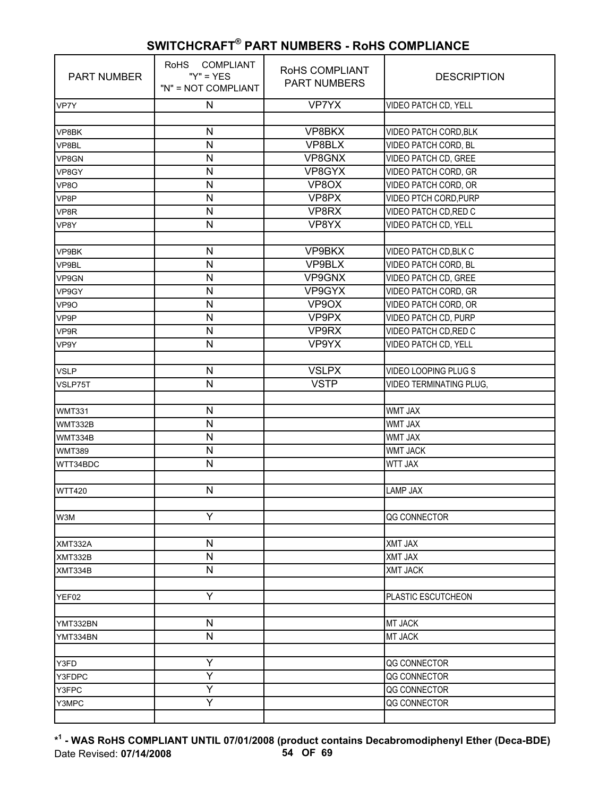| <b>PART NUMBER</b> | RoHS COMPLIANT<br>" $Y$ " = $YES$<br>"N" = NOT COMPLIANT | RoHS COMPLIANT<br><b>PART NUMBERS</b> | <b>DESCRIPTION</b>             |
|--------------------|----------------------------------------------------------|---------------------------------------|--------------------------------|
| VP7Y               | ${\sf N}$                                                | <b>VP7YX</b>                          | VIDEO PATCH CD, YELL           |
|                    |                                                          |                                       |                                |
| VP8BK              | N                                                        | VP8BKX                                | VIDEO PATCH CORD, BLK          |
| VP8BL              | N                                                        | VP8BLX                                | VIDEO PATCH CORD, BL           |
| VP8GN              | N                                                        | VP8GNX                                | VIDEO PATCH CD, GREE           |
| VP8GY              | N                                                        | VP8GYX                                | VIDEO PATCH CORD, GR           |
| VP8O               | $\mathsf{N}$                                             | VP8OX                                 | VIDEO PATCH CORD, OR           |
| VP8P               | N                                                        | VP8PX                                 | VIDEO PTCH CORD, PURP          |
| VP8R               | N                                                        | VP8RX                                 | VIDEO PATCH CD, RED C          |
| VP8Y               | N                                                        | VP8YX                                 | VIDEO PATCH CD, YELL           |
|                    |                                                          |                                       |                                |
| VP9BK              | $\mathsf{N}$                                             | VP9BKX                                | VIDEO PATCH CD, BLK C          |
| VP9BL              | N                                                        | VP9BLX                                | VIDEO PATCH CORD, BL           |
| VP9GN              | N                                                        | VP9GNX                                | <b>VIDEO PATCH CD, GREE</b>    |
| VP9GY              | N                                                        | VP9GYX                                | VIDEO PATCH CORD, GR           |
| VP9O               | N                                                        | VP9OX                                 | VIDEO PATCH CORD, OR           |
| VP9P               | N                                                        | VP9PX                                 | VIDEO PATCH CD, PURP           |
| VP9R               | N                                                        | VP9RX                                 | VIDEO PATCH CD, RED C          |
| VP9Y               | N                                                        | VP9YX                                 | VIDEO PATCH CD, YELL           |
|                    |                                                          |                                       |                                |
| <b>VSLP</b>        | $\mathsf{N}$                                             | <b>VSLPX</b>                          | VIDEO LOOPING PLUG S           |
| VSLP75T            | $\mathsf{N}$                                             | <b>VSTP</b>                           | <b>VIDEO TERMINATING PLUG,</b> |
|                    |                                                          |                                       |                                |
| <b>WMT331</b>      | N                                                        |                                       | <b>WMT JAX</b>                 |
| WMT332B            | $\overline{\mathsf{N}}$                                  |                                       | <b>WMT JAX</b>                 |
| WMT334B            | $\mathsf{N}$                                             |                                       | <b>WMT JAX</b>                 |
| <b>WMT389</b>      | $\mathsf{N}$                                             |                                       | <b>WMT JACK</b>                |
| WTT34BDC           | N                                                        |                                       | <b>WTT JAX</b>                 |
|                    |                                                          |                                       |                                |
| <b>WTT420</b>      | N                                                        |                                       | <b>LAMP JAX</b>                |
|                    |                                                          |                                       |                                |
| W3M                | Υ                                                        |                                       | QG CONNECTOR                   |
|                    |                                                          |                                       |                                |
| XMT332A            | $\mathsf{N}$                                             |                                       | XMT JAX                        |
| XMT332B            | $\overline{\mathsf{N}}$                                  |                                       | XMT JAX                        |
| XMT334B            | ${\sf N}$                                                |                                       | <b>XMT JACK</b>                |
|                    |                                                          |                                       |                                |
| YEF02              | Υ                                                        |                                       | PLASTIC ESCUTCHEON             |
|                    |                                                          |                                       |                                |
| YMT332BN           | N                                                        |                                       | MT JACK                        |
| YMT334BN           | $\mathsf{N}$                                             |                                       | MT JACK                        |
|                    |                                                          |                                       |                                |
| Y3FD               | Υ                                                        |                                       | QG CONNECTOR                   |
| Y3FDPC             | Y                                                        |                                       | QG CONNECTOR                   |
| Y3FPC              | Ÿ                                                        |                                       | QG CONNECTOR                   |
| Y3MPC              | Ÿ                                                        |                                       | QG CONNECTOR                   |
|                    |                                                          |                                       |                                |

**\* 1 - WAS RoHS COMPLIANT UNTIL 07/01/2008 (product contains Decabromodiphenyl Ether (Deca-BDE)** Date Revised: **07/14/2008 54 OF 69**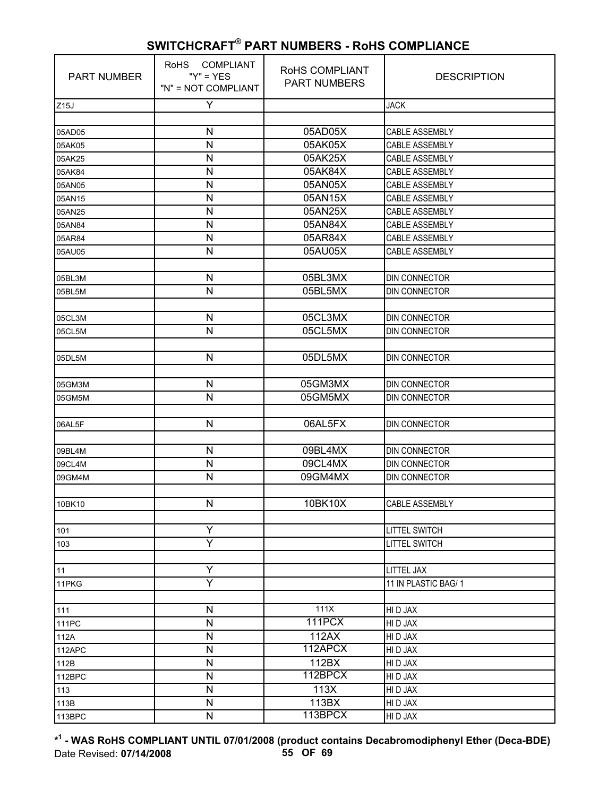| <b>PART NUMBER</b> | RoHS COMPLIANT<br>" $Y$ " = $YES$<br>"N" = NOT COMPLIANT | RoHS COMPLIANT<br><b>PART NUMBERS</b> | <b>DESCRIPTION</b>    |
|--------------------|----------------------------------------------------------|---------------------------------------|-----------------------|
| Z15J               | Υ                                                        |                                       | <b>JACK</b>           |
|                    |                                                          |                                       |                       |
| 05AD05             | $\mathsf{N}$                                             | 05AD05X                               | CABLE ASSEMBLY        |
| 05AK05             | N                                                        | 05AK05X                               | <b>CABLE ASSEMBLY</b> |
| 05AK25             | $\mathsf{N}$                                             | 05AK25X                               | CABLE ASSEMBLY        |
| 05AK84             | $\mathsf{N}$                                             | 05AK84X                               | CABLE ASSEMBLY        |
| 05AN05             | N                                                        | 05AN05X                               | <b>CABLE ASSEMBLY</b> |
| 05AN15             | $\mathsf{N}$                                             | 05AN15X                               | CABLE ASSEMBLY        |
| 05AN25             | N                                                        | 05AN25X                               | CABLE ASSEMBLY        |
| 05AN84             | $\mathsf{N}$                                             | 05AN84X                               | CABLE ASSEMBLY        |
| 05AR84             | $\mathsf{N}$                                             | 05AR84X                               | CABLE ASSEMBLY        |
| 05AU05             | $\mathsf{N}$                                             | 05AU05X                               | CABLE ASSEMBLY        |
|                    |                                                          |                                       |                       |
| 05BL3M             | $\mathsf{N}$                                             | 05BL3MX                               | DIN CONNECTOR         |
| 05BL5M             | N                                                        | 05BL5MX                               | DIN CONNECTOR         |
|                    |                                                          |                                       |                       |
| 05CL3M             | N                                                        | 05CL3MX                               | <b>DIN CONNECTOR</b>  |
| 05CL5M             | N                                                        | 05CL5MX                               | <b>DIN CONNECTOR</b>  |
|                    |                                                          |                                       |                       |
| 05DL5M             | $\mathsf{N}$                                             | 05DL5MX                               | DIN CONNECTOR         |
|                    |                                                          |                                       |                       |
| 05GM3M             | N                                                        | 05GM3MX                               | DIN CONNECTOR         |
| 05GM5M             | N                                                        | 05GM5MX                               | <b>DIN CONNECTOR</b>  |
|                    |                                                          |                                       |                       |
| 06AL5F             | $\mathsf{N}$                                             | 06AL5FX                               | DIN CONNECTOR         |
|                    |                                                          |                                       |                       |
| 09BL4M             | N                                                        | 09BL4MX                               | <b>DIN CONNECTOR</b>  |
| 09CL4M             | $\mathsf{N}$                                             | 09CL4MX                               | <b>DIN CONNECTOR</b>  |
| 09GM4M             | N                                                        | 09GM4MX                               | DIN CONNECTOR         |
|                    |                                                          |                                       |                       |
| 10BK10             | N                                                        | 10BK10X                               | CABLE ASSEMBLY        |
|                    |                                                          |                                       |                       |
| 101                | Y                                                        |                                       | <b>LITTEL SWITCH</b>  |
| 103                | Y                                                        |                                       | <b>LITTEL SWITCH</b>  |
|                    |                                                          |                                       |                       |
| 11                 | Υ                                                        |                                       | LITTEL JAX            |
| 11PKG              | Ÿ                                                        |                                       | 11 IN PLASTIC BAG/1   |
|                    |                                                          |                                       |                       |
| 111                | $\mathsf{N}$                                             | 111X                                  | HI D JAX              |
| 111PC              | $\mathsf{N}$                                             | <b>111PCX</b>                         | HI D JAX              |
| 112A               | $\mathsf{N}$                                             | 112AX                                 | HI D JAX              |
| 112APC             | $\mathsf{N}$                                             | 112APCX                               | HI D JAX              |
| 112B               | N                                                        | 112BX                                 | HI D JAX              |
| 112BPC             | N                                                        | 112BPCX                               | HI D JAX              |
| 113                | $\mathsf{N}$                                             | 113X                                  | HI D JAX              |
| 113B               | $\mathsf{N}$                                             | 113BX                                 | HI D JAX              |
| 113BPC             | $\mathsf{N}$                                             | 113BPCX                               | HI D JAX              |

**\* 1 - WAS RoHS COMPLIANT UNTIL 07/01/2008 (product contains Decabromodiphenyl Ether (Deca-BDE)** Date Revised: **07/14/2008 55 OF 69**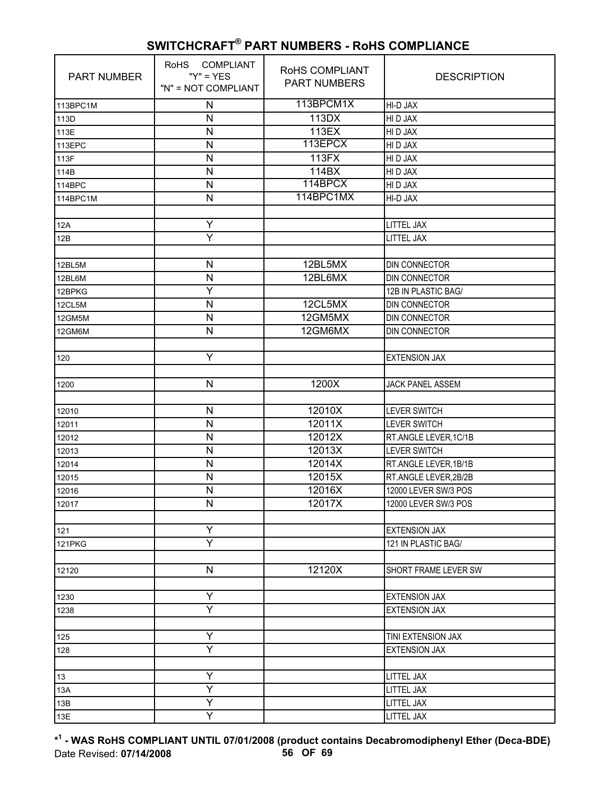| PART NUMBER   | <b>RoHS</b><br><b>COMPLIANT</b><br>" $Y$ " = $YES$<br>"N" = NOT COMPLIANT | RoHS COMPLIANT<br><b>PART NUMBERS</b> | <b>DESCRIPTION</b>      |
|---------------|---------------------------------------------------------------------------|---------------------------------------|-------------------------|
| 113BPC1M      | N                                                                         | 113BPCM1X                             | HI-D JAX                |
| 113D          | N                                                                         | 113DX                                 | HI D JAX                |
| 113E          | N                                                                         | 113EX                                 | HI D JAX                |
| 113EPC        | N                                                                         | 113EPCX                               | HI D JAX                |
| 113F          | N                                                                         | 113FX                                 | HI D JAX                |
| 114B          | N                                                                         | 114BX                                 | HI D JAX                |
| 114BPC        | N                                                                         | 114BPCX                               | HI D JAX                |
| 114BPC1M      | $\mathsf{N}$                                                              | 114BPC1MX                             | HI-D JAX                |
|               |                                                                           |                                       |                         |
| 12A           | Υ                                                                         |                                       | LITTEL JAX              |
| 12B           | Ÿ                                                                         |                                       | LITTEL JAX              |
|               |                                                                           |                                       |                         |
| 12BL5M        | $\mathsf{N}$                                                              | 12BL5MX                               | DIN CONNECTOR           |
| 12BL6M        | N                                                                         | 12BL6MX                               | DIN CONNECTOR           |
| 12BPKG        | Y                                                                         |                                       | 12B IN PLASTIC BAG/     |
| 12CL5M        | N                                                                         | 12CL5MX                               | DIN CONNECTOR           |
| 12GM5M        | N                                                                         | 12GM5MX                               | <b>DIN CONNECTOR</b>    |
| 12GM6M        | N                                                                         | 12GM6MX                               | <b>DIN CONNECTOR</b>    |
|               |                                                                           |                                       |                         |
| 120           | Υ                                                                         |                                       | <b>EXTENSION JAX</b>    |
|               |                                                                           |                                       |                         |
| 1200          | N                                                                         | 1200X                                 | <b>JACK PANEL ASSEM</b> |
|               |                                                                           |                                       |                         |
| 12010         | $\mathsf{N}$                                                              | 12010X                                | <b>LEVER SWITCH</b>     |
| 12011         | N                                                                         | 12011X                                | <b>LEVER SWITCH</b>     |
| 12012         | N                                                                         | 12012X                                | RT.ANGLE LEVER, 1C/1B   |
| 12013         | N                                                                         | 12013X                                | <b>LEVER SWITCH</b>     |
| 12014         | N                                                                         | 12014X                                | RT.ANGLE LEVER, 1B/1B   |
| 12015         | N                                                                         | 12015X                                | RT.ANGLE LEVER,2B/2B    |
| 12016         | N                                                                         | 12016X                                | 12000 LEVER SW/3 POS    |
| 12017         | N                                                                         | 12017X                                | 12000 LEVER SW/3 POS    |
|               |                                                                           |                                       |                         |
| 121           | Ÿ                                                                         |                                       | <b>EXTENSION JAX</b>    |
| <b>121PKG</b> | Υ                                                                         |                                       | 121 IN PLASTIC BAG/     |
|               |                                                                           |                                       |                         |
| 12120         | N                                                                         | 12120X                                | SHORT FRAME LEVER SW    |
|               |                                                                           |                                       |                         |
| 1230          | Y                                                                         |                                       | <b>EXTENSION JAX</b>    |
| 1238          | Y                                                                         |                                       | <b>EXTENSION JAX</b>    |
|               |                                                                           |                                       |                         |
| 125           | Υ                                                                         |                                       | TINI EXTENSION JAX      |
| 128           | Y                                                                         |                                       | <b>EXTENSION JAX</b>    |
|               |                                                                           |                                       |                         |
| 13            | Υ                                                                         |                                       | <b>LITTEL JAX</b>       |
| 13A           | Ÿ                                                                         |                                       | LITTEL JAX              |
| 13B           | Υ                                                                         |                                       | LITTEL JAX              |
| 13E           | Y                                                                         |                                       | <b>LITTEL JAX</b>       |

**\* 1 - WAS RoHS COMPLIANT UNTIL 07/01/2008 (product contains Decabromodiphenyl Ether (Deca-BDE)** Date Revised: **07/14/2008 56 OF 69**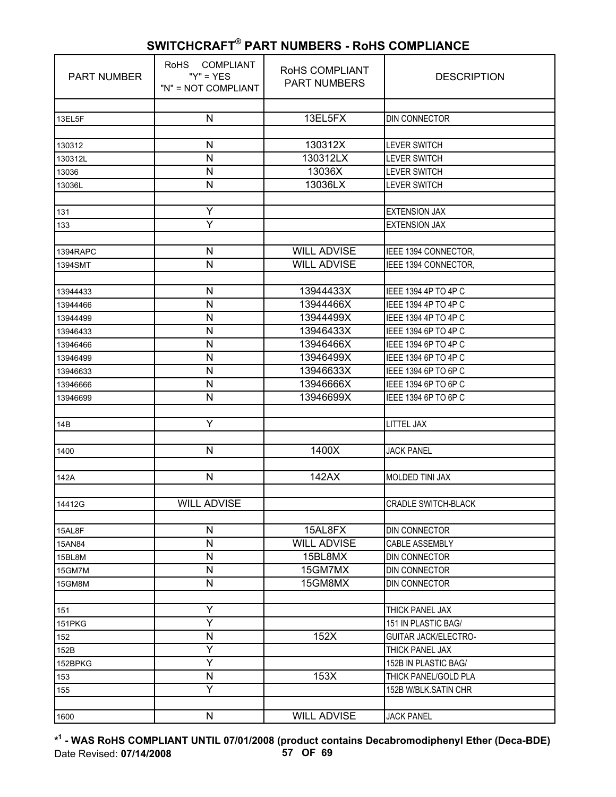| <b>PART NUMBER</b> | <b>COMPLIANT</b><br><b>RoHS</b><br>" $Y$ " = $YES$<br>"N" = NOT COMPLIANT | RoHS COMPLIANT<br><b>PART NUMBERS</b> | <b>DESCRIPTION</b>                             |
|--------------------|---------------------------------------------------------------------------|---------------------------------------|------------------------------------------------|
|                    |                                                                           |                                       |                                                |
| 13EL5F             | $\mathsf{N}$                                                              | 13EL5FX                               | <b>DIN CONNECTOR</b>                           |
|                    |                                                                           |                                       |                                                |
| 130312             | $\mathsf{N}$<br>$\mathsf{N}$                                              | 130312X                               | <b>LEVER SWITCH</b>                            |
| 130312L            |                                                                           | 130312LX                              | <b>LEVER SWITCH</b>                            |
| 13036              | N<br>$\mathsf{N}$                                                         | 13036X                                | <b>LEVER SWITCH</b>                            |
| 13036L             |                                                                           | 13036LX                               | <b>LEVER SWITCH</b>                            |
| 131                | Υ                                                                         |                                       | <b>EXTENSION JAX</b>                           |
| 133                | Ÿ                                                                         |                                       | <b>EXTENSION JAX</b>                           |
|                    |                                                                           |                                       |                                                |
| 1394RAPC           | $\mathsf{N}$                                                              | <b>WILL ADVISE</b>                    | IEEE 1394 CONNECTOR,                           |
| 1394SMT            | N                                                                         | <b>WILL ADVISE</b>                    | IEEE 1394 CONNECTOR,                           |
|                    |                                                                           |                                       |                                                |
| 13944433           | $\mathsf{N}$                                                              | 13944433X                             | IEEE 1394 4P TO 4P C                           |
| 13944466           | N                                                                         | 13944466X                             | IEEE 1394 4P TO 4P C                           |
| 13944499           | $\mathsf{N}$                                                              | 13944499X                             | IEEE 1394 4P TO 4P C                           |
| 13946433           | N                                                                         | 13946433X                             | IEEE 1394 6P TO 4P C                           |
| 13946466           | N                                                                         | 13946466X                             | IEEE 1394 6P TO 4P C                           |
| 13946499           | ${\sf N}$                                                                 | 13946499X                             | IEEE 1394 6P TO 4P C                           |
| 13946633           | N                                                                         | 13946633X                             | IEEE 1394 6P TO 6P C                           |
| 13946666           | $\mathsf{N}$                                                              | 13946666X                             | IEEE 1394 6P TO 6P C                           |
| 13946699           | N                                                                         | 13946699X                             | IEEE 1394 6P TO 6P C                           |
|                    |                                                                           |                                       |                                                |
| 14B                | Υ                                                                         |                                       | <b>LITTEL JAX</b>                              |
|                    |                                                                           |                                       |                                                |
| 1400               | $\mathsf{N}$                                                              | 1400X                                 | <b>JACK PANEL</b>                              |
|                    |                                                                           |                                       |                                                |
| 142A               | $\mathsf{N}$                                                              | 142AX                                 | <b>MOLDED TINI JAX</b>                         |
|                    |                                                                           |                                       |                                                |
| 14412G             | <b>WILL ADVISE</b>                                                        |                                       | <b>CRADLE SWITCH-BLACK</b>                     |
|                    |                                                                           |                                       |                                                |
| 15AL8F             | N                                                                         | 15AL8FX                               | DIN CONNECTOR                                  |
| 15AN84             | $\mathsf{N}$                                                              | <b>WILL ADVISE</b>                    | <b>CABLE ASSEMBLY</b>                          |
| 15BL8M             | $\mathsf{N}$                                                              | 15BL8MX                               | DIN CONNECTOR                                  |
| 15GM7M             | N                                                                         | 15GM7MX                               | <b>DIN CONNECTOR</b>                           |
| 15GM8M             | N                                                                         | 15GM8MX                               | DIN CONNECTOR                                  |
|                    |                                                                           |                                       |                                                |
| 151                | Υ<br>Ÿ                                                                    |                                       | THICK PANEL JAX                                |
| 151PKG             | $\mathsf{N}$                                                              | 152X                                  | 151 IN PLASTIC BAG/                            |
| 152                | Y                                                                         |                                       | <b>GUITAR JACK/ELECTRO-</b><br>THICK PANEL JAX |
| 152B               | Ÿ                                                                         |                                       | 152B IN PLASTIC BAG/                           |
| 152BPKG            |                                                                           | 153X                                  |                                                |
| 153                | ${\sf N}$<br>Y                                                            |                                       | THICK PANEL/GOLD PLA                           |
| 155                |                                                                           |                                       | 152B W/BLK.SATIN CHR                           |
| 1600               | $\mathsf{N}$                                                              | <b>WILL ADVISE</b>                    | <b>JACK PANEL</b>                              |
|                    |                                                                           |                                       |                                                |

**\* 1 - WAS RoHS COMPLIANT UNTIL 07/01/2008 (product contains Decabromodiphenyl Ether (Deca-BDE)** Date Revised: **07/14/2008 57 OF 69**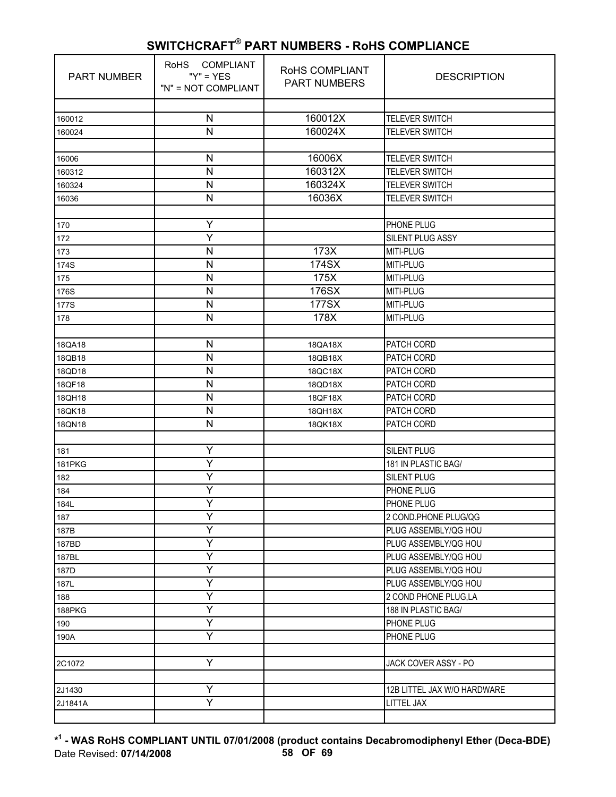| <b>PART NUMBER</b> | <b>COMPLIANT</b><br><b>RoHS</b><br>" $Y$ " = $YES$<br>"N" = NOT COMPLIANT | RoHS COMPLIANT<br><b>PART NUMBERS</b> | <b>DESCRIPTION</b>          |
|--------------------|---------------------------------------------------------------------------|---------------------------------------|-----------------------------|
|                    |                                                                           |                                       |                             |
| 160012             | N                                                                         | 160012X                               | <b>TELEVER SWITCH</b>       |
| 160024             | N                                                                         | 160024X                               | <b>TELEVER SWITCH</b>       |
|                    |                                                                           |                                       |                             |
| 16006              | N                                                                         | 16006X                                | <b>TELEVER SWITCH</b>       |
| 160312             | N<br>N                                                                    | 160312X<br>160324X                    | <b>TELEVER SWITCH</b>       |
| 160324             | $\mathsf{N}$                                                              | 16036X                                | <b>TELEVER SWITCH</b>       |
| 16036              |                                                                           |                                       | <b>TELEVER SWITCH</b>       |
|                    | Υ                                                                         |                                       |                             |
| 170                | Ÿ                                                                         |                                       | PHONE PLUG                  |
| 172                | N                                                                         | 173X                                  | SILENT PLUG ASSY            |
| 173                | N                                                                         | 174SX                                 | MITI-PLUG<br>MITI-PLUG      |
| 174S               | N                                                                         | 175X                                  |                             |
| 175                |                                                                           | 176SX                                 | MITI-PLUG<br>MITI-PLUG      |
| 176S               | N<br>N                                                                    | 177SX                                 | MITI-PLUG                   |
| 177S               | N                                                                         | 178X                                  |                             |
| 178                |                                                                           |                                       | MITI-PLUG                   |
|                    | $\mathsf{N}$                                                              |                                       |                             |
| 18QA18             | N                                                                         | 18QA18X                               | PATCH CORD                  |
| 18QB18             | N                                                                         | 18QB18X                               | PATCH CORD                  |
| 18QD18             | N                                                                         | 18QC18X                               | PATCH CORD                  |
| 18QF18             | N                                                                         | 18QD18X                               | PATCH CORD                  |
| 18QH18             | N                                                                         | 18QF18X                               | PATCH CORD                  |
| 18QK18             | N                                                                         | 18QH18X                               | PATCH CORD<br>PATCH CORD    |
| 18QN18             |                                                                           | 18QK18X                               |                             |
| 181                | Y                                                                         |                                       | <b>SILENT PLUG</b>          |
| <b>181PKG</b>      | Ÿ                                                                         |                                       | 181 IN PLASTIC BAG/         |
| 182                | Υ                                                                         |                                       | <b>SILENT PLUG</b>          |
| 184                | Y                                                                         |                                       | PHONE PLUG                  |
| 184L               | Υ                                                                         |                                       | PHONE PLUG                  |
| 187                | Y                                                                         |                                       | 2 COND.PHONE PLUG/QG        |
| 187B               | Ÿ                                                                         |                                       | PLUG ASSEMBLY/QG HOU        |
| 187BD              | Υ                                                                         |                                       | PLUG ASSEMBLY/QG HOU        |
| 187BL              | Y                                                                         |                                       | PLUG ASSEMBLY/QG HOU        |
| 187D               | Y                                                                         |                                       | PLUG ASSEMBLY/QG HOU        |
| 187L               | Y                                                                         |                                       | PLUG ASSEMBLY/QG HOU        |
| 188                | Y                                                                         |                                       | 2 COND PHONE PLUG,LA        |
| 188PKG             | Υ                                                                         |                                       | 188 IN PLASTIC BAG/         |
| 190                | Y                                                                         |                                       | PHONE PLUG                  |
| 190A               | Υ                                                                         |                                       | PHONE PLUG                  |
|                    |                                                                           |                                       |                             |
| 2C1072             | Y                                                                         |                                       | JACK COVER ASSY - PO        |
|                    |                                                                           |                                       |                             |
| 2J1430             | Υ                                                                         |                                       | 12B LITTEL JAX W/O HARDWARE |
| 2J1841A            | Y                                                                         |                                       | LITTEL JAX                  |
|                    |                                                                           |                                       |                             |

**\* 1 - WAS RoHS COMPLIANT UNTIL 07/01/2008 (product contains Decabromodiphenyl Ether (Deca-BDE)** Date Revised: **07/14/2008 58 OF 69**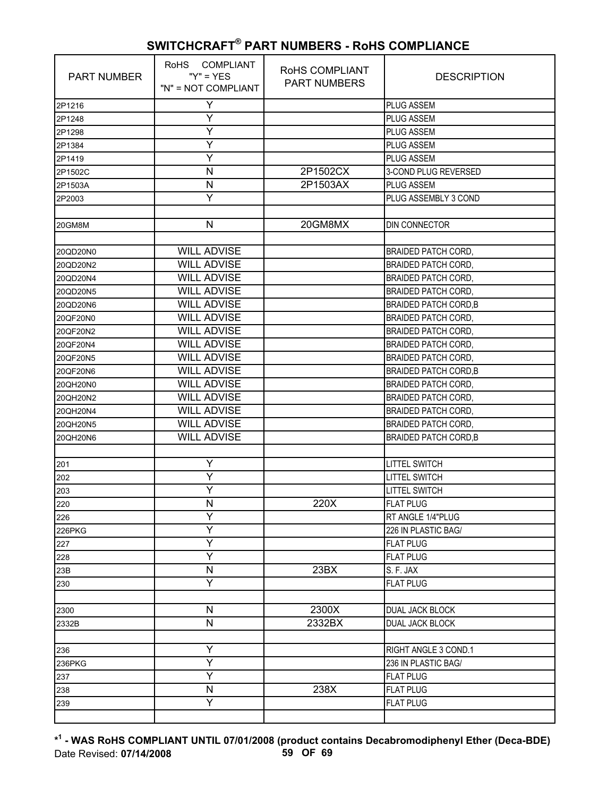| <b>PART NUMBER</b> | COMPLIANT<br><b>RoHS</b><br>" $Y$ " = $YES$<br>"N" = NOT COMPLIANT | RoHS COMPLIANT<br><b>PART NUMBERS</b> | <b>DESCRIPTION</b>           |
|--------------------|--------------------------------------------------------------------|---------------------------------------|------------------------------|
| 2P1216             | Y                                                                  |                                       | <b>PLUG ASSEM</b>            |
| 2P1248             | Y                                                                  |                                       | <b>PLUG ASSEM</b>            |
| 2P1298             | Ÿ                                                                  |                                       | <b>PLUG ASSEM</b>            |
| 2P1384             | Υ                                                                  |                                       | <b>PLUG ASSEM</b>            |
| 2P1419             | Y                                                                  |                                       | PLUG ASSEM                   |
| 2P1502C            | N                                                                  | 2P1502CX                              | 3-COND PLUG REVERSED         |
| 2P1503A            | N                                                                  | 2P1503AX                              | PLUG ASSEM                   |
| 2P2003             | Ÿ                                                                  |                                       | PLUG ASSEMBLY 3 COND         |
|                    |                                                                    |                                       |                              |
| 20GM8M             | N                                                                  | 20GM8MX                               | DIN CONNECTOR                |
|                    |                                                                    |                                       |                              |
| 20QD20N0           | <b>WILL ADVISE</b>                                                 |                                       | <b>BRAIDED PATCH CORD,</b>   |
| 20QD20N2           | <b>WILL ADVISE</b>                                                 |                                       | <b>BRAIDED PATCH CORD,</b>   |
| 20QD20N4           | <b>WILL ADVISE</b>                                                 |                                       | <b>BRAIDED PATCH CORD,</b>   |
| 20QD20N5           | <b>WILL ADVISE</b>                                                 |                                       | <b>BRAIDED PATCH CORD,</b>   |
| 20QD20N6           | <b>WILL ADVISE</b>                                                 |                                       | <b>BRAIDED PATCH CORD, B</b> |
| 20QF20N0           | <b>WILL ADVISE</b>                                                 |                                       | <b>BRAIDED PATCH CORD,</b>   |
| 20QF20N2           | <b>WILL ADVISE</b>                                                 |                                       | <b>BRAIDED PATCH CORD,</b>   |
| 20QF20N4           | <b>WILL ADVISE</b>                                                 |                                       | <b>BRAIDED PATCH CORD,</b>   |
| 20QF20N5           | <b>WILL ADVISE</b>                                                 |                                       | <b>BRAIDED PATCH CORD,</b>   |
| 20QF20N6           | <b>WILL ADVISE</b>                                                 |                                       | <b>BRAIDED PATCH CORD, B</b> |
| 20QH20N0           | <b>WILL ADVISE</b>                                                 |                                       | <b>BRAIDED PATCH CORD,</b>   |
| 20QH20N2           | <b>WILL ADVISE</b>                                                 |                                       | <b>BRAIDED PATCH CORD,</b>   |
| 20QH20N4           | <b>WILL ADVISE</b>                                                 |                                       | <b>BRAIDED PATCH CORD,</b>   |
| 20QH20N5           | <b>WILL ADVISE</b>                                                 |                                       | <b>BRAIDED PATCH CORD,</b>   |
| 20QH20N6           | <b>WILL ADVISE</b>                                                 |                                       | <b>BRAIDED PATCH CORD, B</b> |
|                    |                                                                    |                                       |                              |
| 201                | Ÿ                                                                  |                                       | <b>LITTEL SWITCH</b>         |
| 202                | Υ                                                                  |                                       | <b>LITTEL SWITCH</b>         |
| 203                | Y                                                                  |                                       | <b>LITTEL SWITCH</b>         |
| 220                | N                                                                  | 220X                                  | <b>FLAT PLUG</b>             |
| 226                | Y                                                                  |                                       | RT ANGLE 1/4"PLUG            |
| 226PKG             | Ÿ                                                                  |                                       | 226 IN PLASTIC BAG/          |
| 227                | Υ                                                                  |                                       | <b>FLAT PLUG</b>             |
| 228                | Y                                                                  |                                       | <b>FLAT PLUG</b>             |
| 23B                | N                                                                  | 23BX                                  | S. F. JAX                    |
| 230                | Υ                                                                  |                                       | <b>FLAT PLUG</b>             |
|                    |                                                                    |                                       |                              |
| 2300               | N                                                                  | 2300X                                 | DUAL JACK BLOCK              |
| 2332B              | N                                                                  | 2332BX                                | DUAL JACK BLOCK              |
|                    |                                                                    |                                       |                              |
| 236                | Y                                                                  |                                       | RIGHT ANGLE 3 COND.1         |
| 236PKG             | Ÿ                                                                  |                                       | 236 IN PLASTIC BAG/          |
| 237                | Υ                                                                  |                                       | <b>FLAT PLUG</b>             |
| 238                | N                                                                  | 238X                                  | <b>FLAT PLUG</b>             |
| 239                | Υ                                                                  |                                       | <b>FLAT PLUG</b>             |
|                    |                                                                    |                                       |                              |

**\* 1 - WAS RoHS COMPLIANT UNTIL 07/01/2008 (product contains Decabromodiphenyl Ether (Deca-BDE)** Date Revised: **07/14/2008 59 OF 69**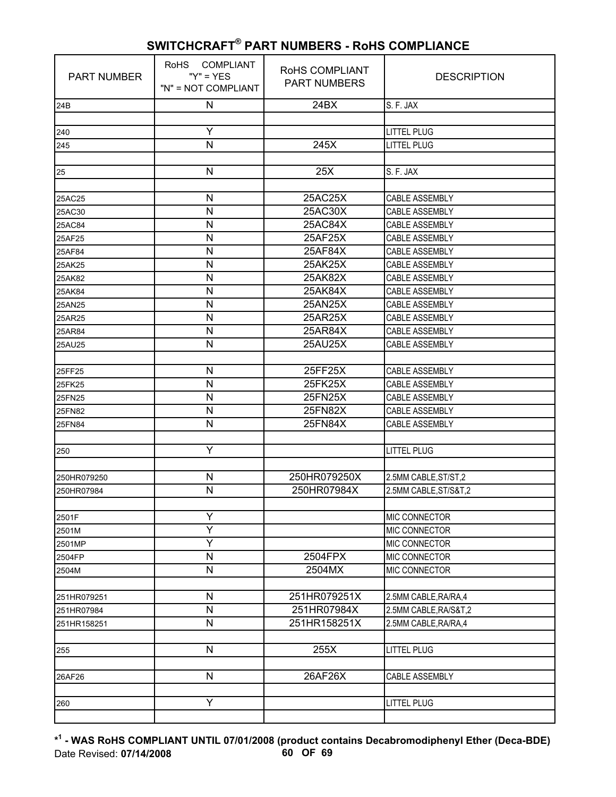| <b>PART NUMBER</b> | RoHS COMPLIANT<br>" $Y$ " = $YES$<br>"N" = NOT COMPLIANT | RoHS COMPLIANT<br><b>PART NUMBERS</b> | <b>DESCRIPTION</b>                              |
|--------------------|----------------------------------------------------------|---------------------------------------|-------------------------------------------------|
| 24B                | ${\sf N}$                                                | 24BX                                  | S. F. JAX                                       |
|                    |                                                          |                                       |                                                 |
| 240                | Y                                                        |                                       | <b>LITTEL PLUG</b>                              |
| 245                | N                                                        | 245X                                  | <b>LITTEL PLUG</b>                              |
|                    | $\mathsf{N}$                                             | 25X                                   | S. F. JAX                                       |
| 25                 |                                                          |                                       |                                                 |
| 25AC25             | $\mathsf{N}$                                             | 25AC25X                               | CABLE ASSEMBLY                                  |
| 25AC30             | N                                                        | 25AC30X                               | CABLE ASSEMBLY                                  |
| 25AC84             | $\mathsf{N}$                                             | 25AC84X                               | <b>CABLE ASSEMBLY</b>                           |
| 25AF25             | $\mathsf{N}$                                             | 25AF25X                               | <b>CABLE ASSEMBLY</b>                           |
| 25AF84             | N                                                        | 25AF84X                               | CABLE ASSEMBLY                                  |
| 25AK25             | $\mathsf{N}$                                             | 25AK25X                               | <b>CABLE ASSEMBLY</b>                           |
| 25AK82             | $\mathsf{N}$                                             | 25AK82X                               | <b>CABLE ASSEMBLY</b>                           |
| 25AK84             | $\mathsf{N}$                                             | 25AK84X                               | <b>CABLE ASSEMBLY</b>                           |
| 25AN25             | $\mathsf{N}$                                             | 25AN25X                               | <b>CABLE ASSEMBLY</b>                           |
| 25AR25             | N                                                        | 25AR25X                               | CABLE ASSEMBLY                                  |
| 25AR84             | $\mathsf{N}$                                             | 25AR84X                               | <b>CABLE ASSEMBLY</b>                           |
| 25AU25             | N                                                        | 25AU25X                               | CABLE ASSEMBLY                                  |
|                    |                                                          |                                       |                                                 |
| 25FF25             | $\mathsf{N}$                                             | 25FF25X                               | <b>CABLE ASSEMBLY</b>                           |
| 25FK25             | N                                                        | 25FK25X                               | CABLE ASSEMBLY                                  |
| 25FN25             | N                                                        | 25FN25X                               | CABLE ASSEMBLY                                  |
| <b>25FN82</b>      | N                                                        | <b>25FN82X</b>                        | CABLE ASSEMBLY                                  |
| 25FN84             | N                                                        | 25FN84X                               | CABLE ASSEMBLY                                  |
|                    |                                                          |                                       |                                                 |
| 250                | Υ                                                        |                                       | <b>LITTEL PLUG</b>                              |
|                    | N                                                        | 250HR079250X                          |                                                 |
| 250HR079250        | $\mathsf{N}$                                             | 250HR07984X                           | 2.5MM CABLE, ST/ST, 2<br>2.5MM CABLE, ST/S&T, 2 |
| 250HR07984         |                                                          |                                       |                                                 |
| 2501F              | Υ                                                        |                                       | MIC CONNECTOR                                   |
| 2501M              | Y                                                        |                                       | MIC CONNECTOR                                   |
| 2501MP             | Ý                                                        |                                       | MIC CONNECTOR                                   |
| 2504FP             | ${\sf N}$                                                | 2504FPX                               | MIC CONNECTOR                                   |
| 2504M              | ${\sf N}$                                                | 2504MX                                | MIC CONNECTOR                                   |
|                    |                                                          |                                       |                                                 |
| 251HR079251        | $\mathsf{N}$                                             | 251HR079251X                          | 2.5MM CABLE, RA/RA, 4                           |
| 251HR07984         | $\mathsf{N}$                                             | 251HR07984X                           | 2.5MM CABLE, RA/S&T, 2                          |
| 251HR158251        | $\mathsf{N}$                                             | 251HR158251X                          | 2.5MM CABLE, RA/RA, 4                           |
|                    |                                                          |                                       |                                                 |
| 255                | $\mathsf{N}$                                             | 255X                                  | <b>LITTEL PLUG</b>                              |
|                    |                                                          |                                       |                                                 |
| 26AF26             | N                                                        | 26AF26X                               | CABLE ASSEMBLY                                  |
|                    |                                                          |                                       |                                                 |
| 260                | Y                                                        |                                       | <b>LITTEL PLUG</b>                              |
|                    |                                                          |                                       |                                                 |

**\* 1 - WAS RoHS COMPLIANT UNTIL 07/01/2008 (product contains Decabromodiphenyl Ether (Deca-BDE)** Date Revised: **07/14/2008 60 OF 69**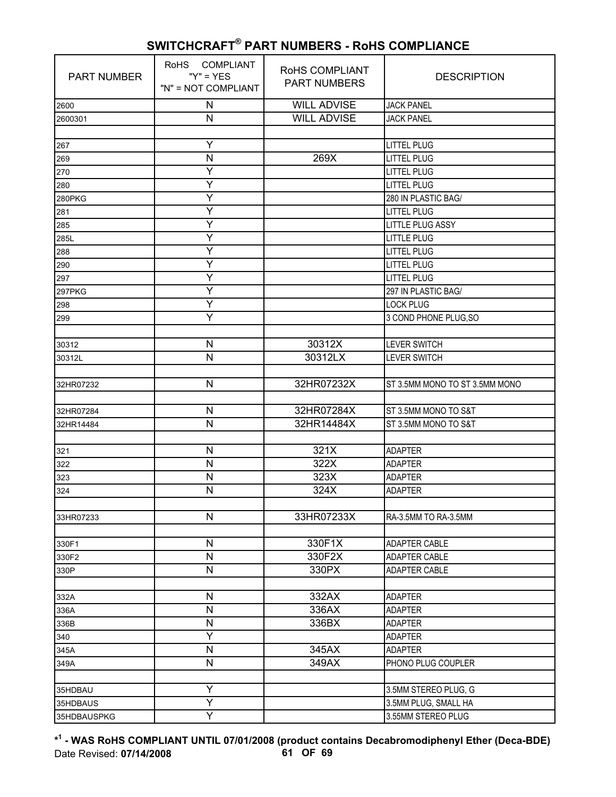| <b>PART NUMBER</b> | RoHS COMPLIANT<br>" $Y$ " = $YES$<br>"N" = NOT COMPLIANT | RoHS COMPLIANT<br><b>PART NUMBERS</b> | <b>DESCRIPTION</b>             |
|--------------------|----------------------------------------------------------|---------------------------------------|--------------------------------|
| 2600               | N                                                        | <b>WILL ADVISE</b>                    | <b>JACK PANEL</b>              |
| 2600301            | N                                                        | <b>WILL ADVISE</b>                    | <b>JACK PANEL</b>              |
|                    |                                                          |                                       |                                |
| 267                | Υ                                                        |                                       | <b>LITTEL PLUG</b>             |
| 269                | N                                                        | 269X                                  | <b>LITTEL PLUG</b>             |
| 270                | Ÿ                                                        |                                       | <b>LITTEL PLUG</b>             |
| 280                | Y                                                        |                                       | <b>LITTEL PLUG</b>             |
| 280PKG             | Y                                                        |                                       | 280 IN PLASTIC BAG/            |
| 281                | Υ                                                        |                                       | <b>LITTEL PLUG</b>             |
| 285                | Y                                                        |                                       | <b>LITTLE PLUG ASSY</b>        |
| 285L               | Y                                                        |                                       | <b>LITTLE PLUG</b>             |
| 288                | Υ                                                        |                                       | <b>LITTEL PLUG</b>             |
| 290                | Ÿ                                                        |                                       | <b>LITTEL PLUG</b>             |
| 297                | Y                                                        |                                       | <b>LITTEL PLUG</b>             |
| 297PKG             | Y                                                        |                                       | 297 IN PLASTIC BAG/            |
| 298                | Ÿ                                                        |                                       | <b>LOCK PLUG</b>               |
| 299                | Ÿ                                                        |                                       | 3 COND PHONE PLUG, SO          |
|                    |                                                          |                                       |                                |
| 30312              | $\mathsf{N}$                                             | 30312X                                | <b>LEVER SWITCH</b>            |
| 30312L             | $\mathsf{N}$                                             | 30312LX                               | <b>LEVER SWITCH</b>            |
|                    |                                                          |                                       |                                |
| 32HR07232          | N                                                        | 32HR07232X                            | ST 3.5MM MONO TO ST 3.5MM MONO |
|                    |                                                          |                                       |                                |
| 32HR07284          | N                                                        | 32HR07284X                            | ST 3.5MM MONO TO S&T           |
| 32HR14484          | N                                                        | 32HR14484X                            | ST 3.5MM MONO TO S&T           |
|                    |                                                          |                                       |                                |
| 321                | N                                                        | 321X                                  | <b>ADAPTER</b>                 |
| 322                | N                                                        | 322X                                  | <b>ADAPTER</b>                 |
| 323                | N                                                        | 323X                                  | <b>ADAPTER</b>                 |
| 324                | N                                                        | 324X                                  | <b>ADAPTER</b>                 |
|                    |                                                          |                                       |                                |
| 33HR07233          | $\mathsf{N}$                                             | 33HR07233X                            | RA-3.5MM TO RA-3.5MM           |
|                    |                                                          |                                       |                                |
| 330F1              | N                                                        | 330F1X                                | ADAPTER CABLE                  |
| 330F2              | N                                                        | 330F2X                                | <b>ADAPTER CABLE</b>           |
| 330P               | N                                                        | 330PX                                 | ADAPTER CABLE                  |
|                    |                                                          |                                       |                                |
| 332A               | N                                                        | 332AX                                 | <b>ADAPTER</b>                 |
| 336A               | N                                                        | 336AX                                 | <b>ADAPTER</b>                 |
| 336B               | N                                                        | 336BX                                 | <b>ADAPTER</b>                 |
| 340                | Y                                                        |                                       | <b>ADAPTER</b>                 |
| 345A               | N                                                        | 345AX                                 | <b>ADAPTER</b>                 |
| 349A               | N                                                        | 349AX                                 | PHONO PLUG COUPLER             |
|                    |                                                          |                                       |                                |
| 35HDBAU            | Υ                                                        |                                       | 3.5MM STEREO PLUG, G           |
| 35HDBAUS           | Ÿ                                                        |                                       | 3.5MM PLUG, SMALL HA           |
| 35HDBAUSPKG        | Y                                                        |                                       | 3.55MM STEREO PLUG             |

**\* 1 - WAS RoHS COMPLIANT UNTIL 07/01/2008 (product contains Decabromodiphenyl Ether (Deca-BDE)** Date Revised: **07/14/2008 61 OF 69**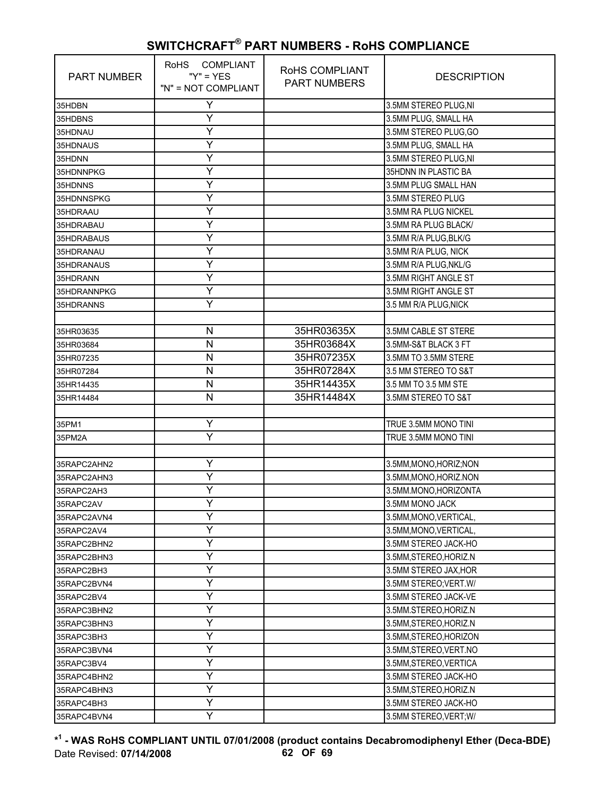| <b>PART NUMBER</b> | RoHS COMPLIANT<br>" $Y$ " = $YES$<br>"N" = NOT COMPLIANT | ROHS COMPLIANT<br><b>PART NUMBERS</b> | <b>DESCRIPTION</b>      |
|--------------------|----------------------------------------------------------|---------------------------------------|-------------------------|
| 35HDBN             | Υ                                                        |                                       | 3.5MM STEREO PLUG, NI   |
| 35HDBNS            | Υ                                                        |                                       | 3.5MM PLUG, SMALL HA    |
| 35HDNAU            | Y                                                        |                                       | 3.5MM STEREO PLUG, GO   |
| 35HDNAUS           | Y                                                        |                                       | 3.5MM PLUG, SMALL HA    |
| 35HDNN             | Ÿ                                                        |                                       | 3.5MM STEREO PLUG, NI   |
| 35HDNNPKG          | Υ                                                        |                                       | 35HDNN IN PLASTIC BA    |
| 35HDNNS            | Y                                                        |                                       | 3.5MM PLUG SMALL HAN    |
| 35HDNNSPKG         | Y                                                        |                                       | 3.5MM STEREO PLUG       |
| 35HDRAAU           | Y                                                        |                                       | 3.5MM RA PLUG NICKEL    |
| 35HDRABAU          | Υ                                                        |                                       | 3.5MM RA PLUG BLACK/    |
| 35HDRABAUS         | Υ                                                        |                                       | 3.5MM R/A PLUG, BLK/G   |
| 35HDRANAU          | Y                                                        |                                       | 3.5MM R/A PLUG, NICK    |
| 35HDRANAUS         | Y                                                        |                                       | 3.5MM R/A PLUG, NKL/G   |
| 35HDRANN           | Y                                                        |                                       | 3.5MM RIGHT ANGLE ST    |
| 35HDRANNPKG        | Y                                                        |                                       | 3.5MM RIGHT ANGLE ST    |
| 35HDRANNS          | Υ                                                        |                                       | 3.5 MM R/A PLUG, NICK   |
|                    |                                                          |                                       |                         |
| 35HR03635          | N                                                        | 35HR03635X                            | 3.5MM CABLE ST STERE    |
| 35HR03684          | N                                                        | 35HR03684X                            | 3.5MM-S&T BLACK 3 FT    |
| 35HR07235          | N                                                        | 35HR07235X                            | 3.5MM TO 3.5MM STERE    |
| 35HR07284          | $\mathsf{N}$                                             | 35HR07284X                            | 3.5 MM STEREO TO S&T    |
| 35HR14435          | N                                                        | 35HR14435X                            | 3.5 MM TO 3.5 MM STE    |
| 35HR14484          | N                                                        | 35HR14484X                            | 3.5MM STEREO TO S&T     |
|                    |                                                          |                                       |                         |
| 35PM1              | Y                                                        |                                       | TRUE 3.5MM MONO TINI    |
| 35PM2A             | Ÿ                                                        |                                       | TRUE 3.5MM MONO TINI    |
|                    |                                                          |                                       |                         |
| 35RAPC2AHN2        | Y                                                        |                                       | 3.5MM, MONO, HORIZ; NON |
| 35RAPC2AHN3        | Y                                                        |                                       | 3.5MM, MONO, HORIZ.NON  |
| 35RAPC2AH3         | Υ                                                        |                                       | 3.5MM.MONO,HORIZONTA    |
| 35RAPC2AV          | Y                                                        |                                       | 3.5MM MONO JACK         |
| 35RAPC2AVN4        | Y                                                        |                                       | 3.5MM, MONO, VERTICAL,  |
| 35RAPC2AV4         | Y                                                        |                                       | 3.5MM, MONO, VERTICAL,  |
| 35RAPC2BHN2        | Υ                                                        |                                       | 3.5MM STEREO JACK-HO    |
| 35RAPC2BHN3        | Υ                                                        |                                       | 3.5MM, STEREO, HORIZ.N  |
| 35RAPC2BH3         | Υ                                                        |                                       | 3.5MM STEREO JAX, HOR   |
| 35RAPC2BVN4        | Y                                                        |                                       | 3.5MM STEREO; VERT. W/  |
| 35RAPC2BV4         | Υ                                                        |                                       | 3.5MM STEREO JACK-VE    |
| 35RAPC3BHN2        | Υ                                                        |                                       | 3.5MM.STEREO, HORIZ.N   |
| 35RAPC3BHN3        | Υ                                                        |                                       | 3.5MM, STEREO, HORIZ.N  |
| 35RAPC3BH3         | Υ                                                        |                                       | 3.5MM, STEREO, HORIZON  |
| 35RAPC3BVN4        | Υ                                                        |                                       | 3.5MM, STEREO, VERT.NO  |
| 35RAPC3BV4         | Y                                                        |                                       | 3.5MM, STEREO, VERTICA  |
| 35RAPC4BHN2        | Υ                                                        |                                       | 3.5MM STEREO JACK-HO    |
| 35RAPC4BHN3        | Υ                                                        |                                       | 3.5MM, STEREO, HORIZ.N  |
| 35RAPC4BH3         | Υ                                                        |                                       | 3.5MM STEREO JACK-HO    |
| 35RAPC4BVN4        | Y                                                        |                                       | 3.5MM STEREO, VERT; W/  |

**\* 1 - WAS RoHS COMPLIANT UNTIL 07/01/2008 (product contains Decabromodiphenyl Ether (Deca-BDE)** Date Revised: **07/14/2008 62 OF 69**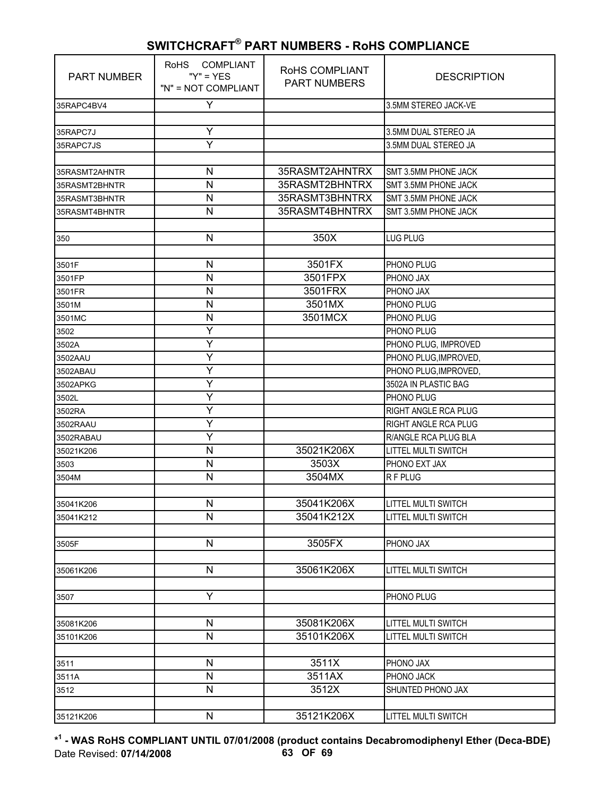| <b>PART NUMBER</b> | RoHS COMPLIANT<br>" $Y$ " = $YES$<br>"N" = NOT COMPLIANT | RoHS COMPLIANT<br><b>PART NUMBERS</b> | <b>DESCRIPTION</b>                                       |
|--------------------|----------------------------------------------------------|---------------------------------------|----------------------------------------------------------|
| 35RAPC4BV4         | Y                                                        |                                       | 3.5MM STEREO JACK-VE                                     |
|                    |                                                          |                                       |                                                          |
| 35RAPC7J           | Ÿ                                                        |                                       | 3.5MM DUAL STEREO JA                                     |
| 35RAPC7JS          | Y                                                        |                                       | 3.5MM DUAL STEREO JA                                     |
|                    |                                                          |                                       |                                                          |
| 35RASMT2AHNTR      | N                                                        | 35RASMT2AHNTRX                        | SMT 3.5MM PHONE JACK                                     |
| 35RASMT2BHNTR      | N                                                        | 35RASMT2BHNTRX                        | SMT 3.5MM PHONE JACK                                     |
| 35RASMT3BHNTR      | $\mathsf{N}$                                             | 35RASMT3BHNTRX                        | SMT 3.5MM PHONE JACK                                     |
| 35RASMT4BHNTR      | $\mathsf{N}$                                             | 35RASMT4BHNTRX                        | SMT 3.5MM PHONE JACK                                     |
|                    |                                                          |                                       |                                                          |
| 350                | N                                                        | 350X                                  | LUG PLUG                                                 |
|                    |                                                          |                                       |                                                          |
| 3501F              | $\mathsf{N}$                                             | 3501FX                                | PHONO PLUG                                               |
| 3501FP             | $\mathsf{N}$                                             | 3501FPX                               | PHONO JAX                                                |
| 3501FR             | $\mathsf{N}$                                             | 3501FRX                               | PHONO JAX                                                |
| 3501M              | N                                                        | 3501MX                                | PHONO PLUG                                               |
| 3501MC             | $\mathsf{N}$                                             | 3501MCX                               | PHONO PLUG                                               |
| 3502               | Ÿ                                                        |                                       | PHONO PLUG                                               |
| 3502A              | Υ                                                        |                                       | PHONO PLUG, IMPROVED                                     |
| 3502AAU            | Y                                                        |                                       | PHONO PLUG, IMPROVED,                                    |
| 3502ABAU           | Y                                                        |                                       | PHONO PLUG, IMPROVED,                                    |
| 3502APKG           | Y                                                        |                                       | 3502A IN PLASTIC BAG                                     |
| 3502L              | Ÿ                                                        |                                       | PHONO PLUG                                               |
| 3502RA             | Υ                                                        |                                       | RIGHT ANGLE RCA PLUG                                     |
| 3502RAAU           | Y                                                        |                                       | RIGHT ANGLE RCA PLUG                                     |
| 3502RABAU          | Y                                                        |                                       | R/ANGLE RCA PLUG BLA                                     |
| 35021K206          | $\mathsf{N}$                                             | 35021K206X                            | LITTEL MULTI SWITCH                                      |
| 3503               | $\mathsf{N}$                                             | 3503X                                 | PHONO EXT JAX                                            |
| 3504M              | $\mathsf{N}$                                             | 3504MX                                | R F PLUG                                                 |
|                    |                                                          |                                       |                                                          |
| 35041K206          | N<br>N                                                   | 35041K206X<br>35041K212X              | <b>LITTEL MULTI SWITCH</b><br><b>LITTEL MULTI SWITCH</b> |
| 35041K212          |                                                          |                                       |                                                          |
|                    | $\mathsf{N}$                                             | 3505FX                                |                                                          |
| 3505F              |                                                          |                                       | PHONO JAX                                                |
| 35061K206          | N                                                        | 35061K206X                            | LITTEL MULTI SWITCH                                      |
|                    |                                                          |                                       |                                                          |
| 3507               | Υ                                                        |                                       | PHONO PLUG                                               |
|                    |                                                          |                                       |                                                          |
| 35081K206          | ${\sf N}$                                                | 35081K206X                            | LITTEL MULTI SWITCH                                      |
| 35101K206          | N                                                        | 35101K206X                            | LITTEL MULTI SWITCH                                      |
|                    |                                                          |                                       |                                                          |
| 3511               | N                                                        | 3511X                                 | PHONO JAX                                                |
| 3511A              | $\mathsf{N}$                                             | 3511AX                                | PHONO JACK                                               |
| 3512               | N                                                        | 3512X                                 | SHUNTED PHONO JAX                                        |
|                    |                                                          |                                       |                                                          |
| 35121K206          | N                                                        | 35121K206X                            | LITTEL MULTI SWITCH                                      |

**\* 1 - WAS RoHS COMPLIANT UNTIL 07/01/2008 (product contains Decabromodiphenyl Ether (Deca-BDE)** Date Revised: **07/14/2008 63 OF 69**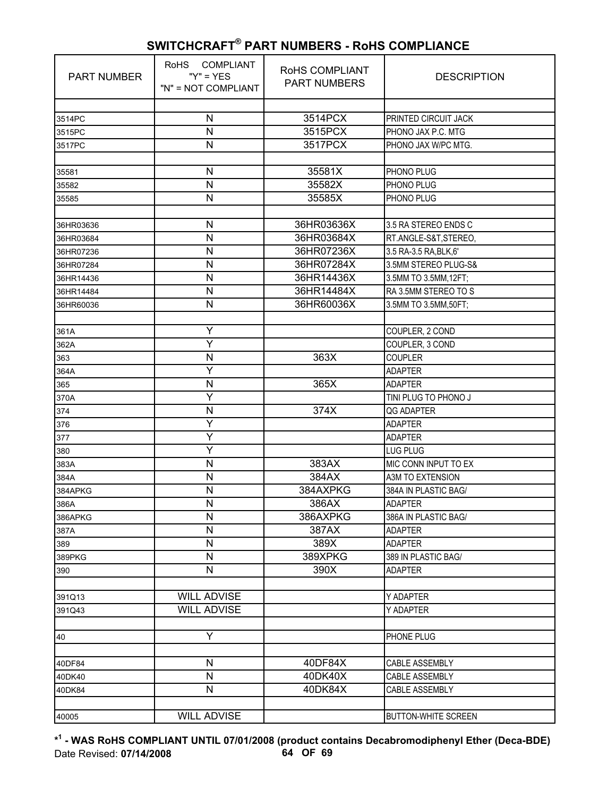| <b>PART NUMBER</b> | <b>COMPLIANT</b><br><b>RoHS</b><br>" $Y$ " = $YES$<br>"N" = NOT COMPLIANT | <b>ROHS COMPLIANT</b><br><b>PART NUMBERS</b> | <b>DESCRIPTION</b>         |
|--------------------|---------------------------------------------------------------------------|----------------------------------------------|----------------------------|
|                    |                                                                           |                                              |                            |
| 3514PC             | $\mathsf{N}$                                                              | 3514PCX                                      | PRINTED CIRCUIT JACK       |
| 3515PC             | $\mathsf{N}$                                                              | 3515PCX                                      | PHONO JAX P.C. MTG         |
| 3517PC             | $\mathsf{N}$                                                              | 3517PCX                                      | PHONO JAX W/PC MTG.        |
| 35581              | N                                                                         | 35581X                                       | PHONO PLUG                 |
| 35582              | $\mathsf{N}$                                                              | 35582X                                       | PHONO PLUG                 |
| 35585              | $\mathsf{N}$                                                              | 35585X                                       | PHONO PLUG                 |
|                    |                                                                           |                                              |                            |
| 36HR03636          | ${\sf N}$                                                                 | 36HR03636X                                   | 3.5 RA STEREO ENDS C       |
| 36HR03684          | N                                                                         | 36HR03684X                                   | RT.ANGLE-S&T,STEREO,       |
| 36HR07236          | $\mathsf{N}$                                                              | 36HR07236X                                   | 3.5 RA-3.5 RA, BLK, 6'     |
| 36HR07284          | N                                                                         | 36HR07284X                                   | 3.5MM STEREO PLUG-S&       |
| 36HR14436          | N                                                                         | 36HR14436X                                   | 3.5MM TO 3.5MM, 12FT;      |
| 36HR14484          | $\mathsf{N}$                                                              | 36HR14484X                                   | RA 3.5MM STEREO TO S       |
| 36HR60036          | $\mathsf{N}$                                                              | 36HR60036X                                   | 3.5MM TO 3.5MM,50FT;       |
|                    |                                                                           |                                              |                            |
| 361A               | Ÿ                                                                         |                                              | COUPLER, 2 COND            |
| 362A               | Υ                                                                         |                                              | COUPLER, 3 COND            |
| 363                | ${\sf N}$                                                                 | 363X                                         | <b>COUPLER</b>             |
| 364A               | Υ                                                                         |                                              | <b>ADAPTER</b>             |
| 365                | N                                                                         | 365X                                         | <b>ADAPTER</b>             |
| 370A               | Ÿ                                                                         |                                              | TINI PLUG TO PHONO J       |
| 374                | ${\sf N}$                                                                 | 374X                                         | <b>QG ADAPTER</b>          |
| 376                | Υ                                                                         |                                              | <b>ADAPTER</b>             |
| 377                | Υ                                                                         |                                              | <b>ADAPTER</b>             |
| 380                | Y                                                                         |                                              | <b>LUG PLUG</b>            |
| 383A               | N                                                                         | 383AX                                        | MIC CONN INPUT TO EX       |
| 384A               | $\mathsf{N}$                                                              | 384AX                                        | A3M TO EXTENSION           |
| 384APKG            | N                                                                         | 384AXPKG                                     | 384A IN PLASTIC BAG/       |
| 386A               | $\mathsf{N}$                                                              | 386AX                                        | <b>ADAPTER</b>             |
| 386APKG            | N                                                                         | 386AXPKG                                     | 386A IN PLASTIC BAG/       |
| 387A               | $\mathsf{N}$                                                              | 387AX                                        | <b>ADAPTER</b>             |
| 389                | N                                                                         | 389X                                         | <b>ADAPTER</b>             |
| 389PKG             | N                                                                         | 389XPKG                                      | 389 IN PLASTIC BAG/        |
| 390                | N                                                                         | 390X                                         | <b>ADAPTER</b>             |
|                    |                                                                           |                                              |                            |
| 391Q13             | <b>WILL ADVISE</b>                                                        |                                              | Y ADAPTER                  |
| 391Q43             | <b>WILL ADVISE</b>                                                        |                                              | Y ADAPTER                  |
|                    | Y                                                                         |                                              | PHONE PLUG                 |
| 40                 |                                                                           |                                              |                            |
| 40DF84             | $\mathsf{N}$                                                              | 40DF84X                                      | CABLE ASSEMBLY             |
| 40DK40             | ${\sf N}$                                                                 | 40DK40X                                      | CABLE ASSEMBLY             |
| 40DK84             | N                                                                         | 40DK84X                                      | CABLE ASSEMBLY             |
|                    |                                                                           |                                              |                            |
| 40005              | <b>WILL ADVISE</b>                                                        |                                              | <b>BUTTON-WHITE SCREEN</b> |

**\* 1 - WAS RoHS COMPLIANT UNTIL 07/01/2008 (product contains Decabromodiphenyl Ether (Deca-BDE)** Date Revised: **07/14/2008 64 OF 69**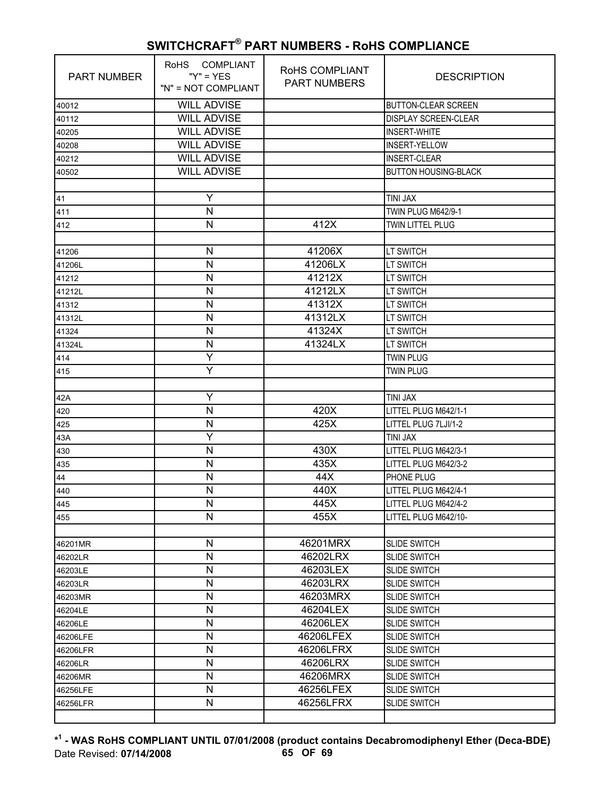| <b>PART NUMBER</b> | RoHS COMPLIANT<br>" $Y$ " = $YES$<br>"N" = NOT COMPLIANT | RoHS COMPLIANT<br><b>PART NUMBERS</b> | <b>DESCRIPTION</b>          |
|--------------------|----------------------------------------------------------|---------------------------------------|-----------------------------|
| 40012              | <b>WILL ADVISE</b>                                       |                                       | <b>BUTTON-CLEAR SCREEN</b>  |
| 40112              | <b>WILL ADVISE</b>                                       |                                       | <b>DISPLAY SCREEN-CLEAR</b> |
| 40205              | <b>WILL ADVISE</b>                                       |                                       | <b>INSERT-WHITE</b>         |
| 40208              | <b>WILL ADVISE</b>                                       |                                       | <b>INSERT-YELLOW</b>        |
| 40212              | <b>WILL ADVISE</b>                                       |                                       | <b>INSERT-CLEAR</b>         |
| 40502              | <b>WILL ADVISE</b>                                       |                                       | <b>BUTTON HOUSING-BLACK</b> |
|                    |                                                          |                                       |                             |
| 41                 | Y                                                        |                                       | <b>TINI JAX</b>             |
| 411                | N                                                        |                                       | TWIN PLUG M642/9-1          |
| 412                | N                                                        | 412X                                  | TWIN LITTEL PLUG            |
|                    |                                                          |                                       |                             |
| 41206              | N                                                        | 41206X                                | <b>LT SWITCH</b>            |
| 41206L             | N                                                        | 41206LX                               | <b>LT SWITCH</b>            |
| 41212              | N                                                        | 41212X                                | <b>LT SWITCH</b>            |
| 41212L             | N                                                        | 41212LX                               | <b>LT SWITCH</b>            |
| 41312              | N                                                        | 41312X                                | <b>LT SWITCH</b>            |
| 41312L             | N                                                        | 41312LX                               | <b>LT SWITCH</b>            |
| 41324              | N                                                        | 41324X                                | <b>LT SWITCH</b>            |
| 41324L             | N                                                        | 41324LX                               | <b>LT SWITCH</b>            |
| 414                | Y                                                        |                                       | <b>TWIN PLUG</b>            |
| 415                | Y                                                        |                                       | <b>TWIN PLUG</b>            |
|                    |                                                          |                                       |                             |
| 42A                | Y                                                        |                                       | <b>TINI JAX</b>             |
| 420                | N                                                        | 420X                                  | LITTEL PLUG M642/1-1        |
| 425                | N                                                        | 425X                                  | LITTEL PLUG 7LJI/1-2        |
| 43A                | Ÿ                                                        |                                       | <b>TINI JAX</b>             |
| 430                | N                                                        | 430X                                  | LITTEL PLUG M642/3-1        |
| 435                | N                                                        | 435X                                  | LITTEL PLUG M642/3-2        |
| 44                 | N                                                        | 44X                                   | PHONE PLUG                  |
| 440                | N                                                        | 440X                                  | LITTEL PLUG M642/4-1        |
| 445                | N                                                        | 445X                                  | LITTEL PLUG M642/4-2        |
| 455                | N                                                        | 455X                                  | LITTEL PLUG M642/10-        |
|                    |                                                          |                                       |                             |
| 46201MR            | N                                                        | 46201MRX                              | <b>SLIDE SWITCH</b>         |
| 46202LR            | $\mathsf{N}$                                             | 46202LRX                              | <b>SLIDE SWITCH</b>         |
| 46203LE            | N                                                        | 46203LEX                              | <b>SLIDE SWITCH</b>         |
| 46203LR            | N                                                        | 46203LRX                              | <b>SLIDE SWITCH</b>         |
| 46203MR            | N                                                        | 46203MRX                              | <b>SLIDE SWITCH</b>         |
| 46204LE            | N                                                        | 46204LEX                              | <b>SLIDE SWITCH</b>         |
| 46206LE            | N                                                        | 46206LEX                              | <b>SLIDE SWITCH</b>         |
| 46206LFE           | N                                                        | 46206LFEX                             | <b>SLIDE SWITCH</b>         |
| 46206LFR           | N                                                        | 46206LFRX                             | <b>SLIDE SWITCH</b>         |
| 46206LR            | N                                                        | 46206LRX                              | <b>SLIDE SWITCH</b>         |
| 46206MR            | N                                                        | 46206MRX                              | <b>SLIDE SWITCH</b>         |
| 46256LFE           | N                                                        | 46256LFEX                             | <b>SLIDE SWITCH</b>         |
| 46256LFR           | N                                                        | 46256LFRX                             | <b>SLIDE SWITCH</b>         |
|                    |                                                          |                                       |                             |

**\* 1 - WAS RoHS COMPLIANT UNTIL 07/01/2008 (product contains Decabromodiphenyl Ether (Deca-BDE)** Date Revised: **07/14/2008 65 OF 69**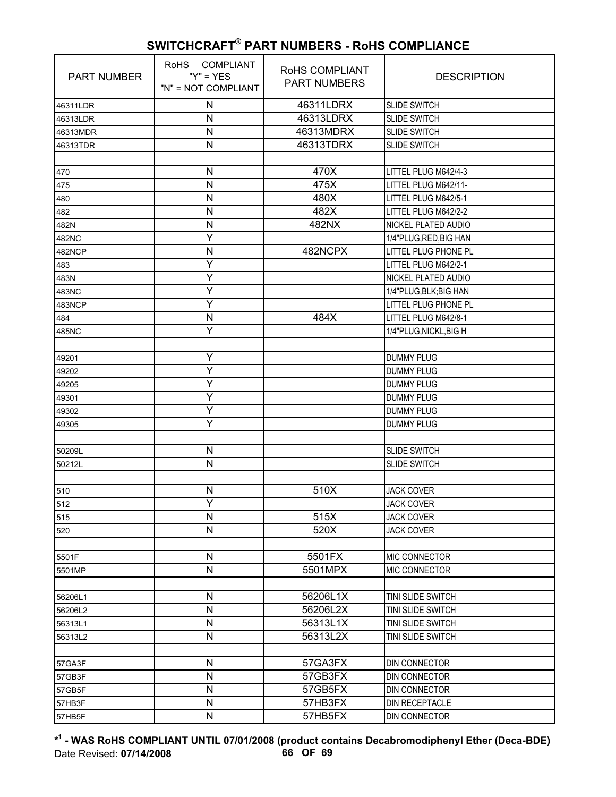| <b>PART NUMBER</b> | RoHS COMPLIANT<br>" $Y$ " = $YES$<br>"N" = NOT COMPLIANT | RoHS COMPLIANT<br><b>PART NUMBERS</b> | <b>DESCRIPTION</b>     |
|--------------------|----------------------------------------------------------|---------------------------------------|------------------------|
| 46311LDR           | N                                                        | 46311LDRX                             | <b>SLIDE SWITCH</b>    |
| 46313LDR           | N                                                        | 46313LDRX                             | <b>SLIDE SWITCH</b>    |
| 46313MDR           | N                                                        | 46313MDRX                             | <b>SLIDE SWITCH</b>    |
| 46313TDR           | N                                                        | 46313TDRX                             | <b>SLIDE SWITCH</b>    |
|                    |                                                          |                                       |                        |
| 470                | N                                                        | 470X                                  | LITTEL PLUG M642/4-3   |
| 475                | N                                                        | 475X                                  | LITTEL PLUG M642/11-   |
| 480                | N                                                        | 480X                                  | LITTEL PLUG M642/5-1   |
| 482                | N                                                        | 482X                                  | LITTEL PLUG M642/2-2   |
| 482N               | N                                                        | 482NX                                 | NICKEL PLATED AUDIO    |
| 482NC              | Y                                                        |                                       | 1/4"PLUG, RED, BIG HAN |
| 482NCP             | N                                                        | 482NCPX                               | LITTEL PLUG PHONE PL   |
| 483                | Y                                                        |                                       | LITTEL PLUG M642/2-1   |
| 483N               | Y                                                        |                                       | NICKEL PLATED AUDIO    |
| 483NC              | Ÿ                                                        |                                       | 1/4"PLUG, BLK; BIG HAN |
| 483NCP             | Y                                                        |                                       | LITTEL PLUG PHONE PL   |
| 484                | N                                                        | 484X                                  | LITTEL PLUG M642/8-1   |
| 485NC              | Ÿ                                                        |                                       | 1/4"PLUG, NICKL, BIG H |
|                    |                                                          |                                       |                        |
| 49201              | Υ                                                        |                                       | <b>DUMMY PLUG</b>      |
| 49202              | Ÿ                                                        |                                       | <b>DUMMY PLUG</b>      |
| 49205              | Υ                                                        |                                       | <b>DUMMY PLUG</b>      |
| 49301              | Y                                                        |                                       | <b>DUMMY PLUG</b>      |
| 49302              | Y                                                        |                                       | <b>DUMMY PLUG</b>      |
| 49305              | Ÿ                                                        |                                       | <b>DUMMY PLUG</b>      |
|                    |                                                          |                                       |                        |
| 50209L             | Ν                                                        |                                       | <b>SLIDE SWITCH</b>    |
| 50212L             | N                                                        |                                       | SLIDE SWITCH           |
|                    |                                                          |                                       |                        |
| 510                | $\mathsf{N}$                                             | 510X                                  | <b>JACK COVER</b>      |
| 512                | Y                                                        |                                       | <b>JACK COVER</b>      |
| 515                | N                                                        | 515X                                  | <b>JACK COVER</b>      |
| 520                | N                                                        | 520X                                  | <b>JACK COVER</b>      |
|                    |                                                          |                                       |                        |
| 5501F              | $\mathsf{N}$                                             | 5501FX                                | MIC CONNECTOR          |
| 5501MP             | $\mathsf{N}$                                             | 5501MPX                               | MIC CONNECTOR          |
|                    |                                                          |                                       |                        |
| 56206L1            | N                                                        | 56206L1X                              | TINI SLIDE SWITCH      |
| 56206L2            | N                                                        | 56206L2X                              | TINI SLIDE SWITCH      |
| 56313L1            | $\mathsf{N}$                                             | 56313L1X                              | TINI SLIDE SWITCH      |
| 56313L2            | $\mathsf{N}$                                             | 56313L2X                              | TINI SLIDE SWITCH      |
|                    |                                                          |                                       |                        |
| 57GA3F             | N                                                        | 57GA3FX                               | DIN CONNECTOR          |
| 57GB3F             | N                                                        | 57GB3FX                               | DIN CONNECTOR          |
| 57GB5F             | $\mathsf{N}$                                             | 57GB5FX                               | DIN CONNECTOR          |
| 57HB3F             | N                                                        | 57HB3FX                               | DIN RECEPTACLE         |
| 57HB5F             | N                                                        | 57HB5FX                               | DIN CONNECTOR          |

**\* 1 - WAS RoHS COMPLIANT UNTIL 07/01/2008 (product contains Decabromodiphenyl Ether (Deca-BDE)** Date Revised: **07/14/2008 66 OF 69**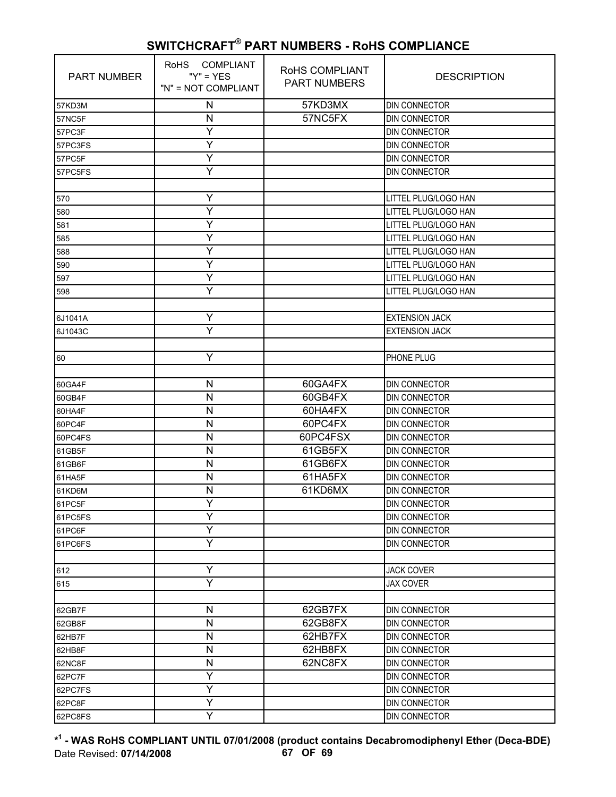| <b>PART NUMBER</b> | RoHS COMPLIANT<br>" $Y$ " = $YES$<br>"N" = NOT COMPLIANT | RoHS COMPLIANT<br><b>PART NUMBERS</b> | <b>DESCRIPTION</b>    |
|--------------------|----------------------------------------------------------|---------------------------------------|-----------------------|
| 57KD3M             | N                                                        | 57KD3MX                               | DIN CONNECTOR         |
| 57NC5F             | N                                                        | 57NC5FX                               | DIN CONNECTOR         |
| 57PC3F             | Y                                                        |                                       | <b>DIN CONNECTOR</b>  |
| 57PC3FS            | Y                                                        |                                       | DIN CONNECTOR         |
| 57PC5F             | Υ                                                        |                                       | DIN CONNECTOR         |
| 57PC5FS            | Y                                                        |                                       | DIN CONNECTOR         |
|                    |                                                          |                                       |                       |
| 570                | Y                                                        |                                       | LITTEL PLUG/LOGO HAN  |
| 580                | Y                                                        |                                       | LITTEL PLUG/LOGO HAN  |
| 581                | Υ                                                        |                                       | LITTEL PLUG/LOGO HAN  |
| 585                | Y                                                        |                                       | LITTEL PLUG/LOGO HAN  |
| 588                | Y                                                        |                                       | LITTEL PLUG/LOGO HAN  |
| 590                | Y                                                        |                                       | LITTEL PLUG/LOGO HAN  |
| 597                | Y                                                        |                                       | LITTEL PLUG/LOGO HAN  |
| 598                | Y                                                        |                                       | LITTEL PLUG/LOGO HAN  |
|                    |                                                          |                                       |                       |
| 6J1041A            | Υ                                                        |                                       | <b>EXTENSION JACK</b> |
| 6J1043C            | Y                                                        |                                       | <b>EXTENSION JACK</b> |
|                    |                                                          |                                       |                       |
| 60                 | Υ                                                        |                                       | PHONE PLUG            |
|                    |                                                          |                                       |                       |
| 60GA4F             | N                                                        | 60GA4FX                               | <b>DIN CONNECTOR</b>  |
| 60GB4F             | $\mathsf{N}$                                             | 60GB4FX                               | <b>DIN CONNECTOR</b>  |
| 60HA4F             | N                                                        | 60HA4FX                               | DIN CONNECTOR         |
| 60PC4F             | N                                                        | 60PC4FX                               | DIN CONNECTOR         |
| 60PC4FS            | N                                                        | 60PC4FSX                              | DIN CONNECTOR         |
| 61GB5F             | N                                                        | 61GB5FX                               | DIN CONNECTOR         |
| 61GB6F             | $\mathsf{N}$                                             | 61GB6FX                               | <b>DIN CONNECTOR</b>  |
| 61HA5F             | N                                                        | 61HA5FX                               | <b>DIN CONNECTOR</b>  |
| 61KD6M             | N                                                        | 61KD6MX                               | DIN CONNECTOR         |
| 61PC5F             | Y                                                        |                                       | <b>DIN CONNECTOR</b>  |
| 61PC5FS            | Υ                                                        |                                       | <b>DIN CONNECTOR</b>  |
| 61PC6F             | Ÿ                                                        |                                       | DIN CONNECTOR         |
| 61PC6FS            | Y                                                        |                                       | DIN CONNECTOR         |
|                    |                                                          |                                       |                       |
| 612                | Υ                                                        |                                       | <b>JACK COVER</b>     |
| 615                | Y                                                        |                                       | <b>JAX COVER</b>      |
|                    |                                                          |                                       |                       |
| 62GB7F             | $\mathsf{N}$                                             | 62GB7FX                               | DIN CONNECTOR         |
| 62GB8F             | $\mathsf{N}$                                             | 62GB8FX                               | DIN CONNECTOR         |
| 62HB7F             | ${\sf N}$                                                | 62HB7FX                               | DIN CONNECTOR         |
| 62HB8F             | $\mathsf{N}$                                             | 62HB8FX                               | DIN CONNECTOR         |
| 62NC8F             | $\mathsf{N}$                                             | 62NC8FX                               | <b>DIN CONNECTOR</b>  |
| 62PC7F             | Y                                                        |                                       | DIN CONNECTOR         |
| 62PC7FS            | Υ                                                        |                                       | DIN CONNECTOR         |
| 62PC8F             | Y                                                        |                                       | DIN CONNECTOR         |
| 62PC8FS            | Ÿ                                                        |                                       | DIN CONNECTOR         |

**\* 1 - WAS RoHS COMPLIANT UNTIL 07/01/2008 (product contains Decabromodiphenyl Ether (Deca-BDE)** Date Revised: **07/14/2008 67 OF 69**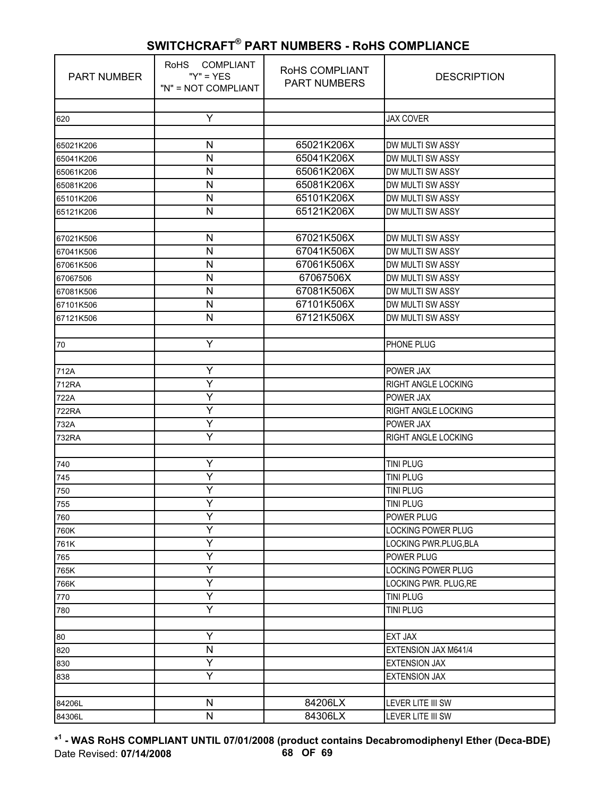| <b>PART NUMBER</b> | <b>COMPLIANT</b><br><b>RoHS</b><br>" $Y$ " = $YES$<br>"N" = NOT COMPLIANT | RoHS COMPLIANT<br><b>PART NUMBERS</b> | <b>DESCRIPTION</b>                  |
|--------------------|---------------------------------------------------------------------------|---------------------------------------|-------------------------------------|
|                    |                                                                           |                                       |                                     |
| 620                | Y                                                                         |                                       | <b>JAX COVER</b>                    |
| 65021K206          | $\mathsf{N}$                                                              | 65021K206X                            | DW MULTI SW ASSY                    |
| 65041K206          | N                                                                         | 65041K206X                            | DW MULTI SW ASSY                    |
| 65061K206          | N                                                                         | 65061K206X                            | DW MULTI SW ASSY                    |
| 65081K206          | $\mathsf{N}$                                                              | 65081K206X                            | DW MULTI SW ASSY                    |
| 65101K206          | N                                                                         | 65101K206X                            | DW MULTI SW ASSY                    |
| 65121K206          | ${\sf N}$                                                                 | 65121K206X                            | DW MULTI SW ASSY                    |
|                    |                                                                           |                                       |                                     |
| 67021K506          | N                                                                         | 67021K506X                            | DW MULTI SW ASSY                    |
| 67041K506          | N                                                                         | 67041K506X                            | DW MULTI SW ASSY                    |
| 67061K506          | N                                                                         | 67061K506X                            | DW MULTI SW ASSY                    |
| 67067506           | N                                                                         | 67067506X                             | DW MULTI SW ASSY                    |
| 67081K506          | $\mathsf{N}$                                                              | 67081K506X                            | DW MULTI SW ASSY                    |
| 67101K506          | N                                                                         | 67101K506X                            | DW MULTI SW ASSY                    |
| 67121K506          | $\mathsf{N}$                                                              | 67121K506X                            | DW MULTI SW ASSY                    |
|                    |                                                                           |                                       |                                     |
| 70                 | Υ                                                                         |                                       | PHONE PLUG                          |
|                    |                                                                           |                                       |                                     |
| 712A               | Υ                                                                         |                                       | POWER JAX                           |
| 712RA              | Y                                                                         |                                       | RIGHT ANGLE LOCKING                 |
| 722A               | Ÿ                                                                         |                                       | POWER JAX                           |
| <b>722RA</b>       | Y                                                                         |                                       | RIGHT ANGLE LOCKING                 |
| 732A               | Υ                                                                         |                                       | POWER JAX                           |
| 732RA              | Υ                                                                         |                                       | RIGHT ANGLE LOCKING                 |
|                    |                                                                           |                                       |                                     |
| 740                | Ÿ                                                                         |                                       | <b>TINI PLUG</b>                    |
| 745                | Υ                                                                         |                                       | <b>TINI PLUG</b>                    |
| 750                | Y<br>Y                                                                    |                                       | <b>TINI PLUG</b>                    |
| 755                | Y                                                                         |                                       | <b>TINI PLUG</b>                    |
| 760                | Ÿ                                                                         |                                       | POWER PLUG                          |
| 760K               | Υ                                                                         |                                       | <b>LOCKING POWER PLUG</b>           |
| 761K               | Y                                                                         |                                       | LOCKING PWR.PLUG, BLA<br>POWER PLUG |
| 765                | Υ                                                                         |                                       | LOCKING POWER PLUG                  |
| 765K<br>766K       | Ÿ                                                                         |                                       | LOCKING PWR. PLUG, RE               |
| 770                | Y                                                                         |                                       | <b>TINI PLUG</b>                    |
| 780                | Υ                                                                         |                                       | <b>TINI PLUG</b>                    |
|                    |                                                                           |                                       |                                     |
| 80                 | Y                                                                         |                                       | <b>EXT JAX</b>                      |
| 820                | $\mathsf{N}$                                                              |                                       | EXTENSION JAX M641/4                |
| 830                | Ÿ                                                                         |                                       | <b>EXTENSION JAX</b>                |
| 838                | Υ                                                                         |                                       | <b>EXTENSION JAX</b>                |
|                    |                                                                           |                                       |                                     |
| 84206L             | ${\sf N}$                                                                 | 84206LX                               | LEVER LITE III SW                   |
| 84306L             | $\mathsf{N}$                                                              | 84306LX                               | LEVER LITE III SW                   |

**\* 1 - WAS RoHS COMPLIANT UNTIL 07/01/2008 (product contains Decabromodiphenyl Ether (Deca-BDE)** Date Revised: **07/14/2008 68 OF 69**